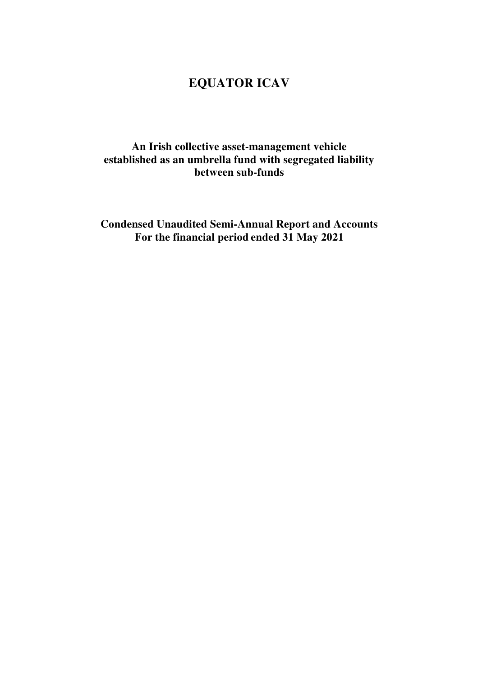### **An Irish collective asset-management vehicle established as an umbrella fund with segregated liability between sub-funds**

**Condensed Unaudited Semi-Annual Report and Accounts For the financial period ended 31 May 2021**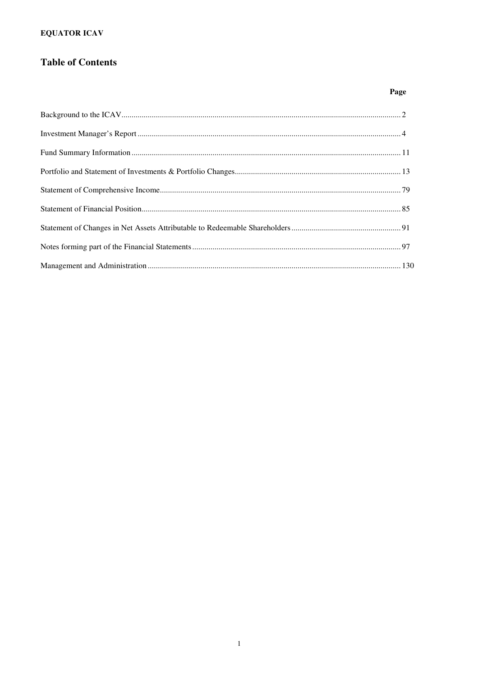### **Table of Contents**

### Page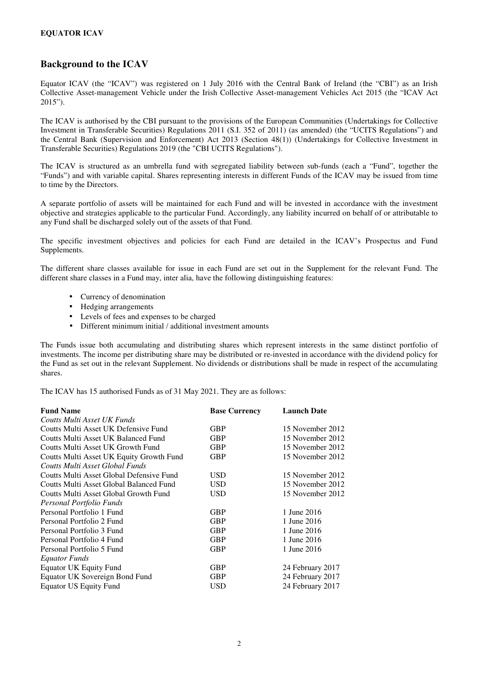#### **Background to the ICAV**

Equator ICAV (the "ICAV") was registered on 1 July 2016 with the Central Bank of Ireland (the "CBI") as an Irish Collective Asset-management Vehicle under the Irish Collective Asset-management Vehicles Act 2015 (the "ICAV Act 2015").

The ICAV is authorised by the CBI pursuant to the provisions of the European Communities (Undertakings for Collective Investment in Transferable Securities) Regulations 2011 (S.I. 352 of 2011) (as amended) (the "UCITS Regulations") and the Central Bank (Supervision and Enforcement) Act 2013 (Section 48(1)) (Undertakings for Collective Investment in Transferable Securities) Regulations 2019 (the "CBI UCITS Regulations").

The ICAV is structured as an umbrella fund with segregated liability between sub-funds (each a "Fund", together the "Funds") and with variable capital. Shares representing interests in different Funds of the ICAV may be issued from time to time by the Directors.

A separate portfolio of assets will be maintained for each Fund and will be invested in accordance with the investment objective and strategies applicable to the particular Fund. Accordingly, any liability incurred on behalf of or attributable to any Fund shall be discharged solely out of the assets of that Fund.

The specific investment objectives and policies for each Fund are detailed in the ICAV's Prospectus and Fund Supplements.

The different share classes available for issue in each Fund are set out in the Supplement for the relevant Fund. The different share classes in a Fund may, inter alia, have the following distinguishing features:

- Currency of denomination
- Hedging arrangements
- Levels of fees and expenses to be charged
- Different minimum initial / additional investment amounts

The Funds issue both accumulating and distributing shares which represent interests in the same distinct portfolio of investments. The income per distributing share may be distributed or re-invested in accordance with the dividend policy for the Fund as set out in the relevant Supplement. No dividends or distributions shall be made in respect of the accumulating shares.

The ICAV has 15 authorised Funds as of 31 May 2021. They are as follows:

| <b>Fund Name</b>                         | <b>Base Currency</b> | <b>Launch Date</b> |
|------------------------------------------|----------------------|--------------------|
| Coutts Multi Asset UK Funds              |                      |                    |
| Coutts Multi Asset UK Defensive Fund     | <b>GBP</b>           | 15 November 2012   |
| Coutts Multi Asset UK Balanced Fund      | <b>GBP</b>           | 15 November 2012   |
| Coutts Multi Asset UK Growth Fund        | <b>GBP</b>           | 15 November 2012   |
| Coutts Multi Asset UK Equity Growth Fund | <b>GBP</b>           | 15 November 2012   |
| Coutts Multi Asset Global Funds          |                      |                    |
| Coutts Multi Asset Global Defensive Fund | USD                  | 15 November 2012   |
| Coutts Multi Asset Global Balanced Fund  | <b>USD</b>           | 15 November 2012   |
| Coutts Multi Asset Global Growth Fund    | <b>USD</b>           | 15 November 2012   |
| Personal Portfolio Funds                 |                      |                    |
| Personal Portfolio 1 Fund                | <b>GBP</b>           | 1 June 2016        |
| Personal Portfolio 2 Fund                | <b>GBP</b>           | 1 June 2016        |
| Personal Portfolio 3 Fund                | <b>GBP</b>           | 1 June 2016        |
| Personal Portfolio 4 Fund                | <b>GBP</b>           | 1 June 2016        |
| Personal Portfolio 5 Fund                | <b>GBP</b>           | 1 June 2016        |
| Equator Funds                            |                      |                    |
| <b>Equator UK Equity Fund</b>            | <b>GBP</b>           | 24 February 2017   |
| Equator UK Sovereign Bond Fund           | <b>GBP</b>           | 24 February 2017   |
| <b>Equator US Equity Fund</b>            | <b>USD</b>           | 24 February 2017   |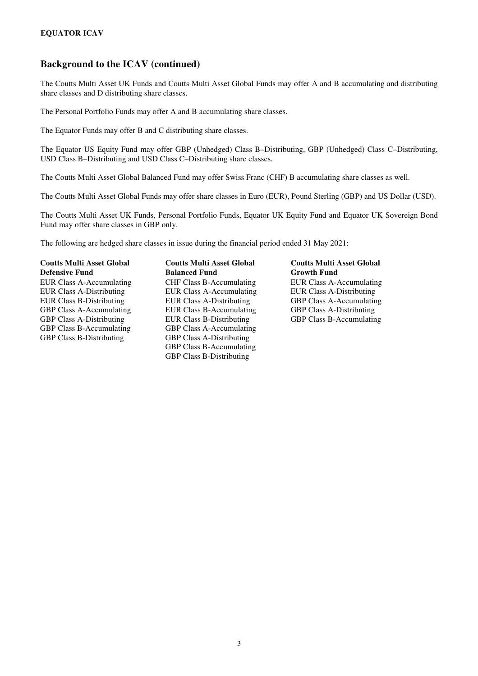### **Background to the ICAV (continued)**

The Coutts Multi Asset UK Funds and Coutts Multi Asset Global Funds may offer A and B accumulating and distributing share classes and D distributing share classes.

The Personal Portfolio Funds may offer A and B accumulating share classes.

The Equator Funds may offer B and C distributing share classes.

The Equator US Equity Fund may offer GBP (Unhedged) Class B–Distributing, GBP (Unhedged) Class C–Distributing, USD Class B–Distributing and USD Class C–Distributing share classes.

The Coutts Multi Asset Global Balanced Fund may offer Swiss Franc (CHF) B accumulating share classes as well.

The Coutts Multi Asset Global Funds may offer share classes in Euro (EUR), Pound Sterling (GBP) and US Dollar (USD).

The Coutts Multi Asset UK Funds, Personal Portfolio Funds, Equator UK Equity Fund and Equator UK Sovereign Bond Fund may offer share classes in GBP only.

The following are hedged share classes in issue during the financial period ended 31 May 2021:

**Coutts Multi Asset Global Defensive Fund**  GBP Class A-Accumulating EUR Class B-Accumulating

**Coutts Multi Asset Global Balanced Fund**  EUR Class A-Accumulating CHF Class B-Accumulating EUR Class A-Accumulating EUR Class A-Distributing EUR Class A-Accumulating EUR Class A-Distributing EUR Class B-Distributing EUR Class A-Distributing GBP Class A-Accumulating GBP Class A-Accumulating EUR Class B-Accumulating GBP Class A-Distributing GBP Class A-Distributing EUR Class B-Distributing GBP Class B-Accumulating GBP Class B-Accumulating GBP Class A-Accumulating GBP Class B-Distributing GBP Class A-Distributing GBP Class B-Accumulating GBP Class B-Distributing

# **Coutts Multi Asset Global Growth Fund**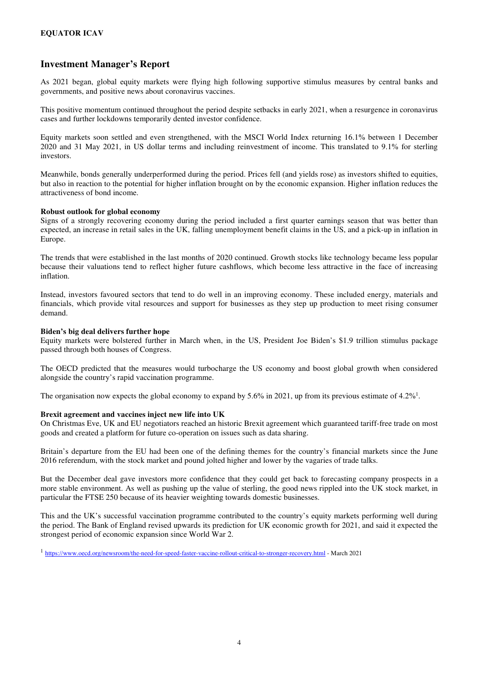### **Investment Manager's Report**

As 2021 began, global equity markets were flying high following supportive stimulus measures by central banks and governments, and positive news about coronavirus vaccines.

This positive momentum continued throughout the period despite setbacks in early 2021, when a resurgence in coronavirus cases and further lockdowns temporarily dented investor confidence.

Equity markets soon settled and even strengthened, with the MSCI World Index returning 16.1% between 1 December 2020 and 31 May 2021, in US dollar terms and including reinvestment of income. This translated to 9.1% for sterling investors.

Meanwhile, bonds generally underperformed during the period. Prices fell (and yields rose) as investors shifted to equities, but also in reaction to the potential for higher inflation brought on by the economic expansion. Higher inflation reduces the attractiveness of bond income.

#### **Robust outlook for global economy**

Signs of a strongly recovering economy during the period included a first quarter earnings season that was better than expected, an increase in retail sales in the UK, falling unemployment benefit claims in the US, and a pick-up in inflation in Europe.

The trends that were established in the last months of 2020 continued. Growth stocks like technology became less popular because their valuations tend to reflect higher future cashflows, which become less attractive in the face of increasing inflation.

Instead, investors favoured sectors that tend to do well in an improving economy. These included energy, materials and financials, which provide vital resources and support for businesses as they step up production to meet rising consumer demand.

#### **Biden's big deal delivers further hope**

Equity markets were bolstered further in March when, in the US, President Joe Biden's \$1.9 trillion stimulus package passed through both houses of Congress.

The OECD predicted that the measures would turbocharge the US economy and boost global growth when considered alongside the country's rapid vaccination programme.

The organisation now expects the global economy to expand by 5.6% in 2021, up from its previous estimate of  $4.2\%$ <sup>1</sup>.

#### **Brexit agreement and vaccines inject new life into UK**

On Christmas Eve, UK and EU negotiators reached an historic Brexit agreement which guaranteed tariff-free trade on most goods and created a platform for future co-operation on issues such as data sharing.

Britain's departure from the EU had been one of the defining themes for the country's financial markets since the June 2016 referendum, with the stock market and pound jolted higher and lower by the vagaries of trade talks.

But the December deal gave investors more confidence that they could get back to forecasting company prospects in a more stable environment. As well as pushing up the value of sterling, the good news rippled into the UK stock market, in particular the FTSE 250 because of its heavier weighting towards domestic businesses.

This and the UK's successful vaccination programme contributed to the country's equity markets performing well during the period. The Bank of England revised upwards its prediction for UK economic growth for 2021, and said it expected the strongest period of economic expansion since World War 2.

<sup>1</sup> https://www.oecd.org/newsroom/the-need-for-speed-faster-vaccine-rollout-critical-to-stronger-recovery.html - March 2021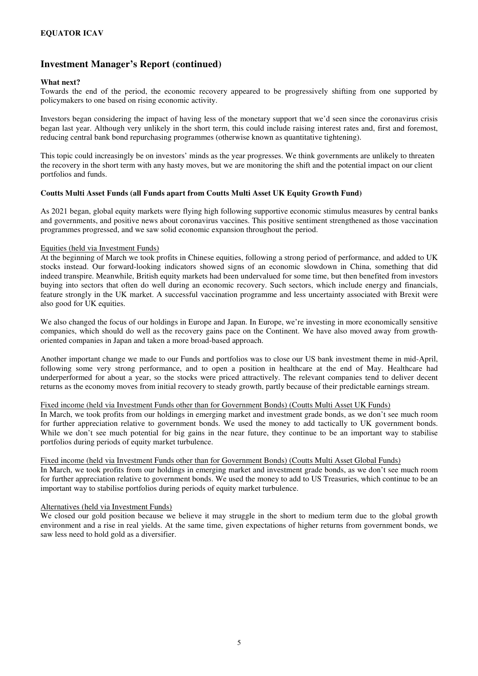#### **What next?**

Towards the end of the period, the economic recovery appeared to be progressively shifting from one supported by policymakers to one based on rising economic activity.

Investors began considering the impact of having less of the monetary support that we'd seen since the coronavirus crisis began last year. Although very unlikely in the short term, this could include raising interest rates and, first and foremost, reducing central bank bond repurchasing programmes (otherwise known as quantitative tightening).

This topic could increasingly be on investors' minds as the year progresses. We think governments are unlikely to threaten the recovery in the short term with any hasty moves, but we are monitoring the shift and the potential impact on our client portfolios and funds.

#### **Coutts Multi Asset Funds (all Funds apart from Coutts Multi Asset UK Equity Growth Fund)**

As 2021 began, global equity markets were flying high following supportive economic stimulus measures by central banks and governments, and positive news about coronavirus vaccines. This positive sentiment strengthened as those vaccination programmes progressed, and we saw solid economic expansion throughout the period.

#### Equities (held via Investment Funds)

At the beginning of March we took profits in Chinese equities, following a strong period of performance, and added to UK stocks instead. Our forward-looking indicators showed signs of an economic slowdown in China, something that did indeed transpire. Meanwhile, British equity markets had been undervalued for some time, but then benefited from investors buying into sectors that often do well during an economic recovery. Such sectors, which include energy and financials, feature strongly in the UK market. A successful vaccination programme and less uncertainty associated with Brexit were also good for UK equities.

We also changed the focus of our holdings in Europe and Japan. In Europe, we're investing in more economically sensitive companies, which should do well as the recovery gains pace on the Continent. We have also moved away from growthoriented companies in Japan and taken a more broad-based approach.

Another important change we made to our Funds and portfolios was to close our US bank investment theme in mid-April, following some very strong performance, and to open a position in healthcare at the end of May. Healthcare had underperformed for about a year, so the stocks were priced attractively. The relevant companies tend to deliver decent returns as the economy moves from initial recovery to steady growth, partly because of their predictable earnings stream.

#### Fixed income (held via Investment Funds other than for Government Bonds) (Coutts Multi Asset UK Funds)

In March, we took profits from our holdings in emerging market and investment grade bonds, as we don't see much room for further appreciation relative to government bonds. We used the money to add tactically to UK government bonds. While we don't see much potential for big gains in the near future, they continue to be an important way to stabilise portfolios during periods of equity market turbulence.

#### Fixed income (held via Investment Funds other than for Government Bonds) (Coutts Multi Asset Global Funds)

In March, we took profits from our holdings in emerging market and investment grade bonds, as we don't see much room for further appreciation relative to government bonds. We used the money to add to US Treasuries, which continue to be an important way to stabilise portfolios during periods of equity market turbulence.

#### Alternatives (held via Investment Funds)

We closed our gold position because we believe it may struggle in the short to medium term due to the global growth environment and a rise in real yields. At the same time, given expectations of higher returns from government bonds, we saw less need to hold gold as a diversifier.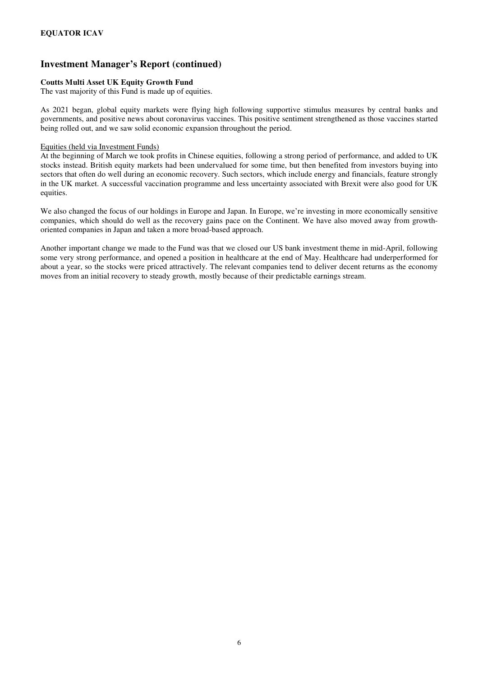#### **Coutts Multi Asset UK Equity Growth Fund**

The vast majority of this Fund is made up of equities.

As 2021 began, global equity markets were flying high following supportive stimulus measures by central banks and governments, and positive news about coronavirus vaccines. This positive sentiment strengthened as those vaccines started being rolled out, and we saw solid economic expansion throughout the period.

#### Equities (held via Investment Funds)

At the beginning of March we took profits in Chinese equities, following a strong period of performance, and added to UK stocks instead. British equity markets had been undervalued for some time, but then benefited from investors buying into sectors that often do well during an economic recovery. Such sectors, which include energy and financials, feature strongly in the UK market. A successful vaccination programme and less uncertainty associated with Brexit were also good for UK equities.

We also changed the focus of our holdings in Europe and Japan. In Europe, we're investing in more economically sensitive companies, which should do well as the recovery gains pace on the Continent. We have also moved away from growthoriented companies in Japan and taken a more broad-based approach.

Another important change we made to the Fund was that we closed our US bank investment theme in mid-April, following some very strong performance, and opened a position in healthcare at the end of May. Healthcare had underperformed for about a year, so the stocks were priced attractively. The relevant companies tend to deliver decent returns as the economy moves from an initial recovery to steady growth, mostly because of their predictable earnings stream.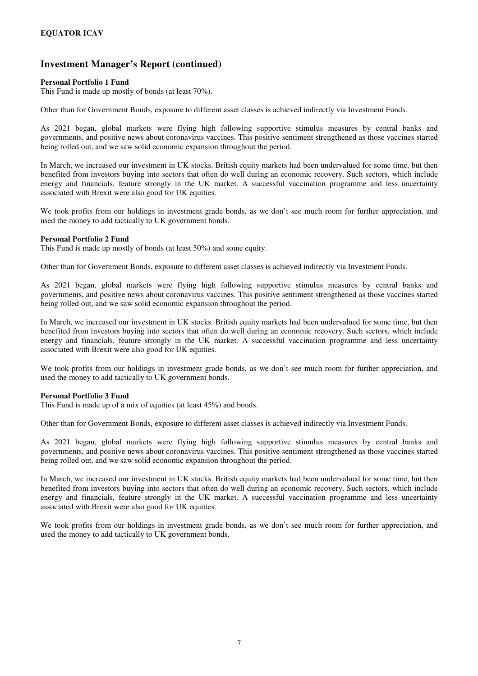#### **Personal Portfolio 1 Fund**

This Fund is made up mostly of bonds (at least 70%).

Other than for Government Bonds, exposure to different asset classes is achieved indirectly via Investment Funds.

As 2021 began, global markets were flying high following supportive stimulus measures by central banks and governments, and positive news about coronavirus vaccines. This positive sentiment strengthened as those vaccines started being rolled out, and we saw solid economic expansion throughout the period.

In March, we increased our investment in UK stocks. British equity markets had been undervalued for some time, but then benefited from investors buying into sectors that often do well during an economic recovery. Such sectors, which include energy and financials, feature strongly in the UK market. A successful vaccination programme and less uncertainty associated with Brexit were also good for UK equities.

We took profits from our holdings in investment grade bonds, as we don't see much room for further appreciation, and used the money to add tactically to UK government bonds.

#### **Personal Portfolio 2 Fund**

This Fund is made up mostly of bonds (at least 50%) and some equity.

Other than for Government Bonds, exposure to different asset classes is achieved indirectly via Investment Funds.

As 2021 began, global markets were flying high following supportive stimulus measures by central banks and governments, and positive news about coronavirus vaccines. This positive sentiment strengthened as those vaccines started being rolled out, and we saw solid economic expansion throughout the period.

In March, we increased our investment in UK stocks. British equity markets had been undervalued for some time, but then benefited from investors buying into sectors that often do well during an economic recovery. Such sectors, which include energy and financials, feature strongly in the UK market. A successful vaccination programme and less uncertainty associated with Brexit were also good for UK equities.

We took profits from our holdings in investment grade bonds, as we don't see much room for further appreciation, and used the money to add tactically to UK government bonds.

#### **Personal Portfolio 3 Fund**

This Fund is made up of a mix of equities (at least 45%) and bonds.

Other than for Government Bonds, exposure to different asset classes is achieved indirectly via Investment Funds.

As 2021 began, global markets were flying high following supportive stimulus measures by central banks and governments, and positive news about coronavirus vaccines. This positive sentiment strengthened as those vaccines started being rolled out, and we saw solid economic expansion throughout the period.

In March, we increased our investment in UK stocks. British equity markets had been undervalued for some time, but then benefited from investors buying into sectors that often do well during an economic recovery. Such sectors, which include energy and financials, feature strongly in the UK market. A successful vaccination programme and less uncertainty associated with Brexit were also good for UK equities.

We took profits from our holdings in investment grade bonds, as we don't see much room for further appreciation, and used the money to add tactically to UK government bonds.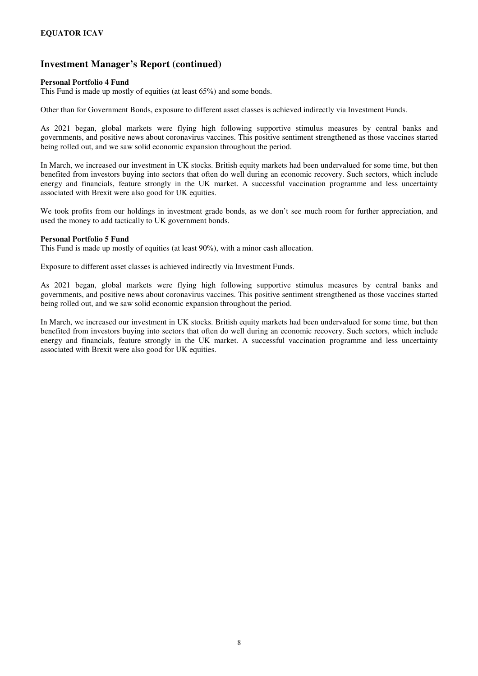#### **Personal Portfolio 4 Fund**

This Fund is made up mostly of equities (at least 65%) and some bonds.

Other than for Government Bonds, exposure to different asset classes is achieved indirectly via Investment Funds.

As 2021 began, global markets were flying high following supportive stimulus measures by central banks and governments, and positive news about coronavirus vaccines. This positive sentiment strengthened as those vaccines started being rolled out, and we saw solid economic expansion throughout the period.

In March, we increased our investment in UK stocks. British equity markets had been undervalued for some time, but then benefited from investors buying into sectors that often do well during an economic recovery. Such sectors, which include energy and financials, feature strongly in the UK market. A successful vaccination programme and less uncertainty associated with Brexit were also good for UK equities.

We took profits from our holdings in investment grade bonds, as we don't see much room for further appreciation, and used the money to add tactically to UK government bonds.

#### **Personal Portfolio 5 Fund**

This Fund is made up mostly of equities (at least 90%), with a minor cash allocation.

Exposure to different asset classes is achieved indirectly via Investment Funds.

As 2021 began, global markets were flying high following supportive stimulus measures by central banks and governments, and positive news about coronavirus vaccines. This positive sentiment strengthened as those vaccines started being rolled out, and we saw solid economic expansion throughout the period.

In March, we increased our investment in UK stocks. British equity markets had been undervalued for some time, but then benefited from investors buying into sectors that often do well during an economic recovery. Such sectors, which include energy and financials, feature strongly in the UK market. A successful vaccination programme and less uncertainty associated with Brexit were also good for UK equities.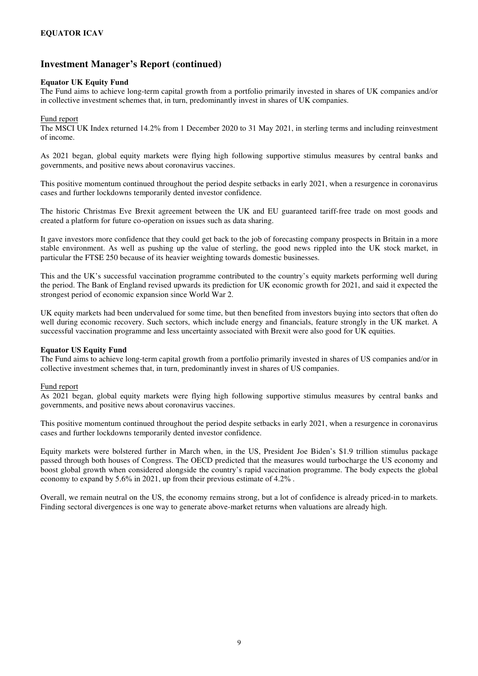#### **Equator UK Equity Fund**

The Fund aims to achieve long-term capital growth from a portfolio primarily invested in shares of UK companies and/or in collective investment schemes that, in turn, predominantly invest in shares of UK companies.

#### Fund report

The MSCI UK Index returned 14.2% from 1 December 2020 to 31 May 2021, in sterling terms and including reinvestment of income.

As 2021 began, global equity markets were flying high following supportive stimulus measures by central banks and governments, and positive news about coronavirus vaccines.

This positive momentum continued throughout the period despite setbacks in early 2021, when a resurgence in coronavirus cases and further lockdowns temporarily dented investor confidence.

The historic Christmas Eve Brexit agreement between the UK and EU guaranteed tariff-free trade on most goods and created a platform for future co-operation on issues such as data sharing.

It gave investors more confidence that they could get back to the job of forecasting company prospects in Britain in a more stable environment. As well as pushing up the value of sterling, the good news rippled into the UK stock market, in particular the FTSE 250 because of its heavier weighting towards domestic businesses.

This and the UK's successful vaccination programme contributed to the country's equity markets performing well during the period. The Bank of England revised upwards its prediction for UK economic growth for 2021, and said it expected the strongest period of economic expansion since World War 2.

UK equity markets had been undervalued for some time, but then benefited from investors buying into sectors that often do well during economic recovery. Such sectors, which include energy and financials, feature strongly in the UK market. A successful vaccination programme and less uncertainty associated with Brexit were also good for UK equities.

#### **Equator US Equity Fund**

The Fund aims to achieve long-term capital growth from a portfolio primarily invested in shares of US companies and/or in collective investment schemes that, in turn, predominantly invest in shares of US companies.

#### Fund report

As 2021 began, global equity markets were flying high following supportive stimulus measures by central banks and governments, and positive news about coronavirus vaccines.

This positive momentum continued throughout the period despite setbacks in early 2021, when a resurgence in coronavirus cases and further lockdowns temporarily dented investor confidence.

Equity markets were bolstered further in March when, in the US, President Joe Biden's \$1.9 trillion stimulus package passed through both houses of Congress. The OECD predicted that the measures would turbocharge the US economy and boost global growth when considered alongside the country's rapid vaccination programme. The body expects the global economy to expand by 5.6% in 2021, up from their previous estimate of 4.2% .

Overall, we remain neutral on the US, the economy remains strong, but a lot of confidence is already priced-in to markets. Finding sectoral divergences is one way to generate above-market returns when valuations are already high.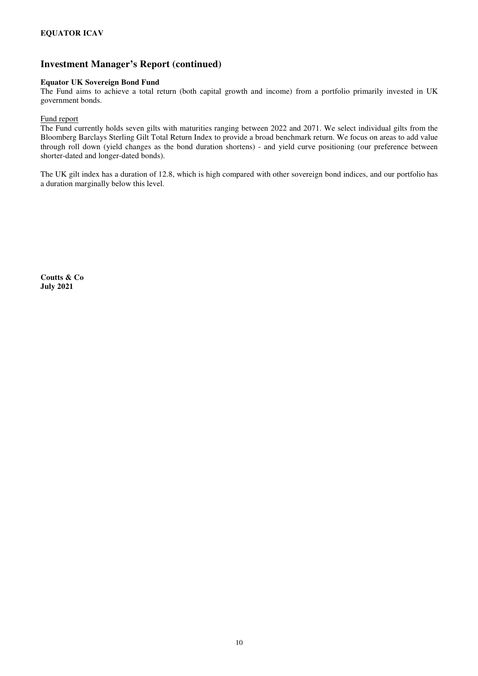#### **Equator UK Sovereign Bond Fund**

The Fund aims to achieve a total return (both capital growth and income) from a portfolio primarily invested in UK government bonds.

#### Fund report

The Fund currently holds seven gilts with maturities ranging between 2022 and 2071. We select individual gilts from the Bloomberg Barclays Sterling Gilt Total Return Index to provide a broad benchmark return. We focus on areas to add value through roll down (yield changes as the bond duration shortens) - and yield curve positioning (our preference between shorter-dated and longer-dated bonds).

The UK gilt index has a duration of 12.8, which is high compared with other sovereign bond indices, and our portfolio has a duration marginally below this level.

**Coutts & Co July 2021**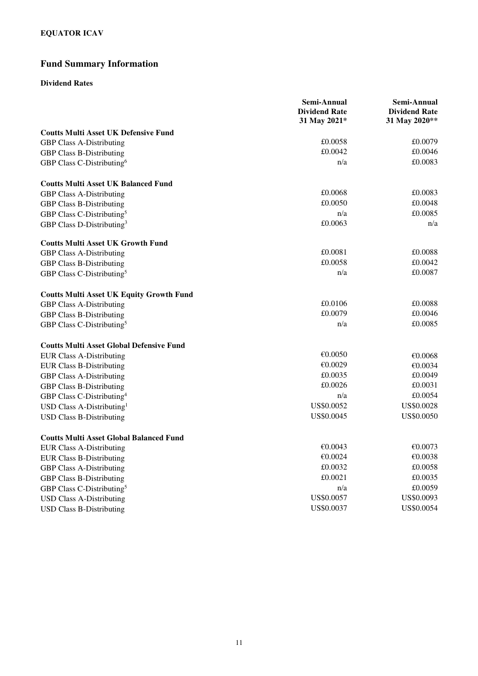# **Fund Summary Information**

#### **Dividend Rates**

|                                                 | Semi-Annual<br><b>Dividend Rate</b><br>31 May 2021* | Semi-Annual<br><b>Dividend Rate</b><br>31 May 2020** |
|-------------------------------------------------|-----------------------------------------------------|------------------------------------------------------|
| <b>Coutts Multi Asset UK Defensive Fund</b>     |                                                     |                                                      |
| <b>GBP Class A-Distributing</b>                 | £0.0058                                             | £0.0079                                              |
| GBP Class B-Distributing                        | £0.0042                                             | £0.0046                                              |
| GBP Class C-Distributing <sup>6</sup>           | n/a                                                 | £0.0083                                              |
| <b>Coutts Multi Asset UK Balanced Fund</b>      |                                                     |                                                      |
| <b>GBP Class A-Distributing</b>                 | £0.0068                                             | £0.0083                                              |
| <b>GBP Class B-Distributing</b>                 | £0.0050                                             | £0.0048                                              |
| GBP Class C-Distributing <sup>5</sup>           | n/a                                                 | £0.0085                                              |
| GBP Class D-Distributing <sup>3</sup>           | £0.0063                                             | n/a                                                  |
| <b>Coutts Multi Asset UK Growth Fund</b>        |                                                     |                                                      |
| <b>GBP Class A-Distributing</b>                 | £0.0081                                             | £0.0088                                              |
| <b>GBP Class B-Distributing</b>                 | £0.0058                                             | £0.0042                                              |
| GBP Class C-Distributing <sup>5</sup>           | n/a                                                 | £0.0087                                              |
| <b>Coutts Multi Asset UK Equity Growth Fund</b> |                                                     |                                                      |
| <b>GBP Class A-Distributing</b>                 | £0.0106                                             | £0.0088                                              |
| <b>GBP Class B-Distributing</b>                 | £0.0079                                             | £0.0046                                              |
| GBP Class C-Distributing <sup>5</sup>           | n/a                                                 | £0.0085                                              |
| <b>Coutts Multi Asset Global Defensive Fund</b> |                                                     |                                                      |
| <b>EUR Class A-Distributing</b>                 | €0.0050                                             | €0.0068                                              |
| <b>EUR Class B-Distributing</b>                 | €0.0029                                             | €0.0034                                              |
| <b>GBP Class A-Distributing</b>                 | £0.0035                                             | £0.0049                                              |
| <b>GBP Class B-Distributing</b>                 | £0.0026                                             | £0.0031                                              |
| GBP Class C-Distributing <sup>4</sup>           | n/a                                                 | £0.0054                                              |
| USD Class A-Distributing <sup>1</sup>           | US\$0.0052                                          | US\$0.0028                                           |
| <b>USD Class B-Distributing</b>                 | US\$0.0045                                          | US\$0.0050                                           |
| <b>Coutts Multi Asset Global Balanced Fund</b>  |                                                     |                                                      |
| <b>EUR Class A-Distributing</b>                 | €0.0043                                             | €0.0073                                              |
| <b>EUR Class B-Distributing</b>                 | €0.0024                                             | €0.0038                                              |
| <b>GBP Class A-Distributing</b>                 | £0.0032                                             | £0.0058                                              |
| <b>GBP Class B-Distributing</b>                 | £0.0021                                             | £0.0035                                              |
| GBP Class C-Distributing <sup>5</sup>           | n/a                                                 | £0.0059                                              |
| <b>USD Class A-Distributing</b>                 | US\$0.0057                                          | US\$0.0093                                           |
| <b>USD Class B-Distributing</b>                 | US\$0.0037                                          | US\$0.0054                                           |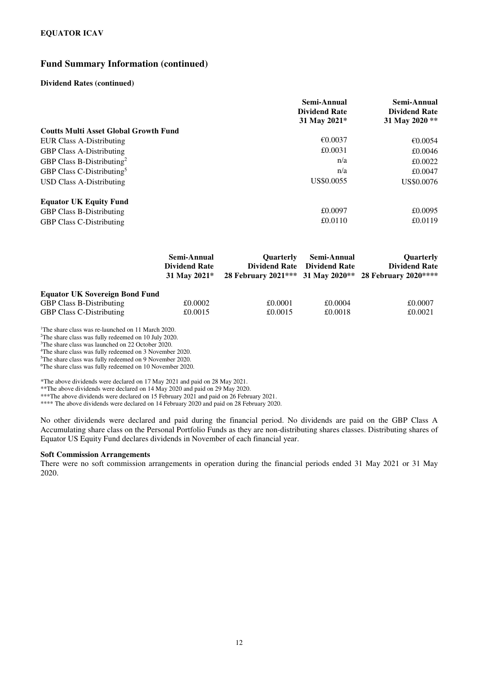#### **Fund Summary Information (continued)**

#### **Dividend Rates (continued)**

|                                              | Semi-Annual<br><b>Dividend Rate</b><br>31 May 2021* | Semi-Annual<br><b>Dividend Rate</b><br>31 May 2020 ** |
|----------------------------------------------|-----------------------------------------------------|-------------------------------------------------------|
| <b>Coutts Multi Asset Global Growth Fund</b> |                                                     |                                                       |
| <b>EUR Class A-Distributing</b>              | €0.0037                                             | €0.0054                                               |
| <b>GBP Class A-Distributing</b>              | £0.0031                                             | £0.0046                                               |
| GBP Class B-Distributing <sup>2</sup>        | n/a                                                 | £0.0022                                               |
| GBP Class C-Distributing <sup>5</sup>        | n/a                                                 | £0.0047                                               |
| USD Class A-Distributing                     | US\$0.0055                                          | US\$0.0076                                            |
| <b>Equator UK Equity Fund</b>                |                                                     |                                                       |
| <b>GBP Class B-Distributing</b>              | £0.0097                                             | £0.0095                                               |
| <b>GBP Class C-Distributing</b>              | £0.0110                                             | £0.0119                                               |

|                                       | Semi-Annual<br><b>Dividend Rate</b><br>31 May 2021* | <b>Ouarterly</b> | Semi-Annual<br>Dividend Rate Dividend Rate | Quarterly<br><b>Dividend Rate</b><br>28 February 2021*** 31 May 2020** 28 February 2020**** |
|---------------------------------------|-----------------------------------------------------|------------------|--------------------------------------------|---------------------------------------------------------------------------------------------|
| <b>Equator UK Sovereign Bond Fund</b> |                                                     |                  |                                            |                                                                                             |
| <b>GBP Class B-Distributing</b>       | £0.0002                                             | £0.0001          | £0.0004                                    | £0.0007                                                                                     |
| <b>GBP Class C-Distributing</b>       | £0.0015                                             | £0.0015          | £0.0018                                    | £0.0021                                                                                     |

<sup>1</sup>The share class was re-launched on 11 March 2020.

<sup>2</sup>The share class was fully redeemed on 10 July 2020.

<sup>3</sup>The share class was launched on 22 October 2020.

<sup>4</sup>The share class was fully redeemed on 3 November 2020.

<sup>5</sup>The share class was fully redeemed on 9 November 2020.

<sup>6</sup>The share class was fully redeemed on 10 November 2020.

\*The above dividends were declared on 17 May 2021 and paid on 28 May 2021.

\*\*The above dividends were declared on 14 May 2020 and paid on 29 May 2020.

\*\*\*The above dividends were declared on 15 February 2021 and paid on 26 February 2021.

\*\*\*\* The above dividends were declared on 14 February 2020 and paid on 28 February 2020.

No other dividends were declared and paid during the financial period. No dividends are paid on the GBP Class A Accumulating share class on the Personal Portfolio Funds as they are non-distributing shares classes. Distributing shares of Equator US Equity Fund declares dividends in November of each financial year.

#### **Soft Commission Arrangements**

There were no soft commission arrangements in operation during the financial periods ended 31 May 2021 or 31 May 2020.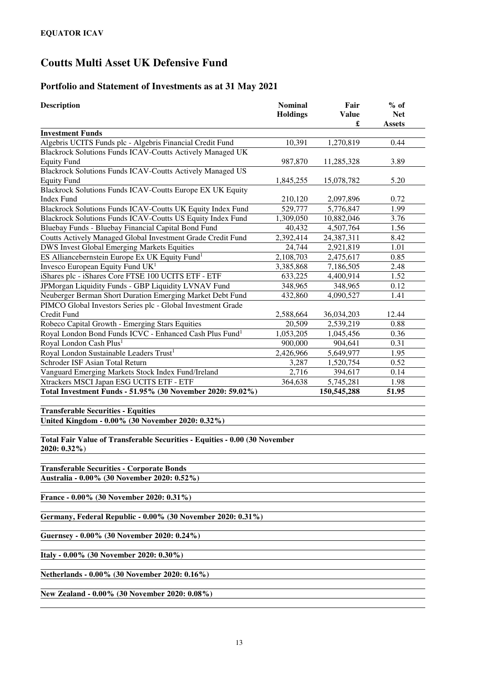# **Portfolio and Statement of Investments as at 31 May 2021**

| <b>Description</b>                                                                              | <b>Nominal</b><br><b>Holdings</b> | Fair<br><b>Value</b><br>£ | $%$ of<br><b>Net</b><br>Assets |
|-------------------------------------------------------------------------------------------------|-----------------------------------|---------------------------|--------------------------------|
| <b>Investment Funds</b>                                                                         |                                   |                           |                                |
| Algebris UCITS Funds plc - Algebris Financial Credit Fund                                       | 10,391                            | 1,270,819                 | 0.44                           |
| <b>Blackrock Solutions Funds ICAV-Coutts Actively Managed UK</b>                                |                                   |                           |                                |
| <b>Equity Fund</b>                                                                              | 987,870                           | 11,285,328                | 3.89                           |
| <b>Blackrock Solutions Funds ICAV-Coutts Actively Managed US</b>                                |                                   |                           |                                |
| <b>Equity Fund</b>                                                                              | 1,845,255                         | 15,078,782                | 5.20                           |
| Blackrock Solutions Funds ICAV-Coutts Europe EX UK Equity                                       |                                   |                           |                                |
| <b>Index Fund</b>                                                                               | 210,120                           | 2,097,896                 | 0.72                           |
| Blackrock Solutions Funds ICAV-Coutts UK Equity Index Fund                                      | 529,777                           | 5,776,847                 | 1.99                           |
| Blackrock Solutions Funds ICAV-Coutts US Equity Index Fund                                      | 1,309,050                         | 10,882,046                | 3.76                           |
| Bluebay Funds - Bluebay Financial Capital Bond Fund                                             | 40,432                            | 4,507,764                 | 1.56                           |
| Coutts Actively Managed Global Investment Grade Credit Fund                                     | 2,392,414                         | 24,387,311                | 8.42                           |
| DWS Invest Global Emerging Markets Equities                                                     | 24,744                            | 2,921,819                 | 1.01                           |
| ES Alliancebernstein Europe Ex UK Equity Fund <sup>1</sup>                                      | 2,108,703                         | 2,475,617                 | 0.85                           |
| Invesco European Equity Fund UK <sup>1</sup>                                                    | 3,385,868                         | 7,186,505                 | 2.48                           |
| iShares plc - iShares Core FTSE 100 UCITS ETF - ETF                                             | 633,225                           | 4,400,914                 | 1.52                           |
| JPMorgan Liquidity Funds - GBP Liquidity LVNAV Fund                                             | 348,965                           | 348,965                   | 0.12                           |
| Neuberger Berman Short Duration Emerging Market Debt Fund                                       | 432,860                           | 4,090,527                 | 1.41                           |
| PIMCO Global Investors Series plc - Global Investment Grade                                     |                                   |                           |                                |
| Credit Fund                                                                                     | 2,588,664                         | 36,034,203                | 12.44                          |
| Robeco Capital Growth - Emerging Stars Equities                                                 | 20,509                            | 2,539,219                 | 0.88                           |
| Royal London Bond Funds ICVC - Enhanced Cash Plus Fund <sup>1</sup>                             | 1,053,205                         | 1,045,456                 | 0.36                           |
| Royal London Cash Plus <sup>1</sup>                                                             | 900,000                           | 904,641                   | 0.31                           |
| Royal London Sustainable Leaders Trust <sup>1</sup>                                             | 2,426,966                         | 5,649,977                 | 1.95                           |
| Schroder ISF Asian Total Return                                                                 | 3,287                             | 1,520,754                 | 0.52                           |
| Vanguard Emerging Markets Stock Index Fund/Ireland                                              | 2,716                             | 394,617                   | 0.14                           |
| Xtrackers MSCI Japan ESG UCITS ETF - ETF                                                        | 364,638                           | $\overline{5,745,281}$    | 1.98                           |
| Total Investment Funds - 51.95% (30 November 2020: 59.02%)                                      |                                   | 150,545,288               | 51.95                          |
|                                                                                                 |                                   |                           |                                |
| <b>Transferable Securities - Equities</b>                                                       |                                   |                           |                                |
| United Kingdom - 0.00% (30 November 2020: 0.32%)                                                |                                   |                           |                                |
|                                                                                                 |                                   |                           |                                |
| Total Fair Value of Transferable Securities - Equities - 0.00 (30 November<br>2020: 0.32%)      |                                   |                           |                                |
| <b>Transferable Securities - Corporate Bonds</b><br>Australia - 0.00% (30 November 2020: 0.52%) |                                   |                           |                                |
|                                                                                                 |                                   |                           |                                |
| France - 0.00% (30 November 2020: 0.31%)                                                        |                                   |                           |                                |
| Germany, Federal Republic - 0.00% (30 November 2020: 0.31%)                                     |                                   |                           |                                |
| Guernsey - 0.00% (30 November 2020: 0.24%)                                                      |                                   |                           |                                |
| Italy - 0.00% (30 November 2020: 0.30%)                                                         |                                   |                           |                                |
| Netherlands - 0.00% (30 November 2020: 0.16%)                                                   |                                   |                           |                                |
| New Zealand - 0.00% (30 November 2020: 0.08%)                                                   |                                   |                           |                                |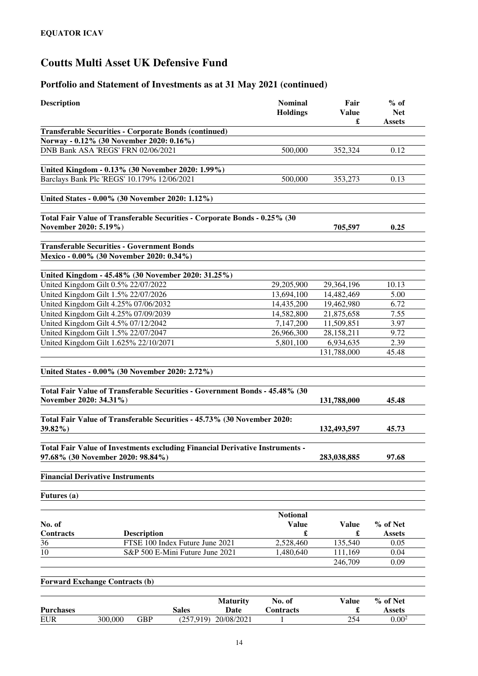# **Portfolio and Statement of Investments as at 31 May 2021 (continued)**

|                                                                                                                                                                                                                            |                                                                              | <b>Nominal</b><br><b>Holdings</b> | Fair<br><b>Value</b><br>£ | $%$ of<br><b>Net</b><br><b>Assets</b> |
|----------------------------------------------------------------------------------------------------------------------------------------------------------------------------------------------------------------------------|------------------------------------------------------------------------------|-----------------------------------|---------------------------|---------------------------------------|
|                                                                                                                                                                                                                            | <b>Transferable Securities - Corporate Bonds (continued)</b>                 |                                   |                           |                                       |
| Norway - 0.12% (30 November 2020: 0.16%)                                                                                                                                                                                   |                                                                              |                                   |                           |                                       |
| DNB Bank ASA 'REGS' FRN 02/06/2021                                                                                                                                                                                         |                                                                              | 500,000                           | 352,324                   | 0.12                                  |
|                                                                                                                                                                                                                            |                                                                              |                                   |                           |                                       |
|                                                                                                                                                                                                                            | United Kingdom - 0.13% (30 November 2020: 1.99%)                             |                                   |                           |                                       |
| Barclays Bank Plc 'REGS' 10.179% 12/06/2021                                                                                                                                                                                |                                                                              | 500,000                           | 353,273                   | 0.13                                  |
| United States - 0.00% (30 November 2020: 1.12%)                                                                                                                                                                            |                                                                              |                                   |                           |                                       |
| November 2020: 5.19%)                                                                                                                                                                                                      | Total Fair Value of Transferable Securities - Corporate Bonds - 0.25% (30    |                                   | 705,597                   | 0.25                                  |
| <b>Transferable Securities - Government Bonds</b>                                                                                                                                                                          |                                                                              |                                   |                           |                                       |
| Mexico - 0.00% (30 November 2020: 0.34%)                                                                                                                                                                                   |                                                                              |                                   |                           |                                       |
|                                                                                                                                                                                                                            |                                                                              |                                   |                           |                                       |
|                                                                                                                                                                                                                            | United Kingdom - 45.48% (30 November 2020: 31.25%)                           |                                   |                           |                                       |
| United Kingdom Gilt 0.5% 22/07/2022<br>United Kingdom Gilt 1.5% 22/07/2026                                                                                                                                                 |                                                                              | 29,205,900                        | 29,364,196                | 10.13                                 |
| United Kingdom Gilt 4.25% 07/06/2032                                                                                                                                                                                       |                                                                              | 13,694,100                        | 14,482,469                | 5.00                                  |
| United Kingdom Gilt 4.25% 07/09/2039                                                                                                                                                                                       |                                                                              | 14,435,200<br>14,582,800          | 19,462,980                | 6.72                                  |
|                                                                                                                                                                                                                            |                                                                              |                                   | 21,875,658                | 7.55                                  |
| United Kingdom Gilt 4.5% 07/12/2042                                                                                                                                                                                        |                                                                              | 7,147,200                         | 11,509,851                | 3.97                                  |
| United Kingdom Gilt 1.5% 22/07/2047                                                                                                                                                                                        |                                                                              | 26,966,300<br>5,801,100           | 28,158,211                | 9.72                                  |
| United Kingdom Gilt 1.625% 22/10/2071                                                                                                                                                                                      |                                                                              |                                   | 6,934,635<br>131,788,000  | 2.39<br>45.48                         |
| United States - 0.00% (30 November 2020: 2.72%)                                                                                                                                                                            | Total Fair Value of Transferable Securities - Government Bonds - 45.48% (30  |                                   |                           |                                       |
|                                                                                                                                                                                                                            |                                                                              |                                   |                           |                                       |
|                                                                                                                                                                                                                            | Total Fair Value of Transferable Securities - 45.73% (30 November 2020:      |                                   | 131,788,000               | 45.48                                 |
|                                                                                                                                                                                                                            |                                                                              |                                   | 132,493,597               | 45.73                                 |
|                                                                                                                                                                                                                            | Total Fair Value of Investments excluding Financial Derivative Instruments - |                                   | 283,038,885               | 97.68                                 |
|                                                                                                                                                                                                                            |                                                                              |                                   |                           |                                       |
|                                                                                                                                                                                                                            |                                                                              |                                   |                           |                                       |
|                                                                                                                                                                                                                            |                                                                              | <b>Notional</b><br><b>Value</b>   | <b>Value</b>              | % of Net                              |
|                                                                                                                                                                                                                            | <b>Description</b>                                                           | £                                 | £                         | Assets                                |
|                                                                                                                                                                                                                            | FTSE 100 Index Future June 2021                                              | 2,528,460                         | 135,540                   | 0.05                                  |
|                                                                                                                                                                                                                            | S&P 500 E-Mini Future June 2021                                              | 1,480,640                         | 111,169                   | 0.04                                  |
|                                                                                                                                                                                                                            |                                                                              |                                   | 246,709                   | 0.09                                  |
| November 2020: 34.31%)<br>39.82%)<br>97.68% (30 November 2020: 98.84%)<br><b>Financial Derivative Instruments</b><br><b>Futures</b> (a)<br>No. of<br><b>Contracts</b><br>36<br>10<br><b>Forward Exchange Contracts (b)</b> |                                                                              |                                   |                           |                                       |
|                                                                                                                                                                                                                            |                                                                              |                                   |                           |                                       |
| <b>Purchases</b>                                                                                                                                                                                                           | <b>Maturity</b><br><b>Sales</b><br>Date                                      | No. of<br>Contracts               | <b>Value</b><br>£         | % of Net<br><b>Assets</b>             |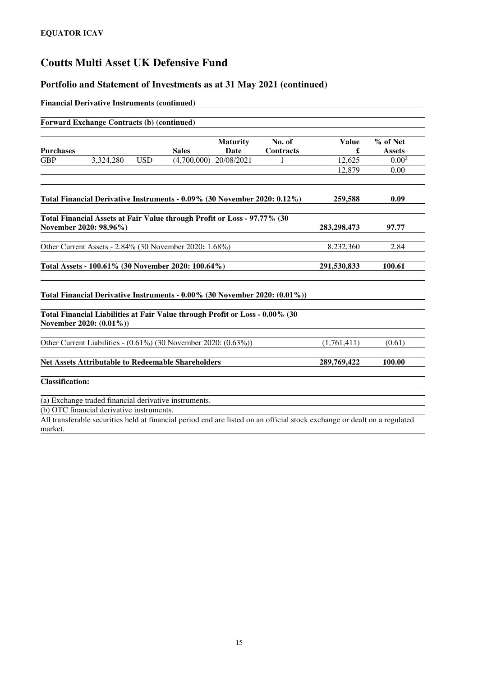### **Portfolio and Statement of Investments as at 31 May 2021 (continued)**

#### **Financial Derivative Instruments (continued)**

|                        | <b>Forward Exchange Contracts (b) (continued)</b>                                                       |            |              |                                |                            |                   |                           |
|------------------------|---------------------------------------------------------------------------------------------------------|------------|--------------|--------------------------------|----------------------------|-------------------|---------------------------|
| <b>Purchases</b>       |                                                                                                         |            | <b>Sales</b> | <b>Maturity</b><br><b>Date</b> | No. of<br><b>Contracts</b> | <b>Value</b><br>£ | % of Net<br><b>Assets</b> |
| <b>GBP</b>             | 3,324,280                                                                                               | <b>USD</b> | (4,700,000)  | 20/08/2021                     |                            | 12,625            | 0.00 <sup>2</sup>         |
|                        |                                                                                                         |            |              |                                |                            | 12,879            | 0.00                      |
|                        | Total Financial Derivative Instruments - 0.09% (30 November 2020: 0.12%)                                |            |              |                                |                            | 259,588           | 0.09                      |
|                        | Total Financial Assets at Fair Value through Profit or Loss - 97.77% (30<br>November 2020: 98.96%)      |            |              |                                |                            | 283,298,473       | 97.77                     |
|                        | Other Current Assets - 2.84% (30 November 2020: 1.68%)                                                  |            |              |                                |                            | 8,232,360         | 2.84                      |
|                        | Total Assets - 100.61% (30 November 2020: 100.64%)                                                      |            |              |                                |                            | 291,530,833       | 100.61                    |
|                        | Total Financial Derivative Instruments - 0.00% (30 November 2020: (0.01%))                              |            |              |                                |                            |                   |                           |
|                        | Total Financial Liabilities at Fair Value through Profit or Loss - 0.00% (30<br>November 2020: (0.01%)) |            |              |                                |                            |                   |                           |
|                        | Other Current Liabilities - (0.61%) (30 November 2020: (0.63%))                                         |            |              |                                |                            | (1,761,411)       | (0.61)                    |
|                        | <b>Net Assets Attributable to Redeemable Shareholders</b>                                               |            |              |                                |                            | 289,769,422       | 100.00                    |
| <b>Classification:</b> |                                                                                                         |            |              |                                |                            |                   |                           |
|                        | (a) Exchange traded financial derivative instruments.                                                   |            |              |                                |                            |                   |                           |
|                        | (b) OTC financial derivative instruments.                                                               |            |              |                                |                            |                   |                           |

All transferable securities held at financial period end are listed on an official stock exchange or dealt on a regulated market.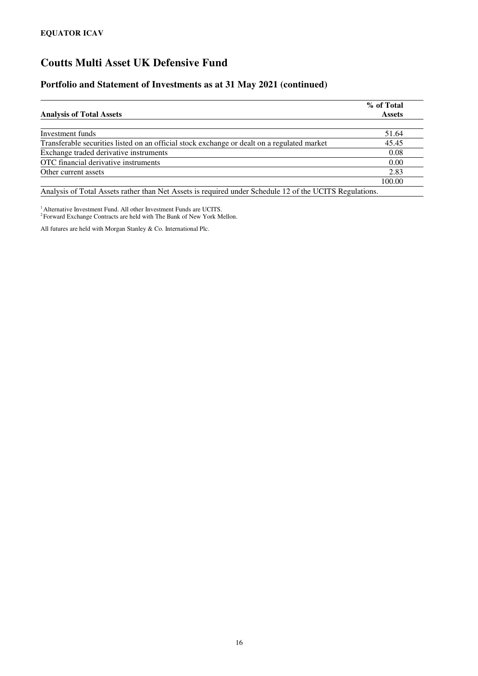### **Portfolio and Statement of Investments as at 31 May 2021 (continued)**

|                                                                                             | % of Total    |
|---------------------------------------------------------------------------------------------|---------------|
| <b>Analysis of Total Assets</b>                                                             | <b>Assets</b> |
| Investment funds                                                                            | 51.64         |
|                                                                                             |               |
| Transferable securities listed on an official stock exchange or dealt on a regulated market | 45.45         |
| Exchange traded derivative instruments                                                      | 0.08          |
| OTC financial derivative instruments                                                        | 0.00          |
| Other current assets                                                                        | 2.83          |
|                                                                                             | 100.00        |
| $\cdots$                                                                                    |               |

Analysis of Total Assets rather than Net Assets is required under Schedule 12 of the UCITS Regulations.

<sup>1</sup> Alternative Investment Fund. All other Investment Funds are UCITS.

<sup>2</sup> Forward Exchange Contracts are held with The Bank of New York Mellon.

All futures are held with Morgan Stanley & Co. International Plc.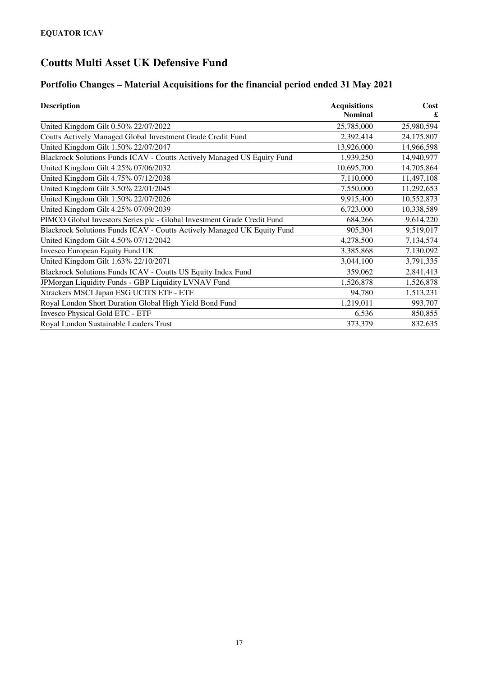# **Portfolio Changes – Material Acquisitions for the financial period ended 31 May 2021**

| <b>Description</b>                                                      | <b>Acquisitions</b><br><b>Nominal</b> | Cost       |
|-------------------------------------------------------------------------|---------------------------------------|------------|
| United Kingdom Gilt 0.50% 22/07/2022                                    | 25,785,000                            | 25,980,594 |
|                                                                         |                                       |            |
| Coutts Actively Managed Global Investment Grade Credit Fund             | 2,392,414                             | 24,175,807 |
| United Kingdom Gilt 1.50% 22/07/2047                                    | 13,926,000                            | 14,966,598 |
| Blackrock Solutions Funds ICAV - Coutts Actively Managed US Equity Fund | 1,939,250                             | 14,940,977 |
| United Kingdom Gilt 4.25% 07/06/2032                                    | 10,695,700                            | 14,705,864 |
| United Kingdom Gilt 4.75% 07/12/2038                                    | 7,110,000                             | 11,497,108 |
| United Kingdom Gilt 3.50% 22/01/2045                                    | 7,550,000                             | 11,292,653 |
| United Kingdom Gilt 1.50% 22/07/2026                                    | 9,915,400                             | 10,552,873 |
| United Kingdom Gilt 4.25% 07/09/2039                                    | 6,723,000                             | 10,338,589 |
| PIMCO Global Investors Series plc - Global Investment Grade Credit Fund | 684,266                               | 9,614,220  |
| Blackrock Solutions Funds ICAV - Coutts Actively Managed UK Equity Fund | 905,304                               | 9,519,017  |
| United Kingdom Gilt 4.50% 07/12/2042                                    | 4,278,500                             | 7,134,574  |
| Invesco European Equity Fund UK                                         | 3,385,868                             | 7,130,092  |
| United Kingdom Gilt 1.63% 22/10/2071                                    | 3,044,100                             | 3,791,335  |
| Blackrock Solutions Funds ICAV - Coutts US Equity Index Fund            | 359,062                               | 2,841,413  |
| JPMorgan Liquidity Funds - GBP Liquidity LVNAV Fund                     | 1,526,878                             | 1,526,878  |
| Xtrackers MSCI Japan ESG UCITS ETF - ETF                                | 94,780                                | 1,513,231  |
| Royal London Short Duration Global High Yield Bond Fund                 | 1,219,011                             | 993,707    |
| Invesco Physical Gold ETC - ETF                                         | 6,536                                 | 850,855    |
| Royal London Sustainable Leaders Trust                                  | 373,379                               | 832,635    |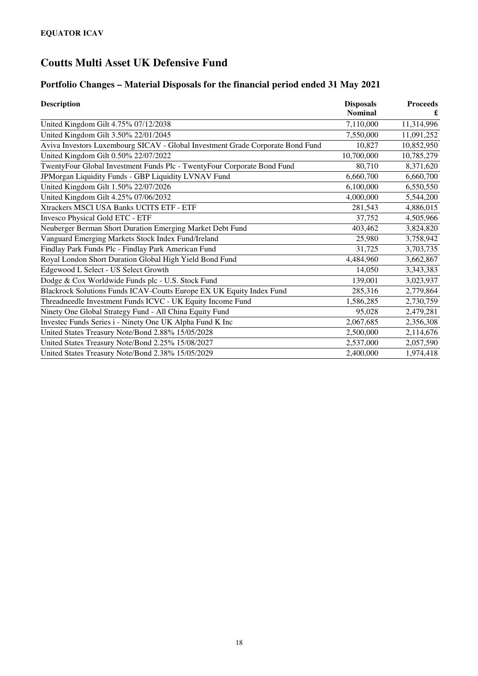# **Portfolio Changes – Material Disposals for the financial period ended 31 May 2021**

| <b>Description</b>                                                             | <b>Disposals</b><br><b>Nominal</b> | <b>Proceeds</b><br>£ |
|--------------------------------------------------------------------------------|------------------------------------|----------------------|
| United Kingdom Gilt 4.75% 07/12/2038                                           | 7,110,000                          | 11,314,996           |
| United Kingdom Gilt 3.50% 22/01/2045                                           | 7,550,000                          | 11,091,252           |
| Aviva Investors Luxembourg SICAV - Global Investment Grade Corporate Bond Fund | 10,827                             | 10,852,950           |
| United Kingdom Gilt 0.50% 22/07/2022                                           | 10,700,000                         | 10,785,279           |
| TwentyFour Global Investment Funds Plc - TwentyFour Corporate Bond Fund        | 80,710                             | 8,371,620            |
| JPMorgan Liquidity Funds - GBP Liquidity LVNAV Fund                            | 6,660,700                          | 6,660,700            |
| United Kingdom Gilt 1.50% 22/07/2026                                           | 6,100,000                          | 6,550,550            |
| United Kingdom Gilt 4.25% 07/06/2032                                           | 4,000,000                          | 5,544,200            |
| Xtrackers MSCI USA Banks UCITS ETF - ETF                                       | 281,543                            | 4,886,015            |
| <b>Invesco Physical Gold ETC - ETF</b>                                         | 37,752                             | 4,505,966            |
| Neuberger Berman Short Duration Emerging Market Debt Fund                      | 403,462                            | 3,824,820            |
| Vanguard Emerging Markets Stock Index Fund/Ireland                             | 25,980                             | 3,758,942            |
| Findlay Park Funds Plc - Findlay Park American Fund                            | 31,725                             | 3,703,735            |
| Royal London Short Duration Global High Yield Bond Fund                        | 4,484,960                          | 3,662,867            |
| Edgewood L Select - US Select Growth                                           | 14,050                             | 3,343,383            |
| Dodge & Cox Worldwide Funds plc - U.S. Stock Fund                              | 139,001                            | 3,023,937            |
| Blackrock Solutions Funds ICAV-Coutts Europe EX UK Equity Index Fund           | 285,316                            | 2,779,864            |
| Threadneedle Investment Funds ICVC - UK Equity Income Fund                     | 1,586,285                          | 2,730,759            |
| Ninety One Global Strategy Fund - All China Equity Fund                        | 95,028                             | 2,479,281            |
| Investec Funds Series i - Ninety One UK Alpha Fund K Inc                       | 2,067,685                          | 2,356,308            |
| United States Treasury Note/Bond 2.88% 15/05/2028                              | 2,500,000                          | 2,114,676            |
| United States Treasury Note/Bond 2.25% 15/08/2027                              | 2,537,000                          | 2,057,590            |
| United States Treasury Note/Bond 2.38% 15/05/2029                              | 2,400,000                          | 1,974,418            |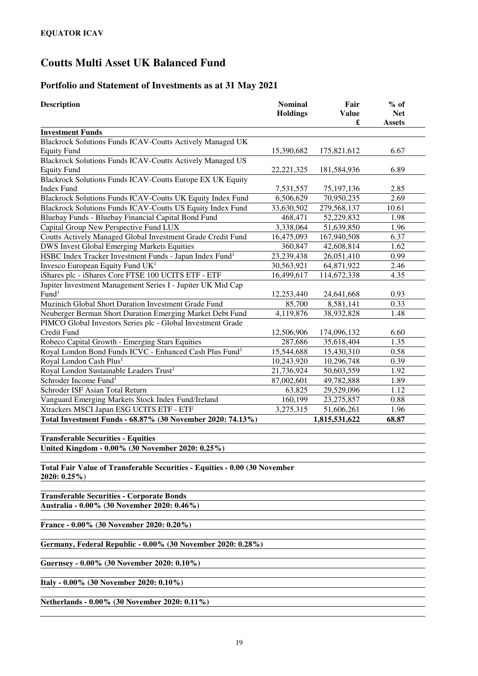# **Portfolio and Statement of Investments as at 31 May 2021**

| <b>Description</b>                                                                           | <b>Nominal</b><br><b>Holdings</b> | Fair<br><b>Value</b><br>£ | $%$ of<br><b>Net</b><br><b>Assets</b> |
|----------------------------------------------------------------------------------------------|-----------------------------------|---------------------------|---------------------------------------|
| <b>Investment Funds</b>                                                                      |                                   |                           |                                       |
| Blackrock Solutions Funds ICAV-Coutts Actively Managed UK                                    |                                   |                           |                                       |
| <b>Equity Fund</b>                                                                           | 15,390,682                        | 175,821,612               | 6.67                                  |
| <b>Blackrock Solutions Funds ICAV-Coutts Actively Managed US</b>                             |                                   |                           |                                       |
| <b>Equity Fund</b>                                                                           | 22, 221, 325                      | 181,584,936               | 6.89                                  |
| Blackrock Solutions Funds ICAV-Coutts Europe EX UK Equity                                    |                                   |                           |                                       |
| <b>Index Fund</b>                                                                            | 7,531,557                         | 75, 197, 136              | 2.85                                  |
| Blackrock Solutions Funds ICAV-Coutts UK Equity Index Fund                                   | 6,506,629                         | 70,950,235                | 2.69                                  |
| Blackrock Solutions Funds ICAV-Coutts US Equity Index Fund                                   | 33,630,502                        | 279,568,137               | 10.61                                 |
| Bluebay Funds - Bluebay Financial Capital Bond Fund                                          | 468,471                           | 52,229,832                | 1.98                                  |
| Capital Group New Perspective Fund LUX                                                       | 3,338,064                         | 51,639,850                | 1.96                                  |
| Coutts Actively Managed Global Investment Grade Credit Fund                                  | 16,475,093                        | 167,940,508               | 6.37                                  |
| <b>DWS Invest Global Emerging Markets Equities</b>                                           | 360,847                           | 42,608,814                | 1.62                                  |
| HSBC Index Tracker Investment Funds - Japan Index Fund <sup>1</sup>                          | 23,239,438                        | 26,051,410                | 0.99                                  |
| Invesco European Equity Fund UK <sup>1</sup>                                                 | 30,563,921                        | 64,871,922                | 2.46                                  |
| iShares plc - iShares Core FTSE 100 UCITS ETF - ETF                                          | 16,499,617                        | 114,672,338               | 4.35                                  |
| Jupiter Investment Management Series I - Jupiter UK Mid Cap<br>Fund <sup>1</sup>             |                                   |                           |                                       |
| Muzinich Global Short Duration Investment Grade Fund                                         | 12,253,440<br>85,700              | 24,641,668<br>8,581,141   | 0.93<br>0.33                          |
| Neuberger Berman Short Duration Emerging Market Debt Fund                                    | 4,119,876                         | 38,932,828                | 1.48                                  |
| PIMCO Global Investors Series plc - Global Investment Grade                                  |                                   |                           |                                       |
| Credit Fund                                                                                  | 12,506,906                        | 174,096,132               | 6.60                                  |
| Robeco Capital Growth - Emerging Stars Equities                                              | 287,686                           | 35,618,404                | 1.35                                  |
| Royal London Bond Funds ICVC - Enhanced Cash Plus Fund <sup>1</sup>                          | 15,544,688                        | 15,430,310                | 0.58                                  |
| Royal London Cash Plus <sup>1</sup>                                                          | 10,243,920                        | 10,296,748                | 0.39                                  |
| Royal London Sustainable Leaders Trust <sup>1</sup>                                          | 21,736,924                        | 50,603,559                | 1.92                                  |
| Schroder Income Fund <sup>1</sup>                                                            | 87,002,601                        | 49,782,888                | 1.89                                  |
| Schroder ISF Asian Total Return                                                              | 63,825                            | 29,529,096                | 1.12                                  |
| Vanguard Emerging Markets Stock Index Fund/Ireland                                           | 160,199                           | 23, 275, 857              | 0.88                                  |
| Xtrackers MSCI Japan ESG UCITS ETF - ETF                                                     | 3,275,315                         | 51,606,261                | 1.96                                  |
| Total Investment Funds - 68.87% (30 November 2020: 74.13%)                                   |                                   | 1,815,531,622             | 68.87                                 |
|                                                                                              |                                   |                           |                                       |
| <b>Transferable Securities - Equities</b>                                                    |                                   |                           |                                       |
| United Kingdom - 0.00% (30 November 2020: 0.25%)                                             |                                   |                           |                                       |
| Total Fair Value of Transferable Securities - Equities - 0.00 (30 November<br>$2020: 0.25\%$ |                                   |                           |                                       |
| <b>Transferable Securities - Corporate Bonds</b>                                             |                                   |                           |                                       |
| Australia - 0.00% (30 November 2020: 0.46%)                                                  |                                   |                           |                                       |
| France - 0.00% (30 November 2020: 0.20%)                                                     |                                   |                           |                                       |
| Germany, Federal Republic - 0.00% (30 November 2020: 0.28%)                                  |                                   |                           |                                       |
| Guernsey - 0.00% (30 November 2020: 0.10%)                                                   |                                   |                           |                                       |
|                                                                                              |                                   |                           |                                       |

**Italy - 0.00% (30 November 2020: 0.10%)** 

**Netherlands - 0.00% (30 November 2020: 0.11%)**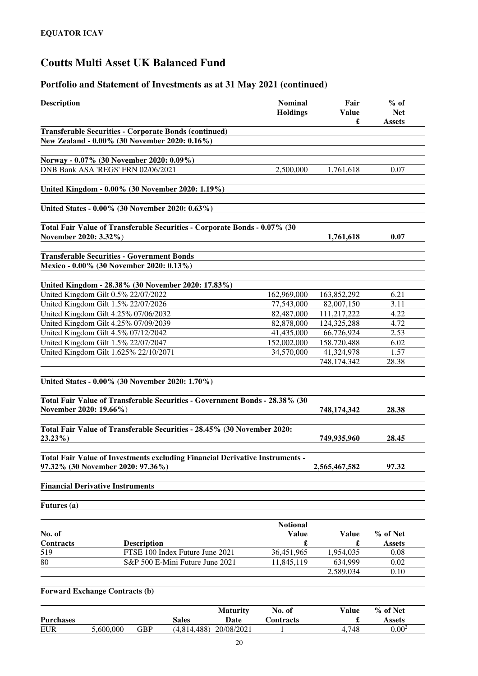### **Portfolio and Statement of Investments as at 31 May 2021 (continued)**

| <b>Description</b>                                                           |                           | <b>Nominal</b><br><b>Holdings</b> | Fair<br><b>Value</b><br>£ | $%$ of<br><b>Net</b><br>Assets |
|------------------------------------------------------------------------------|---------------------------|-----------------------------------|---------------------------|--------------------------------|
| <b>Transferable Securities - Corporate Bonds (continued)</b>                 |                           |                                   |                           |                                |
| New Zealand - 0.00% (30 November 2020: 0.16%)                                |                           |                                   |                           |                                |
|                                                                              |                           |                                   |                           |                                |
| Norway - 0.07% (30 November 2020: 0.09%)                                     |                           |                                   |                           |                                |
| DNB Bank ASA 'REGS' FRN 02/06/2021                                           |                           | 2,500,000                         | 1,761,618                 | 0.07                           |
|                                                                              |                           |                                   |                           |                                |
| United Kingdom - 0.00% (30 November 2020: 1.19%)                             |                           |                                   |                           |                                |
| United States - 0.00% (30 November 2020: 0.63%)                              |                           |                                   |                           |                                |
|                                                                              |                           |                                   |                           |                                |
| Total Fair Value of Transferable Securities - Corporate Bonds - 0.07% (30    |                           |                                   |                           |                                |
| November 2020: 3.32%)                                                        |                           |                                   | 1,761,618                 | 0.07                           |
|                                                                              |                           |                                   |                           |                                |
| <b>Transferable Securities - Government Bonds</b>                            |                           |                                   |                           |                                |
| Mexico - 0.00% (30 November 2020: 0.13%)                                     |                           |                                   |                           |                                |
| United Kingdom - 28.38% (30 November 2020: 17.83%)                           |                           |                                   |                           |                                |
| United Kingdom Gilt 0.5% 22/07/2022                                          |                           | 162,969,000                       | 163,852,292               | 6.21                           |
| United Kingdom Gilt 1.5% 22/07/2026                                          |                           | 77,543,000                        | 82,007,150                | 3.11                           |
| United Kingdom Gilt 4.25% 07/06/2032                                         |                           | 82,487,000                        | 111,217,222               | 4.22                           |
| United Kingdom Gilt 4.25% 07/09/2039                                         |                           | 82,878,000                        | 124,325,288               | 4.72                           |
| United Kingdom Gilt 4.5% 07/12/2042                                          |                           | 41,435,000                        | 66,726,924                | 2.53                           |
| United Kingdom Gilt 1.5% 22/07/2047                                          |                           | 152,002,000                       | 158,720,488               | 6.02                           |
| United Kingdom Gilt 1.625% 22/10/2071                                        |                           | 34,570,000                        | 41,324,978                | 1.57                           |
|                                                                              |                           |                                   | 748,174,342               | 28.38                          |
|                                                                              |                           |                                   |                           |                                |
| United States - 0.00% (30 November 2020: 1.70%)                              |                           |                                   |                           |                                |
|                                                                              |                           |                                   |                           |                                |
| Total Fair Value of Transferable Securities - Government Bonds - 28.38% (30  |                           |                                   |                           |                                |
| November 2020: 19.66%)                                                       |                           |                                   | 748,174,342               | 28.38                          |
| Total Fair Value of Transferable Securities - 28.45% (30 November 2020:      |                           |                                   |                           |                                |
| $23.23\%$                                                                    |                           |                                   | 749,935,960               | 28.45                          |
|                                                                              |                           |                                   |                           |                                |
| Total Fair Value of Investments excluding Financial Derivative Instruments - |                           |                                   |                           |                                |
| 97.32% (30 November 2020: 97.36%)                                            |                           |                                   | 2,565,467,582             | 97.32                          |
|                                                                              |                           |                                   |                           |                                |
| <b>Financial Derivative Instruments</b>                                      |                           |                                   |                           |                                |
|                                                                              |                           |                                   |                           |                                |
| <b>Futures</b> (a)                                                           |                           |                                   |                           |                                |
|                                                                              |                           |                                   |                           |                                |
|                                                                              |                           | <b>Notional</b>                   |                           |                                |
| No. of<br><b>Contracts</b><br><b>Description</b>                             |                           | <b>Value</b><br>£                 | <b>Value</b><br>£         | % of Net<br>Assets             |
| 519<br>FTSE 100 Index Future June 2021                                       |                           | 36,451,965                        | 1,954,035                 | 0.08                           |
| 80<br>S&P 500 E-Mini Future June 2021                                        |                           | 11,845,119                        | 634,999                   | 0.02                           |
|                                                                              |                           |                                   | 2,589,034                 | 0.10                           |
|                                                                              |                           |                                   |                           |                                |
| <b>Forward Exchange Contracts (b)</b>                                        |                           |                                   |                           |                                |
|                                                                              |                           |                                   |                           |                                |
|                                                                              | <b>Maturity</b>           | No. of                            | Value                     | % of Net                       |
| <b>Purchases</b><br><b>Sales</b>                                             | Date                      | Contracts                         | £                         | <b>Assets</b>                  |
| <b>EUR</b><br><b>GBP</b><br>5,600,000                                        | 20/08/2021<br>(4,814,488) | 1                                 | 4,748                     | 0.00 <sup>2</sup>              |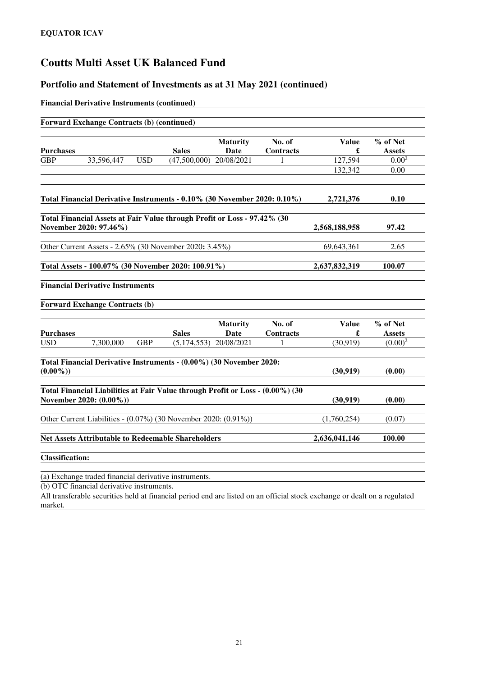### **Portfolio and Statement of Investments as at 31 May 2021 (continued)**

#### **Financial Derivative Instruments (continued)**

|                        | <b>Forward Exchange Contracts (b) (continued)</b>                                                         |            |               |                         |                     |                   |                           |
|------------------------|-----------------------------------------------------------------------------------------------------------|------------|---------------|-------------------------|---------------------|-------------------|---------------------------|
|                        |                                                                                                           |            |               | <b>Maturity</b>         | No. of              | <b>Value</b>      | % of Net                  |
| <b>Purchases</b>       |                                                                                                           |            | <b>Sales</b>  | Date                    | Contracts           | £                 | <b>Assets</b>             |
| <b>GBP</b>             | 33,596,447                                                                                                | <b>USD</b> | (47,500,000)  | 20/08/2021              | 1                   | 127,594           | 0.00 <sup>2</sup>         |
|                        |                                                                                                           |            |               |                         |                     | 132,342           | 0.00                      |
|                        | Total Financial Derivative Instruments - 0.10% (30 November 2020: 0.10%)                                  |            |               |                         |                     | 2,721,376         | 0.10                      |
|                        |                                                                                                           |            |               |                         |                     |                   |                           |
|                        | Total Financial Assets at Fair Value through Profit or Loss - 97.42% (30<br>November 2020: 97.46%)        |            |               |                         |                     | 2,568,188,958     | 97.42                     |
|                        | Other Current Assets - 2.65% (30 November 2020: 3.45%)                                                    |            |               |                         |                     | 69,643,361        | 2.65                      |
|                        | Total Assets - 100.07% (30 November 2020: 100.91%)                                                        |            |               |                         |                     | 2,637,832,319     | 100.07                    |
|                        | <b>Financial Derivative Instruments</b><br><b>Forward Exchange Contracts (b)</b>                          |            |               |                         |                     |                   |                           |
|                        |                                                                                                           |            |               |                         |                     |                   |                           |
| <b>Purchases</b>       |                                                                                                           |            | <b>Sales</b>  | <b>Maturity</b><br>Date | No. of<br>Contracts | <b>Value</b><br>£ | % of Net<br><b>Assets</b> |
| <b>USD</b>             | 7,300,000                                                                                                 | <b>GBP</b> | (5, 174, 553) | 20/08/2021              | 1                   | (30, 919)         | $(0.00)^2$                |
|                        | Total Financial Derivative Instruments - (0.00%) (30 November 2020:                                       |            |               |                         |                     |                   |                           |
| $(0.00\%)$             |                                                                                                           |            |               |                         |                     | (30, 919)         | (0.00)                    |
|                        | Total Financial Liabilities at Fair Value through Profit or Loss - (0.00%) (30<br>November 2020: (0.00%)) |            |               |                         |                     | (30, 919)         | (0.00)                    |
|                        | Other Current Liabilities - (0.07%) (30 November 2020: (0.91%))                                           |            |               |                         |                     | (1,760,254)       | (0.07)                    |
|                        | Net Assets Attributable to Redeemable Shareholders                                                        |            |               |                         |                     | 2,636,041,146     | 100.00                    |
| <b>Classification:</b> |                                                                                                           |            |               |                         |                     |                   |                           |
|                        | (a) Exchange traded financial derivative instruments.                                                     |            |               |                         |                     |                   |                           |
|                        | (b) OTC financial derivative instruments                                                                  |            |               |                         |                     |                   |                           |

(b) OTC financial derivative instruments.

All transferable securities held at financial period end are listed on an official stock exchange or dealt on a regulated market.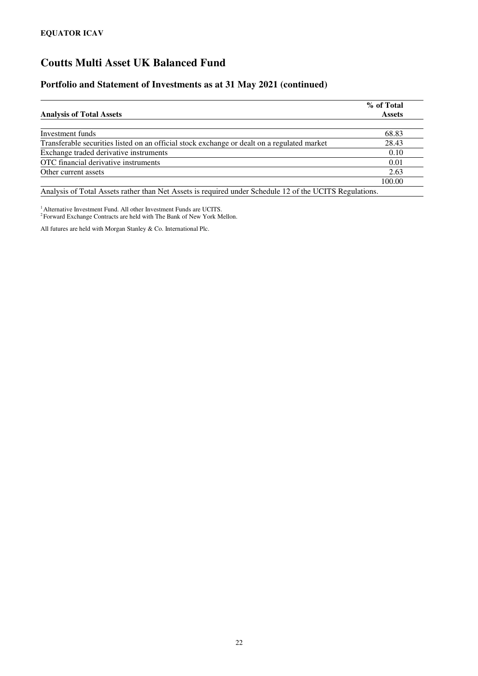### **Portfolio and Statement of Investments as at 31 May 2021 (continued)**

|                                                                                                         | % of Total    |
|---------------------------------------------------------------------------------------------------------|---------------|
| <b>Analysis of Total Assets</b>                                                                         | <b>Assets</b> |
|                                                                                                         |               |
| Investment funds                                                                                        | 68.83         |
| Transferable securities listed on an official stock exchange or dealt on a regulated market             | 28.43         |
| Exchange traded derivative instruments                                                                  | 0.10          |
| OTC financial derivative instruments                                                                    | 0.01          |
| Other current assets                                                                                    | 2.63          |
|                                                                                                         | 100.00        |
| Analysis of Total Assets rather than Net Assets is required under Schedule 12 of the UCITS Regulations. |               |

<sup>1</sup> Alternative Investment Fund. All other Investment Funds are UCITS.

<sup>2</sup> Forward Exchange Contracts are held with The Bank of New York Mellon.

All futures are held with Morgan Stanley & Co. International Plc.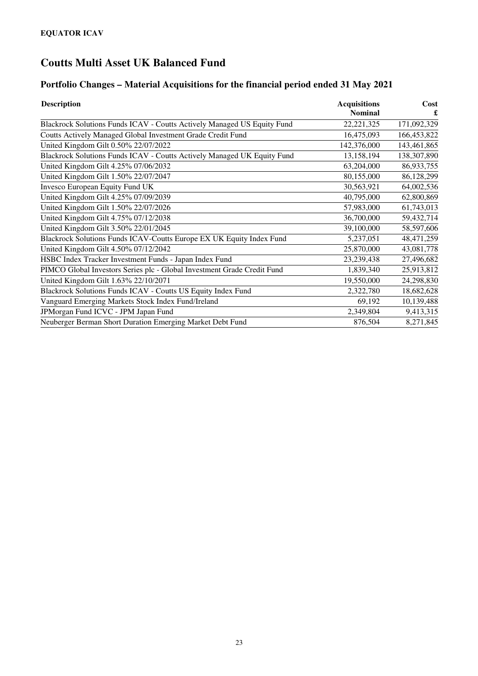# **Portfolio Changes – Material Acquisitions for the financial period ended 31 May 2021**

| <b>Description</b>                                                      | <b>Acquisitions</b> | Cost         |
|-------------------------------------------------------------------------|---------------------|--------------|
|                                                                         | <b>Nominal</b>      |              |
| Blackrock Solutions Funds ICAV - Coutts Actively Managed US Equity Fund | 22, 221, 325        | 171,092,329  |
| Coutts Actively Managed Global Investment Grade Credit Fund             | 16,475,093          | 166,453,822  |
| United Kingdom Gilt 0.50% 22/07/2022                                    | 142,376,000         | 143,461,865  |
| Blackrock Solutions Funds ICAV - Coutts Actively Managed UK Equity Fund | 13,158,194          | 138,307,890  |
| United Kingdom Gilt 4.25% 07/06/2032                                    | 63,204,000          | 86,933,755   |
| United Kingdom Gilt 1.50% 22/07/2047                                    | 80,155,000          | 86,128,299   |
| Invesco European Equity Fund UK                                         | 30,563,921          | 64,002,536   |
| United Kingdom Gilt 4.25% 07/09/2039                                    | 40,795,000          | 62,800,869   |
| United Kingdom Gilt 1.50% 22/07/2026                                    | 57,983,000          | 61,743,013   |
| United Kingdom Gilt 4.75% 07/12/2038                                    | 36,700,000          | 59,432,714   |
| United Kingdom Gilt 3.50% 22/01/2045                                    | 39,100,000          | 58,597,606   |
| Blackrock Solutions Funds ICAV-Coutts Europe EX UK Equity Index Fund    | 5,237,051           | 48, 471, 259 |
| United Kingdom Gilt 4.50% 07/12/2042                                    | 25,870,000          | 43,081,778   |
| HSBC Index Tracker Investment Funds - Japan Index Fund                  | 23,239,438          | 27,496,682   |
| PIMCO Global Investors Series plc - Global Investment Grade Credit Fund | 1,839,340           | 25,913,812   |
| United Kingdom Gilt 1.63% 22/10/2071                                    | 19,550,000          | 24,298,830   |
| Blackrock Solutions Funds ICAV - Coutts US Equity Index Fund            | 2,322,780           | 18,682,628   |
| Vanguard Emerging Markets Stock Index Fund/Ireland                      | 69,192              | 10,139,488   |
| JPMorgan Fund ICVC - JPM Japan Fund                                     | 2,349,804           | 9,413,315    |
| Neuberger Berman Short Duration Emerging Market Debt Fund               | 876,504             | 8,271,845    |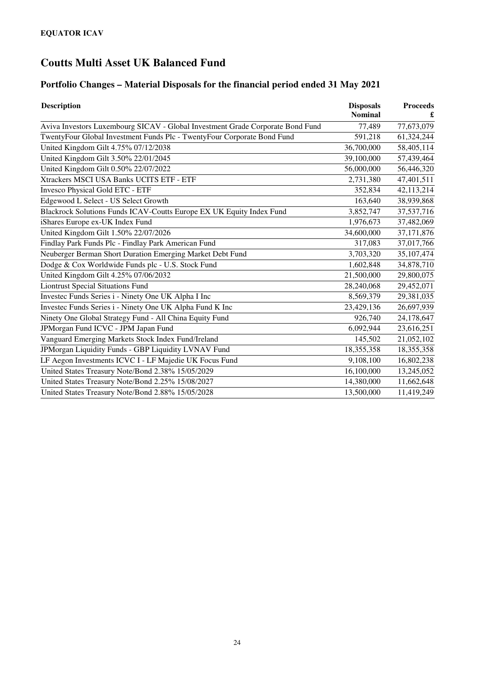# **Portfolio Changes – Material Disposals for the financial period ended 31 May 2021**

| <b>Description</b>                                                             | <b>Disposals</b><br><b>Nominal</b> | <b>Proceeds</b> |
|--------------------------------------------------------------------------------|------------------------------------|-----------------|
| Aviva Investors Luxembourg SICAV - Global Investment Grade Corporate Bond Fund | 77,489                             | 77,673,079      |
| TwentyFour Global Investment Funds Plc - TwentyFour Corporate Bond Fund        | 591,218                            | 61,324,244      |
| United Kingdom Gilt 4.75% 07/12/2038                                           | 36,700,000                         | 58,405,114      |
| United Kingdom Gilt 3.50% 22/01/2045                                           | 39,100,000                         | 57,439,464      |
| United Kingdom Gilt 0.50% 22/07/2022                                           | 56,000,000                         | 56,446,320      |
| Xtrackers MSCI USA Banks UCITS ETF - ETF                                       | 2,731,380                          | 47,401,511      |
| <b>Invesco Physical Gold ETC - ETF</b>                                         | 352,834                            | 42,113,214      |
| Edgewood L Select - US Select Growth                                           | 163,640                            | 38,939,868      |
| Blackrock Solutions Funds ICAV-Coutts Europe EX UK Equity Index Fund           | 3,852,747                          | 37,537,716      |
| iShares Europe ex-UK Index Fund                                                | 1,976,673                          | 37,482,069      |
| United Kingdom Gilt 1.50% 22/07/2026                                           | 34,600,000                         | 37,171,876      |
| Findlay Park Funds Plc - Findlay Park American Fund                            | 317,083                            | 37,017,766      |
| Neuberger Berman Short Duration Emerging Market Debt Fund                      | 3,703,320                          | 35,107,474      |
| Dodge & Cox Worldwide Funds plc - U.S. Stock Fund                              | 1,602,848                          | 34,878,710      |
| United Kingdom Gilt 4.25% 07/06/2032                                           | 21,500,000                         | 29,800,075      |
| <b>Liontrust Special Situations Fund</b>                                       | 28,240,068                         | 29,452,071      |
| Investec Funds Series i - Ninety One UK Alpha I Inc                            | 8,569,379                          | 29,381,035      |
| Investec Funds Series i - Ninety One UK Alpha Fund K Inc                       | 23,429,136                         | 26,697,939      |
| Ninety One Global Strategy Fund - All China Equity Fund                        | 926,740                            | 24,178,647      |
| JPMorgan Fund ICVC - JPM Japan Fund                                            | 6,092,944                          | 23,616,251      |
| Vanguard Emerging Markets Stock Index Fund/Ireland                             | 145,502                            | 21,052,102      |
| JPMorgan Liquidity Funds - GBP Liquidity LVNAV Fund                            | 18,355,358                         | 18,355,358      |
| LF Aegon Investments ICVC I - LF Majedie UK Focus Fund                         | 9,108,100                          | 16,802,238      |
| United States Treasury Note/Bond 2.38% 15/05/2029                              | 16,100,000                         | 13,245,052      |
| United States Treasury Note/Bond 2.25% 15/08/2027                              | 14,380,000                         | 11,662,648      |
| United States Treasury Note/Bond 2.88% 15/05/2028                              | 13,500,000                         | 11,419,249      |
|                                                                                |                                    |                 |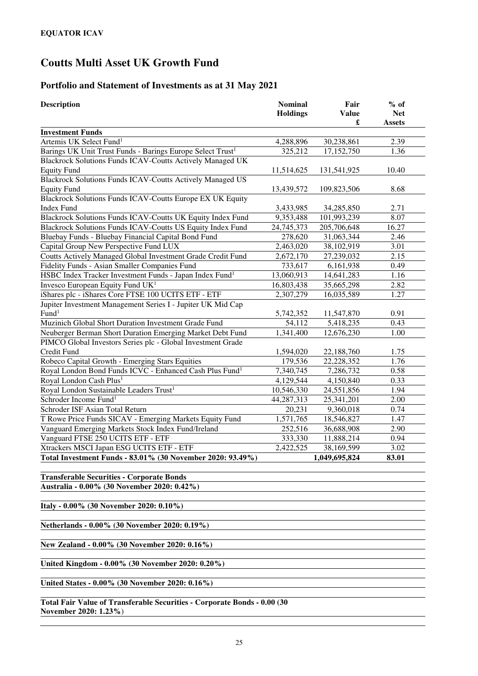### **Portfolio and Statement of Investments as at 31 May 2021**

| <b>Description</b>                                                     | <b>Nominal</b><br><b>Holdings</b> | Fair<br><b>Value</b> | $%$ of<br><b>Net</b> |
|------------------------------------------------------------------------|-----------------------------------|----------------------|----------------------|
|                                                                        |                                   | £                    | <b>Assets</b>        |
| <b>Investment Funds</b>                                                |                                   |                      |                      |
| Artemis UK Select Fund <sup>1</sup>                                    | 4,288,896                         | 30,238,861           | 2.39                 |
| Barings UK Unit Trust Funds - Barings Europe Select Trust <sup>1</sup> | 325,212                           | 17,152,750           | 1.36                 |
| <b>Blackrock Solutions Funds ICAV-Coutts Actively Managed UK</b>       |                                   |                      |                      |
| <b>Equity Fund</b>                                                     | 11,514,625                        | 131,541,925          | 10.40                |
| <b>Blackrock Solutions Funds ICAV-Coutts Actively Managed US</b>       |                                   |                      |                      |
| <b>Equity Fund</b>                                                     | 13,439,572                        | 109,823,506          | 8.68                 |
| Blackrock Solutions Funds ICAV-Coutts Europe EX UK Equity              |                                   |                      |                      |
| <b>Index Fund</b>                                                      | 3,433,985                         | 34,285,850           | 2.71                 |
| Blackrock Solutions Funds ICAV-Coutts UK Equity Index Fund             | 9,353,488                         | 101,993,239          | 8.07                 |
| Blackrock Solutions Funds ICAV-Coutts US Equity Index Fund             | 24,745,373                        | 205,706,648          | 16.27                |
| Bluebay Funds - Bluebay Financial Capital Bond Fund                    | 278,620                           | 31,063,344           | 2.46                 |
| Capital Group New Perspective Fund LUX                                 | $\overline{2,}463,020$            | 38,102,919           | 3.01                 |
| Coutts Actively Managed Global Investment Grade Credit Fund            | 2,672,170                         | 27,239,032           | 2.15                 |
| Fidelity Funds - Asian Smaller Companies Fund                          | 733,617                           | 6,161,938            | 0.49                 |
| HSBC Index Tracker Investment Funds - Japan Index Fund <sup>1</sup>    | 13,060,913                        | 14,641,283           | 1.16                 |
| Invesco European Equity Fund UK <sup>1</sup>                           | 16,803,438                        | 35,665,298           | 2.82                 |
| iShares plc - iShares Core FTSE 100 UCITS ETF - ETF                    | 2,307,279                         | 16,035,589           | 1.27                 |
| Jupiter Investment Management Series I - Jupiter UK Mid Cap            |                                   |                      |                      |
| Fund <sup>1</sup>                                                      | 5,742,352                         | 11,547,870           | 0.91                 |
| Muzinich Global Short Duration Investment Grade Fund                   | 54,112                            | 5,418,235            | 0.43                 |
| Neuberger Berman Short Duration Emerging Market Debt Fund              | 1,341,400                         | 12,676,230           | 1.00                 |
| PIMCO Global Investors Series plc - Global Investment Grade            |                                   |                      |                      |
| Credit Fund                                                            | 1,594,020                         | 22,188,760           | 1.75                 |
| Robeco Capital Growth - Emerging Stars Equities                        | 179,536                           | 22,228,352           | 1.76                 |
| Royal London Bond Funds ICVC - Enhanced Cash Plus Fund <sup>1</sup>    | 7,340,745                         | 7,286,732            | 0.58                 |
| Royal London Cash Plus <sup>1</sup>                                    | 4,129,544                         | 4,150,840            | 0.33                 |
| Royal London Sustainable Leaders Trust <sup>1</sup>                    | 10,546,330                        | 24,551,856           | 1.94                 |
| Schroder Income Fund <sup>1</sup>                                      | 44,287,313                        | 25,341,201           | 2.00                 |
| Schroder ISF Asian Total Return                                        | 20,231                            | 9,360,018            | 0.74                 |
| T Rowe Price Funds SICAV - Emerging Markets Equity Fund                | 1,571,765                         | 18,546,827           | 1.47                 |
| Vanguard Emerging Markets Stock Index Fund/Ireland                     | 252,516                           | 36,688,908           | 2.90                 |
| Vanguard FTSE 250 UCITS ETF - ETF                                      | 333,330                           | 11,888,214           | 0.94                 |
| Xtrackers MSCI Japan ESG UCITS ETF - ETF                               | 2,422,525                         | 38,169,599           | 3.02                 |
| Total Investment Funds - 83.01% (30 November 2020: 93.49%)             |                                   | 1,049,695,824        | 83.01                |
|                                                                        |                                   |                      |                      |

**Transferable Securities - Corporate Bonds Australia - 0.00% (30 November 2020: 0.42%)** 

**Italy - 0.00% (30 November 2020: 0.10%)** 

**Netherlands - 0.00% (30 November 2020: 0.19%)** 

**New Zealand - 0.00% (30 November 2020: 0.16%)** 

**United Kingdom - 0.00% (30 November 2020: 0.20%)** 

**United States - 0.00% (30 November 2020: 0.16%)** 

**Total Fair Value of Transferable Securities - Corporate Bonds - 0.00 (30 November 2020: 1.23%**)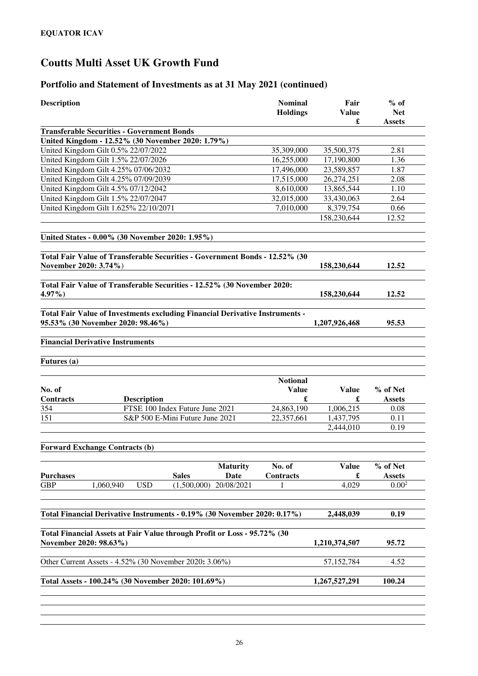### **Portfolio and Statement of Investments as at 31 May 2021 (continued)**

| <b>Description</b>                                                                                                | <b>Nominal</b><br><b>Holdings</b> | Fair<br><b>Value</b><br>£ | $%$ of<br><b>Net</b><br><b>Assets</b> |
|-------------------------------------------------------------------------------------------------------------------|-----------------------------------|---------------------------|---------------------------------------|
| <b>Transferable Securities - Government Bonds</b>                                                                 |                                   |                           |                                       |
| United Kingdom - 12.52% (30 November 2020: 1.79%)                                                                 |                                   |                           |                                       |
| United Kingdom Gilt 0.5% 22/07/2022                                                                               | 35,309,000                        | 35,500,375                | 2.81                                  |
| United Kingdom Gilt 1.5% 22/07/2026                                                                               | 16,255,000                        | 17,190,800                | 1.36                                  |
| United Kingdom Gilt 4.25% 07/06/2032                                                                              | 17,496,000                        | 23,589,857                | 1.87                                  |
| United Kingdom Gilt 4.25% 07/09/2039                                                                              | 17,515,000                        | 26,274,251                | 2.08                                  |
| United Kingdom Gilt 4.5% 07/12/2042                                                                               | 8,610,000                         | 13,865,544                | 1.10                                  |
| United Kingdom Gilt 1.5% 22/07/2047                                                                               | 32,015,000                        | 33,430,063                | 2.64                                  |
| United Kingdom Gilt 1.625% 22/10/2071                                                                             | 7,010,000                         | 8,379,754                 | 0.66                                  |
|                                                                                                                   |                                   | 158,230,644               | 12.52                                 |
| United States - 0.00% (30 November 2020: 1.95%)                                                                   |                                   |                           |                                       |
| Total Fair Value of Transferable Securities - Government Bonds - 12.52% (30<br>November 2020: 3.74%)              |                                   | 158,230,644               | 12.52                                 |
| Total Fair Value of Transferable Securities - 12.52% (30 November 2020:<br>4.97%)                                 |                                   | 158,230,644               | 12.52                                 |
| Total Fair Value of Investments excluding Financial Derivative Instruments -<br>95.53% (30 November 2020: 98.46%) |                                   | 1,207,926,468             | 95.53                                 |
| <b>Financial Derivative Instruments</b>                                                                           |                                   |                           |                                       |
| Futures (a)                                                                                                       |                                   |                           |                                       |
| No. of                                                                                                            | <b>Notional</b><br><b>Value</b>   | <b>Value</b>              | % of Net                              |
| <b>Contracts</b><br><b>Description</b>                                                                            | £                                 | £                         | <b>Assets</b>                         |
| 354<br>FTSE 100 Index Future June 2021                                                                            | 24,863,190                        | 1,006,215                 | 0.08                                  |
| 151<br>S&P 500 E-Mini Future June 2021                                                                            | 22,357,661                        | 1,437,795<br>2,444,010    | 0.11<br>0.19                          |
| <b>Forward Exchange Contracts (b)</b>                                                                             |                                   |                           |                                       |
| <b>Maturity</b><br><b>Purchases</b><br><b>Sales</b><br><b>Date</b>                                                | No. of<br>Contracts               | <b>Value</b><br>£         | % of Net<br><b>Assets</b>             |
| <b>GBP</b><br>1,060,940<br><b>USD</b><br>(1,500,000)<br>20/08/2021                                                |                                   | 4,029                     | $0.00^{2}$                            |
| Total Financial Derivative Instruments - 0.19% (30 November 2020: 0.17%)                                          |                                   | 2,448,039                 | 0.19                                  |
| Total Financial Assets at Fair Value through Profit or Loss - 95.72% (30<br>November 2020: 98.63%)                |                                   | 1,210,374,507             | 95.72                                 |
| Other Current Assets - 4.52% (30 November 2020: 3.06%)                                                            |                                   | 57, 152, 784              | 4.52                                  |
| Total Assets - 100.24% (30 November 2020: 101.69%)                                                                |                                   | 1,267,527,291             | 100.24                                |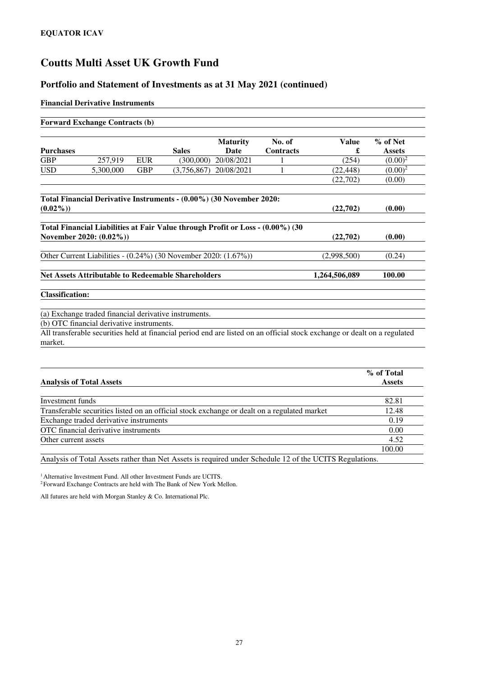### **Portfolio and Statement of Investments as at 31 May 2021 (continued)**

#### **Financial Derivative Instruments**

|                                 | <b>Forward Exchange Contracts (b)</b>     |            |                                                                                |                 |                  |                                                                                                                           |                         |
|---------------------------------|-------------------------------------------|------------|--------------------------------------------------------------------------------|-----------------|------------------|---------------------------------------------------------------------------------------------------------------------------|-------------------------|
|                                 |                                           |            |                                                                                | <b>Maturity</b> | No. of           | <b>Value</b>                                                                                                              | % of Net                |
| <b>Purchases</b>                |                                           |            | <b>Sales</b>                                                                   | <b>Date</b>     | <b>Contracts</b> | £                                                                                                                         | <b>Assets</b>           |
| <b>GBP</b>                      | 257,919                                   | <b>EUR</b> | (300,000)                                                                      | 20/08/2021      |                  | (254)                                                                                                                     | $(0.00)^2$              |
| <b>USD</b>                      | 5,300,000                                 | <b>GBP</b> | (3,756,867)                                                                    | 20/08/2021      | 1                | (22, 448)                                                                                                                 | $(0.00)^{\overline{2}}$ |
|                                 |                                           |            |                                                                                |                 |                  | (22,702)                                                                                                                  | (0.00)                  |
|                                 |                                           |            | Total Financial Derivative Instruments - (0.00%) (30 November 2020:            |                 |                  |                                                                                                                           |                         |
| $(0.02\%)$                      |                                           |            |                                                                                |                 |                  | (22,702)                                                                                                                  | (0.00)                  |
|                                 |                                           |            | Total Financial Liabilities at Fair Value through Profit or Loss - (0.00%) (30 |                 |                  |                                                                                                                           |                         |
|                                 | November 2020: (0.02%))                   |            |                                                                                |                 |                  | (22,702)                                                                                                                  | (0.00)                  |
|                                 |                                           |            | Other Current Liabilities - (0.24%) (30 November 2020: (1.67%))                |                 |                  | (2,998,500)                                                                                                               | (0.24)                  |
|                                 |                                           |            | <b>Net Assets Attributable to Redeemable Shareholders</b>                      |                 |                  | 1,264,506,089                                                                                                             | 100.00                  |
| <b>Classification:</b>          |                                           |            |                                                                                |                 |                  |                                                                                                                           |                         |
|                                 |                                           |            | (a) Exchange traded financial derivative instruments.                          |                 |                  |                                                                                                                           |                         |
|                                 | (b) OTC financial derivative instruments. |            |                                                                                |                 |                  |                                                                                                                           |                         |
| market.                         |                                           |            |                                                                                |                 |                  | All transferable securities held at financial period end are listed on an official stock exchange or dealt on a regulated |                         |
|                                 |                                           |            |                                                                                |                 |                  |                                                                                                                           |                         |
|                                 |                                           |            |                                                                                |                 |                  |                                                                                                                           | % of Total              |
|                                 |                                           |            |                                                                                |                 |                  |                                                                                                                           | <b>Assets</b>           |
| <b>Analysis of Total Assets</b> |                                           |            |                                                                                |                 |                  |                                                                                                                           |                         |
| <b>Investment</b> funds         |                                           |            |                                                                                |                 |                  |                                                                                                                           | 82.81                   |

Exchange traded derivative instruments 0.19 OTC financial derivative instruments 0.00

Other current assets 4.52

Analysis of Total Assets rather than Net Assets is required under Schedule 12 of the UCITS Regulations.

100.00

<sup>1</sup>Alternative Investment Fund. All other Investment Funds are UCITS.

<sup>2</sup>Forward Exchange Contracts are held with The Bank of New York Mellon.

All futures are held with Morgan Stanley & Co. International Plc.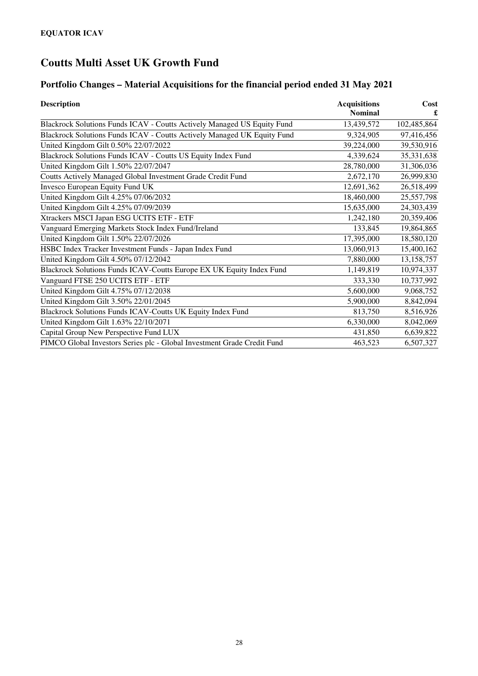# **Portfolio Changes – Material Acquisitions for the financial period ended 31 May 2021**

| <b>Description</b>                                                      | <b>Acquisitions</b> | Cost        |
|-------------------------------------------------------------------------|---------------------|-------------|
|                                                                         | <b>Nominal</b>      |             |
| Blackrock Solutions Funds ICAV - Coutts Actively Managed US Equity Fund | 13,439,572          | 102,485,864 |
| Blackrock Solutions Funds ICAV - Coutts Actively Managed UK Equity Fund | 9,324,905           | 97,416,456  |
| United Kingdom Gilt 0.50% 22/07/2022                                    | 39,224,000          | 39,530,916  |
| Blackrock Solutions Funds ICAV - Coutts US Equity Index Fund            | 4,339,624           | 35,331,638  |
| United Kingdom Gilt 1.50% 22/07/2047                                    | 28,780,000          | 31,306,036  |
| Coutts Actively Managed Global Investment Grade Credit Fund             | 2,672,170           | 26,999,830  |
| <b>Invesco European Equity Fund UK</b>                                  | 12,691,362          | 26,518,499  |
| United Kingdom Gilt 4.25% 07/06/2032                                    | 18,460,000          | 25,557,798  |
| United Kingdom Gilt 4.25% 07/09/2039                                    | 15,635,000          | 24,303,439  |
| Xtrackers MSCI Japan ESG UCITS ETF - ETF                                | 1,242,180           | 20,359,406  |
| Vanguard Emerging Markets Stock Index Fund/Ireland                      | 133,845             | 19,864,865  |
| United Kingdom Gilt 1.50% 22/07/2026                                    | 17,395,000          | 18,580,120  |
| HSBC Index Tracker Investment Funds - Japan Index Fund                  | 13,060,913          | 15,400,162  |
| United Kingdom Gilt 4.50% 07/12/2042                                    | 7,880,000           | 13,158,757  |
| Blackrock Solutions Funds ICAV-Coutts Europe EX UK Equity Index Fund    | 1,149,819           | 10,974,337  |
| Vanguard FTSE 250 UCITS ETF - ETF                                       | 333,330             | 10,737,992  |
| United Kingdom Gilt 4.75% 07/12/2038                                    | 5,600,000           | 9,068,752   |
| United Kingdom Gilt 3.50% 22/01/2045                                    | 5,900,000           | 8,842,094   |
| Blackrock Solutions Funds ICAV-Coutts UK Equity Index Fund              | 813,750             | 8,516,926   |
| United Kingdom Gilt 1.63% 22/10/2071                                    | 6,330,000           | 8,042,069   |
| Capital Group New Perspective Fund LUX                                  | 431,850             | 6,639,822   |
| PIMCO Global Investors Series plc - Global Investment Grade Credit Fund | 463,523             | 6,507,327   |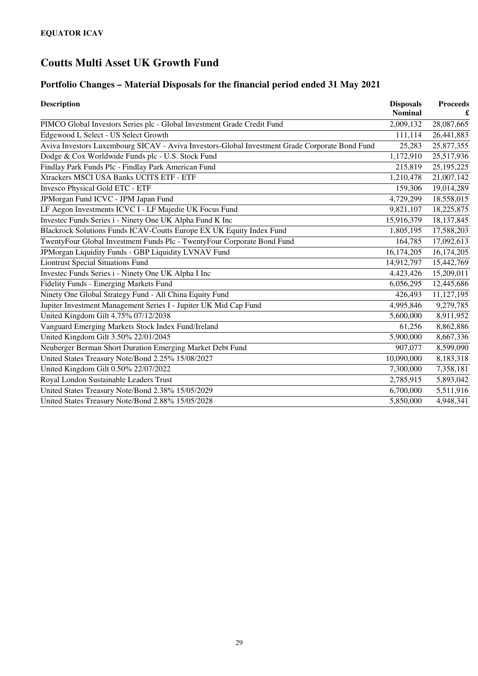# **Portfolio Changes – Material Disposals for the financial period ended 31 May 2021**

| <b>Description</b>                                                                             | <b>Disposals</b><br><b>Nominal</b> | <b>Proceeds</b> |
|------------------------------------------------------------------------------------------------|------------------------------------|-----------------|
| PIMCO Global Investors Series plc - Global Investment Grade Credit Fund                        | 2,009,132                          | 28,087,665      |
| Edgewood L Select - US Select Growth                                                           | 111,114                            | 26,441,883      |
| Aviva Investors Luxembourg SICAV - Aviva Investors-Global Investment Grade Corporate Bond Fund | 25,283                             | 25,877,355      |
| Dodge & Cox Worldwide Funds plc - U.S. Stock Fund                                              | 1,172,910                          | 25,517,936      |
| Findlay Park Funds Plc - Findlay Park American Fund                                            | 215,819                            | 25, 195, 225    |
| Xtrackers MSCI USA Banks UCITS ETF - ETF                                                       | 1,210,478                          | 21,007,142      |
| <b>Invesco Physical Gold ETC - ETF</b>                                                         | 159,306                            | 19,014,289      |
| JPMorgan Fund ICVC - JPM Japan Fund                                                            | 4,729,299                          | 18,558,015      |
| LF Aegon Investments ICVC I - LF Majedie UK Focus Fund                                         | 9,821,107                          | 18,225,875      |
| Investec Funds Series i - Ninety One UK Alpha Fund K Inc                                       | 15,916,379                         | 18, 137, 845    |
| Blackrock Solutions Funds ICAV-Coutts Europe EX UK Equity Index Fund                           | 1,805,195                          | 17,588,203      |
| TwentyFour Global Investment Funds Plc - TwentyFour Corporate Bond Fund                        | 164,785                            | 17,092,613      |
| JPMorgan Liquidity Funds - GBP Liquidity LVNAV Fund                                            | 16,174,205                         | 16,174,205      |
| <b>Liontrust Special Situations Fund</b>                                                       | 14,912,797                         | 15,442,769      |
| Investec Funds Series i - Ninety One UK Alpha I Inc                                            | 4,423,426                          | 15,209,011      |
| <b>Fidelity Funds - Emerging Markets Fund</b>                                                  | 6,056,295                          | 12,445,686      |
| Ninety One Global Strategy Fund - All China Equity Fund                                        | 426,493                            | 11,127,195      |
| Jupiter Investment Management Series I - Jupiter UK Mid Cap Fund                               | 4,995,846                          | 9,279,785       |
| United Kingdom Gilt 4.75% 07/12/2038                                                           | 5,600,000                          | 8,911,952       |
| Vanguard Emerging Markets Stock Index Fund/Ireland                                             | 61,256                             | 8,862,886       |
| United Kingdom Gilt 3.50% 22/01/2045                                                           | 5,900,000                          | 8,667,336       |
| Neuberger Berman Short Duration Emerging Market Debt Fund                                      | 907,077                            | 8,599,090       |
| United States Treasury Note/Bond 2.25% 15/08/2027                                              | 10,090,000                         | 8,183,318       |
| United Kingdom Gilt 0.50% 22/07/2022                                                           | 7,300,000                          | 7,358,181       |
| Royal London Sustainable Leaders Trust                                                         | 2,785,915                          | 5,893,042       |
| United States Treasury Note/Bond 2.38% 15/05/2029                                              | 6,700,000                          | 5,511,916       |
| United States Treasury Note/Bond 2.88% 15/05/2028                                              | 5,850,000                          | 4,948,341       |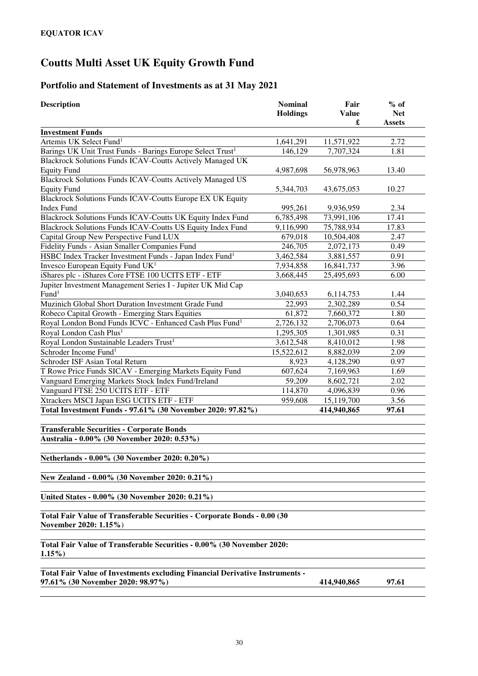### **Portfolio and Statement of Investments as at 31 May 2021**

| <b>Description</b>                                                                                | <b>Nominal</b><br><b>Holdings</b> | Fair<br>Value<br>£ | $%$ of<br><b>Net</b><br><b>Assets</b> |
|---------------------------------------------------------------------------------------------------|-----------------------------------|--------------------|---------------------------------------|
| <b>Investment Funds</b>                                                                           |                                   |                    |                                       |
| Artemis UK Select Fund <sup>1</sup>                                                               | 1,641,291                         | 11,571,922         | 2.72                                  |
| Barings UK Unit Trust Funds - Barings Europe Select Trust <sup>1</sup>                            | 146,129                           | 7,707,324          | 1.81                                  |
| Blackrock Solutions Funds ICAV-Coutts Actively Managed UK                                         |                                   |                    |                                       |
| <b>Equity Fund</b>                                                                                | 4,987,698                         | 56,978,963         | 13.40                                 |
| Blackrock Solutions Funds ICAV-Coutts Actively Managed US                                         |                                   |                    |                                       |
| <b>Equity Fund</b>                                                                                | 5,344,703                         | 43,675,053         | 10.27                                 |
| Blackrock Solutions Funds ICAV-Coutts Europe EX UK Equity                                         |                                   |                    |                                       |
| <b>Index Fund</b>                                                                                 | 995,261                           | 9,936,959          | 2.34                                  |
| Blackrock Solutions Funds ICAV-Coutts UK Equity Index Fund                                        | 6,785,498                         | 73,991,106         | 17.41                                 |
| Blackrock Solutions Funds ICAV-Coutts US Equity Index Fund                                        | 9,116,990                         | 75,788,934         | 17.83                                 |
| Capital Group New Perspective Fund LUX                                                            | 679,018                           | 10,504,408         | 2.47                                  |
| Fidelity Funds - Asian Smaller Companies Fund                                                     | 246,705                           | 2,072,173          | 0.49                                  |
| HSBC Index Tracker Investment Funds - Japan Index Fund <sup>1</sup>                               | 3,462,584                         | 3,881,557          | 0.91                                  |
| Invesco European Equity Fund UK <sup>1</sup>                                                      | 7,934,858                         | 16,841,737         | 3.96                                  |
| iShares plc - iShares Core FTSE 100 UCITS ETF - ETF                                               | 3,668,445                         | 25,495,693         | 6.00                                  |
| Jupiter Investment Management Series I - Jupiter UK Mid Cap                                       |                                   |                    |                                       |
| Fund <sup>1</sup>                                                                                 | 3,040,653                         | 6,114,753          | 1.44                                  |
| Muzinich Global Short Duration Investment Grade Fund                                              | 22,993                            | 2,302,289          | 0.54                                  |
| Robeco Capital Growth - Emerging Stars Equities                                                   | 61,872                            | 7,660,372          | 1.80                                  |
| Royal London Bond Funds ICVC - Enhanced Cash Plus Fund <sup>1</sup>                               | 2,726,132                         | 2,706,073          | 0.64                                  |
| Royal London Cash Plus <sup>1</sup>                                                               | 1,295,305                         | 1,301,985          | 0.31                                  |
| Royal London Sustainable Leaders Trust <sup>1</sup>                                               | 3,612,548                         | 8,410,012          | 1.98                                  |
| Schroder Income Fund <sup>1</sup>                                                                 | 15,522,612                        | 8,882,039          | 2.09                                  |
| Schroder ISF Asian Total Return                                                                   | 8,923                             | 4,128,290          | 0.97                                  |
| T Rowe Price Funds SICAV - Emerging Markets Equity Fund                                           | 607,624                           | 7,169,963          | 1.69                                  |
| Vanguard Emerging Markets Stock Index Fund/Ireland                                                | 59,209                            | 8,602,721          | 2.02                                  |
| Vanguard FTSE 250 UCITS ETF - ETF                                                                 | 114,870                           | 4,096,839          | 0.96                                  |
| Xtrackers MSCI Japan ESG UCITS ETF - ETF                                                          | 959,608                           | 15,119,700         | 3.56                                  |
| Total Investment Funds - 97.61% (30 November 2020: 97.82%)                                        |                                   | 414,940,865        | 97.61                                 |
| <b>Transferable Securities - Corporate Bonds</b><br>Australia - 0.00% (30 November 2020: 0.53%)   |                                   |                    |                                       |
| Netherlands - 0.00% (30 November 2020: 0.20%)                                                     |                                   |                    |                                       |
| New Zealand - 0.00% (30 November 2020: 0.21%)                                                     |                                   |                    |                                       |
| United States - 0.00% (30 November 2020: 0.21%)                                                   |                                   |                    |                                       |
| Total Fair Value of Transferable Securities - Corporate Bonds - 0.00 (30<br>November 2020: 1.15%) |                                   |                    |                                       |
| Total Fair Value of Transferable Securities - 0.00% (30 November 2020:<br>$1.15\%$                |                                   |                    |                                       |

**Total Fair Value of Investments excluding Financial Derivative Instruments - 97.61% (30 November 2020: 98.97%) 414,940,865 97.61**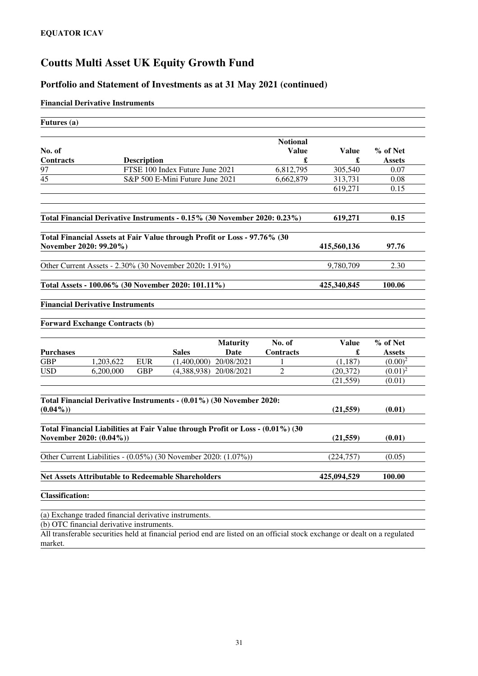### **Portfolio and Statement of Investments as at 31 May 2021 (continued)**

#### **Financial Derivative Instruments**

| Futures (a)                                                                                               |           |                    |                                 |                         |                                 |                   |                           |
|-----------------------------------------------------------------------------------------------------------|-----------|--------------------|---------------------------------|-------------------------|---------------------------------|-------------------|---------------------------|
| No. of                                                                                                    |           |                    |                                 |                         | <b>Notional</b><br><b>Value</b> | <b>Value</b>      | % of Net                  |
| <b>Contracts</b>                                                                                          |           | <b>Description</b> |                                 |                         | £                               | £                 | <b>Assets</b>             |
| 97                                                                                                        |           |                    | FTSE 100 Index Future June 2021 |                         | 6,812,795                       | 305,540           | 0.07                      |
| 45                                                                                                        |           |                    | S&P 500 E-Mini Future June 2021 |                         | 6,662,879                       | 313,731           | 0.08                      |
|                                                                                                           |           |                    |                                 |                         |                                 | 619,271           | 0.15                      |
| Total Financial Derivative Instruments - 0.15% (30 November 2020: 0.23%)                                  |           |                    |                                 |                         |                                 | 619,271           | 0.15                      |
| Total Financial Assets at Fair Value through Profit or Loss - 97.76% (30<br>November 2020: 99.20%)        |           |                    |                                 |                         |                                 | 415,560,136       | 97.76                     |
| Other Current Assets - 2.30% (30 November 2020: 1.91%)                                                    |           |                    |                                 |                         |                                 | 9,780,709         | 2.30                      |
| Total Assets - 100.06% (30 November 2020: 101.11%)                                                        |           |                    |                                 |                         |                                 | 425,340,845       | 100.06                    |
| <b>Financial Derivative Instruments</b>                                                                   |           |                    |                                 |                         |                                 |                   |                           |
| <b>Forward Exchange Contracts (b)</b>                                                                     |           |                    |                                 |                         |                                 |                   |                           |
| <b>Purchases</b>                                                                                          |           |                    | <b>Sales</b>                    | <b>Maturity</b><br>Date | No. of<br><b>Contracts</b>      | <b>Value</b><br>£ | % of Net<br><b>Assets</b> |
| <b>GBP</b>                                                                                                | 1,203,622 | <b>EUR</b>         | (1,400,000)                     | 20/08/2021              | 1                               | (1, 187)          | $(0.00)^2$                |
| <b>USD</b>                                                                                                | 6,200,000 | <b>GBP</b>         | (4,388,938)                     | 20/08/2021              | $\overline{2}$                  | (20, 372)         | $(0.01)^2$                |
|                                                                                                           |           |                    |                                 |                         |                                 | (21, 559)         | (0.01)                    |
| Total Financial Derivative Instruments - (0.01%) (30 November 2020:                                       |           |                    |                                 |                         |                                 | (21, 559)         | (0.01)                    |
| $(0.04\%)$                                                                                                |           |                    |                                 |                         |                                 |                   |                           |
| Total Financial Liabilities at Fair Value through Profit or Loss - (0.01%) (30<br>November 2020: (0.04%)) |           |                    |                                 |                         |                                 | (21, 559)         | (0.01)                    |
| Other Current Liabilities - (0.05%) (30 November 2020: (1.07%))                                           |           |                    |                                 |                         |                                 | (224, 757)        | (0.05)                    |
| <b>Net Assets Attributable to Redeemable Shareholders</b>                                                 |           |                    |                                 |                         |                                 | 425,094,529       | 100.00                    |
| <b>Classification:</b>                                                                                    |           |                    |                                 |                         |                                 |                   |                           |
| (a) Exchange traded financial derivative instruments.                                                     |           |                    |                                 |                         |                                 |                   |                           |

(b) OTC financial derivative instruments.

All transferable securities held at financial period end are listed on an official stock exchange or dealt on a regulated market.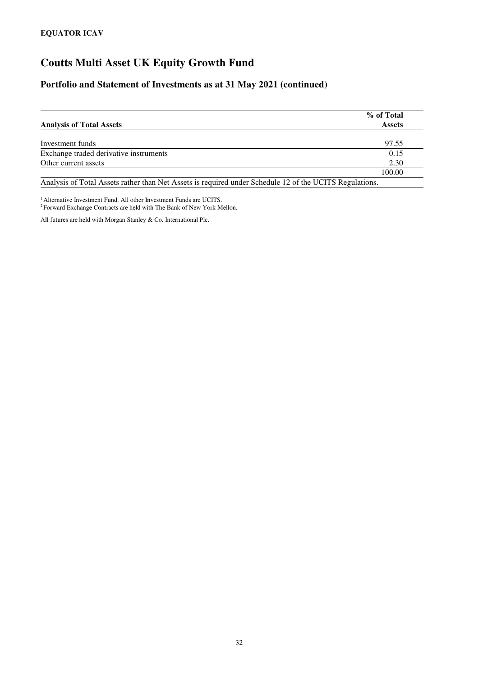### **Portfolio and Statement of Investments as at 31 May 2021 (continued)**

|                                                                                                         | % of Total    |
|---------------------------------------------------------------------------------------------------------|---------------|
| <b>Analysis of Total Assets</b>                                                                         | <b>Assets</b> |
|                                                                                                         |               |
| Investment funds                                                                                        | 97.55         |
| Exchange traded derivative instruments                                                                  | 0.15          |
| Other current assets                                                                                    | 2.30          |
|                                                                                                         | 100.00        |
| Analysis of Total Assets rather than Net Assets is required under Schedule 12 of the UCITS Regulations. |               |

<sup>1</sup> Alternative Investment Fund. All other Investment Funds are UCITS. <sup>2</sup> Forward Exchange Contracts are held with The Bank of New York Mellon.

All futures are held with Morgan Stanley & Co. International Plc.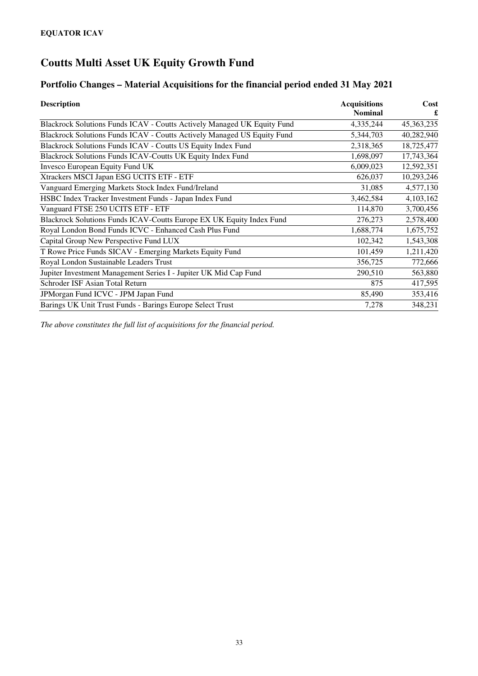### **Portfolio Changes – Material Acquisitions for the financial period ended 31 May 2021**

| <b>Description</b>                                                      | <b>Acquisitions</b> | Cost<br>£    |  |
|-------------------------------------------------------------------------|---------------------|--------------|--|
|                                                                         | <b>Nominal</b>      |              |  |
| Blackrock Solutions Funds ICAV - Coutts Actively Managed UK Equity Fund | 4,335,244           | 45, 363, 235 |  |
| Blackrock Solutions Funds ICAV - Coutts Actively Managed US Equity Fund | 5,344,703           | 40,282,940   |  |
| Blackrock Solutions Funds ICAV - Coutts US Equity Index Fund            | 2,318,365           | 18,725,477   |  |
| Blackrock Solutions Funds ICAV-Coutts UK Equity Index Fund              | 1,698,097           | 17,743,364   |  |
| Invesco European Equity Fund UK                                         | 6,009,023           | 12,592,351   |  |
| Xtrackers MSCI Japan ESG UCITS ETF - ETF                                | 626,037             | 10,293,246   |  |
| Vanguard Emerging Markets Stock Index Fund/Ireland                      | 31,085              | 4,577,130    |  |
| HSBC Index Tracker Investment Funds - Japan Index Fund                  | 3,462,584           | 4,103,162    |  |
| Vanguard FTSE 250 UCITS ETF - ETF                                       | 114,870             | 3,700,456    |  |
| Blackrock Solutions Funds ICAV-Coutts Europe EX UK Equity Index Fund    | 276,273             | 2,578,400    |  |
| Royal London Bond Funds ICVC - Enhanced Cash Plus Fund                  | 1,688,774           | 1,675,752    |  |
| Capital Group New Perspective Fund LUX                                  | 102,342             | 1,543,308    |  |
| T Rowe Price Funds SICAV - Emerging Markets Equity Fund                 | 101,459             | 1,211,420    |  |
| Royal London Sustainable Leaders Trust                                  | 356,725             | 772,666      |  |
| Jupiter Investment Management Series I - Jupiter UK Mid Cap Fund        | 290,510             | 563,880      |  |
| Schroder ISF Asian Total Return                                         | 875                 | 417,595      |  |
| JPMorgan Fund ICVC - JPM Japan Fund                                     | 85,490              | 353,416      |  |
| Barings UK Unit Trust Funds - Barings Europe Select Trust               | 7,278               | 348,231      |  |

*The above constitutes the full list of acquisitions for the financial period.*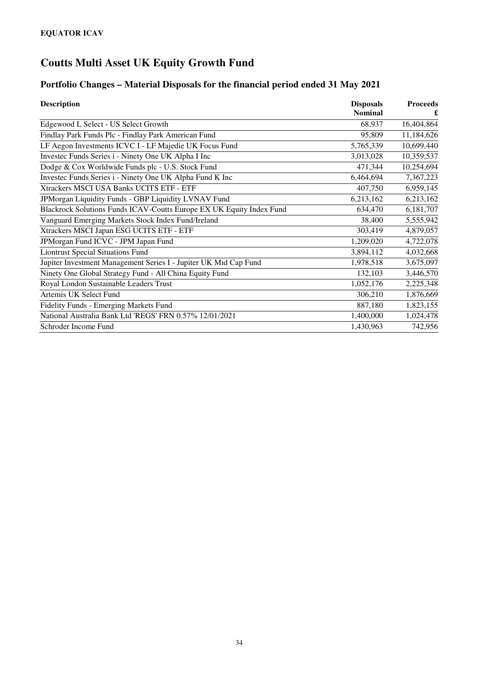# **Portfolio Changes – Material Disposals for the financial period ended 31 May 2021**

| <b>Description</b>                                                   | <b>Disposals</b> | <b>Proceeds</b> |
|----------------------------------------------------------------------|------------------|-----------------|
|                                                                      | <b>Nominal</b>   |                 |
| Edgewood L Select - US Select Growth                                 | 68,937           | 16,404,864      |
| Findlay Park Funds Plc - Findlay Park American Fund                  | 95,809           | 11,184,626      |
| LF Aegon Investments ICVC I - LF Majedie UK Focus Fund               | 5,765,339        | 10,699,440      |
| Investec Funds Series i - Ninety One UK Alpha I Inc                  | 3,013,028        | 10,359,537      |
| Dodge & Cox Worldwide Funds plc - U.S. Stock Fund                    | 471,344          | 10,254,694      |
| Investec Funds Series i - Ninety One UK Alpha Fund K Inc             | 6,464,694        | 7,367,223       |
| Xtrackers MSCI USA Banks UCITS ETF - ETF                             | 407,750          | 6,959,145       |
| JPMorgan Liquidity Funds - GBP Liquidity LVNAV Fund                  | 6,213,162        | 6,213,162       |
| Blackrock Solutions Funds ICAV-Coutts Europe EX UK Equity Index Fund | 634,470          | 6,181,707       |
| Vanguard Emerging Markets Stock Index Fund/Ireland                   | 38,400           | 5,555,942       |
| Xtrackers MSCI Japan ESG UCITS ETF - ETF                             | 303,419          | 4,879,057       |
| JPMorgan Fund ICVC - JPM Japan Fund                                  | 1,209,020        | 4,722,078       |
| <b>Liontrust Special Situations Fund</b>                             | 3,894,112        | 4,032,668       |
| Jupiter Investment Management Series I - Jupiter UK Mid Cap Fund     | 1,978,518        | 3,675,097       |
| Ninety One Global Strategy Fund - All China Equity Fund              | 132,103          | 3,446,570       |
| Royal London Sustainable Leaders Trust                               | 1,052,176        | 2,225,348       |
| Artemis UK Select Fund                                               | 306,210          | 1,876,669       |
| Fidelity Funds - Emerging Markets Fund                               | 887,180          | 1,823,155       |
| National Australia Bank Ltd 'REGS' FRN 0.57% 12/01/2021              | 1,400,000        | 1,024,478       |
| Schroder Income Fund                                                 | 1,430,963        | 742,956         |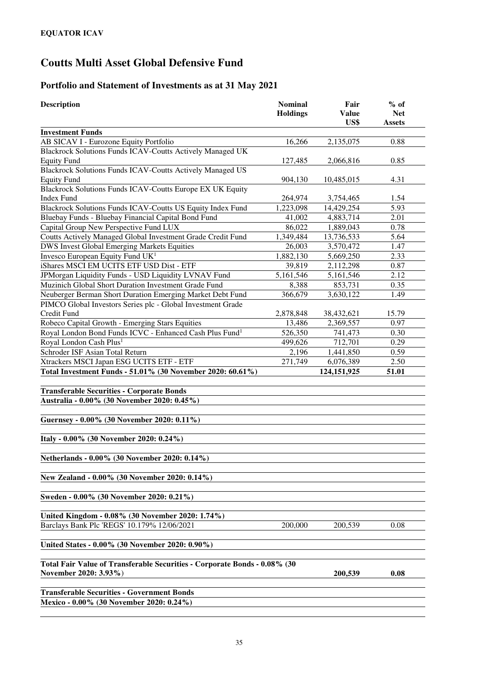# **Coutts Multi Asset Global Defensive Fund**

# **Portfolio and Statement of Investments as at 31 May 2021**

| Description                                                               | <b>Nominal</b><br><b>Holdings</b> | Fair<br><b>Value</b><br>US\$ | $%$ of<br><b>Net</b><br><b>Assets</b> |  |  |
|---------------------------------------------------------------------------|-----------------------------------|------------------------------|---------------------------------------|--|--|
| <b>Investment Funds</b>                                                   |                                   |                              |                                       |  |  |
| AB SICAV I - Eurozone Equity Portfolio                                    | 16,266                            | 2,135,075                    | 0.88                                  |  |  |
| Blackrock Solutions Funds ICAV-Coutts Actively Managed UK                 |                                   |                              |                                       |  |  |
| <b>Equity Fund</b>                                                        | 127,485                           | 2,066,816                    | 0.85                                  |  |  |
| <b>Blackrock Solutions Funds ICAV-Coutts Actively Managed US</b>          |                                   |                              |                                       |  |  |
| <b>Equity Fund</b>                                                        | 904,130                           | 10,485,015                   | 4.31                                  |  |  |
| Blackrock Solutions Funds ICAV-Coutts Europe EX UK Equity                 |                                   |                              |                                       |  |  |
| <b>Index Fund</b>                                                         | 264,974                           | 3,754,465                    | 1.54                                  |  |  |
| Blackrock Solutions Funds ICAV-Coutts US Equity Index Fund                | 1,223,098                         | 14,429,254                   | 5.93                                  |  |  |
| Bluebay Funds - Bluebay Financial Capital Bond Fund                       | 41,002                            | 4,883,714                    | 2.01                                  |  |  |
| Capital Group New Perspective Fund LUX                                    | 86,022                            | 1,889,043                    | 0.78                                  |  |  |
| Coutts Actively Managed Global Investment Grade Credit Fund               | 1,349,484                         | 13,736,533                   | 5.64                                  |  |  |
| <b>DWS Invest Global Emerging Markets Equities</b>                        | 26,003                            | 3,570,472                    | 1.47                                  |  |  |
| Invesco European Equity Fund $UK1$                                        | 1,882,130                         | 5,669,250                    | 2.33                                  |  |  |
| iShares MSCI EM UCITS ETF USD Dist - ETF                                  | 39,819                            | 2,112,298                    | 0.87                                  |  |  |
| JPMorgan Liquidity Funds - USD Liquidity LVNAV Fund                       | 5,161,546                         | 5,161,546                    | 2.12                                  |  |  |
| Muzinich Global Short Duration Investment Grade Fund                      | 8,388                             | 853,731                      | 0.35                                  |  |  |
| Neuberger Berman Short Duration Emerging Market Debt Fund                 | 366,679                           | 3,630,122                    | 1.49                                  |  |  |
| PIMCO Global Investors Series plc - Global Investment Grade               |                                   |                              |                                       |  |  |
| Credit Fund                                                               | 2,878,848                         | 38,432,621                   | 15.79                                 |  |  |
| Robeco Capital Growth - Emerging Stars Equities                           | 13,486                            | 2,369,557                    | 0.97                                  |  |  |
| Royal London Bond Funds ICVC - Enhanced Cash Plus Fund <sup>1</sup>       | 526,350                           | 741,473                      | 0.30                                  |  |  |
| Royal London Cash Plus <sup>1</sup>                                       | 499,626                           | 712,701                      | 0.29                                  |  |  |
| Schroder ISF Asian Total Return                                           | 2,196                             | 1,441,850                    | 0.59                                  |  |  |
| Xtrackers MSCI Japan ESG UCITS ETF - ETF                                  | 271,749                           | 6,076,389                    | 2.50                                  |  |  |
| Total Investment Funds - 51.01% (30 November 2020: 60.61%)                |                                   | 124,151,925                  | 51.01                                 |  |  |
| <b>Transferable Securities - Corporate Bonds</b>                          |                                   |                              |                                       |  |  |
| Australia - 0.00% (30 November 2020: 0.45%)                               |                                   |                              |                                       |  |  |
|                                                                           |                                   |                              |                                       |  |  |
| Guernsey - 0.00% (30 November 2020: 0.11%)                                |                                   |                              |                                       |  |  |
|                                                                           |                                   |                              |                                       |  |  |
| Italy - 0.00% (30 November 2020: 0.24%)                                   |                                   |                              |                                       |  |  |
|                                                                           |                                   |                              |                                       |  |  |
| Netherlands - 0.00% (30 November 2020: 0.14%)                             |                                   |                              |                                       |  |  |
| New Zealand - 0.00% (30 November 2020: 0.14%)                             |                                   |                              |                                       |  |  |
| Sweden - 0.00% (30 November 2020: 0.21%)                                  |                                   |                              |                                       |  |  |
|                                                                           |                                   |                              |                                       |  |  |
| United Kingdom - 0.08% (30 November 2020: 1.74%)                          |                                   |                              |                                       |  |  |
| Barclays Bank Plc 'REGS' 10.179% 12/06/2021                               | 200,000                           | 200,539                      | 0.08                                  |  |  |
| United States - 0.00% (30 November 2020: 0.90%)                           |                                   |                              |                                       |  |  |
| Total Fair Value of Transferable Securities - Corporate Bonds - 0.08% (30 |                                   |                              |                                       |  |  |
| November 2020: 3.93%)                                                     |                                   | 200,539                      | 0.08                                  |  |  |
|                                                                           |                                   |                              |                                       |  |  |
| <b>Transferable Securities - Government Bonds</b>                         |                                   |                              |                                       |  |  |
| Mexico - 0.00% (30 November 2020: 0.24%)                                  |                                   |                              |                                       |  |  |

35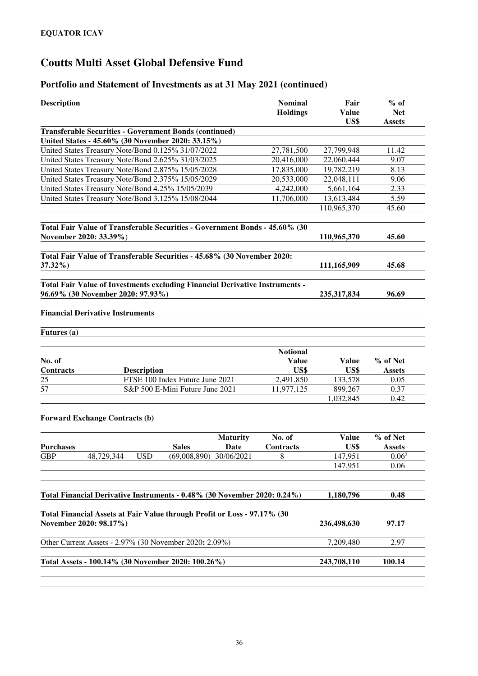#### **Portfolio and Statement of Investments as at 31 May 2021 (continued)**

| <b>Description</b> |                                                                                                    | <b>Nominal</b><br><b>Holdings</b> | Fair<br><b>Value</b> | $%$ of<br><b>Net</b> |
|--------------------|----------------------------------------------------------------------------------------------------|-----------------------------------|----------------------|----------------------|
|                    |                                                                                                    |                                   | US\$                 | <b>Assets</b>        |
|                    | <b>Transferable Securities - Government Bonds (continued)</b>                                      |                                   |                      |                      |
|                    | United States - 45.60% (30 November 2020: 33.15%)                                                  |                                   |                      |                      |
|                    | United States Treasury Note/Bond 0.125% 31/07/2022                                                 | 27,781,500                        | 27,799,948           | 11.42                |
|                    | United States Treasury Note/Bond 2.625% 31/03/2025                                                 | 20,416,000                        | 22,060,444           | 9.07                 |
|                    | United States Treasury Note/Bond 2.875% 15/05/2028                                                 | 17,835,000                        | 19,782,219           | 8.13                 |
|                    | United States Treasury Note/Bond 2.375% 15/05/2029                                                 | 20,533,000                        | 22,048,111           | 9.06                 |
|                    | United States Treasury Note/Bond 4.25% 15/05/2039                                                  | 4,242,000                         | 5,661,164            | 2.33                 |
|                    | United States Treasury Note/Bond 3.125% 15/08/2044                                                 | 11,706,000                        | 13,613,484           | 5.59                 |
|                    |                                                                                                    |                                   | 110,965,370          | 45.60                |
|                    | Total Fair Value of Transferable Securities - Government Bonds - 45.60% (30                        |                                   |                      |                      |
|                    | November 2020: 33.39%)                                                                             |                                   | 110,965,370          | 45.60                |
|                    | Total Fair Value of Transferable Securities - 45.68% (30 November 2020:                            |                                   |                      |                      |
| 37.32%)            |                                                                                                    |                                   | 111,165,909          | 45.68                |
|                    | Total Fair Value of Investments excluding Financial Derivative Instruments -                       |                                   |                      |                      |
|                    | 96.69% (30 November 2020: 97.93%)                                                                  |                                   | 235, 317, 834        | 96.69                |
|                    | <b>Financial Derivative Instruments</b>                                                            |                                   |                      |                      |
| Futures (a)        |                                                                                                    |                                   |                      |                      |
|                    |                                                                                                    | <b>Notional</b>                   |                      |                      |
| No. of             |                                                                                                    | <b>Value</b>                      | <b>Value</b>         | % of Net             |
| <b>Contracts</b>   | <b>Description</b>                                                                                 | US\$                              | US\$                 | <b>Assets</b>        |
| 25                 | FTSE 100 Index Future June 2021                                                                    | 2,491,850                         | 133,578              | 0.05                 |
| 57                 | S&P 500 E-Mini Future June 2021                                                                    | 11,977,125                        | 899,267              | 0.37                 |
|                    |                                                                                                    |                                   | 1,032,845            | 0.42                 |
|                    | <b>Forward Exchange Contracts (b)</b>                                                              |                                   |                      |                      |
|                    |                                                                                                    | No. of<br><b>Maturity</b>         | <b>Value</b>         | % of Net             |
| <b>Purchases</b>   | <b>Sales</b>                                                                                       | Date<br>Contracts                 | US\$                 | <b>Assets</b>        |
| <b>GBP</b>         | 48,729,344<br><b>USD</b><br>$(69,008,890)$ 30/06/2021                                              | 8                                 | 147,951              | $0.06^2$             |
|                    |                                                                                                    |                                   | 147,951              | 0.06                 |
|                    |                                                                                                    |                                   |                      |                      |
|                    | Total Financial Derivative Instruments - 0.48% (30 November 2020: 0.24%)                           |                                   | 1,180,796            | 0.48                 |
|                    |                                                                                                    |                                   |                      |                      |
|                    | Total Financial Assets at Fair Value through Profit or Loss - 97.17% (30<br>November 2020: 98.17%) |                                   | 236,498,630          | 97.17                |
|                    | Other Current Assets - 2.97% (30 November 2020: 2.09%)                                             |                                   | 7,209,480            | 2.97                 |
|                    |                                                                                                    |                                   |                      |                      |
|                    | Total Assets - 100.14% (30 November 2020: 100.26%)                                                 |                                   | 243,708,110          | 100.14               |
|                    |                                                                                                    |                                   |                      |                      |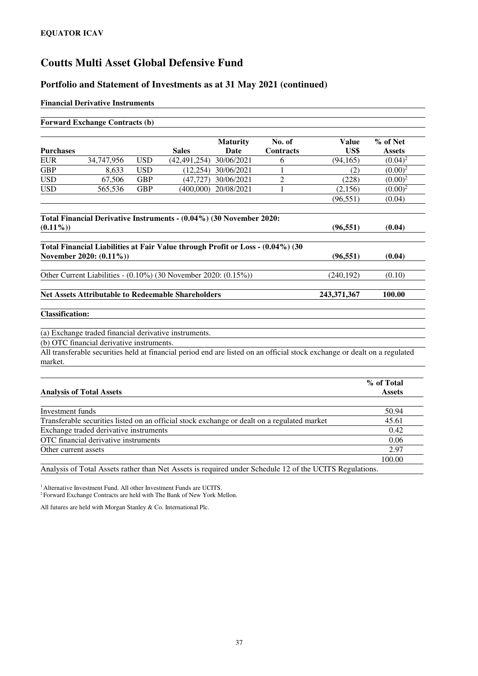#### **Portfolio and Statement of Investments as at 31 May 2021 (continued)**

#### **Financial Derivative Instruments**

|                                                                          | <b>Forward Exchange Contracts (b)</b>                                                              |            |                                                                                             |                                |                            |                                                                                                                           |                             |
|--------------------------------------------------------------------------|----------------------------------------------------------------------------------------------------|------------|---------------------------------------------------------------------------------------------|--------------------------------|----------------------------|---------------------------------------------------------------------------------------------------------------------------|-----------------------------|
| <b>Purchases</b>                                                         |                                                                                                    |            | <b>Sales</b>                                                                                | <b>Maturity</b><br><b>Date</b> | No. of<br><b>Contracts</b> | Value<br>US\$                                                                                                             | % of Net<br><b>Assets</b>   |
| <b>EUR</b>                                                               | 34,747,956                                                                                         | <b>USD</b> | (42, 491, 254)                                                                              | 30/06/2021                     | 6                          | (94, 165)                                                                                                                 | $(0.04)^2$                  |
| <b>GBP</b>                                                               | 8,633                                                                                              | <b>USD</b> |                                                                                             | $(12,254)$ 30/06/2021          | 1                          | (2)                                                                                                                       | $(0.00)^2$                  |
| <b>USD</b>                                                               | 67,506                                                                                             | <b>GBP</b> | (47, 727)                                                                                   | 30/06/2021                     | $\overline{c}$             | (228)                                                                                                                     | $(0.00)^2$                  |
| <b>USD</b>                                                               | 565,536                                                                                            | <b>GBP</b> |                                                                                             | (400,000) 20/08/2021           | 1                          | (2,156)                                                                                                                   | $(0.00)^2$                  |
|                                                                          |                                                                                                    |            |                                                                                             |                                |                            | (96, 551)                                                                                                                 | (0.04)                      |
| $(0.11\%)$                                                               |                                                                                                    |            | Total Financial Derivative Instruments - (0.04%) (30 November 2020:                         |                                |                            | (96, 551)                                                                                                                 | (0.04)                      |
|                                                                          | November 2020: (0.11%))                                                                            |            | Total Financial Liabilities at Fair Value through Profit or Loss - (0.04%) (30              |                                |                            | (96, 551)                                                                                                                 | (0.04)                      |
|                                                                          |                                                                                                    |            | Other Current Liabilities - (0.10%) (30 November 2020: (0.15%))                             |                                |                            | (240, 192)                                                                                                                | (0.10)                      |
| <b>Net Assets Attributable to Redeemable Shareholders</b><br>243,371,367 |                                                                                                    |            |                                                                                             |                                |                            |                                                                                                                           | 100.00                      |
| <b>Classification:</b>                                                   |                                                                                                    |            |                                                                                             |                                |                            |                                                                                                                           |                             |
|                                                                          | (a) Exchange traded financial derivative instruments.<br>(b) OTC financial derivative instruments. |            |                                                                                             |                                |                            |                                                                                                                           |                             |
|                                                                          |                                                                                                    |            |                                                                                             |                                |                            | All transferable securities held at financial period end are listed on an official stock exchange or dealt on a regulated |                             |
| market.                                                                  |                                                                                                    |            |                                                                                             |                                |                            |                                                                                                                           |                             |
|                                                                          | <b>Analysis of Total Assets</b>                                                                    |            |                                                                                             |                                |                            |                                                                                                                           | % of Total<br><b>Assets</b> |
| Investment funds                                                         |                                                                                                    |            |                                                                                             |                                |                            |                                                                                                                           | 50.94                       |
|                                                                          |                                                                                                    |            | Transferable securities listed on an official stock exchange or dealt on a regulated market |                                |                            |                                                                                                                           | 45.61                       |
|                                                                          | Exchange traded derivative instruments                                                             |            |                                                                                             |                                |                            |                                                                                                                           | 0.42                        |
|                                                                          | OTC financial derivative instruments                                                               |            |                                                                                             |                                |                            |                                                                                                                           | 0.06                        |
| Other current assets                                                     |                                                                                                    |            |                                                                                             |                                |                            |                                                                                                                           | 2.97                        |

Analysis of Total Assets rather than Net Assets is required under Schedule 12 of the UCITS Regulations.

100.00

<sup>1</sup> Alternative Investment Fund. All other Investment Funds are UCITS.

<sup>2</sup> Forward Exchange Contracts are held with The Bank of New York Mellon.

All futures are held with Morgan Stanley & Co. International Plc.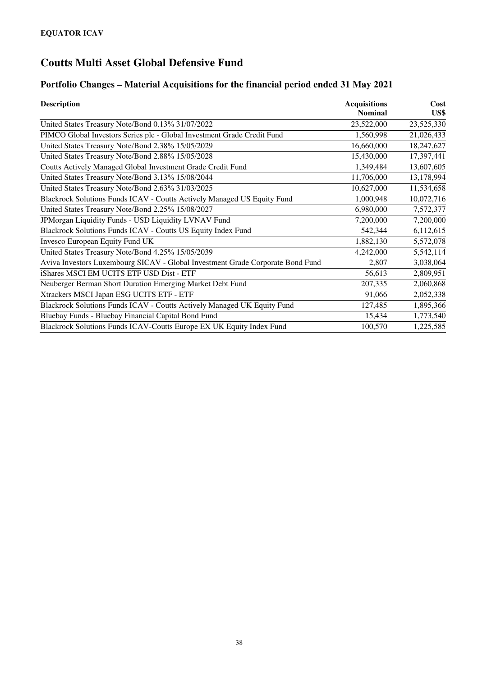### **Portfolio Changes – Material Acquisitions for the financial period ended 31 May 2021**

| <b>Description</b>                                                             | <b>Acquisitions</b><br><b>Nominal</b> | Cost<br>US\$ |
|--------------------------------------------------------------------------------|---------------------------------------|--------------|
| United States Treasury Note/Bond 0.13% 31/07/2022                              | 23,522,000                            | 23,525,330   |
| PIMCO Global Investors Series plc - Global Investment Grade Credit Fund        | 1,560,998                             | 21,026,433   |
| United States Treasury Note/Bond 2.38% 15/05/2029                              | 16,660,000                            | 18,247,627   |
| United States Treasury Note/Bond 2.88% 15/05/2028                              | 15,430,000                            | 17,397,441   |
| Coutts Actively Managed Global Investment Grade Credit Fund                    | 1,349,484                             | 13,607,605   |
| United States Treasury Note/Bond 3.13% 15/08/2044                              | 11,706,000                            | 13,178,994   |
| United States Treasury Note/Bond 2.63% 31/03/2025                              | 10,627,000                            | 11,534,658   |
| Blackrock Solutions Funds ICAV - Coutts Actively Managed US Equity Fund        | 1,000,948                             | 10,072,716   |
| United States Treasury Note/Bond 2.25% 15/08/2027                              | 6,980,000                             | 7,572,377    |
| JPMorgan Liquidity Funds - USD Liquidity LVNAV Fund                            | 7,200,000                             | 7,200,000    |
| Blackrock Solutions Funds ICAV - Coutts US Equity Index Fund                   | 542,344                               | 6,112,615    |
| Invesco European Equity Fund UK                                                | 1,882,130                             | 5,572,078    |
| United States Treasury Note/Bond 4.25% 15/05/2039                              | 4,242,000                             | 5,542,114    |
| Aviva Investors Luxembourg SICAV - Global Investment Grade Corporate Bond Fund | 2,807                                 | 3,038,064    |
| iShares MSCI EM UCITS ETF USD Dist - ETF                                       | 56,613                                | 2,809,951    |
| Neuberger Berman Short Duration Emerging Market Debt Fund                      | 207,335                               | 2,060,868    |
| Xtrackers MSCI Japan ESG UCITS ETF - ETF                                       | 91,066                                | 2,052,338    |
| Blackrock Solutions Funds ICAV - Coutts Actively Managed UK Equity Fund        | 127,485                               | 1,895,366    |
| Bluebay Funds - Bluebay Financial Capital Bond Fund                            | 15,434                                | 1,773,540    |
| Blackrock Solutions Funds ICAV-Coutts Europe EX UK Equity Index Fund           | 100,570                               | 1,225,585    |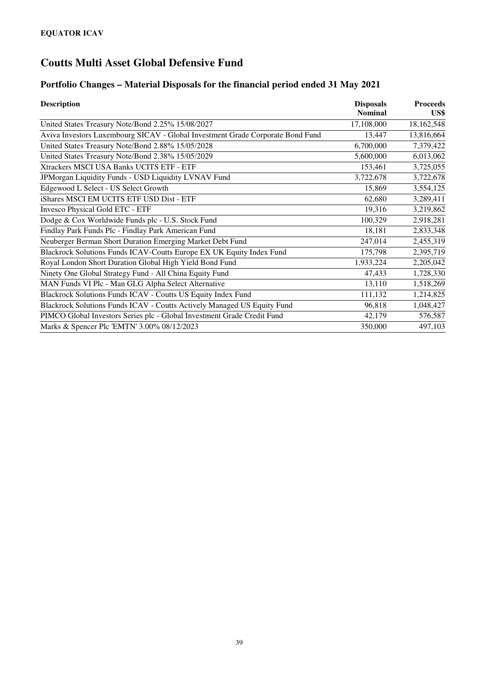## **Portfolio Changes – Material Disposals for the financial period ended 31 May 2021**

| <b>Description</b>                                                             | <b>Disposals</b> | <b>Proceeds</b> |
|--------------------------------------------------------------------------------|------------------|-----------------|
|                                                                                | <b>Nominal</b>   | US\$            |
| United States Treasury Note/Bond 2.25% 15/08/2027                              | 17,108,000       | 18,162,548      |
| Aviva Investors Luxembourg SICAV - Global Investment Grade Corporate Bond Fund | 13,447           | 13,816,664      |
| United States Treasury Note/Bond 2.88% 15/05/2028                              | 6,700,000        | 7,379,422       |
| United States Treasury Note/Bond 2.38% 15/05/2029                              | 5,600,000        | 6,013,062       |
| Xtrackers MSCI USA Banks UCITS ETF - ETF                                       | 153,461          | 3,725,055       |
| JPMorgan Liquidity Funds - USD Liquidity LVNAV Fund                            | 3,722,678        | 3,722,678       |
| Edgewood L Select - US Select Growth                                           | 15,869           | 3,554,125       |
| iShares MSCI EM UCITS ETF USD Dist - ETF                                       | 62,680           | 3,289,411       |
| Invesco Physical Gold ETC - ETF                                                | 19,316           | 3,219,862       |
| Dodge & Cox Worldwide Funds plc - U.S. Stock Fund                              | 100,329          | 2,918,281       |
| Findlay Park Funds Plc - Findlay Park American Fund                            | 18,181           | 2,833,348       |
| Neuberger Berman Short Duration Emerging Market Debt Fund                      | 247,014          | 2,455,319       |
| Blackrock Solutions Funds ICAV-Coutts Europe EX UK Equity Index Fund           | 175,798          | 2,395,719       |
| Royal London Short Duration Global High Yield Bond Fund                        | 1,933,224        | 2,205,042       |
| Ninety One Global Strategy Fund - All China Equity Fund                        | 47,433           | 1,728,330       |
| MAN Funds VI Plc - Man GLG Alpha Select Alternative                            | 13,110           | 1,518,269       |
| Blackrock Solutions Funds ICAV - Coutts US Equity Index Fund                   | 111,132          | 1,214,825       |
| Blackrock Solutions Funds ICAV - Coutts Actively Managed US Equity Fund        | 96,818           | 1,048,427       |
| PIMCO Global Investors Series plc - Global Investment Grade Credit Fund        | 42,179           | 576,587         |
| Marks & Spencer Plc 'EMTN' 3.00% 08/12/2023                                    | 350,000          | 497,103         |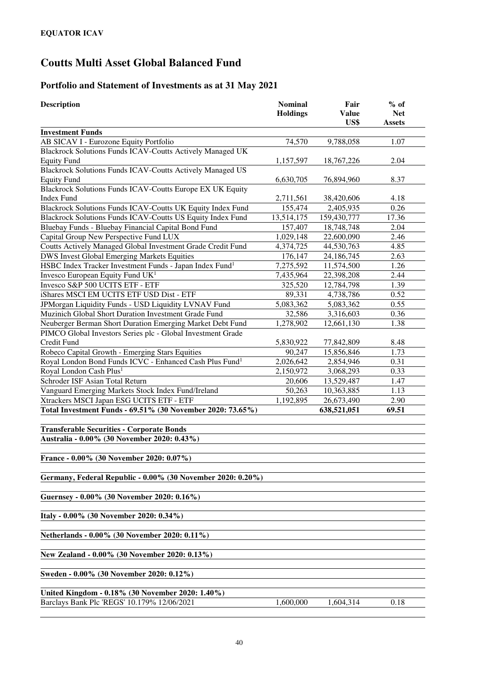### **Portfolio and Statement of Investments as at 31 May 2021**

| <b>Description</b>                                                                              | <b>Nominal</b><br><b>Holdings</b> | Fair<br><b>Value</b><br>US\$ | $%$ of<br><b>Net</b><br><b>Assets</b> |
|-------------------------------------------------------------------------------------------------|-----------------------------------|------------------------------|---------------------------------------|
| <b>Investment Funds</b>                                                                         |                                   |                              |                                       |
| AB SICAV I - Eurozone Equity Portfolio                                                          | 74,570                            | 9,788,058                    | 1.07                                  |
| Blackrock Solutions Funds ICAV-Coutts Actively Managed UK                                       |                                   |                              |                                       |
| <b>Equity Fund</b>                                                                              | 1,157,597                         | 18,767,226                   | 2.04                                  |
| Blackrock Solutions Funds ICAV-Coutts Actively Managed US                                       |                                   |                              |                                       |
| <b>Equity Fund</b>                                                                              | 6,630,705                         | 76,894,960                   | 8.37                                  |
| Blackrock Solutions Funds ICAV-Coutts Europe EX UK Equity                                       |                                   |                              |                                       |
| <b>Index Fund</b>                                                                               | 2,711,561                         | 38,420,606                   | 4.18                                  |
| Blackrock Solutions Funds ICAV-Coutts UK Equity Index Fund                                      | 155,474                           | 2,405,935                    | 0.26                                  |
| Blackrock Solutions Funds ICAV-Coutts US Equity Index Fund                                      | 13,514,175                        | 159,430,777                  | 17.36                                 |
| Bluebay Funds - Bluebay Financial Capital Bond Fund                                             | 157,407                           | 18,748,748                   | 2.04                                  |
| Capital Group New Perspective Fund LUX                                                          | 1,029,148                         | 22,600,090                   | 2.46                                  |
| Coutts Actively Managed Global Investment Grade Credit Fund                                     | 4,374,725                         | 44,530,763                   | 4.85                                  |
| <b>DWS Invest Global Emerging Markets Equities</b>                                              | 176,147                           | 24,186,745                   | 2.63                                  |
| HSBC Index Tracker Investment Funds - Japan Index Fund <sup>1</sup>                             | 7,275,592                         | 11,574,500                   | 1.26                                  |
| Invesco European Equity Fund UK <sup>1</sup>                                                    | 7,435,964                         | 22,398,208                   | 2.44                                  |
| Invesco S&P 500 UCITS ETF - ETF                                                                 | 325,520                           | 12,784,798                   | 1.39                                  |
| iShares MSCI EM UCITS ETF USD Dist - ETF                                                        | 89,331                            | 4,738,786                    | 0.52                                  |
| JPMorgan Liquidity Funds - USD Liquidity LVNAV Fund                                             | 5,083,362                         | 5,083,362                    | 0.55                                  |
| Muzinich Global Short Duration Investment Grade Fund                                            | 32,586                            | 3,316,603                    | 0.36                                  |
| Neuberger Berman Short Duration Emerging Market Debt Fund                                       | 1,278,902                         | 12,661,130                   | 1.38                                  |
| PIMCO Global Investors Series plc - Global Investment Grade                                     |                                   |                              |                                       |
| Credit Fund                                                                                     | 5,830,922                         | 77,842,809                   | 8.48                                  |
| Robeco Capital Growth - Emerging Stars Equities                                                 | 90,247                            | 15,856,846                   | 1.73                                  |
| Royal London Bond Funds ICVC - Enhanced Cash Plus Fund <sup>1</sup>                             | 2,026,642                         | 2,854,946                    | 0.31                                  |
| Royal London Cash Plus <sup>1</sup>                                                             | 2,150,972                         | 3,068,293                    | 0.33                                  |
| Schroder ISF Asian Total Return                                                                 | 20,606                            | 13,529,487                   | 1.47                                  |
| Vanguard Emerging Markets Stock Index Fund/Ireland                                              | 50,263                            | 10,363,885                   | 1.13                                  |
| Xtrackers MSCI Japan ESG UCITS ETF - ETF                                                        | 1,192,895                         | 26,673,490                   | 2.90                                  |
| Total Investment Funds - 69.51% (30 November 2020: 73.65%)                                      |                                   | 638,521,051                  | 69.51                                 |
| <b>Transferable Securities - Corporate Bonds</b><br>Australia - 0.00% (30 November 2020: 0.43%) |                                   |                              |                                       |
| France - 0.00% (30 November 2020: 0.07%)                                                        |                                   |                              |                                       |
| Germany, Federal Republic - 0.00% (30 November 2020: 0.20%)                                     |                                   |                              |                                       |
| Guernsey - 0.00% (30 November 2020: 0.16%)                                                      |                                   |                              |                                       |
| Italy - 0.00% (30 November 2020: 0.34%)                                                         |                                   |                              |                                       |
| Netherlands - 0.00% (30 November 2020: 0.11%)                                                   |                                   |                              |                                       |
| New Zealand - 0.00% (30 November 2020: 0.13%)                                                   |                                   |                              |                                       |
| Sweden - 0.00% (30 November 2020: 0.12%)                                                        |                                   |                              |                                       |
|                                                                                                 |                                   |                              |                                       |
| United Kingdom - 0.18% (30 November 2020: 1.40%)                                                |                                   |                              |                                       |
| Barclays Bank Plc 'REGS' 10.179% 12/06/2021                                                     | 1,600,000                         | 1,604,314                    | 0.18                                  |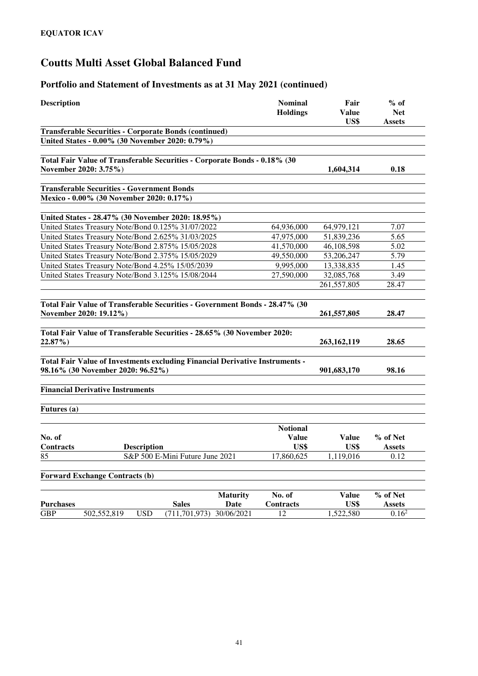#### **Portfolio and Statement of Investments as at 31 May 2021 (continued)**

| <b>Description</b>                                                                             |                    |                 |                   |                                    |
|------------------------------------------------------------------------------------------------|--------------------|-----------------|-------------------|------------------------------------|
| <b>Transferable Securities - Corporate Bonds (continued)</b>                                   |                    |                 | US\$              | <b>Assets</b>                      |
| United States - 0.00% (30 November 2020: 0.79%)                                                |                    |                 |                   |                                    |
| Total Fair Value of Transferable Securities - Corporate Bonds - 0.18% (30                      |                    |                 |                   |                                    |
| November 2020: 3.75%)                                                                          |                    |                 | 1,604,314         | 0.18                               |
| <b>Transferable Securities - Government Bonds</b>                                              |                    |                 |                   |                                    |
| Mexico - 0.00% (30 November 2020: 0.17%)                                                       |                    |                 |                   |                                    |
| United States - 28.47% (30 November 2020: 18.95%)                                              |                    |                 |                   |                                    |
| United States Treasury Note/Bond 0.125% 31/07/2022                                             |                    | 64,936,000      | 64,979,121        | 7.07                               |
| United States Treasury Note/Bond 2.625% 31/03/2025                                             |                    | 47,975,000      | 51,839,236        | 5.65                               |
| United States Treasury Note/Bond 2.875% 15/05/2028                                             |                    | 41,570,000      | 46,108,598        | 5.02                               |
| United States Treasury Note/Bond 2.375% 15/05/2029                                             |                    | 49,550,000      | 53,206,247        | 5.79                               |
| United States Treasury Note/Bond 4.25% 15/05/2039                                              |                    | 9,995,000       | 13,338,835        | 1.45                               |
| United States Treasury Note/Bond 3.125% 15/08/2044                                             |                    | 27,590,000      | 32,085,768        | 3.49                               |
|                                                                                                |                    |                 | 261,557,805       | 28.47                              |
| Total Fair Value of Transferable Securities - Government Bonds - 28.47% (30                    |                    |                 |                   |                                    |
| November 2020: 19.12%)                                                                         |                    |                 | 261,557,805       | 28.47                              |
| Total Fair Value of Transferable Securities - 28.65% (30 November 2020:                        |                    |                 |                   |                                    |
| 22.87%)                                                                                        |                    |                 | 263, 162, 119     | 28.65                              |
| Total Fair Value of Investments excluding Financial Derivative Instruments -                   |                    |                 |                   |                                    |
| 98.16% (30 November 2020: 96.52%)                                                              |                    |                 | 901,683,170       | 98.16                              |
| <b>Financial Derivative Instruments</b>                                                        |                    |                 |                   |                                    |
|                                                                                                |                    |                 |                   |                                    |
| Futures (a)                                                                                    |                    |                 |                   |                                    |
|                                                                                                |                    | <b>Notional</b> |                   |                                    |
| No. of                                                                                         |                    | <b>Value</b>    | <b>Value</b>      | % of Net                           |
| Contracts<br><b>Description</b>                                                                |                    | US\$            | US\$              | <b>Assets</b>                      |
| S&P 500 E-Mini Future June 2021<br>85                                                          |                    | 17,860,625      | 1,119,016         | 0.12                               |
| <b>Forward Exchange Contracts (b)</b>                                                          |                    |                 |                   |                                    |
|                                                                                                |                    |                 |                   |                                    |
|                                                                                                | <b>Maturity</b>    | No. of          | <b>Value</b>      | % of Net                           |
| <b>Purchases</b><br><b>Sales</b><br><b>USD</b><br><b>GBP</b><br>502,552,819<br>(711, 701, 973) | Date<br>30/06/2021 | Contracts<br>12 | US\$<br>1,522,580 | <b>Assets</b><br>0.16 <sup>2</sup> |
|                                                                                                |                    |                 |                   |                                    |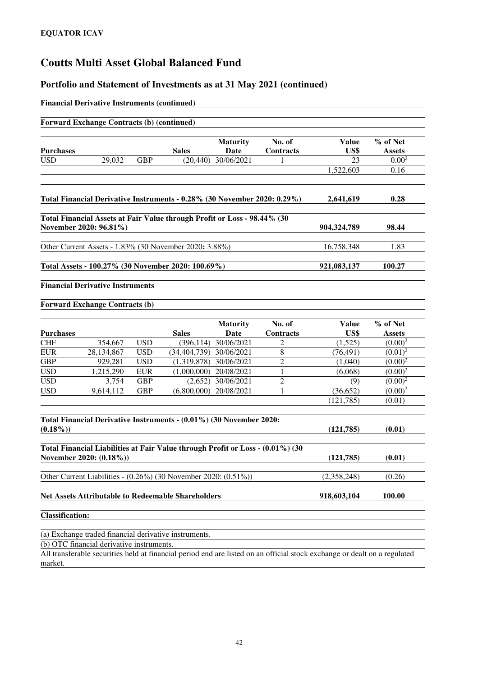#### **Portfolio and Statement of Investments as at 31 May 2021 (continued)**

#### **Financial Derivative Instruments (continued)**

|                  | <b>Forward Exchange Contracts (b) (continued)</b> |            |                                                                                |                 |                  |              |               |
|------------------|---------------------------------------------------|------------|--------------------------------------------------------------------------------|-----------------|------------------|--------------|---------------|
|                  |                                                   |            |                                                                                |                 |                  |              |               |
|                  |                                                   |            |                                                                                | <b>Maturity</b> | No. of           | Value        | % of Net      |
| <b>Purchases</b> |                                                   |            | <b>Sales</b>                                                                   | Date            | <b>Contracts</b> | US\$         | <b>Assets</b> |
| <b>USD</b>       | 29,032                                            | <b>GBP</b> | (20, 440)                                                                      | 30/06/2021      | 1                | 23           | $0.00^{2}$    |
|                  |                                                   |            |                                                                                |                 |                  | 1,522,603    | 0.16          |
|                  |                                                   |            | Total Financial Derivative Instruments - 0.28% (30 November 2020: 0.29%)       |                 |                  | 2,641,619    | 0.28          |
|                  |                                                   |            |                                                                                |                 |                  |              |               |
|                  | November 2020: 96.81%)                            |            | Total Financial Assets at Fair Value through Profit or Loss - 98.44% (30       |                 |                  | 904,324,789  | 98.44         |
|                  |                                                   |            | Other Current Assets - 1.83% (30 November 2020: 3.88%)                         |                 |                  | 16,758,348   | 1.83          |
|                  |                                                   |            |                                                                                |                 |                  |              |               |
|                  |                                                   |            | Total Assets - 100.27% (30 November 2020: 100.69%)                             |                 |                  | 921,083,137  | 100.27        |
|                  | <b>Financial Derivative Instruments</b>           |            |                                                                                |                 |                  |              |               |
|                  | <b>Forward Exchange Contracts (b)</b>             |            |                                                                                |                 |                  |              |               |
|                  |                                                   |            |                                                                                | <b>Maturity</b> | No. of           | <b>Value</b> | % of Net      |
| <b>Purchases</b> |                                                   |            | <b>Sales</b>                                                                   | Date            | Contracts        | US\$         | <b>Assets</b> |
| <b>CHF</b>       | 354,667                                           | <b>USD</b> | (396, 114)                                                                     | 30/06/2021      | 2                | (1,525)      | $(0.00)^2$    |
| <b>EUR</b>       | 28,134,867                                        | <b>USD</b> | (34,404,739) 30/06/2021                                                        |                 | $\,8\,$          | (76, 491)    | $(0.01)^2$    |
| <b>GBP</b>       | 929,281                                           | <b>USD</b> | (1,319,878)                                                                    | 30/06/2021      | $\overline{c}$   | (1,040)      | $(0.00)^2$    |
| <b>USD</b>       | 1,215,290                                         | <b>EUR</b> | (1,000,000)                                                                    | 20/08/2021      | $\mathbf{1}$     | (6,068)      | $(0.00)^2$    |
| <b>USD</b>       | 3,754                                             | <b>GBP</b> | (2,652)                                                                        | 30/06/2021      | $\overline{2}$   | (9)          | $(0.00)^2$    |
| <b>USD</b>       | 9,614,112                                         | <b>GBP</b> | (6,800,000)                                                                    | 20/08/2021      | 1                | (36,652)     | $(0.00)^2$    |
|                  |                                                   |            |                                                                                |                 |                  | (121, 785)   | (0.01)        |
|                  |                                                   |            | Total Financial Derivative Instruments - (0.01%) (30 November 2020:            |                 |                  |              |               |
| $(0.18\%)$       |                                                   |            |                                                                                |                 |                  | (121, 785)   | (0.01)        |
|                  |                                                   |            | Total Financial Liabilities at Fair Value through Profit or Loss - (0.01%) (30 |                 |                  |              |               |
|                  | November 2020: (0.18%))                           |            |                                                                                |                 |                  | (121, 785)   | (0.01)        |
|                  |                                                   |            | Other Current Liabilities - (0.26%) (30 November 2020: (0.51%))                |                 |                  | (2,358,248)  | (0.26)        |
|                  |                                                   |            |                                                                                |                 |                  |              |               |

**Net Assets Attributable to Redeemable Shareholders** 918,603,104 100.00

**Classification:** 

(a) Exchange traded financial derivative instruments.

(b) OTC financial derivative instruments.

All transferable securities held at financial period end are listed on an official stock exchange or dealt on a regulated market.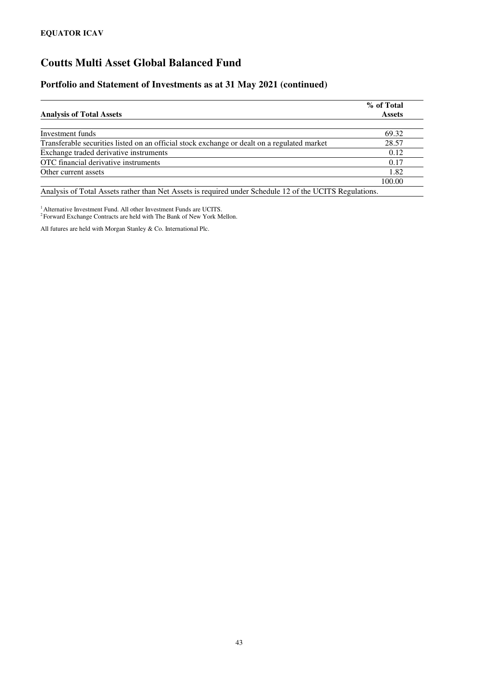#### **Portfolio and Statement of Investments as at 31 May 2021 (continued)**

|                                                                                                         | % of Total    |
|---------------------------------------------------------------------------------------------------------|---------------|
| <b>Analysis of Total Assets</b>                                                                         | <b>Assets</b> |
|                                                                                                         |               |
| Investment funds                                                                                        | 69.32         |
| Transferable securities listed on an official stock exchange or dealt on a regulated market             | 28.57         |
| Exchange traded derivative instruments                                                                  | 0.12          |
| OTC financial derivative instruments                                                                    | 0.17          |
| Other current assets                                                                                    | 1.82          |
|                                                                                                         | 100.00        |
| Analysis of Total Assets rather than Net Assets is required under Schedule 12 of the UCITS Regulations. |               |

<sup>1</sup> Alternative Investment Fund. All other Investment Funds are UCITS.

<sup>2</sup> Forward Exchange Contracts are held with The Bank of New York Mellon.

All futures are held with Morgan Stanley & Co. International Plc.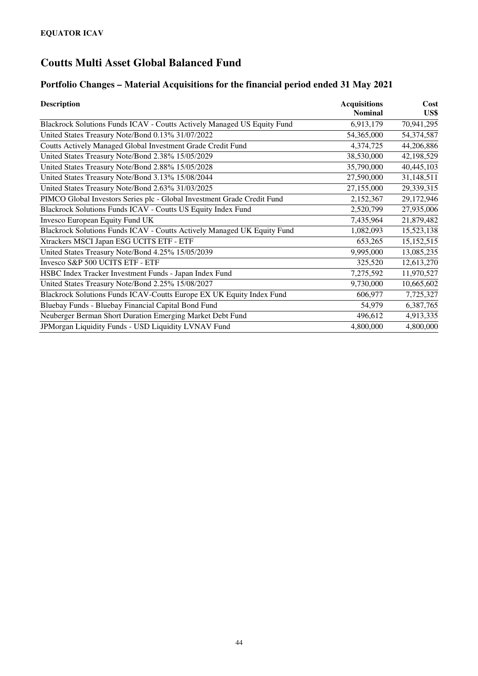### **Portfolio Changes – Material Acquisitions for the financial period ended 31 May 2021**

| <b>Description</b>                                                      | <b>Acquisitions</b> | Cost         |
|-------------------------------------------------------------------------|---------------------|--------------|
|                                                                         | <b>Nominal</b>      | US\$         |
| Blackrock Solutions Funds ICAV - Coutts Actively Managed US Equity Fund | 6,913,179           | 70,941,295   |
| United States Treasury Note/Bond 0.13% 31/07/2022                       | 54,365,000          | 54,374,587   |
| Coutts Actively Managed Global Investment Grade Credit Fund             | 4,374,725           | 44,206,886   |
| United States Treasury Note/Bond 2.38% 15/05/2029                       | 38,530,000          | 42,198,529   |
| United States Treasury Note/Bond 2.88% 15/05/2028                       | 35,790,000          | 40,445,103   |
| United States Treasury Note/Bond 3.13% 15/08/2044                       | 27,590,000          | 31,148,511   |
| United States Treasury Note/Bond 2.63% 31/03/2025                       | 27,155,000          | 29,339,315   |
| PIMCO Global Investors Series plc - Global Investment Grade Credit Fund | 2,152,367           | 29,172,946   |
| Blackrock Solutions Funds ICAV - Coutts US Equity Index Fund            | 2,520,799           | 27,935,006   |
| Invesco European Equity Fund UK                                         | 7,435,964           | 21,879,482   |
| Blackrock Solutions Funds ICAV - Coutts Actively Managed UK Equity Fund | 1,082,093           | 15,523,138   |
| Xtrackers MSCI Japan ESG UCITS ETF - ETF                                | 653,265             | 15, 152, 515 |
| United States Treasury Note/Bond 4.25% 15/05/2039                       | 9,995,000           | 13,085,235   |
| Invesco S&P 500 UCITS ETF - ETF                                         | 325,520             | 12,613,270   |
| HSBC Index Tracker Investment Funds - Japan Index Fund                  | 7,275,592           | 11,970,527   |
| United States Treasury Note/Bond 2.25% 15/08/2027                       | 9,730,000           | 10,665,602   |
| Blackrock Solutions Funds ICAV-Coutts Europe EX UK Equity Index Fund    | 606,977             | 7,725,327    |
| Bluebay Funds - Bluebay Financial Capital Bond Fund                     | 54,979              | 6,387,765    |
| Neuberger Berman Short Duration Emerging Market Debt Fund               | 496,612             | 4,913,335    |
| JPMorgan Liquidity Funds - USD Liquidity LVNAV Fund                     | 4,800,000           | 4,800,000    |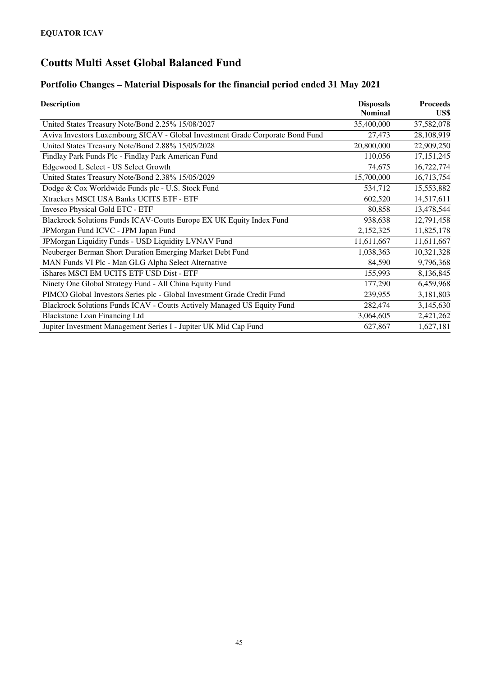### **Portfolio Changes – Material Disposals for the financial period ended 31 May 2021**

| <b>Description</b>                                                             | <b>Disposals</b><br><b>Nominal</b> | <b>Proceeds</b><br>US\$ |
|--------------------------------------------------------------------------------|------------------------------------|-------------------------|
| United States Treasury Note/Bond 2.25% 15/08/2027                              | 35,400,000                         | 37,582,078              |
| Aviva Investors Luxembourg SICAV - Global Investment Grade Corporate Bond Fund | 27,473                             | 28,108,919              |
| United States Treasury Note/Bond 2.88% 15/05/2028                              | 20,800,000                         | 22,909,250              |
| Findlay Park Funds Plc - Findlay Park American Fund                            | 110,056                            | 17, 151, 245            |
| Edgewood L Select - US Select Growth                                           | 74,675                             | 16,722,774              |
| United States Treasury Note/Bond 2.38% 15/05/2029                              | 15,700,000                         | 16,713,754              |
| Dodge & Cox Worldwide Funds plc - U.S. Stock Fund                              | 534,712                            | 15,553,882              |
| Xtrackers MSCI USA Banks UCITS ETF - ETF                                       | 602,520                            | 14,517,611              |
| Invesco Physical Gold ETC - ETF                                                | 80,858                             | 13,478,544              |
| Blackrock Solutions Funds ICAV-Coutts Europe EX UK Equity Index Fund           | 938,638                            | 12,791,458              |
| JPMorgan Fund ICVC - JPM Japan Fund                                            | 2,152,325                          | 11,825,178              |
| JPMorgan Liquidity Funds - USD Liquidity LVNAV Fund                            | 11,611,667                         | 11,611,667              |
| Neuberger Berman Short Duration Emerging Market Debt Fund                      | 1,038,363                          | 10,321,328              |
| MAN Funds VI Plc - Man GLG Alpha Select Alternative                            | 84,590                             | 9,796,368               |
| iShares MSCI EM UCITS ETF USD Dist - ETF                                       | 155,993                            | 8,136,845               |
| Ninety One Global Strategy Fund - All China Equity Fund                        | 177,290                            | 6,459,968               |
| PIMCO Global Investors Series plc - Global Investment Grade Credit Fund        | 239,955                            | 3,181,803               |
| Blackrock Solutions Funds ICAV - Coutts Actively Managed US Equity Fund        | 282,474                            | 3,145,630               |
| <b>Blackstone Loan Financing Ltd</b>                                           | 3,064,605                          | 2,421,262               |
| Jupiter Investment Management Series I - Jupiter UK Mid Cap Fund               | 627,867                            | 1,627,181               |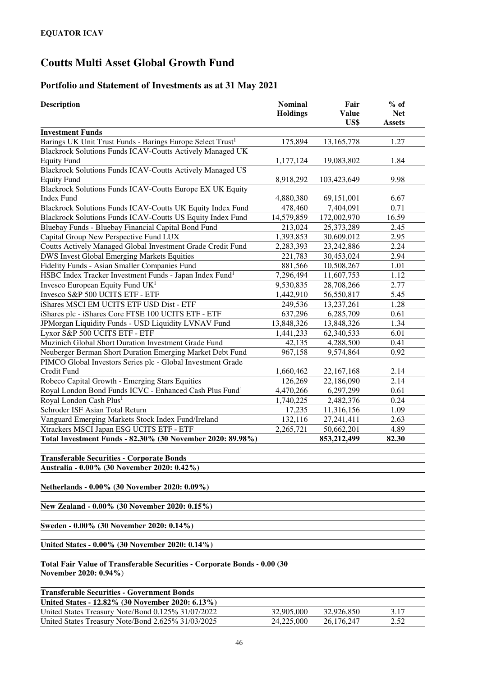### **Portfolio and Statement of Investments as at 31 May 2021**

| <b>Description</b>                                                                                | <b>Nominal</b><br><b>Holdings</b> | Fair<br><b>Value</b><br>US\$ | $%$ of<br><b>Net</b><br><b>Assets</b> |
|---------------------------------------------------------------------------------------------------|-----------------------------------|------------------------------|---------------------------------------|
| <b>Investment Funds</b>                                                                           |                                   |                              |                                       |
| Barings UK Unit Trust Funds - Barings Europe Select Trust <sup>1</sup>                            | 175,894                           | 13,165,778                   | 1.27                                  |
| Blackrock Solutions Funds ICAV-Coutts Actively Managed UK                                         |                                   |                              |                                       |
| <b>Equity Fund</b>                                                                                | 1,177,124                         | 19,083,802                   | 1.84                                  |
| <b>Blackrock Solutions Funds ICAV-Coutts Actively Managed US</b>                                  |                                   |                              |                                       |
| <b>Equity Fund</b>                                                                                | 8,918,292                         | 103,423,649                  | 9.98                                  |
| Blackrock Solutions Funds ICAV-Coutts Europe EX UK Equity                                         |                                   |                              |                                       |
| <b>Index Fund</b>                                                                                 | 4,880,380                         | 69,151,001                   | 6.67                                  |
| Blackrock Solutions Funds ICAV-Coutts UK Equity Index Fund                                        | 478,460                           | 7,404,091                    | 0.71                                  |
| Blackrock Solutions Funds ICAV-Coutts US Equity Index Fund                                        | 14,579,859                        | 172,002,970                  | 16.59                                 |
| Bluebay Funds - Bluebay Financial Capital Bond Fund                                               | 213,024                           | 25,373,289                   | 2.45                                  |
| Capital Group New Perspective Fund LUX                                                            | 1,393,853                         | 30,609,012                   | 2.95                                  |
| Coutts Actively Managed Global Investment Grade Credit Fund                                       | 2,283,393                         | 23,242,886                   | 2.24                                  |
| <b>DWS Invest Global Emerging Markets Equities</b>                                                | 221,783                           | 30,453,024                   | 2.94                                  |
| Fidelity Funds - Asian Smaller Companies Fund                                                     | 881,566                           | 10,508,267                   | 1.01                                  |
| HSBC Index Tracker Investment Funds - Japan Index Fund <sup>1</sup>                               | 7,296,494                         | 11,607,753                   | 1.12                                  |
| Invesco European Equity Fund UK <sup>1</sup>                                                      | 9,530,835                         | 28,708,266                   | 2.77                                  |
| Invesco S&P 500 UCITS ETF - ETF                                                                   | 1,442,910                         | 56,550,817                   | 5.45                                  |
| iShares MSCI EM UCITS ETF USD Dist - ETF                                                          | 249,536                           | 13,237,261                   | 1.28                                  |
| iShares plc - iShares Core FTSE 100 UCITS ETF - ETF                                               | 637,296                           | 6,285,709                    | 0.61                                  |
| JPMorgan Liquidity Funds - USD Liquidity LVNAV Fund                                               | 13,848,326                        | 13,848,326                   | 1.34                                  |
| Lyxor S&P 500 UCITS ETF - ETF                                                                     | 1,441,233                         | 62,340,533                   | 6.01                                  |
| Muzinich Global Short Duration Investment Grade Fund                                              | 42,135                            | 4,288,500                    | 0.41                                  |
| Neuberger Berman Short Duration Emerging Market Debt Fund                                         | 967,158                           | 9,574,864                    | 0.92                                  |
| PIMCO Global Investors Series plc - Global Investment Grade                                       |                                   |                              |                                       |
| Credit Fund                                                                                       | 1,660,462                         | 22,167,168                   | 2.14                                  |
| Robeco Capital Growth - Emerging Stars Equities                                                   | 126,269                           | 22,186,090                   | 2.14                                  |
| Royal London Bond Funds ICVC - Enhanced Cash Plus Fund <sup>1</sup>                               | 4,470,266                         | 6,297,299                    | 0.61                                  |
| Royal London Cash Plus <sup>1</sup>                                                               | 1,740,225                         | 2,482,376                    | 0.24                                  |
| Schroder ISF Asian Total Return                                                                   | 17,235                            | 11,316,156                   | 1.09                                  |
| Vanguard Emerging Markets Stock Index Fund/Ireland                                                | 132,116                           | 27, 241, 411                 | 2.63                                  |
| Xtrackers MSCI Japan ESG UCITS ETF - ETF                                                          | 2,265,721                         | 50,662,201                   | 4.89                                  |
| Total Investment Funds - 82.30% (30 November 2020: 89.98%)                                        |                                   | 853,212,499                  | 82.30                                 |
| <b>Transferable Securities - Corporate Bonds</b><br>Australia - 0.00% (30 November 2020: 0.42%)   |                                   |                              |                                       |
| Netherlands - 0.00% (30 November 2020: 0.09%)                                                     |                                   |                              |                                       |
| New Zealand - 0.00% (30 November 2020: 0.15%)                                                     |                                   |                              |                                       |
| Sweden - 0.00% (30 November 2020: 0.14%)                                                          |                                   |                              |                                       |
| United States - 0.00% (30 November 2020: 0.14%)                                                   |                                   |                              |                                       |
| Total Fair Value of Transferable Securities - Corporate Bonds - 0.00 (30<br>November 2020: 0.94%) |                                   |                              |                                       |
| <b>Transferable Securities - Government Bonds</b><br>$10.020(100 \text{ N})$                      |                                   |                              |                                       |

| United States - 12.82% (30 November 2020: 6.13%)   |            |            |      |
|----------------------------------------------------|------------|------------|------|
| United States Treasury Note/Bond 0.125% 31/07/2022 | 32,905,000 | 32,926,850 | 3.17 |
| United States Treasury Note/Bond 2.625% 31/03/2025 | 24,225,000 | 26,176,247 | 2.52 |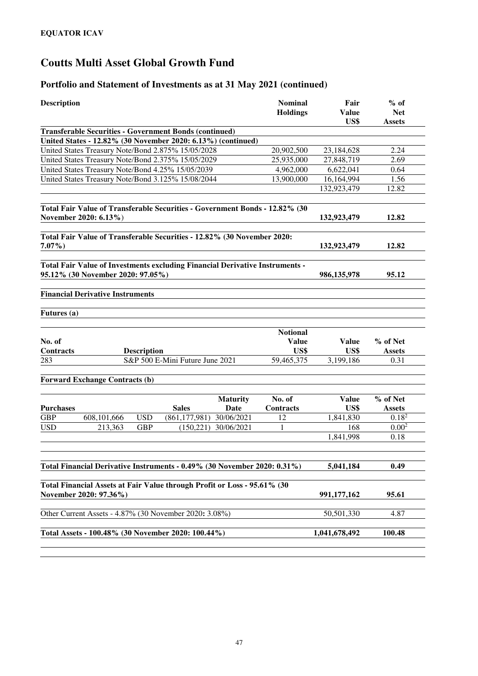## **Portfolio and Statement of Investments as at 31 May 2021 (continued)**

| <b>Description</b> |                                                                                                    |                    |                                 |                 | <b>Nominal</b>  | Fair                 | $%$ of                      |
|--------------------|----------------------------------------------------------------------------------------------------|--------------------|---------------------------------|-----------------|-----------------|----------------------|-----------------------------|
|                    |                                                                                                    |                    |                                 |                 | <b>Holdings</b> | <b>Value</b><br>US\$ | <b>Net</b><br><b>Assets</b> |
|                    | <b>Transferable Securities - Government Bonds (continued)</b>                                      |                    |                                 |                 |                 |                      |                             |
|                    | United States - 12.82% (30 November 2020: 6.13%) (continued)                                       |                    |                                 |                 |                 |                      |                             |
|                    | United States Treasury Note/Bond 2.875% 15/05/2028                                                 |                    |                                 |                 | 20,902,500      | 23,184,628           | 2.24                        |
|                    | United States Treasury Note/Bond 2.375% 15/05/2029                                                 |                    |                                 |                 | 25,935,000      | 27,848,719           | 2.69                        |
|                    | United States Treasury Note/Bond 4.25% 15/05/2039                                                  |                    |                                 |                 | 4,962,000       | 6,622,041            | 0.64                        |
|                    | United States Treasury Note/Bond 3.125% 15/08/2044                                                 |                    |                                 |                 | 13,900,000      | 16,164,994           | 1.56                        |
|                    |                                                                                                    |                    |                                 |                 |                 | 132,923,479          | 12.82                       |
|                    | Total Fair Value of Transferable Securities - Government Bonds - 12.82% (30                        |                    |                                 |                 |                 |                      |                             |
|                    | November 2020: 6.13%)                                                                              |                    |                                 |                 |                 | 132,923,479          | 12.82                       |
|                    | Total Fair Value of Transferable Securities - 12.82% (30 November 2020:                            |                    |                                 |                 |                 |                      |                             |
| $7.07\%$ )         |                                                                                                    |                    |                                 |                 |                 | 132,923,479          | 12.82                       |
|                    | Total Fair Value of Investments excluding Financial Derivative Instruments -                       |                    |                                 |                 |                 |                      |                             |
|                    | 95.12% (30 November 2020: 97.05%)                                                                  |                    |                                 |                 |                 | 986, 135, 978        | 95.12                       |
|                    | <b>Financial Derivative Instruments</b>                                                            |                    |                                 |                 |                 |                      |                             |
| Futures (a)        |                                                                                                    |                    |                                 |                 |                 |                      |                             |
|                    |                                                                                                    |                    |                                 |                 | <b>Notional</b> |                      |                             |
| No. of             |                                                                                                    |                    |                                 |                 | <b>Value</b>    | <b>Value</b>         | % of Net                    |
| Contracts          |                                                                                                    | <b>Description</b> |                                 |                 | US\$            | US\$                 | <b>Assets</b>               |
| 283                |                                                                                                    |                    | S&P 500 E-Mini Future June 2021 |                 | 59,465,375      | 3,199,186            | 0.31                        |
|                    | <b>Forward Exchange Contracts (b)</b>                                                              |                    |                                 |                 |                 |                      |                             |
|                    |                                                                                                    |                    |                                 | <b>Maturity</b> | No. of          | <b>Value</b>         | % of Net                    |
| <b>Purchases</b>   |                                                                                                    |                    | <b>Sales</b>                    | Date            | Contracts       | US\$                 | <b>Assets</b>               |
| <b>GBP</b>         | 608,101,666                                                                                        | <b>USD</b>         | (861, 177, 981)                 | 30/06/2021      | 12              | 1,841,830            | 0.18 <sup>2</sup>           |
| <b>USD</b>         | 213,363                                                                                            | <b>GBP</b>         | (150, 221)                      | 30/06/2021      | 1               | 168                  | 0.00 <sup>2</sup>           |
|                    |                                                                                                    |                    |                                 |                 |                 | 1,841,998            | 0.18                        |
|                    |                                                                                                    |                    |                                 |                 |                 |                      |                             |
|                    | Total Financial Derivative Instruments - 0.49% (30 November 2020: 0.31%)                           |                    |                                 |                 |                 | 5,041,184            | 0.49                        |
|                    |                                                                                                    |                    |                                 |                 |                 |                      |                             |
|                    | Total Financial Assets at Fair Value through Profit or Loss - 95.61% (30<br>November 2020: 97.36%) |                    |                                 |                 |                 | 991,177,162          | 95.61                       |
|                    | Other Current Assets - 4.87% (30 November 2020: 3.08%)                                             |                    |                                 |                 |                 | 50,501,330           | 4.87                        |
|                    | Total Assets - 100.48% (30 November 2020: 100.44%)                                                 |                    |                                 |                 |                 | 1,041,678,492        | 100.48                      |
|                    |                                                                                                    |                    |                                 |                 |                 |                      |                             |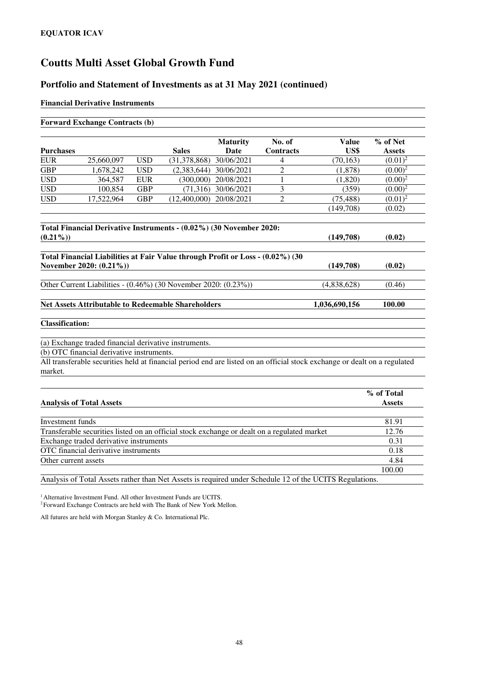#### **Portfolio and Statement of Investments as at 31 May 2021 (continued)**

#### **Financial Derivative Instruments**

|                                | <b>Forward Exchange Contracts (b)</b>     |            |                                                                                             |                    |                |                                                                                                                           |               |
|--------------------------------|-------------------------------------------|------------|---------------------------------------------------------------------------------------------|--------------------|----------------|---------------------------------------------------------------------------------------------------------------------------|---------------|
|                                |                                           |            |                                                                                             | <b>Maturity</b>    | No. of         | <b>Value</b>                                                                                                              | % of Net      |
| <b>Purchases</b><br><b>EUR</b> |                                           |            | <b>Sales</b>                                                                                | Date<br>30/06/2021 | Contracts      | US\$                                                                                                                      | <b>Assets</b> |
| <b>GBP</b>                     | 25,660,097                                | <b>USD</b> | (31, 378, 868)                                                                              |                    | 4              | (70, 163)                                                                                                                 | $(0.01)^2$    |
| <b>USD</b>                     | 1,678,242                                 | <b>USD</b> | (2,383,644)                                                                                 | 30/06/2021         | $\overline{c}$ | (1,878)                                                                                                                   | $(0.00)^2$    |
|                                | 364,587                                   | <b>EUR</b> | (300,000)                                                                                   | 20/08/2021         | 1              | (1,820)                                                                                                                   | $(0.00)^2$    |
| <b>USD</b>                     | 100,854                                   | <b>GBP</b> | (71, 316)                                                                                   | 30/06/2021         | 3              | (359)                                                                                                                     | $(0.00)^2$    |
| <b>USD</b>                     | 17,522,964                                | <b>GBP</b> | (12,400,000)                                                                                | 20/08/2021         | $\overline{2}$ | (75, 488)                                                                                                                 | $(0.01)^2$    |
|                                |                                           |            |                                                                                             |                    |                | (149,708)                                                                                                                 | (0.02)        |
|                                |                                           |            | Total Financial Derivative Instruments - (0.02%) (30 November 2020:                         |                    |                |                                                                                                                           |               |
| $(0.21\%)$                     |                                           |            |                                                                                             |                    |                | (149,708)                                                                                                                 | (0.02)        |
|                                | November 2020: (0.21%))                   |            | Total Financial Liabilities at Fair Value through Profit or Loss - (0.02%) (30              |                    |                | (149,708)                                                                                                                 | (0.02)        |
|                                |                                           |            | Other Current Liabilities - (0.46%) (30 November 2020: (0.23%))                             |                    |                | (4,838,628)                                                                                                               | (0.46)        |
|                                |                                           |            | <b>Net Assets Attributable to Redeemable Shareholders</b>                                   |                    |                | 1,036,690,156                                                                                                             | 100.00        |
| <b>Classification:</b>         |                                           |            |                                                                                             |                    |                |                                                                                                                           |               |
|                                | (b) OTC financial derivative instruments. |            | (a) Exchange traded financial derivative instruments.                                       |                    |                |                                                                                                                           |               |
|                                |                                           |            |                                                                                             |                    |                | All transferable securities held at financial period end are listed on an official stock exchange or dealt on a regulated |               |
| market.                        |                                           |            |                                                                                             |                    |                |                                                                                                                           |               |
|                                |                                           |            |                                                                                             |                    |                |                                                                                                                           | % of Total    |
|                                | <b>Analysis of Total Assets</b>           |            |                                                                                             |                    |                |                                                                                                                           | <b>Assets</b> |
| Investment funds               |                                           |            |                                                                                             |                    |                |                                                                                                                           | 81.91         |
|                                |                                           |            | Transferable securities listed on an official stock exchange or dealt on a regulated market |                    |                |                                                                                                                           | 12.76         |
|                                | Exchange traded derivative instruments    |            |                                                                                             |                    |                |                                                                                                                           | 0.31          |
|                                | OTC financial derivative instruments      |            |                                                                                             |                    |                |                                                                                                                           | 0.18          |
| Other current assets           |                                           |            |                                                                                             |                    |                |                                                                                                                           | 4.84          |

Analysis of Total Assets rather than Net Assets is required under Schedule 12 of the UCITS Regulations.

100.00

<sup>1</sup> Alternative Investment Fund. All other Investment Funds are UCITS.

<sup>2</sup>Forward Exchange Contracts are held with The Bank of New York Mellon.

All futures are held with Morgan Stanley & Co. International Plc.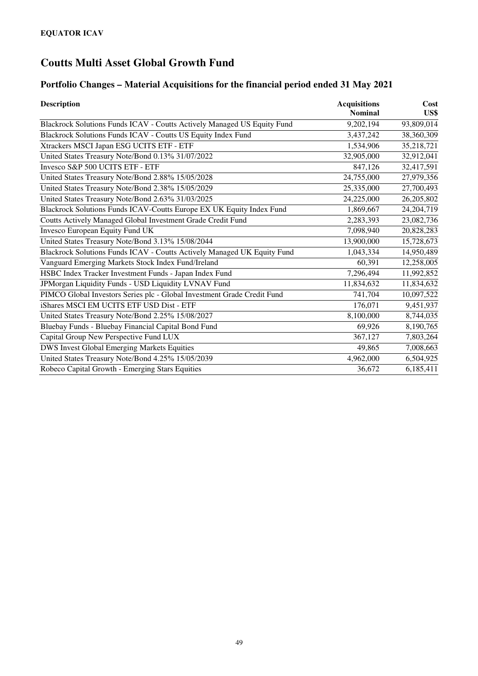### **Portfolio Changes – Material Acquisitions for the financial period ended 31 May 2021**

| <b>Description</b>                                                      | <b>Acquisitions</b><br><b>Nominal</b> | Cost<br>US\$ |
|-------------------------------------------------------------------------|---------------------------------------|--------------|
| Blackrock Solutions Funds ICAV - Coutts Actively Managed US Equity Fund | 9,202,194                             | 93,809,014   |
| Blackrock Solutions Funds ICAV - Coutts US Equity Index Fund            | 3,437,242                             | 38,360,309   |
| Xtrackers MSCI Japan ESG UCITS ETF - ETF                                | 1,534,906                             | 35,218,721   |
| United States Treasury Note/Bond 0.13% 31/07/2022                       | 32,905,000                            | 32,912,041   |
| Invesco S&P 500 UCITS ETF - ETF                                         | 847,126                               | 32,417,591   |
| United States Treasury Note/Bond 2.88% 15/05/2028                       | 24,755,000                            | 27,979,356   |
| United States Treasury Note/Bond 2.38% 15/05/2029                       | 25,335,000                            | 27,700,493   |
| United States Treasury Note/Bond 2.63% 31/03/2025                       | 24,225,000                            | 26,205,802   |
| Blackrock Solutions Funds ICAV-Coutts Europe EX UK Equity Index Fund    | 1,869,667                             | 24, 204, 719 |
| Coutts Actively Managed Global Investment Grade Credit Fund             | 2,283,393                             | 23,082,736   |
| Invesco European Equity Fund UK                                         | 7,098,940                             | 20,828,283   |
| United States Treasury Note/Bond 3.13% 15/08/2044                       | 13,900,000                            | 15,728,673   |
| Blackrock Solutions Funds ICAV - Coutts Actively Managed UK Equity Fund | 1,043,334                             | 14,950,489   |
| Vanguard Emerging Markets Stock Index Fund/Ireland                      | 60,391                                | 12,258,005   |
| HSBC Index Tracker Investment Funds - Japan Index Fund                  | 7,296,494                             | 11,992,852   |
| JPMorgan Liquidity Funds - USD Liquidity LVNAV Fund                     | 11,834,632                            | 11,834,632   |
| PIMCO Global Investors Series plc - Global Investment Grade Credit Fund | 741,704                               | 10,097,522   |
| iShares MSCI EM UCITS ETF USD Dist - ETF                                | 176,071                               | 9,451,937    |
| United States Treasury Note/Bond 2.25% 15/08/2027                       | 8,100,000                             | 8,744,035    |
| Bluebay Funds - Bluebay Financial Capital Bond Fund                     | 69,926                                | 8,190,765    |
| Capital Group New Perspective Fund LUX                                  | 367,127                               | 7,803,264    |
| DWS Invest Global Emerging Markets Equities                             | 49,865                                | 7,008,663    |
| United States Treasury Note/Bond 4.25% 15/05/2039                       | 4,962,000                             | 6,504,925    |
| Robeco Capital Growth - Emerging Stars Equities                         | 36,672                                | 6,185,411    |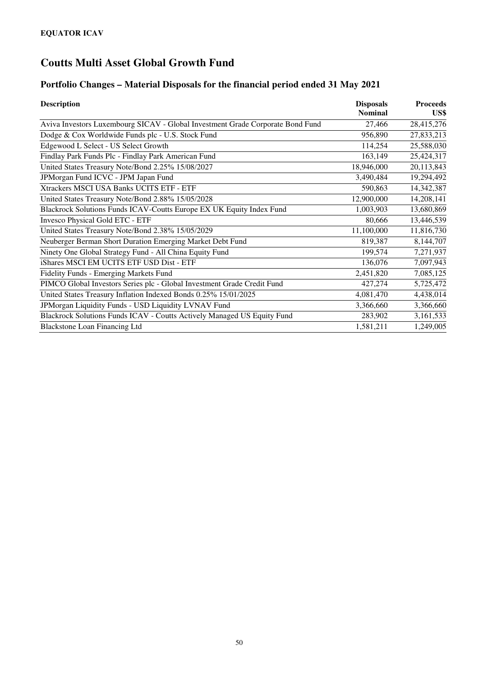### **Portfolio Changes – Material Disposals for the financial period ended 31 May 2021**

| <b>Description</b>                                                             | <b>Disposals</b> | <b>Proceeds</b> |
|--------------------------------------------------------------------------------|------------------|-----------------|
|                                                                                | <b>Nominal</b>   | US\$            |
| Aviva Investors Luxembourg SICAV - Global Investment Grade Corporate Bond Fund | 27,466           | 28,415,276      |
| Dodge & Cox Worldwide Funds plc - U.S. Stock Fund                              | 956,890          | 27,833,213      |
| Edgewood L Select - US Select Growth                                           | 114,254          | 25,588,030      |
| Findlay Park Funds Plc - Findlay Park American Fund                            | 163,149          | 25,424,317      |
| United States Treasury Note/Bond 2.25% 15/08/2027                              | 18,946,000       | 20,113,843      |
| JPMorgan Fund ICVC - JPM Japan Fund                                            | 3,490,484        | 19,294,492      |
| Xtrackers MSCI USA Banks UCITS ETF - ETF                                       | 590,863          | 14,342,387      |
| United States Treasury Note/Bond 2.88% 15/05/2028                              | 12,900,000       | 14,208,141      |
| Blackrock Solutions Funds ICAV-Coutts Europe EX UK Equity Index Fund           | 1,003,903        | 13,680,869      |
| <b>Invesco Physical Gold ETC - ETF</b>                                         | 80,666           | 13,446,539      |
| United States Treasury Note/Bond 2.38% 15/05/2029                              | 11,100,000       | 11,816,730      |
| Neuberger Berman Short Duration Emerging Market Debt Fund                      | 819,387          | 8,144,707       |
| Ninety One Global Strategy Fund - All China Equity Fund                        | 199,574          | 7,271,937       |
| iShares MSCI EM UCITS ETF USD Dist - ETF                                       | 136,076          | 7,097,943       |
| Fidelity Funds - Emerging Markets Fund                                         | 2,451,820        | 7,085,125       |
| PIMCO Global Investors Series plc - Global Investment Grade Credit Fund        | 427,274          | 5,725,472       |
| United States Treasury Inflation Indexed Bonds 0.25% 15/01/2025                | 4,081,470        | 4,438,014       |
| JPMorgan Liquidity Funds - USD Liquidity LVNAV Fund                            | 3,366,660        | 3,366,660       |
| Blackrock Solutions Funds ICAV - Coutts Actively Managed US Equity Fund        | 283,902          | 3,161,533       |
| <b>Blackstone Loan Financing Ltd</b>                                           | 1,581,211        | 1,249,005       |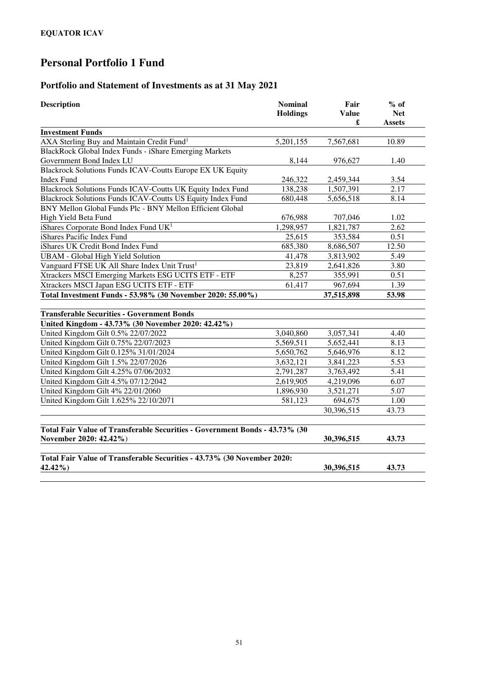### **Portfolio and Statement of Investments as at 31 May 2021**

| <b>Nominal</b><br><b>Description</b>                                        |                 | Fair         | $%$ of        |  |
|-----------------------------------------------------------------------------|-----------------|--------------|---------------|--|
|                                                                             | <b>Holdings</b> | <b>Value</b> | <b>Net</b>    |  |
|                                                                             |                 | £            | <b>Assets</b> |  |
| <b>Investment Funds</b>                                                     |                 |              |               |  |
| AXA Sterling Buy and Maintain Credit Fund <sup>1</sup>                      | 5,201,155       | 7,567,681    | 10.89         |  |
| BlackRock Global Index Funds - iShare Emerging Markets                      |                 |              |               |  |
| Government Bond Index LU                                                    | 8,144           | 976,627      | 1.40          |  |
| Blackrock Solutions Funds ICAV-Coutts Europe EX UK Equity                   |                 |              |               |  |
| <b>Index Fund</b>                                                           | 246,322         | 2,459,344    | 3.54          |  |
| Blackrock Solutions Funds ICAV-Coutts UK Equity Index Fund                  | 138,238         | 1,507,391    | 2.17          |  |
| Blackrock Solutions Funds ICAV-Coutts US Equity Index Fund                  | 680,448         | 5,656,518    | 8.14          |  |
| BNY Mellon Global Funds Plc - BNY Mellon Efficient Global                   |                 |              |               |  |
| High Yield Beta Fund                                                        | 676,988         | 707,046      | 1.02          |  |
| iShares Corporate Bond Index Fund UK <sup>1</sup>                           | 1,298,957       | 1,821,787    | 2.62          |  |
| iShares Pacific Index Fund                                                  | 25,615          | 353,584      | 0.51          |  |
| iShares UK Credit Bond Index Fund                                           | 685,380         | 8,686,507    | 12.50         |  |
| <b>UBAM</b> - Global High Yield Solution                                    | 41,478          | 3,813,902    | 5.49          |  |
| Vanguard FTSE UK All Share Index Unit Trust <sup>1</sup>                    | 23,819          | 2,641,826    | 3.80          |  |
| Xtrackers MSCI Emerging Markets ESG UCITS ETF - ETF                         | 8,257           | 355,991      | 0.51          |  |
| Xtrackers MSCI Japan ESG UCITS ETF - ETF                                    | 61,417          | 967,694      | 1.39          |  |
| Total Investment Funds - 53.98% (30 November 2020: 55.00%)                  |                 | 37,515,898   | 53.98         |  |
| <b>Transferable Securities - Government Bonds</b>                           |                 |              |               |  |
| United Kingdom - 43.73% (30 November 2020: 42.42%)                          |                 |              |               |  |
| United Kingdom Gilt 0.5% 22/07/2022                                         | 3,040,860       | 3,057,341    | 4.40          |  |
| United Kingdom Gilt 0.75% 22/07/2023                                        | 5,569,511       | 5,652,441    | 8.13          |  |
| United Kingdom Gilt 0.125% 31/01/2024                                       | 5,650,762       | 5,646,976    | 8.12          |  |
| United Kingdom Gilt 1.5% 22/07/2026                                         | 3,632,121       | 3,841,223    | 5.53          |  |
| United Kingdom Gilt 4.25% 07/06/2032                                        | 2,791,287       | 3,763,492    | 5.41          |  |
| United Kingdom Gilt 4.5% 07/12/2042                                         | 2,619,905       | 4,219,096    | 6.07          |  |
| United Kingdom Gilt 4% 22/01/2060                                           | 1,896,930       | 3,521,271    | 5.07          |  |
| United Kingdom Gilt 1.625% 22/10/2071                                       | 581,123         | 694,675      | 1.00          |  |
|                                                                             |                 | 30,396,515   | 43.73         |  |
|                                                                             |                 |              |               |  |
| Total Fair Value of Transferable Securities - Government Bonds - 43.73% (30 |                 |              | 43.73         |  |
| November 2020: 42.42%)                                                      |                 | 30,396,515   |               |  |
| Total Fair Value of Transferable Securities - 43.73% (30 November 2020:     |                 |              |               |  |
| 42.42%)                                                                     |                 | 30,396,515   | 43.73         |  |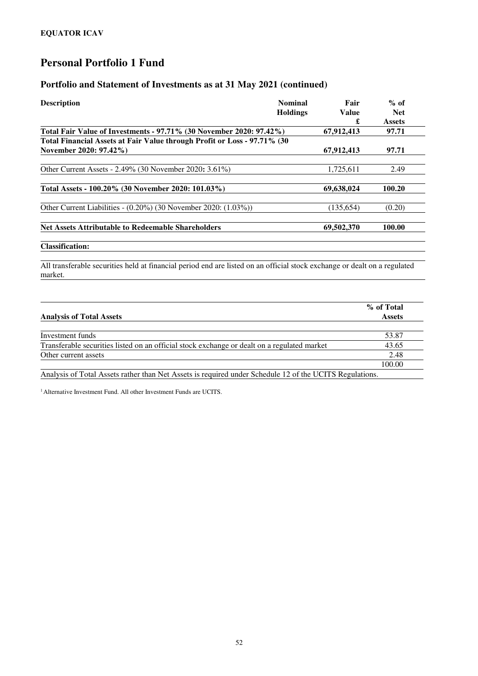#### **Portfolio and Statement of Investments as at 31 May 2021 (continued)**

| <b>Description</b>                                                                                                                   | <b>Nominal</b>  | Fair              | $%$ of                      |
|--------------------------------------------------------------------------------------------------------------------------------------|-----------------|-------------------|-----------------------------|
|                                                                                                                                      | <b>Holdings</b> | <b>Value</b><br>£ | <b>Net</b><br><b>Assets</b> |
| Total Fair Value of Investments - 97.71% (30 November 2020: 97.42%)                                                                  |                 | 67,912,413        | 97.71                       |
| Total Financial Assets at Fair Value through Profit or Loss - 97.71% (30                                                             |                 |                   |                             |
| November 2020: 97.42%)                                                                                                               |                 | 67,912,413        | 97.71                       |
| Other Current Assets - 2.49% (30 November 2020: 3.61%)                                                                               |                 | 1,725,611         | 2.49                        |
| Total Assets - 100.20% (30 November 2020: 101.03%)                                                                                   |                 | 69,638,024        | 100.20                      |
| Other Current Liabilities - (0.20%) (30 November 2020: (1.03%))                                                                      |                 | (135, 654)        | (0.20)                      |
| <b>Net Assets Attributable to Redeemable Shareholders</b>                                                                            |                 | 69,502,370        | 100.00                      |
| <b>Classification:</b>                                                                                                               |                 |                   |                             |
| All transferable securities held at financial period end are listed on an official stock exchange or dealt on a regulated<br>market. |                 |                   |                             |

|                                                                                                         | % of Total    |
|---------------------------------------------------------------------------------------------------------|---------------|
| <b>Analysis of Total Assets</b>                                                                         | <b>Assets</b> |
|                                                                                                         |               |
| Investment funds                                                                                        | 53.87         |
| Transferable securities listed on an official stock exchange or dealt on a regulated market             | 43.65         |
| Other current assets                                                                                    | 2.48          |
|                                                                                                         | 100.00        |
| Analysis of Total Assets rather than Net Assets is required under Schedule 12 of the UCITS Regulations. |               |

<sup>1</sup> Alternative Investment Fund. All other Investment Funds are UCITS.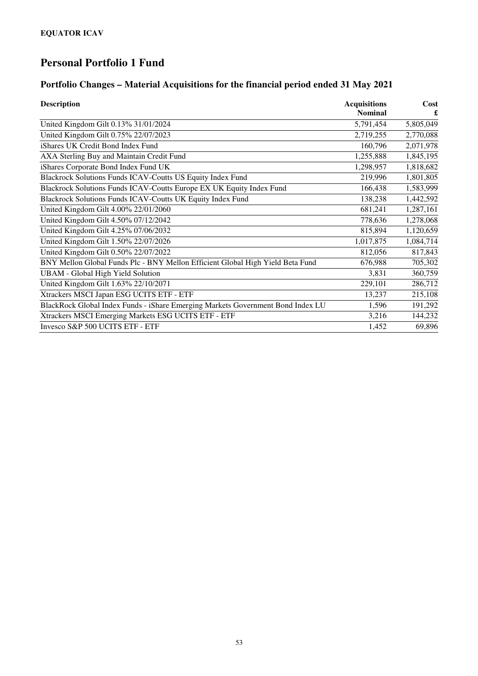### **Portfolio Changes – Material Acquisitions for the financial period ended 31 May 2021**

| <b>Description</b>                                                              | <b>Acquisitions</b> | Cost      |
|---------------------------------------------------------------------------------|---------------------|-----------|
|                                                                                 | <b>Nominal</b>      |           |
| United Kingdom Gilt 0.13% 31/01/2024                                            | 5,791,454           | 5,805,049 |
| United Kingdom Gilt 0.75% 22/07/2023                                            | 2,719,255           | 2,770,088 |
| iShares UK Credit Bond Index Fund                                               | 160,796             | 2,071,978 |
| AXA Sterling Buy and Maintain Credit Fund                                       | 1,255,888           | 1,845,195 |
| iShares Corporate Bond Index Fund UK                                            | 1,298,957           | 1,818,682 |
| Blackrock Solutions Funds ICAV-Coutts US Equity Index Fund                      | 219,996             | 1,801,805 |
| Blackrock Solutions Funds ICAV-Coutts Europe EX UK Equity Index Fund            | 166,438             | 1,583,999 |
| Blackrock Solutions Funds ICAV-Coutts UK Equity Index Fund                      | 138,238             | 1,442,592 |
| United Kingdom Gilt 4.00% 22/01/2060                                            | 681,241             | 1,287,161 |
| United Kingdom Gilt 4.50% 07/12/2042                                            | 778,636             | 1,278,068 |
| United Kingdom Gilt 4.25% 07/06/2032                                            | 815,894             | 1,120,659 |
| United Kingdom Gilt 1.50% 22/07/2026                                            | 1,017,875           | 1,084,714 |
| United Kingdom Gilt 0.50% 22/07/2022                                            | 812,056             | 817,843   |
| BNY Mellon Global Funds Plc - BNY Mellon Efficient Global High Yield Beta Fund  | 676,988             | 705,302   |
| <b>UBAM</b> - Global High Yield Solution                                        | 3,831               | 360,759   |
| United Kingdom Gilt 1.63% 22/10/2071                                            | 229,101             | 286,712   |
| Xtrackers MSCI Japan ESG UCITS ETF - ETF                                        | 13,237              | 215,108   |
| BlackRock Global Index Funds - iShare Emerging Markets Government Bond Index LU | 1,596               | 191,292   |
| Xtrackers MSCI Emerging Markets ESG UCITS ETF - ETF                             | 3,216               | 144,232   |
| Invesco S&P 500 UCITS ETF - ETF                                                 | 1,452               | 69,896    |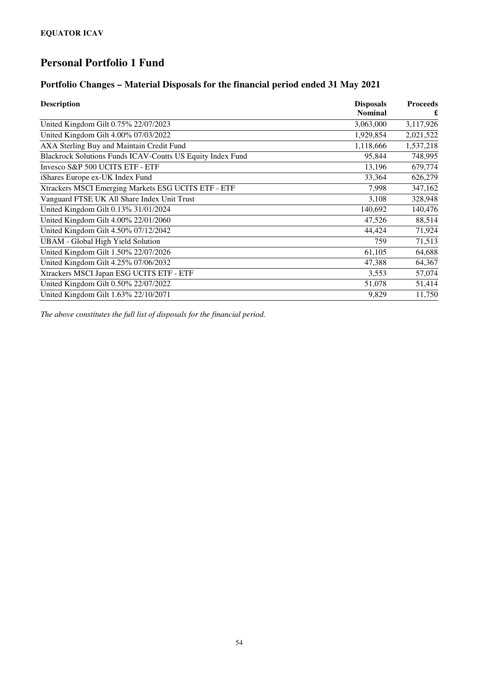#### **Portfolio Changes – Material Disposals for the financial period ended 31 May 2021**

| <b>Description</b>                                         | <b>Disposals</b> | <b>Proceeds</b> |
|------------------------------------------------------------|------------------|-----------------|
|                                                            | <b>Nominal</b>   | £               |
| United Kingdom Gilt 0.75% 22/07/2023                       | 3,063,000        | 3,117,926       |
| United Kingdom Gilt 4.00% 07/03/2022                       | 1,929,854        | 2,021,522       |
| AXA Sterling Buy and Maintain Credit Fund                  | 1,118,666        | 1,537,218       |
| Blackrock Solutions Funds ICAV-Coutts US Equity Index Fund | 95,844           | 748,995         |
| Invesco S&P 500 UCITS ETF - ETF                            | 13,196           | 679,774         |
| iShares Europe ex-UK Index Fund                            | 33,364           | 626,279         |
| Xtrackers MSCI Emerging Markets ESG UCITS ETF - ETF        | 7,998            | 347,162         |
| Vanguard FTSE UK All Share Index Unit Trust                | 3,108            | 328,948         |
| United Kingdom Gilt 0.13% 31/01/2024                       | 140,692          | 140,476         |
| United Kingdom Gilt 4.00% 22/01/2060                       | 47,526           | 88,514          |
| United Kingdom Gilt 4.50% 07/12/2042                       | 44,424           | 71,924          |
| <b>UBAM</b> - Global High Yield Solution                   | 759              | 71,513          |
| United Kingdom Gilt 1.50% 22/07/2026                       | 61,105           | 64,688          |
| United Kingdom Gilt 4.25% 07/06/2032                       | 47,388           | 64,367          |
| Xtrackers MSCI Japan ESG UCITS ETF - ETF                   | 3,553            | 57,074          |
| United Kingdom Gilt 0.50% 22/07/2022                       | 51,078           | 51,414          |
| United Kingdom Gilt 1.63% 22/10/2071                       | 9,829            | 11,750          |

*The above constitutes the full list of disposals for the financial period.*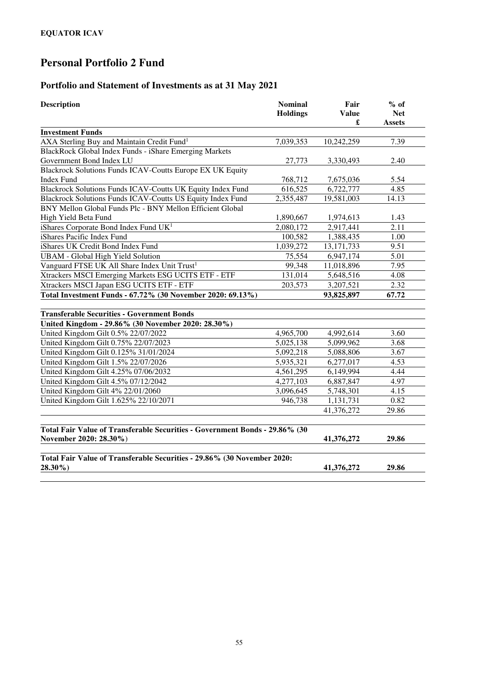### **Portfolio and Statement of Investments as at 31 May 2021**

| <b>Description</b>                                                          | <b>Nominal</b>  | Fair<br><b>Value</b> | $%$ of<br><b>Net</b> |
|-----------------------------------------------------------------------------|-----------------|----------------------|----------------------|
|                                                                             | <b>Holdings</b> | £                    | <b>Assets</b>        |
| <b>Investment Funds</b>                                                     |                 |                      |                      |
| AXA Sterling Buy and Maintain Credit Fund <sup>1</sup>                      | 7,039,353       | 10,242,259           | 7.39                 |
| BlackRock Global Index Funds - iShare Emerging Markets                      |                 |                      |                      |
| Government Bond Index LU                                                    | 27,773          | 3,330,493            | 2.40                 |
| Blackrock Solutions Funds ICAV-Coutts Europe EX UK Equity                   |                 |                      |                      |
| <b>Index Fund</b>                                                           | 768,712         | 7,675,036            | 5.54                 |
| Blackrock Solutions Funds ICAV-Coutts UK Equity Index Fund                  | 616,525         | 6,722,777            | 4.85                 |
| Blackrock Solutions Funds ICAV-Coutts US Equity Index Fund                  | 2,355,487       | 19,581,003           | 14.13                |
| BNY Mellon Global Funds Plc - BNY Mellon Efficient Global                   |                 |                      |                      |
| High Yield Beta Fund                                                        | 1,890,667       | 1,974,613            | 1.43                 |
| iShares Corporate Bond Index Fund UK <sup>1</sup>                           | 2,080,172       | 2,917,441            | 2.11                 |
| iShares Pacific Index Fund                                                  | 100,582         | 1,388,435            | 1.00                 |
| iShares UK Credit Bond Index Fund                                           | 1,039,272       | 13, 171, 733         | 9.51                 |
| <b>UBAM</b> - Global High Yield Solution                                    | 75,554          | 6,947,174            | 5.01                 |
| Vanguard FTSE UK All Share Index Unit Trust <sup>1</sup>                    | 99,348          | 11,018,896           | 7.95                 |
| Xtrackers MSCI Emerging Markets ESG UCITS ETF - ETF                         | 131,014         | 5,648,516            | 4.08                 |
| Xtrackers MSCI Japan ESG UCITS ETF - ETF                                    | 203,573         | 3,207,521            | 2.32                 |
| Total Investment Funds - 67.72% (30 November 2020: 69.13%)                  |                 | 93,825,897           | 67.72                |
|                                                                             |                 |                      |                      |
| <b>Transferable Securities - Government Bonds</b>                           |                 |                      |                      |
| United Kingdom - 29.86% (30 November 2020: 28.30%)                          |                 |                      |                      |
| United Kingdom Gilt 0.5% 22/07/2022                                         | 4,965,700       | 4,992,614            | 3.60                 |
| United Kingdom Gilt 0.75% 22/07/2023                                        | 5,025,138       | 5,099,962            | 3.68                 |
| United Kingdom Gilt 0.125% 31/01/2024                                       | 5,092,218       | 5,088,806            | 3.67                 |
| United Kingdom Gilt 1.5% 22/07/2026                                         | 5,935,321       | 6,277,017            | 4.53                 |
| United Kingdom Gilt 4.25% 07/06/2032                                        | 4,561,295       | 6,149,994            | 4.44                 |
| United Kingdom Gilt 4.5% 07/12/2042                                         | 4,277,103       | 6,887,847            | 4.97                 |
| United Kingdom Gilt 4% 22/01/2060                                           | 3,096,645       | 5,748,301            | 4.15                 |
| United Kingdom Gilt 1.625% 22/10/2071                                       | 946,738         | 1,131,731            | 0.82                 |
|                                                                             |                 | 41,376,272           | 29.86                |
| Total Fair Value of Transferable Securities - Government Bonds - 29.86% (30 |                 |                      |                      |
| November 2020: 28.30%)                                                      |                 | 41,376,272           | 29.86                |
|                                                                             |                 |                      |                      |
| Total Fair Value of Transferable Securities - 29.86% (30 November 2020:     |                 |                      |                      |
| 28.30%)                                                                     |                 | 41,376,272           | 29.86                |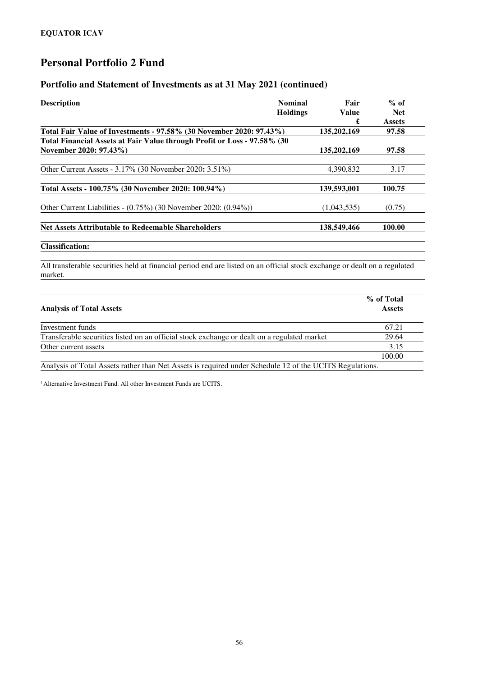#### **Portfolio and Statement of Investments as at 31 May 2021 (continued)**

| <b>Description</b>                                                        | <b>Nominal</b>  | Fair         | $%$ of        |
|---------------------------------------------------------------------------|-----------------|--------------|---------------|
|                                                                           | <b>Holdings</b> | <b>Value</b> | <b>Net</b>    |
|                                                                           |                 | £            | <b>Assets</b> |
| Total Fair Value of Investments - 97.58% (30 November 2020: 97.43%)       |                 | 135,202,169  | 97.58         |
| Total Financial Assets at Fair Value through Profit or Loss - 97.58% (30) |                 |              |               |
| November 2020: 97.43%)                                                    |                 | 135,202,169  | 97.58         |
| Other Current Assets - 3.17% (30 November 2020: 3.51%)                    |                 | 4.390.832    | 3.17          |
|                                                                           |                 |              |               |
| Total Assets - 100.75% (30 November 2020: 100.94%)                        |                 | 139,593,001  | 100.75        |
| Other Current Liabilities - $(0.75\%)$ (30 November 2020: $(0.94\%)$ )    |                 | (1,043,535)  | (0.75)        |
| <b>Net Assets Attributable to Redeemable Shareholders</b>                 |                 | 138,549,466  | 100.00        |
|                                                                           |                 |              |               |
| <b>Classification:</b>                                                    |                 |              |               |
|                                                                           |                 |              |               |

All transferable securities held at financial period end are listed on an official stock exchange or dealt on a regulated market.

| <b>Analysis of Total Assets</b>                                                                         | % of Total<br><b>Assets</b> |
|---------------------------------------------------------------------------------------------------------|-----------------------------|
|                                                                                                         |                             |
| Investment funds                                                                                        | 67.21                       |
| Transferable securities listed on an official stock exchange or dealt on a regulated market             | 29.64                       |
| Other current assets                                                                                    | 3.15                        |
|                                                                                                         | 100.00                      |
| Analysis of Total Assets rather than Net Assets is required under Schedule 12 of the UCITS Regulations. |                             |

<sup>1</sup> Alternative Investment Fund. All other Investment Funds are UCITS.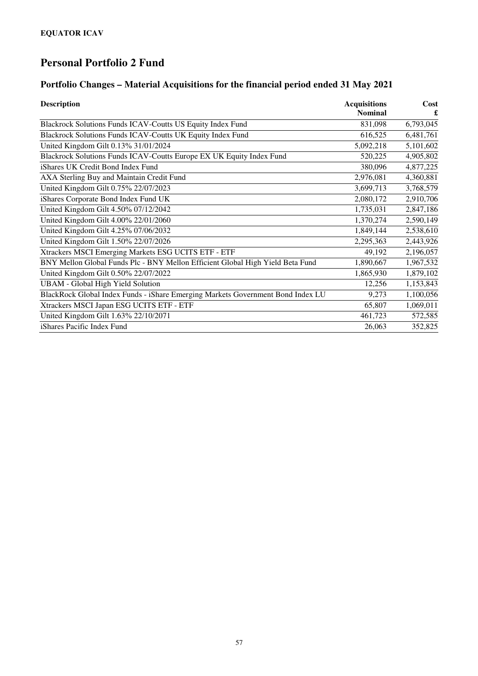### **Portfolio Changes – Material Acquisitions for the financial period ended 31 May 2021**

| <b>Description</b>                                                              | <b>Acquisitions</b> | Cost      |
|---------------------------------------------------------------------------------|---------------------|-----------|
|                                                                                 | <b>Nominal</b>      |           |
| Blackrock Solutions Funds ICAV-Coutts US Equity Index Fund                      | 831,098             | 6,793,045 |
| Blackrock Solutions Funds ICAV-Coutts UK Equity Index Fund                      | 616,525             | 6,481,761 |
| United Kingdom Gilt 0.13% 31/01/2024                                            | 5,092,218           | 5,101,602 |
| Blackrock Solutions Funds ICAV-Coutts Europe EX UK Equity Index Fund            | 520,225             | 4,905,802 |
| iShares UK Credit Bond Index Fund                                               | 380,096             | 4,877,225 |
| AXA Sterling Buy and Maintain Credit Fund                                       | 2,976,081           | 4,360,881 |
| United Kingdom Gilt 0.75% 22/07/2023                                            | 3,699,713           | 3,768,579 |
| iShares Corporate Bond Index Fund UK                                            | 2,080,172           | 2,910,706 |
| United Kingdom Gilt 4.50% 07/12/2042                                            | 1,735,031           | 2,847,186 |
| United Kingdom Gilt 4.00% 22/01/2060                                            | 1,370,274           | 2,590,149 |
| United Kingdom Gilt 4.25% 07/06/2032                                            | 1,849,144           | 2,538,610 |
| United Kingdom Gilt 1.50% 22/07/2026                                            | 2,295,363           | 2,443,926 |
| Xtrackers MSCI Emerging Markets ESG UCITS ETF - ETF                             | 49,192              | 2,196,057 |
| BNY Mellon Global Funds Plc - BNY Mellon Efficient Global High Yield Beta Fund  | 1,890,667           | 1,967,532 |
| United Kingdom Gilt 0.50% 22/07/2022                                            | 1,865,930           | 1,879,102 |
| <b>UBAM</b> - Global High Yield Solution                                        | 12,256              | 1,153,843 |
| BlackRock Global Index Funds - iShare Emerging Markets Government Bond Index LU | 9,273               | 1,100,056 |
| Xtrackers MSCI Japan ESG UCITS ETF - ETF                                        | 65,807              | 1,069,011 |
| United Kingdom Gilt 1.63% 22/10/2071                                            | 461,723             | 572,585   |
| iShares Pacific Index Fund                                                      | 26,063              | 352,825   |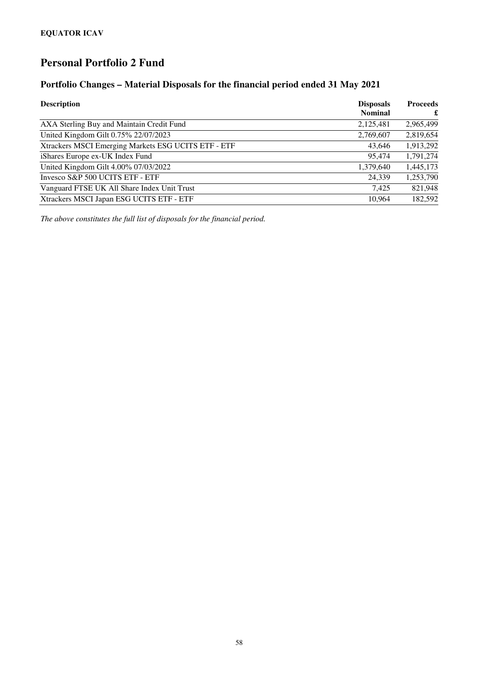#### **Portfolio Changes – Material Disposals for the financial period ended 31 May 2021**

| <b>Description</b>                                  | <b>Disposals</b><br><b>Nominal</b> | <b>Proceeds</b><br>£ |
|-----------------------------------------------------|------------------------------------|----------------------|
| AXA Sterling Buy and Maintain Credit Fund           | 2,125,481                          | 2,965,499            |
| United Kingdom Gilt 0.75% 22/07/2023                | 2,769,607                          | 2,819,654            |
| Xtrackers MSCI Emerging Markets ESG UCITS ETF - ETF | 43,646                             | 1,913,292            |
| iShares Europe ex-UK Index Fund                     | 95,474                             | 1,791,274            |
| United Kingdom Gilt 4.00% 07/03/2022                | 1,379,640                          | 1,445,173            |
| Invesco S&P 500 UCITS ETF - ETF                     | 24,339                             | 1,253,790            |
| Vanguard FTSE UK All Share Index Unit Trust         | 7.425                              | 821,948              |
| Xtrackers MSCI Japan ESG UCITS ETF - ETF            | 10.964                             | 182,592              |

*The above constitutes the full list of disposals for the financial period.*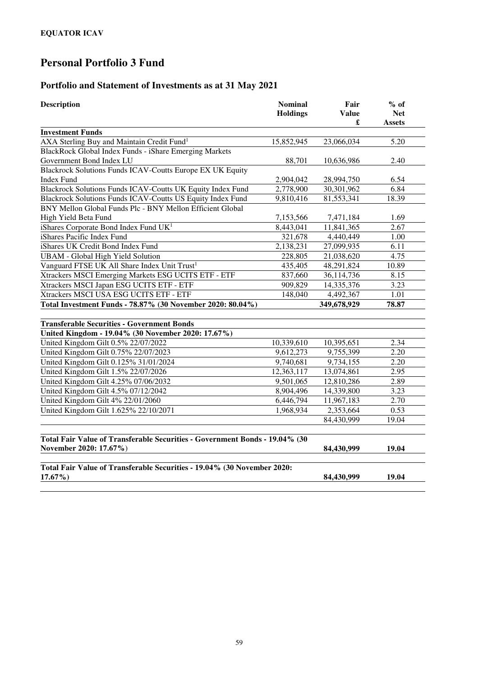### **Portfolio and Statement of Investments as at 31 May 2021**

| <b>Description</b>                                                          | <b>Nominal</b><br><b>Holdings</b> | Fair<br><b>Value</b><br>£ | $%$ of<br><b>Net</b><br><b>Assets</b> |
|-----------------------------------------------------------------------------|-----------------------------------|---------------------------|---------------------------------------|
| <b>Investment Funds</b>                                                     |                                   |                           |                                       |
| AXA Sterling Buy and Maintain Credit Fund <sup>1</sup>                      | 15,852,945                        | 23,066,034                | 5.20                                  |
| BlackRock Global Index Funds - iShare Emerging Markets                      |                                   |                           |                                       |
| Government Bond Index LU                                                    | 88,701                            | 10,636,986                | 2.40                                  |
| Blackrock Solutions Funds ICAV-Coutts Europe EX UK Equity                   |                                   |                           |                                       |
| Index Fund                                                                  | 2,904,042                         | 28,994,750                | 6.54                                  |
| Blackrock Solutions Funds ICAV-Coutts UK Equity Index Fund                  | 2,778,900                         | 30,301,962                | 6.84                                  |
| Blackrock Solutions Funds ICAV-Coutts US Equity Index Fund                  | 9,810,416                         | 81,553,341                | 18.39                                 |
| BNY Mellon Global Funds Plc - BNY Mellon Efficient Global                   |                                   |                           |                                       |
| High Yield Beta Fund                                                        | 7,153,566                         | 7,471,184                 | 1.69                                  |
| iShares Corporate Bond Index Fund UK <sup>1</sup>                           | 8,443,041                         | 11,841,365                | 2.67                                  |
| iShares Pacific Index Fund                                                  | 321,678                           | 4,440,449                 | 1.00                                  |
| iShares UK Credit Bond Index Fund                                           | 2,138,231                         | 27,099,935                | 6.11                                  |
| <b>UBAM</b> - Global High Yield Solution                                    | 228,805                           | 21,038,620                | 4.75                                  |
| Vanguard FTSE UK All Share Index Unit Trust <sup>1</sup>                    | 435,405                           | 48,291,824                | 10.89                                 |
| Xtrackers MSCI Emerging Markets ESG UCITS ETF - ETF                         | 837,660                           | 36,114,736                | 8.15                                  |
| Xtrackers MSCI Japan ESG UCITS ETF - ETF                                    | 909,829                           | 14,335,376                | 3.23                                  |
| Xtrackers MSCI USA ESG UCITS ETF - ETF                                      | 148,040                           | 4,492,367                 | 1.01                                  |
| Total Investment Funds - 78.87% (30 November 2020: 80.04%)                  |                                   | 349,678,929               | 78.87                                 |
| <b>Transferable Securities - Government Bonds</b>                           |                                   |                           |                                       |
| United Kingdom - 19.04% (30 November 2020: 17.67%)                          |                                   |                           |                                       |
| United Kingdom Gilt 0.5% 22/07/2022                                         | 10,339,610                        | 10,395,651                | 2.34                                  |
| United Kingdom Gilt 0.75% 22/07/2023                                        | 9,612,273                         | 9,755,399                 | 2.20                                  |
| United Kingdom Gilt 0.125% 31/01/2024                                       | 9,740,681                         | 9,734,155                 | 2.20                                  |
| United Kingdom Gilt 1.5% 22/07/2026                                         | 12,363,117                        | 13,074,861                | 2.95                                  |
| United Kingdom Gilt 4.25% 07/06/2032                                        | 9,501,065                         | 12,810,286                | 2.89                                  |
| United Kingdom Gilt 4.5% 07/12/2042                                         | 8,904,496                         | 14,339,800                | 3.23                                  |
| United Kingdom Gilt 4% 22/01/2060                                           | 6,446,794                         | 11,967,183                | 2.70                                  |
| United Kingdom Gilt 1.625% 22/10/2071                                       | 1,968,934                         | 2,353,664                 | 0.53                                  |
|                                                                             |                                   | 84,430,999                | 19.04                                 |
|                                                                             |                                   |                           |                                       |
| Total Fair Value of Transferable Securities - Government Bonds - 19.04% (30 |                                   |                           |                                       |
| November 2020: 17.67%)                                                      |                                   | 84,430,999                | 19.04                                 |
| Total Fair Value of Transferable Securities - 19.04% (30 November 2020:     |                                   |                           |                                       |
| $17.67\%$                                                                   |                                   | 84,430,999                | 19.04                                 |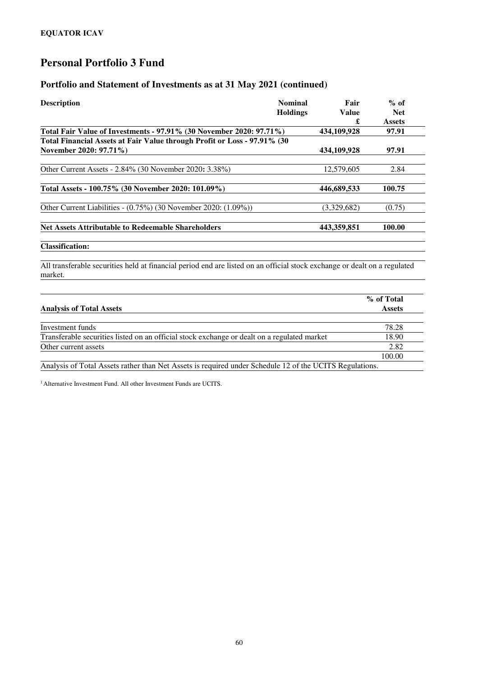#### **Portfolio and Statement of Investments as at 31 May 2021 (continued)**

| <b>Description</b>                                                                                                        | <b>Nominal</b>  | Fair         | $%$ of        |
|---------------------------------------------------------------------------------------------------------------------------|-----------------|--------------|---------------|
|                                                                                                                           | <b>Holdings</b> | <b>Value</b> | <b>Net</b>    |
|                                                                                                                           |                 | £            | <b>Assets</b> |
| Total Fair Value of Investments - 97.91% (30 November 2020: 97.71%)                                                       |                 | 434,109,928  | 97.91         |
| Total Financial Assets at Fair Value through Profit or Loss - 97.91% (30                                                  |                 |              |               |
| November 2020: 97.71%)                                                                                                    |                 | 434,109,928  | 97.91         |
| Other Current Assets - 2.84% (30 November 2020: 3.38%)                                                                    |                 | 12,579,605   | 2.84          |
|                                                                                                                           |                 |              |               |
| Total Assets - 100.75% (30 November 2020: 101.09%)                                                                        |                 | 446,689,533  | 100.75        |
| Other Current Liabilities - $(0.75\%)$ (30 November 2020: $(1.09\%)$ )                                                    |                 | (3,329,682)  | (0.75)        |
| <b>Net Assets Attributable to Redeemable Shareholders</b>                                                                 |                 | 443,359,851  | 100.00        |
| <b>Classification:</b>                                                                                                    |                 |              |               |
| All transferable securities held at financial period end are listed on an official stock exchange or dealt on a regulated |                 |              |               |

market.

|                                                                                                         | % of Total    |
|---------------------------------------------------------------------------------------------------------|---------------|
| <b>Analysis of Total Assets</b>                                                                         | <b>Assets</b> |
|                                                                                                         |               |
| Investment funds                                                                                        | 78.28         |
| Transferable securities listed on an official stock exchange or dealt on a regulated market             | 18.90         |
| Other current assets                                                                                    | 2.82          |
|                                                                                                         | 100.00        |
| Analysis of Total Assets rather than Net Assets is required under Schedule 12 of the UCITS Regulations. |               |

<sup>1</sup> Alternative Investment Fund. All other Investment Funds are UCITS.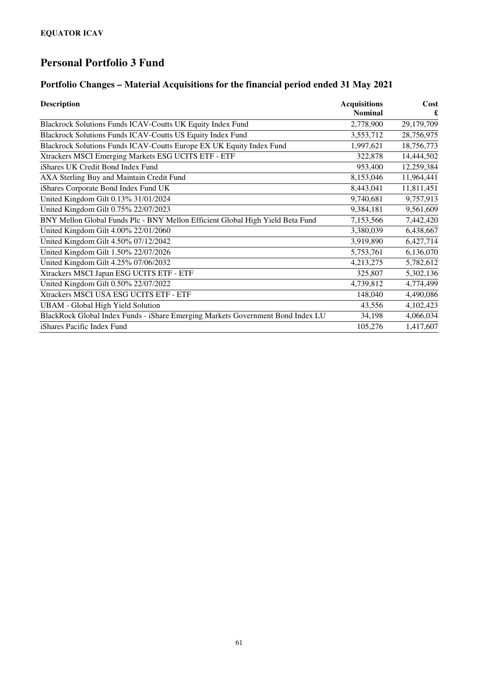### **Portfolio Changes – Material Acquisitions for the financial period ended 31 May 2021**

| <b>Description</b>                                                              | <b>Acquisitions</b> | Cost       |
|---------------------------------------------------------------------------------|---------------------|------------|
|                                                                                 | <b>Nominal</b>      | £          |
| Blackrock Solutions Funds ICAV-Coutts UK Equity Index Fund                      | 2,778,900           | 29,179,709 |
| Blackrock Solutions Funds ICAV-Coutts US Equity Index Fund                      | 3,553,712           | 28,756,975 |
| Blackrock Solutions Funds ICAV-Coutts Europe EX UK Equity Index Fund            | 1,997,621           | 18,756,773 |
| Xtrackers MSCI Emerging Markets ESG UCITS ETF - ETF                             | 322,878             | 14,444,502 |
| iShares UK Credit Bond Index Fund                                               | 953,400             | 12,259,384 |
| AXA Sterling Buy and Maintain Credit Fund                                       | 8,153,046           | 11,964,441 |
| iShares Corporate Bond Index Fund UK                                            | 8,443,041           | 11,811,451 |
| United Kingdom Gilt 0.13% 31/01/2024                                            | 9,740,681           | 9,757,913  |
| United Kingdom Gilt 0.75% 22/07/2023                                            | 9,384,181           | 9,561,609  |
| BNY Mellon Global Funds Plc - BNY Mellon Efficient Global High Yield Beta Fund  | 7,153,566           | 7,442,420  |
| United Kingdom Gilt 4.00% 22/01/2060                                            | 3,380,039           | 6,438,667  |
| United Kingdom Gilt 4.50% 07/12/2042                                            | 3,919,890           | 6,427,714  |
| United Kingdom Gilt 1.50% 22/07/2026                                            | 5,753,761           | 6,136,070  |
| United Kingdom Gilt 4.25% 07/06/2032                                            | 4,213,275           | 5,782,612  |
| Xtrackers MSCI Japan ESG UCITS ETF - ETF                                        | 325,807             | 5,302,136  |
| United Kingdom Gilt 0.50% 22/07/2022                                            | 4,739,812           | 4,774,499  |
| Xtrackers MSCI USA ESG UCITS ETF - ETF                                          | 148,040             | 4,490,086  |
| <b>UBAM</b> - Global High Yield Solution                                        | 43,556              | 4,102,423  |
| BlackRock Global Index Funds - iShare Emerging Markets Government Bond Index LU | 34,198              | 4,066,034  |
| iShares Pacific Index Fund                                                      | 105,276             | 1,417,607  |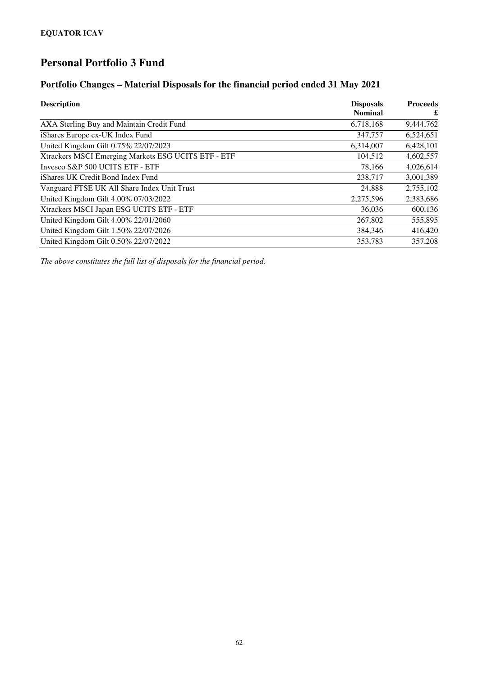#### **Portfolio Changes – Material Disposals for the financial period ended 31 May 2021**

| <b>Description</b>                                  | <b>Disposals</b> | <b>Proceeds</b> |
|-----------------------------------------------------|------------------|-----------------|
|                                                     | <b>Nominal</b>   | £               |
| AXA Sterling Buy and Maintain Credit Fund           | 6,718,168        | 9,444,762       |
| iShares Europe ex-UK Index Fund                     | 347,757          | 6,524,651       |
| United Kingdom Gilt 0.75% 22/07/2023                | 6,314,007        | 6,428,101       |
| Xtrackers MSCI Emerging Markets ESG UCITS ETF - ETF | 104,512          | 4,602,557       |
| Invesco S&P 500 UCITS ETF - ETF                     | 78,166           | 4,026,614       |
| iShares UK Credit Bond Index Fund                   | 238,717          | 3,001,389       |
| Vanguard FTSE UK All Share Index Unit Trust         | 24,888           | 2,755,102       |
| United Kingdom Gilt 4.00% 07/03/2022                | 2,275,596        | 2,383,686       |
| Xtrackers MSCI Japan ESG UCITS ETF - ETF            | 36,036           | 600,136         |
| United Kingdom Gilt 4.00% 22/01/2060                | 267,802          | 555,895         |
| United Kingdom Gilt 1.50% 22/07/2026                | 384,346          | 416,420         |
| United Kingdom Gilt 0.50% 22/07/2022                | 353,783          | 357,208         |

*The above constitutes the full list of disposals for the financial period.*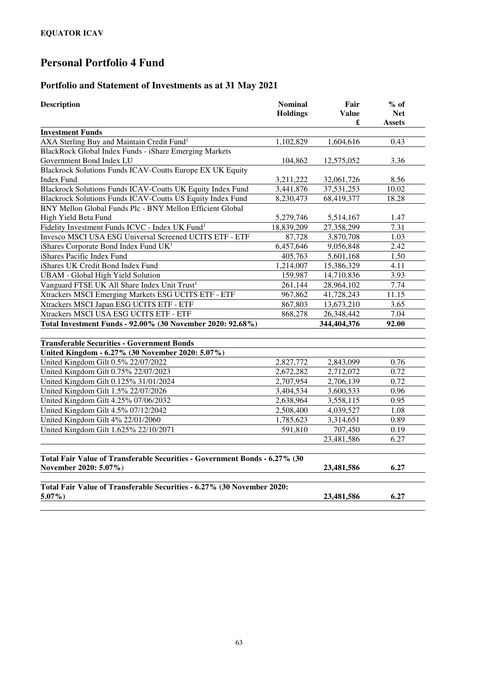### **Portfolio and Statement of Investments as at 31 May 2021**

| <b>Description</b>                                                                   | <b>Nominal</b><br><b>Holdings</b> | Fair<br>Value<br>£ | $%$ of<br><b>Net</b><br><b>Assets</b> |
|--------------------------------------------------------------------------------------|-----------------------------------|--------------------|---------------------------------------|
| <b>Investment Funds</b>                                                              |                                   |                    |                                       |
| AXA Sterling Buy and Maintain Credit Fund <sup>1</sup>                               | 1,102,829                         | 1,604,616          | 0.43                                  |
| BlackRock Global Index Funds - iShare Emerging Markets                               |                                   |                    |                                       |
| Government Bond Index LU                                                             | 104,862                           | 12,575,052         | 3.36                                  |
| Blackrock Solutions Funds ICAV-Coutts Europe EX UK Equity                            |                                   |                    |                                       |
| <b>Index Fund</b>                                                                    | 3,211,222                         | 32,061,726         | 8.56                                  |
| Blackrock Solutions Funds ICAV-Coutts UK Equity Index Fund                           | 3,441,876                         | 37,531,253         | 10.02                                 |
| Blackrock Solutions Funds ICAV-Coutts US Equity Index Fund                           | 8,230,473                         | 68,419,377         | 18.28                                 |
| BNY Mellon Global Funds Plc - BNY Mellon Efficient Global                            |                                   |                    |                                       |
| High Yield Beta Fund                                                                 | 5,279,746                         | 5,514,167          | 1.47                                  |
| Fidelity Investment Funds ICVC - Index UK Fund <sup>1</sup>                          | 18,839,209                        | 27,358,299         | 7.31                                  |
| Invesco MSCI USA ESG Universal Screened UCITS ETF - ETF                              | 87,728                            | 3,870,708          | 1.03                                  |
| iShares Corporate Bond Index Fund UK <sup>1</sup>                                    | 6,457,646                         | 9,056,848          | 2.42                                  |
| iShares Pacific Index Fund                                                           | 405,763                           | 5,601,168          | 1.50                                  |
| iShares UK Credit Bond Index Fund                                                    | 1,214,007                         | 15,386,329         | 4.11                                  |
| <b>UBAM</b> - Global High Yield Solution                                             | 159,987                           | 14,710,836         | 3.93                                  |
| Vanguard FTSE UK All Share Index Unit Trust <sup>1</sup>                             | 261,144                           | 28,964,102         | 7.74                                  |
| Xtrackers MSCI Emerging Markets ESG UCITS ETF - ETF                                  | 967,862                           | 41,728,243         | 11.15                                 |
| Xtrackers MSCI Japan ESG UCITS ETF - ETF                                             | 867,803                           | 13,673,210         | 3.65                                  |
| Xtrackers MSCI USA ESG UCITS ETF - ETF                                               | 868,278                           | 26,348,442         | 7.04                                  |
| Total Investment Funds - 92.00% (30 November 2020: 92.68%)                           |                                   | 344,404,376        | 92.00                                 |
| <b>Transferable Securities - Government Bonds</b>                                    |                                   |                    |                                       |
| United Kingdom - 6.27% (30 November 2020: 5.07%)                                     |                                   |                    |                                       |
| United Kingdom Gilt 0.5% 22/07/2022                                                  | 2,827,772                         | 2,843,099          | 0.76                                  |
| United Kingdom Gilt 0.75% 22/07/2023                                                 | 2,672,282                         | 2,712,072          | 0.72                                  |
| United Kingdom Gilt 0.125% 31/01/2024                                                | 2,707,954                         | 2,706,139          | 0.72                                  |
| United Kingdom Gilt 1.5% 22/07/2026                                                  | 3,404,534                         | 3,600,533          | 0.96                                  |
| United Kingdom Gilt 4.25% 07/06/2032                                                 | 2,638,964                         | 3,558,115          | 0.95                                  |
| United Kingdom Gilt 4.5% 07/12/2042                                                  | 2,508,400                         | 4,039,527          | 1.08                                  |
| United Kingdom Gilt 4% 22/01/2060                                                    | 1,785,623                         | 3,314,651          | 0.89                                  |
| United Kingdom Gilt 1.625% 22/10/2071                                                | 591,810                           | 707,450            | 0.19                                  |
|                                                                                      |                                   | 23,481,586         | 6.27                                  |
|                                                                                      |                                   |                    |                                       |
| Total Fair Value of Transferable Securities - Government Bonds - 6.27% (30           |                                   |                    |                                       |
| November 2020: 5.07%)                                                                |                                   | 23,481,586         | 6.27                                  |
|                                                                                      |                                   |                    |                                       |
| Total Fair Value of Transferable Securities - 6.27% (30 November 2020:<br>$5.07\%$ ) |                                   | 23,481,586         | 6.27                                  |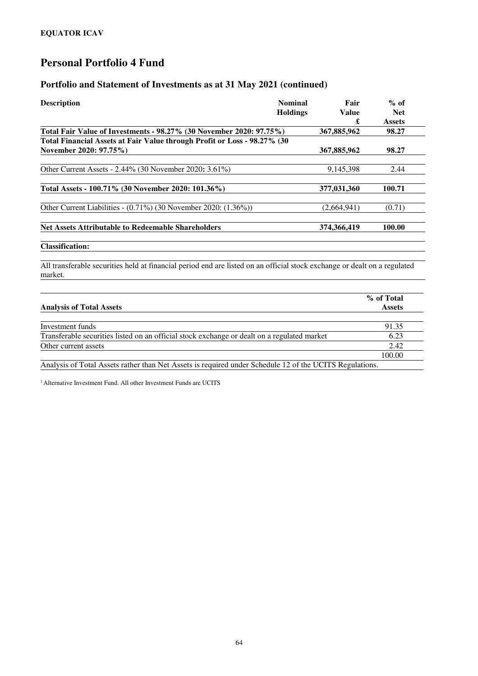#### **Portfolio and Statement of Investments as at 31 May 2021 (continued)**

| <b>Description</b>                                                                                                                   | <b>Nominal</b>  | Fair         | $%$ of        |
|--------------------------------------------------------------------------------------------------------------------------------------|-----------------|--------------|---------------|
|                                                                                                                                      | <b>Holdings</b> | <b>Value</b> | <b>Net</b>    |
|                                                                                                                                      |                 | £            | <b>Assets</b> |
| Total Fair Value of Investments - 98.27% (30 November 2020: 97.75%)                                                                  |                 | 367,885,962  | 98.27         |
| Total Financial Assets at Fair Value through Profit or Loss - 98.27% (30                                                             |                 |              |               |
| November 2020: 97.75%)                                                                                                               |                 | 367,885,962  | 98.27         |
| Other Current Assets - 2.44% (30 November 2020: 3.61%)                                                                               |                 | 9,145,398    | 2.44          |
| Total Assets - 100.71% (30 November 2020: 101.36%)                                                                                   |                 | 377,031,360  | 100.71        |
| Other Current Liabilities - $(0.71\%)$ (30 November 2020: $(1.36\%)$ )                                                               |                 | (2,664,941)  | (0.71)        |
| <b>Net Assets Attributable to Redeemable Shareholders</b>                                                                            |                 | 374,366,419  | 100.00        |
| <b>Classification:</b>                                                                                                               |                 |              |               |
| All transferable securities held at financial period end are listed on an official stock exchange or dealt on a regulated<br>market. |                 |              |               |
|                                                                                                                                      |                 |              | % of Total    |

|                                                                                                         | $\sim$        |
|---------------------------------------------------------------------------------------------------------|---------------|
| <b>Analysis of Total Assets</b>                                                                         | <b>Assets</b> |
|                                                                                                         |               |
| Investment funds                                                                                        | 91.35         |
| Transferable securities listed on an official stock exchange or dealt on a regulated market             | 6.23          |
| Other current assets                                                                                    | 2.42          |
|                                                                                                         | 100.00        |
| Analysis of Total Assets rather than Net Assets is required under Schedule 12 of the UCITS Regulations. |               |

<sup>1</sup> Alternative Investment Fund. All other Investment Funds are UCITS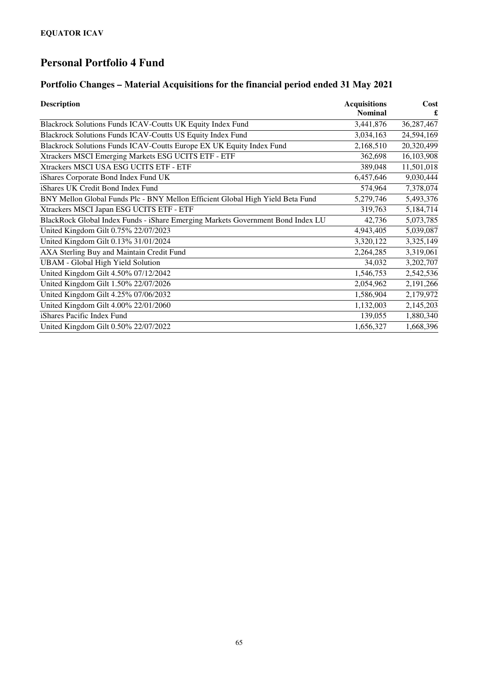### **Portfolio Changes – Material Acquisitions for the financial period ended 31 May 2021**

| <b>Description</b>                                                              | <b>Acquisitions</b><br><b>Nominal</b> | Cost       |
|---------------------------------------------------------------------------------|---------------------------------------|------------|
| Blackrock Solutions Funds ICAV-Coutts UK Equity Index Fund                      | 3,441,876                             | 36,287,467 |
| Blackrock Solutions Funds ICAV-Coutts US Equity Index Fund                      | 3,034,163                             | 24,594,169 |
| Blackrock Solutions Funds ICAV-Coutts Europe EX UK Equity Index Fund            | 2,168,510                             | 20,320,499 |
| Xtrackers MSCI Emerging Markets ESG UCITS ETF - ETF                             | 362,698                               | 16,103,908 |
| Xtrackers MSCI USA ESG UCITS ETF - ETF                                          | 389,048                               | 11,501,018 |
| iShares Corporate Bond Index Fund UK                                            | 6,457,646                             | 9,030,444  |
| iShares UK Credit Bond Index Fund                                               | 574,964                               | 7,378,074  |
| BNY Mellon Global Funds Plc - BNY Mellon Efficient Global High Yield Beta Fund  | 5,279,746                             | 5,493,376  |
| Xtrackers MSCI Japan ESG UCITS ETF - ETF                                        | 319,763                               | 5,184,714  |
| BlackRock Global Index Funds - iShare Emerging Markets Government Bond Index LU | 42,736                                | 5,073,785  |
| United Kingdom Gilt 0.75% 22/07/2023                                            | 4,943,405                             | 5,039,087  |
| United Kingdom Gilt 0.13% 31/01/2024                                            | 3,320,122                             | 3,325,149  |
| AXA Sterling Buy and Maintain Credit Fund                                       | 2,264,285                             | 3,319,061  |
| <b>UBAM</b> - Global High Yield Solution                                        | 34,032                                | 3,202,707  |
| United Kingdom Gilt 4.50% 07/12/2042                                            | 1,546,753                             | 2,542,536  |
| United Kingdom Gilt 1.50% 22/07/2026                                            | 2,054,962                             | 2,191,266  |
| United Kingdom Gilt 4.25% 07/06/2032                                            | 1,586,904                             | 2,179,972  |
| United Kingdom Gilt 4.00% 22/01/2060                                            | 1,132,003                             | 2,145,203  |
| iShares Pacific Index Fund                                                      | 139,055                               | 1,880,340  |
| United Kingdom Gilt 0.50% 22/07/2022                                            | 1,656,327                             | 1,668,396  |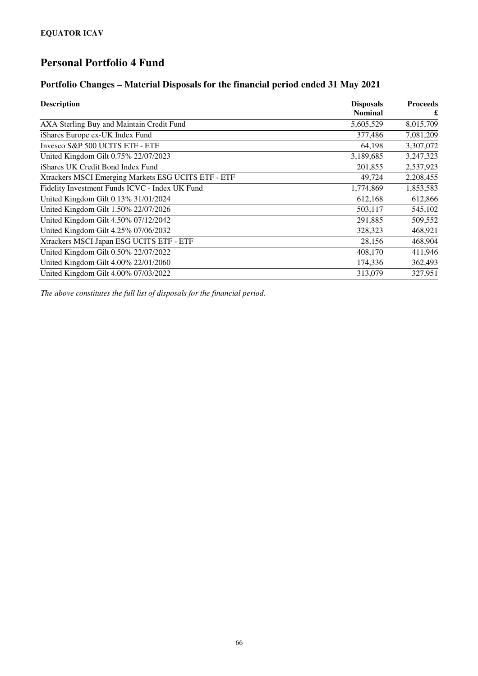#### **Portfolio Changes – Material Disposals for the financial period ended 31 May 2021**

| <b>Description</b>                                  | <b>Disposals</b> | <b>Proceeds</b> |  |
|-----------------------------------------------------|------------------|-----------------|--|
|                                                     | <b>Nominal</b>   | £               |  |
| AXA Sterling Buy and Maintain Credit Fund           | 5,605,529        | 8,015,709       |  |
| iShares Europe ex-UK Index Fund                     | 377,486          | 7,081,209       |  |
| Invesco S&P 500 UCITS ETF - ETF                     | 64,198           | 3,307,072       |  |
| United Kingdom Gilt 0.75% 22/07/2023                | 3,189,685        | 3,247,323       |  |
| iShares UK Credit Bond Index Fund                   | 201,855          | 2,537,923       |  |
| Xtrackers MSCI Emerging Markets ESG UCITS ETF - ETF | 49,724           | 2,208,455       |  |
| Fidelity Investment Funds ICVC - Index UK Fund      | 1,774,869        | 1,853,583       |  |
| United Kingdom Gilt 0.13% 31/01/2024                | 612,168          | 612,866         |  |
| United Kingdom Gilt 1.50% 22/07/2026                | 503,117          | 545,102         |  |
| United Kingdom Gilt 4.50% 07/12/2042                | 291,885          | 509,552         |  |
| United Kingdom Gilt 4.25% 07/06/2032                | 328,323          | 468,921         |  |
| Xtrackers MSCI Japan ESG UCITS ETF - ETF            | 28,156           | 468,904         |  |
| United Kingdom Gilt 0.50% 22/07/2022                | 408,170          | 411,946         |  |
| United Kingdom Gilt 4.00% 22/01/2060                | 174,336          | 362,493         |  |
| United Kingdom Gilt 4.00% 07/03/2022                | 313,079          | 327,951         |  |

*The above constitutes the full list of disposals for the financial period.*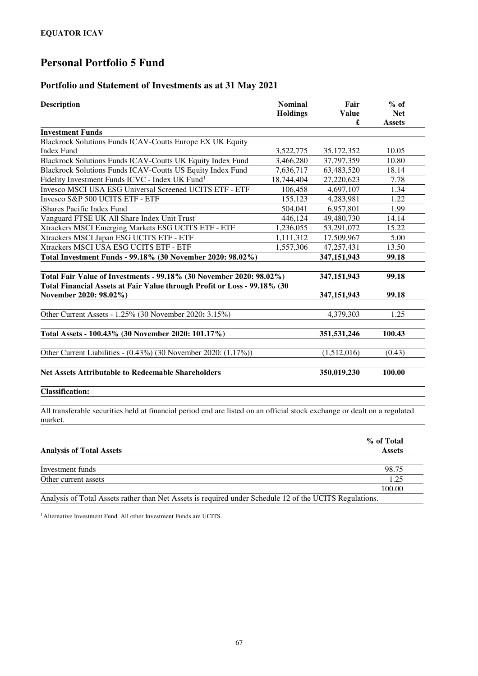#### **Portfolio and Statement of Investments as at 31 May 2021**

| <b>Description</b>                                                       | <b>Nominal</b><br><b>Holdings</b> | Fair<br>Value<br>£ | $%$ of<br><b>Net</b><br><b>Assets</b> |
|--------------------------------------------------------------------------|-----------------------------------|--------------------|---------------------------------------|
| <b>Investment Funds</b>                                                  |                                   |                    |                                       |
| Blackrock Solutions Funds ICAV-Coutts Europe EX UK Equity                |                                   |                    |                                       |
| <b>Index Fund</b>                                                        | 3,522,775                         | 35, 172, 352       | 10.05                                 |
| Blackrock Solutions Funds ICAV-Coutts UK Equity Index Fund               | 3,466,280                         | 37,797,359         | 10.80                                 |
| <b>Blackrock Solutions Funds ICAV-Coutts US Equity Index Fund</b>        | 7,636,717                         | 63,483,520         | 18.14                                 |
| Fidelity Investment Funds ICVC - Index UK Fund <sup>1</sup>              | 18,744,404                        | 27,220,623         | 7.78                                  |
| Invesco MSCI USA ESG Universal Screened UCITS ETF - ETF                  | 106,458                           | 4,697,107          | 1.34                                  |
| Invesco S&P 500 UCITS ETF - ETF                                          | 155,123                           | 4,283,981          | 1.22                                  |
| iShares Pacific Index Fund                                               | 504,041                           | 6,957,801          | 1.99                                  |
| Vanguard FTSE UK All Share Index Unit Trust <sup>1</sup>                 | 446,124                           | 49,480,730         | 14.14                                 |
| Xtrackers MSCI Emerging Markets ESG UCITS ETF - ETF                      | 1,236,055                         | 53,291,072         | 15.22                                 |
| Xtrackers MSCI Japan ESG UCITS ETF - ETF                                 | 1,111,312                         | 17,509,967         | 5.00                                  |
| Xtrackers MSCI USA ESG UCITS ETF - ETF                                   | 1,557,306                         | 47,257,431         | 13.50                                 |
| Total Investment Funds - 99.18% (30 November 2020: 98.02%)               |                                   | 347,151,943        | 99.18                                 |
|                                                                          |                                   |                    |                                       |
| Total Fair Value of Investments - 99.18% (30 November 2020: 98.02%)      |                                   | 347,151,943        | 99.18                                 |
| Total Financial Assets at Fair Value through Profit or Loss - 99.18% (30 |                                   |                    |                                       |
| November 2020: 98.02%)                                                   |                                   | 347,151,943        | 99.18                                 |
| Other Current Assets - 1.25% (30 November 2020: 3.15%)                   |                                   | 4,379,303          | 1.25                                  |
|                                                                          |                                   |                    |                                       |
| Total Assets - 100.43% (30 November 2020: 101.17%)                       |                                   | 351,531,246        | 100.43                                |
| Other Current Liabilities - (0.43%) (30 November 2020: (1.17%))          |                                   | (1,512,016)        | (0.43)                                |
| <b>Net Assets Attributable to Redeemable Shareholders</b>                |                                   | 350,019,230        | 100.00                                |
| <b>Classification:</b>                                                   |                                   |                    |                                       |

All transferable securities held at financial period end are listed on an official stock exchange or dealt on a regulated market.

|                                                                                                         | % of Total<br><b>Assets</b> |
|---------------------------------------------------------------------------------------------------------|-----------------------------|
| <b>Analysis of Total Assets</b>                                                                         |                             |
| Investment funds                                                                                        | 98.75                       |
| Other current assets                                                                                    | 1.25                        |
|                                                                                                         | 100.00                      |
| Analysis of Total Assets rather than Net Assets is required under Schedule 12 of the UCITS Regulations. |                             |

<sup>1</sup> Alternative Investment Fund. All other Investment Funds are UCITS.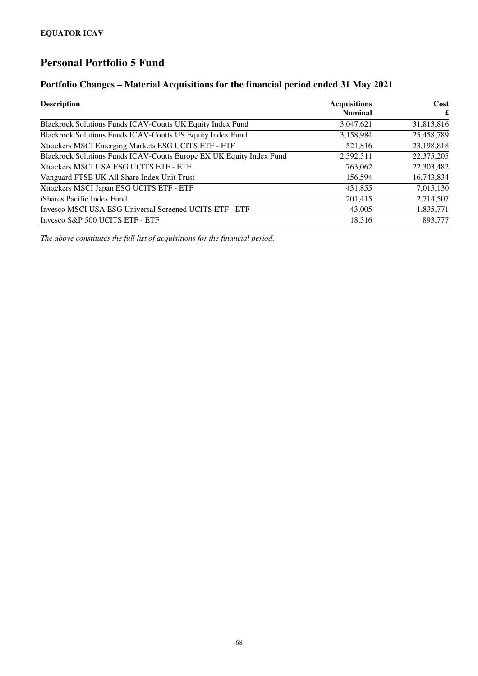#### **Portfolio Changes – Material Acquisitions for the financial period ended 31 May 2021**

| <b>Description</b>                                                   | <b>Acquisitions</b> | Cost       |  |
|----------------------------------------------------------------------|---------------------|------------|--|
|                                                                      | <b>Nominal</b>      | £          |  |
| Blackrock Solutions Funds ICAV-Coutts UK Equity Index Fund           | 3,047,621           | 31,813,816 |  |
| Blackrock Solutions Funds ICAV-Coutts US Equity Index Fund           | 3,158,984           | 25,458,789 |  |
| Xtrackers MSCI Emerging Markets ESG UCITS ETF - ETF                  | 521,816             | 23,198,818 |  |
| Blackrock Solutions Funds ICAV-Coutts Europe EX UK Equity Index Fund | 2,392,311           | 22,375,205 |  |
| Xtrackers MSCI USA ESG UCITS ETF - ETF                               | 763,062             | 22,303,482 |  |
| Vanguard FTSE UK All Share Index Unit Trust                          | 156,594             | 16,743,834 |  |
| Xtrackers MSCI Japan ESG UCITS ETF - ETF                             | 431,855             | 7,015,130  |  |
| iShares Pacific Index Fund                                           | 201,415             | 2,714,507  |  |
| Invesco MSCI USA ESG Universal Screened UCITS ETF - ETF              | 43,005              | 1,835,771  |  |
| Invesco S&P 500 UCITS ETF - ETF                                      | 18,316              | 893,777    |  |

*The above constitutes the full list of acquisitions for the financial period.*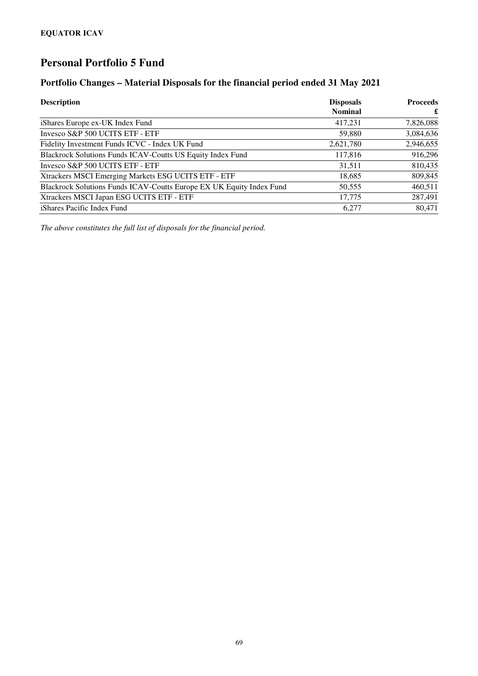#### **Portfolio Changes – Material Disposals for the financial period ended 31 May 2021**

| <b>Description</b>                                                   | <b>Disposals</b> | <b>Proceeds</b> |
|----------------------------------------------------------------------|------------------|-----------------|
|                                                                      | <b>Nominal</b>   | £               |
| iShares Europe ex-UK Index Fund                                      | 417,231          | 7,826,088       |
| Invesco S&P 500 UCITS ETF - ETF                                      | 59,880           | 3,084,636       |
| Fidelity Investment Funds ICVC - Index UK Fund                       | 2,621,780        | 2,946,655       |
| Blackrock Solutions Funds ICAV-Coutts US Equity Index Fund           | 117,816          | 916,296         |
| Invesco S&P 500 UCITS ETF - ETF                                      | 31,511           | 810,435         |
| Xtrackers MSCI Emerging Markets ESG UCITS ETF - ETF                  | 18,685           | 809,845         |
| Blackrock Solutions Funds ICAV-Coutts Europe EX UK Equity Index Fund | 50,555           | 460,511         |
| Xtrackers MSCI Japan ESG UCITS ETF - ETF                             | 17,775           | 287,491         |
| iShares Pacific Index Fund                                           | 6.277            | 80,471          |

*The above constitutes the full list of disposals for the financial period.*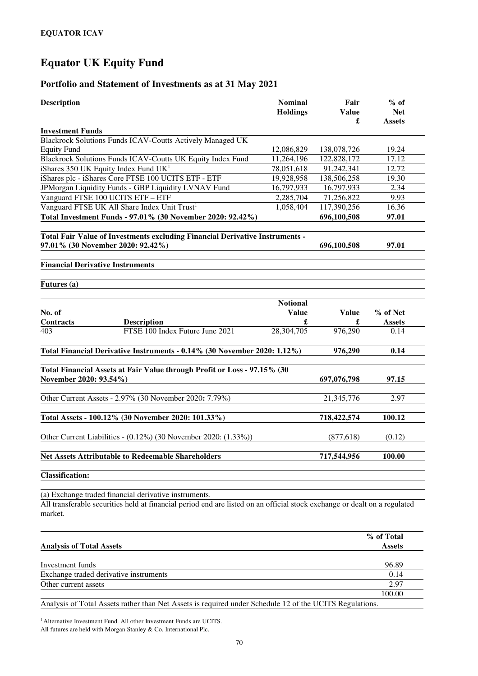## **Equator UK Equity Fund**

#### **Portfolio and Statement of Investments as at 31 May 2021**

| Blackrock Solutions Funds ICAV-Coutts Actively Managed UK<br>12,086,829<br>19.24<br>138,078,726<br>Blackrock Solutions Funds ICAV-Coutts UK Equity Index Fund<br>122,828,172<br>17.12<br>11,264,196<br>78,051,618<br>91,242,341<br>12.72<br>138,506,258<br>19.30<br>19,928,958<br>JPMorgan Liquidity Funds - GBP Liquidity LVNAV Fund<br>2.34<br>16,797,933<br>16,797,933<br>2,285,704<br>71,256,822<br>9.93<br>117,390,256<br>16.36<br>1,058,404<br>Total Investment Funds - 97.01% (30 November 2020: 92.42%)<br>696,100,508<br>97.01<br>Total Fair Value of Investments excluding Financial Derivative Instruments -<br>97.01<br>696,100,508<br><b>Notional</b><br><b>Value</b><br><b>Value</b><br>% of Net<br>£<br>£<br><b>Description</b><br><b>Assets</b><br>FTSE 100 Index Future June 2021<br>28,304,705<br>976,290<br>0.14<br>Total Financial Derivative Instruments - 0.14% (30 November 2020: 1.12%)<br>976,290<br>0.14<br>Total Financial Assets at Fair Value through Profit or Loss - 97.15% (30<br>97.15<br>697,076,798<br>2.97<br>21,345,776<br>718,422,574<br>100.12<br>Other Current Liabilities - (0.12%) (30 November 2020: (1.33%))<br>(877, 618)<br>(0.12)<br>717,544,956<br>100.00<br>(a) Exchange traded financial derivative instruments.<br>All transferable securities held at financial period end are listed on an official stock exchange or dealt on a regulated<br>% of Total<br><b>Assets</b><br>96.89<br>0.14<br>Exchange traded derivative instruments<br>2.97<br>100.00 | <b>Description</b>                                        | <b>Nominal</b><br><b>Holdings</b> | Fair<br><b>Value</b><br>£ | $%$ of<br><b>Net</b><br><b>Assets</b> |
|-------------------------------------------------------------------------------------------------------------------------------------------------------------------------------------------------------------------------------------------------------------------------------------------------------------------------------------------------------------------------------------------------------------------------------------------------------------------------------------------------------------------------------------------------------------------------------------------------------------------------------------------------------------------------------------------------------------------------------------------------------------------------------------------------------------------------------------------------------------------------------------------------------------------------------------------------------------------------------------------------------------------------------------------------------------------------------------------------------------------------------------------------------------------------------------------------------------------------------------------------------------------------------------------------------------------------------------------------------------------------------------------------------------------------------------------------------------------------------------------------------------|-----------------------------------------------------------|-----------------------------------|---------------------------|---------------------------------------|
|                                                                                                                                                                                                                                                                                                                                                                                                                                                                                                                                                                                                                                                                                                                                                                                                                                                                                                                                                                                                                                                                                                                                                                                                                                                                                                                                                                                                                                                                                                             | <b>Investment Funds</b>                                   |                                   |                           |                                       |
|                                                                                                                                                                                                                                                                                                                                                                                                                                                                                                                                                                                                                                                                                                                                                                                                                                                                                                                                                                                                                                                                                                                                                                                                                                                                                                                                                                                                                                                                                                             |                                                           |                                   |                           |                                       |
|                                                                                                                                                                                                                                                                                                                                                                                                                                                                                                                                                                                                                                                                                                                                                                                                                                                                                                                                                                                                                                                                                                                                                                                                                                                                                                                                                                                                                                                                                                             | <b>Equity Fund</b>                                        |                                   |                           |                                       |
|                                                                                                                                                                                                                                                                                                                                                                                                                                                                                                                                                                                                                                                                                                                                                                                                                                                                                                                                                                                                                                                                                                                                                                                                                                                                                                                                                                                                                                                                                                             |                                                           |                                   |                           |                                       |
|                                                                                                                                                                                                                                                                                                                                                                                                                                                                                                                                                                                                                                                                                                                                                                                                                                                                                                                                                                                                                                                                                                                                                                                                                                                                                                                                                                                                                                                                                                             | iShares 350 UK Equity Index Fund UK <sup>1</sup>          |                                   |                           |                                       |
|                                                                                                                                                                                                                                                                                                                                                                                                                                                                                                                                                                                                                                                                                                                                                                                                                                                                                                                                                                                                                                                                                                                                                                                                                                                                                                                                                                                                                                                                                                             | iShares plc - iShares Core FTSE 100 UCITS ETF - ETF       |                                   |                           |                                       |
|                                                                                                                                                                                                                                                                                                                                                                                                                                                                                                                                                                                                                                                                                                                                                                                                                                                                                                                                                                                                                                                                                                                                                                                                                                                                                                                                                                                                                                                                                                             |                                                           |                                   |                           |                                       |
|                                                                                                                                                                                                                                                                                                                                                                                                                                                                                                                                                                                                                                                                                                                                                                                                                                                                                                                                                                                                                                                                                                                                                                                                                                                                                                                                                                                                                                                                                                             | Vanguard FTSE 100 UCITS ETF - ETF                         |                                   |                           |                                       |
|                                                                                                                                                                                                                                                                                                                                                                                                                                                                                                                                                                                                                                                                                                                                                                                                                                                                                                                                                                                                                                                                                                                                                                                                                                                                                                                                                                                                                                                                                                             | Vanguard FTSE UK All Share Index Unit Trust <sup>1</sup>  |                                   |                           |                                       |
|                                                                                                                                                                                                                                                                                                                                                                                                                                                                                                                                                                                                                                                                                                                                                                                                                                                                                                                                                                                                                                                                                                                                                                                                                                                                                                                                                                                                                                                                                                             |                                                           |                                   |                           |                                       |
|                                                                                                                                                                                                                                                                                                                                                                                                                                                                                                                                                                                                                                                                                                                                                                                                                                                                                                                                                                                                                                                                                                                                                                                                                                                                                                                                                                                                                                                                                                             | 97.01% (30 November 2020: 92.42%)                         |                                   |                           |                                       |
|                                                                                                                                                                                                                                                                                                                                                                                                                                                                                                                                                                                                                                                                                                                                                                                                                                                                                                                                                                                                                                                                                                                                                                                                                                                                                                                                                                                                                                                                                                             | <b>Financial Derivative Instruments</b>                   |                                   |                           |                                       |
|                                                                                                                                                                                                                                                                                                                                                                                                                                                                                                                                                                                                                                                                                                                                                                                                                                                                                                                                                                                                                                                                                                                                                                                                                                                                                                                                                                                                                                                                                                             | Futures (a)                                               |                                   |                           |                                       |
|                                                                                                                                                                                                                                                                                                                                                                                                                                                                                                                                                                                                                                                                                                                                                                                                                                                                                                                                                                                                                                                                                                                                                                                                                                                                                                                                                                                                                                                                                                             |                                                           |                                   |                           |                                       |
|                                                                                                                                                                                                                                                                                                                                                                                                                                                                                                                                                                                                                                                                                                                                                                                                                                                                                                                                                                                                                                                                                                                                                                                                                                                                                                                                                                                                                                                                                                             | No. of                                                    |                                   |                           |                                       |
|                                                                                                                                                                                                                                                                                                                                                                                                                                                                                                                                                                                                                                                                                                                                                                                                                                                                                                                                                                                                                                                                                                                                                                                                                                                                                                                                                                                                                                                                                                             | <b>Contracts</b>                                          |                                   |                           |                                       |
|                                                                                                                                                                                                                                                                                                                                                                                                                                                                                                                                                                                                                                                                                                                                                                                                                                                                                                                                                                                                                                                                                                                                                                                                                                                                                                                                                                                                                                                                                                             | 403                                                       |                                   |                           |                                       |
|                                                                                                                                                                                                                                                                                                                                                                                                                                                                                                                                                                                                                                                                                                                                                                                                                                                                                                                                                                                                                                                                                                                                                                                                                                                                                                                                                                                                                                                                                                             |                                                           |                                   |                           |                                       |
|                                                                                                                                                                                                                                                                                                                                                                                                                                                                                                                                                                                                                                                                                                                                                                                                                                                                                                                                                                                                                                                                                                                                                                                                                                                                                                                                                                                                                                                                                                             |                                                           |                                   |                           |                                       |
|                                                                                                                                                                                                                                                                                                                                                                                                                                                                                                                                                                                                                                                                                                                                                                                                                                                                                                                                                                                                                                                                                                                                                                                                                                                                                                                                                                                                                                                                                                             | November 2020: 93.54%)                                    |                                   |                           |                                       |
|                                                                                                                                                                                                                                                                                                                                                                                                                                                                                                                                                                                                                                                                                                                                                                                                                                                                                                                                                                                                                                                                                                                                                                                                                                                                                                                                                                                                                                                                                                             |                                                           |                                   |                           |                                       |
|                                                                                                                                                                                                                                                                                                                                                                                                                                                                                                                                                                                                                                                                                                                                                                                                                                                                                                                                                                                                                                                                                                                                                                                                                                                                                                                                                                                                                                                                                                             | Other Current Assets - 2.97% (30 November 2020: 7.79%)    |                                   |                           |                                       |
|                                                                                                                                                                                                                                                                                                                                                                                                                                                                                                                                                                                                                                                                                                                                                                                                                                                                                                                                                                                                                                                                                                                                                                                                                                                                                                                                                                                                                                                                                                             | Total Assets - 100.12% (30 November 2020: 101.33%)        |                                   |                           |                                       |
|                                                                                                                                                                                                                                                                                                                                                                                                                                                                                                                                                                                                                                                                                                                                                                                                                                                                                                                                                                                                                                                                                                                                                                                                                                                                                                                                                                                                                                                                                                             |                                                           |                                   |                           |                                       |
|                                                                                                                                                                                                                                                                                                                                                                                                                                                                                                                                                                                                                                                                                                                                                                                                                                                                                                                                                                                                                                                                                                                                                                                                                                                                                                                                                                                                                                                                                                             | <b>Net Assets Attributable to Redeemable Shareholders</b> |                                   |                           |                                       |
|                                                                                                                                                                                                                                                                                                                                                                                                                                                                                                                                                                                                                                                                                                                                                                                                                                                                                                                                                                                                                                                                                                                                                                                                                                                                                                                                                                                                                                                                                                             | <b>Classification:</b>                                    |                                   |                           |                                       |
|                                                                                                                                                                                                                                                                                                                                                                                                                                                                                                                                                                                                                                                                                                                                                                                                                                                                                                                                                                                                                                                                                                                                                                                                                                                                                                                                                                                                                                                                                                             |                                                           |                                   |                           |                                       |
|                                                                                                                                                                                                                                                                                                                                                                                                                                                                                                                                                                                                                                                                                                                                                                                                                                                                                                                                                                                                                                                                                                                                                                                                                                                                                                                                                                                                                                                                                                             | market.                                                   |                                   |                           |                                       |
|                                                                                                                                                                                                                                                                                                                                                                                                                                                                                                                                                                                                                                                                                                                                                                                                                                                                                                                                                                                                                                                                                                                                                                                                                                                                                                                                                                                                                                                                                                             |                                                           |                                   |                           |                                       |
|                                                                                                                                                                                                                                                                                                                                                                                                                                                                                                                                                                                                                                                                                                                                                                                                                                                                                                                                                                                                                                                                                                                                                                                                                                                                                                                                                                                                                                                                                                             | <b>Analysis of Total Assets</b>                           |                                   |                           |                                       |
|                                                                                                                                                                                                                                                                                                                                                                                                                                                                                                                                                                                                                                                                                                                                                                                                                                                                                                                                                                                                                                                                                                                                                                                                                                                                                                                                                                                                                                                                                                             | Investment funds                                          |                                   |                           |                                       |
|                                                                                                                                                                                                                                                                                                                                                                                                                                                                                                                                                                                                                                                                                                                                                                                                                                                                                                                                                                                                                                                                                                                                                                                                                                                                                                                                                                                                                                                                                                             |                                                           |                                   |                           |                                       |
|                                                                                                                                                                                                                                                                                                                                                                                                                                                                                                                                                                                                                                                                                                                                                                                                                                                                                                                                                                                                                                                                                                                                                                                                                                                                                                                                                                                                                                                                                                             | Other current assets                                      |                                   |                           |                                       |
|                                                                                                                                                                                                                                                                                                                                                                                                                                                                                                                                                                                                                                                                                                                                                                                                                                                                                                                                                                                                                                                                                                                                                                                                                                                                                                                                                                                                                                                                                                             |                                                           |                                   |                           |                                       |

Analysis of Total Assets rather than Net Assets is required under Schedule 12 of the UCITS Regulations.

<sup>1</sup> Alternative Investment Fund. All other Investment Funds are UCITS.

All futures are held with Morgan Stanley & Co. International Plc.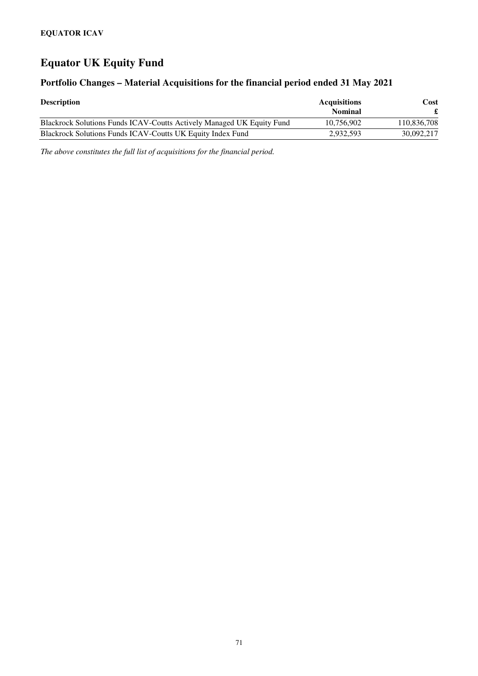## **Equator UK Equity Fund**

#### **Portfolio Changes – Material Acquisitions for the financial period ended 31 May 2021**

| <b>Description</b>                                                    | <b>Acquisitions</b><br>Nominal | Cost        |
|-----------------------------------------------------------------------|--------------------------------|-------------|
| Blackrock Solutions Funds ICAV-Coutts Actively Managed UK Equity Fund | 10.756.902                     | 110.836.708 |
| <b>Blackrock Solutions Funds ICAV-Coutts UK Equity Index Fund</b>     | 2,932,593                      | 30,092,217  |

*The above constitutes the full list of acquisitions for the financial period.*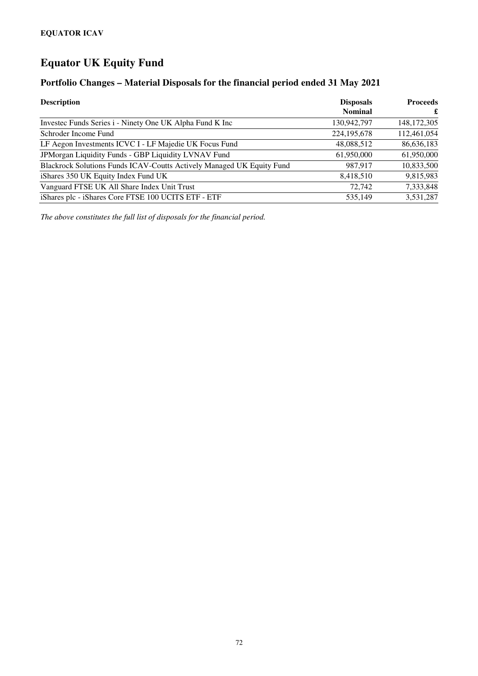# **Equator UK Equity Fund**

## **Portfolio Changes – Material Disposals for the financial period ended 31 May 2021**

| <b>Description</b>                                                    | <b>Disposals</b><br><b>Nominal</b> | <b>Proceeds</b><br>£ |
|-----------------------------------------------------------------------|------------------------------------|----------------------|
| Invested Funds Series i - Ninety One UK Alpha Fund K Inc              | 130,942,797                        | 148, 172, 305        |
| Schroder Income Fund                                                  | 224, 195, 678                      | 112,461,054          |
| LF Aegon Investments ICVC I - LF Majedie UK Focus Fund                | 48,088,512                         | 86,636,183           |
| JPMorgan Liquidity Funds - GBP Liquidity LVNAV Fund                   | 61,950,000                         | 61,950,000           |
| Blackrock Solutions Funds ICAV-Coutts Actively Managed UK Equity Fund | 987.917                            | 10,833,500           |
| iShares 350 UK Equity Index Fund UK                                   | 8,418,510                          | 9,815,983            |
| Vanguard FTSE UK All Share Index Unit Trust                           | 72,742                             | 7,333,848            |
| iShares plc - iShares Core FTSE 100 UCITS ETF - ETF                   | 535.149                            | 3,531,287            |

*The above constitutes the full list of disposals for the financial period.*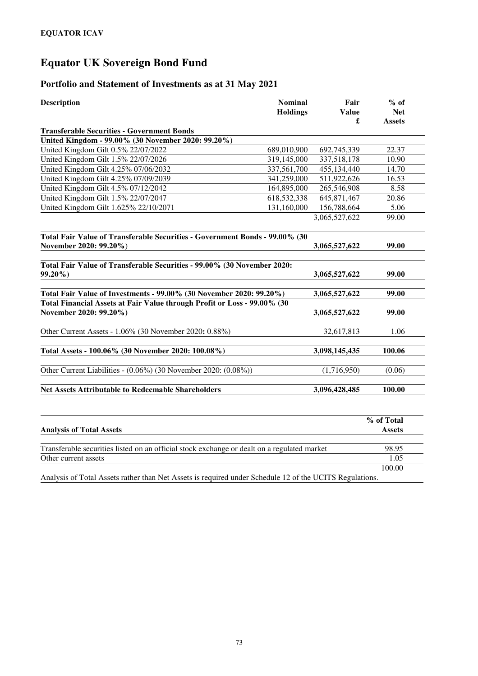# **Equator UK Sovereign Bond Fund**

## **Portfolio and Statement of Investments as at 31 May 2021**

| <b>Description</b>                                                                                 | <b>Nominal</b>  | Fair          | $%$ of        |
|----------------------------------------------------------------------------------------------------|-----------------|---------------|---------------|
|                                                                                                    | <b>Holdings</b> | <b>Value</b>  | <b>Net</b>    |
|                                                                                                    |                 | £             | <b>Assets</b> |
| <b>Transferable Securities - Government Bonds</b>                                                  |                 |               |               |
| United Kingdom - 99.00% (30 November 2020: 99.20%)                                                 |                 |               |               |
| United Kingdom Gilt 0.5% 22/07/2022                                                                | 689,010,900     | 692,745,339   | 22.37         |
| United Kingdom Gilt 1.5% 22/07/2026                                                                | 319,145,000     | 337,518,178   | 10.90         |
| United Kingdom Gilt 4.25% 07/06/2032                                                               | 337,561,700     | 455,134,440   | 14.70         |
| United Kingdom Gilt 4.25% 07/09/2039                                                               | 341,259,000     | 511,922,626   | 16.53         |
| United Kingdom Gilt 4.5% 07/12/2042                                                                | 164,895,000     | 265,546,908   | 8.58          |
| United Kingdom Gilt 1.5% 22/07/2047                                                                | 618,532,338     | 645, 871, 467 | 20.86         |
| United Kingdom Gilt 1.625% 22/10/2071                                                              | 131,160,000     | 156,788,664   | 5.06          |
|                                                                                                    |                 | 3,065,527,622 | 99.00         |
| Total Fair Value of Transferable Securities - Government Bonds - 99.00% (30                        |                 |               |               |
| November 2020: 99.20%)                                                                             |                 | 3,065,527,622 | 99.00         |
|                                                                                                    |                 |               |               |
| Total Fair Value of Transferable Securities - 99.00% (30 November 2020:<br>$99.20\%$               |                 | 3,065,527,622 | 99.00         |
|                                                                                                    |                 |               |               |
| Total Fair Value of Investments - 99.00% (30 November 2020: 99.20%)                                |                 | 3,065,527,622 | 99.00         |
| Total Financial Assets at Fair Value through Profit or Loss - 99.00% (30<br>November 2020: 99.20%) |                 | 3,065,527,622 | 99.00         |
|                                                                                                    |                 |               |               |
| Other Current Assets - 1.06% (30 November 2020: 0.88%)                                             |                 | 32,617,813    | 1.06          |
|                                                                                                    |                 |               |               |
| Total Assets - 100.06% (30 November 2020: 100.08%)                                                 |                 | 3,098,145,435 | 100.06        |
| Other Current Liabilities - (0.06%) (30 November 2020: (0.08%))                                    |                 | (1,716,950)   | (0.06)        |
| <b>Net Assets Attributable to Redeemable Shareholders</b>                                          |                 | 3,096,428,485 | 100.00        |
|                                                                                                    |                 |               |               |
|                                                                                                    |                 |               | % of Total    |
| <b>Analysis of Total Assets</b>                                                                    |                 |               | <b>Assets</b> |
| Transferable securities listed on an official stock exchange or dealt on a regulated market        |                 |               | 98.95         |
| Other current assets                                                                               |                 |               | 1.05          |

Analysis of Total Assets rather than Net Assets is required under Schedule 12 of the UCITS Regulations.

100.00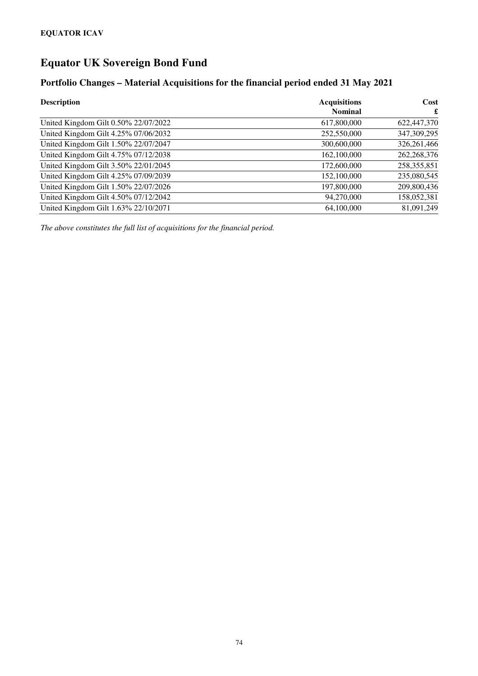# **Equator UK Sovereign Bond Fund**

## **Portfolio Changes – Material Acquisitions for the financial period ended 31 May 2021**

| <b>Description</b>                   | <b>Acquisitions</b> | Cost          |
|--------------------------------------|---------------------|---------------|
|                                      | <b>Nominal</b>      | £             |
| United Kingdom Gilt 0.50% 22/07/2022 | 617,800,000         | 622,447,370   |
| United Kingdom Gilt 4.25% 07/06/2032 | 252,550,000         | 347,309,295   |
| United Kingdom Gilt 1.50% 22/07/2047 | 300,600,000         | 326,261,466   |
| United Kingdom Gilt 4.75% 07/12/2038 | 162,100,000         | 262, 268, 376 |
| United Kingdom Gilt 3.50% 22/01/2045 | 172,600,000         | 258,355,851   |
| United Kingdom Gilt 4.25% 07/09/2039 | 152,100,000         | 235,080,545   |
| United Kingdom Gilt 1.50% 22/07/2026 | 197,800,000         | 209,800,436   |
| United Kingdom Gilt 4.50% 07/12/2042 | 94,270,000          | 158,052,381   |
| United Kingdom Gilt 1.63% 22/10/2071 | 64,100,000          | 81,091,249    |

*The above constitutes the full list of acquisitions for the financial period.*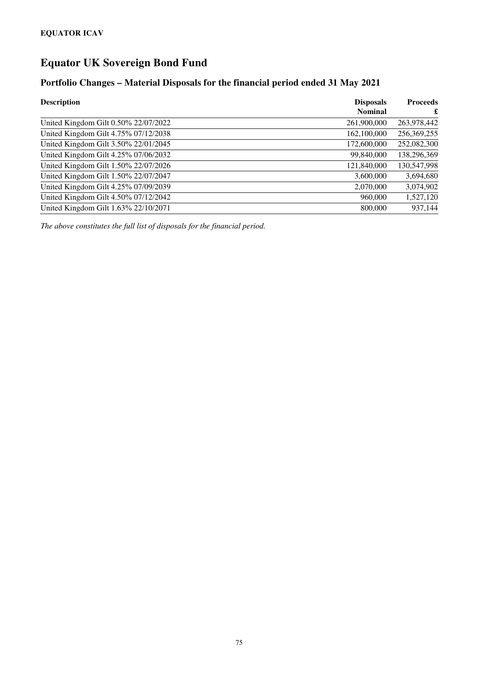# **Equator UK Sovereign Bond Fund**

## **Portfolio Changes – Material Disposals for the financial period ended 31 May 2021**

| <b>Description</b>                   | <b>Disposals</b><br><b>Nominal</b> | <b>Proceeds</b><br>£ |
|--------------------------------------|------------------------------------|----------------------|
| United Kingdom Gilt 0.50% 22/07/2022 | 261,900,000                        | 263,978,442          |
| United Kingdom Gilt 4.75% 07/12/2038 | 162,100,000                        | 256,369,255          |
| United Kingdom Gilt 3.50% 22/01/2045 | 172,600,000                        | 252,082,300          |
| United Kingdom Gilt 4.25% 07/06/2032 | 99,840,000                         | 138,296,369          |
| United Kingdom Gilt 1.50% 22/07/2026 | 121,840,000                        | 130,547,998          |
| United Kingdom Gilt 1.50% 22/07/2047 | 3,600,000                          | 3,694,680            |
| United Kingdom Gilt 4.25% 07/09/2039 | 2,070,000                          | 3,074,902            |
| United Kingdom Gilt 4.50% 07/12/2042 | 960,000                            | 1,527,120            |
| United Kingdom Gilt 1.63% 22/10/2071 | 800,000                            | 937,144              |

*The above constitutes the full list of disposals for the financial period.*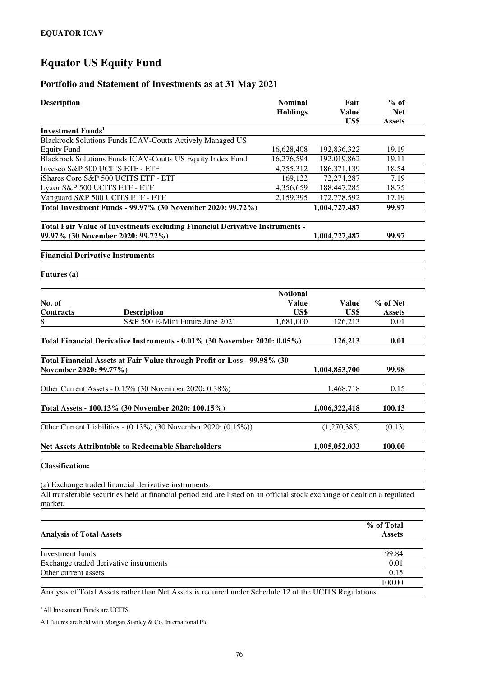# **Equator US Equity Fund**

# **Portfolio and Statement of Investments as at 31 May 2021**

| <b>Description</b>                                                                                                                   | <b>Nominal</b><br><b>Holdings</b> | Fair<br><b>Value</b><br>US\$ | $%$ of<br><b>Net</b><br><b>Assets</b> |
|--------------------------------------------------------------------------------------------------------------------------------------|-----------------------------------|------------------------------|---------------------------------------|
| <b>Investment Funds<sup>1</sup></b>                                                                                                  |                                   |                              |                                       |
| <b>Blackrock Solutions Funds ICAV-Coutts Actively Managed US</b>                                                                     |                                   |                              |                                       |
| Equity Fund                                                                                                                          | 16,628,408                        | 192,836,322                  | 19.19                                 |
| Blackrock Solutions Funds ICAV-Coutts US Equity Index Fund                                                                           | 16,276,594                        | 192,019,862                  | 19.11                                 |
| Invesco S&P 500 UCITS ETF - ETF                                                                                                      | 4,755,312                         | 186,371,139                  | 18.54                                 |
| iShares Core S&P 500 UCITS ETF - ETF                                                                                                 | 169,122                           | 72,274,287                   | 7.19                                  |
| Lyxor S&P 500 UCITS ETF - ETF                                                                                                        | 4,356,659                         | 188,447,285                  | 18.75                                 |
| Vanguard S&P 500 UCITS ETF - ETF                                                                                                     | 2,159,395                         | 172,778,592                  | 17.19                                 |
| Total Investment Funds - 99.97% (30 November 2020: 99.72%)                                                                           |                                   | 1,004,727,487                | 99.97                                 |
| Total Fair Value of Investments excluding Financial Derivative Instruments -<br>99.97% (30 November 2020: 99.72%)                    |                                   | 1,004,727,487                | 99.97                                 |
| <b>Financial Derivative Instruments</b>                                                                                              |                                   |                              |                                       |
| Futures (a)                                                                                                                          |                                   |                              |                                       |
|                                                                                                                                      |                                   |                              |                                       |
|                                                                                                                                      | <b>Notional</b>                   |                              |                                       |
| No. of                                                                                                                               | <b>Value</b>                      | <b>Value</b>                 | % of Net                              |
| <b>Contracts</b><br><b>Description</b>                                                                                               | US\$                              | US\$                         | <b>Assets</b>                         |
| S&P 500 E-Mini Future June 2021<br>8                                                                                                 | 1,681,000                         | 126,213                      | 0.01                                  |
| Total Financial Derivative Instruments - 0.01% (30 November 2020: 0.05%)                                                             |                                   | 126,213                      | 0.01                                  |
|                                                                                                                                      |                                   |                              |                                       |
| Total Financial Assets at Fair Value through Profit or Loss - 99.98% (30                                                             |                                   |                              |                                       |
| November 2020: 99.77%)                                                                                                               |                                   | 1,004,853,700                | 99.98                                 |
|                                                                                                                                      |                                   |                              |                                       |
| Other Current Assets - 0.15% (30 November 2020: 0.38%)                                                                               |                                   | 1,468,718                    | 0.15                                  |
|                                                                                                                                      |                                   |                              |                                       |
| Total Assets - 100.13% (30 November 2020: 100.15%)                                                                                   |                                   | 1,006,322,418                | 100.13                                |
| Other Current Liabilities - (0.13%) (30 November 2020: (0.15%))                                                                      |                                   | (1,270,385)                  | (0.13)                                |
| <b>Net Assets Attributable to Redeemable Shareholders</b>                                                                            |                                   | 1,005,052,033                | 100.00                                |
| <b>Classification:</b>                                                                                                               |                                   |                              |                                       |
| (a) Exchange traded financial derivative instruments.                                                                                |                                   |                              |                                       |
| All transferable securities held at financial period end are listed on an official stock exchange or dealt on a regulated<br>market. |                                   |                              |                                       |

|                                                                                                         | % of Total    |
|---------------------------------------------------------------------------------------------------------|---------------|
| <b>Analysis of Total Assets</b>                                                                         | <b>Assets</b> |
|                                                                                                         |               |
| Investment funds                                                                                        | 99.84         |
| Exchange traded derivative instruments                                                                  | 0.01          |
| Other current assets                                                                                    | 0.15          |
|                                                                                                         | 100.00        |
| Analysis of Total Assets rather than Net Assets is required under Schedule 12 of the UCITS Regulations. |               |

<sup>1</sup> All Investment Funds are UCITS.

All futures are held with Morgan Stanley & Co. International Plc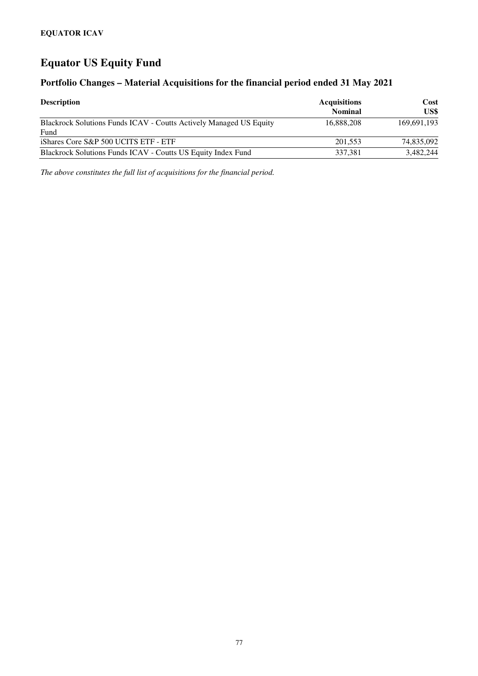# **Equator US Equity Fund**

## **Portfolio Changes – Material Acquisitions for the financial period ended 31 May 2021**

| <b>Description</b>                                                                | <b>Acquisitions</b><br><b>Nominal</b> | Cost<br>US\$ |
|-----------------------------------------------------------------------------------|---------------------------------------|--------------|
| <b>Blackrock Solutions Funds ICAV - Coutts Actively Managed US Equity</b><br>Fund | 16.888.208                            | 169.691.193  |
| iShares Core S&P 500 UCITS ETF - ETF                                              | 201,553                               | 74,835,092   |
| Blackrock Solutions Funds ICAV - Coutts US Equity Index Fund                      | 337.381                               | 3,482,244    |

*The above constitutes the full list of acquisitions for the financial period.*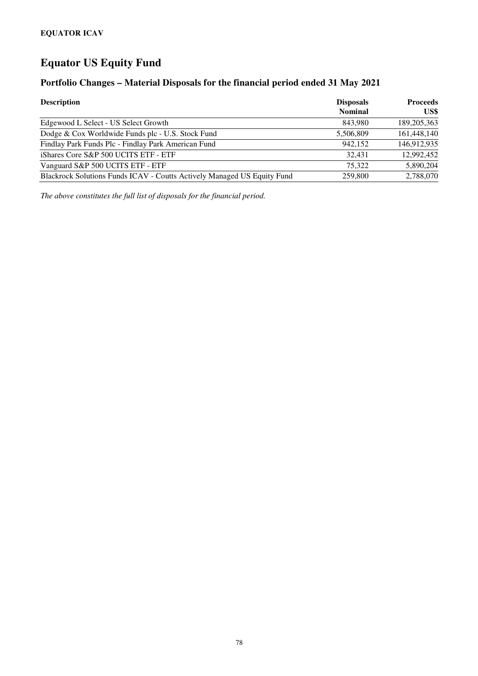# **Equator US Equity Fund**

## **Portfolio Changes – Material Disposals for the financial period ended 31 May 2021**

| <b>Description</b>                                                      | <b>Disposals</b><br><b>Nominal</b> | <b>Proceeds</b><br>US\$ |
|-------------------------------------------------------------------------|------------------------------------|-------------------------|
| Edgewood L Select - US Select Growth                                    | 843.980                            | 189, 205, 363           |
| Dodge & Cox Worldwide Funds plc - U.S. Stock Fund                       | 5,506,809                          | 161,448,140             |
| Findlay Park Funds Plc - Findlay Park American Fund                     | 942.152                            | 146,912,935             |
| iShares Core S&P 500 UCITS ETF - ETF                                    | 32.431                             | 12,992,452              |
| Vanguard S&P 500 UCITS ETF - ETF                                        | 75.322                             | 5,890,204               |
| Blackrock Solutions Funds ICAV - Coutts Actively Managed US Equity Fund | 259,800                            | 2,788,070               |

*The above constitutes the full list of disposals for the financial period.*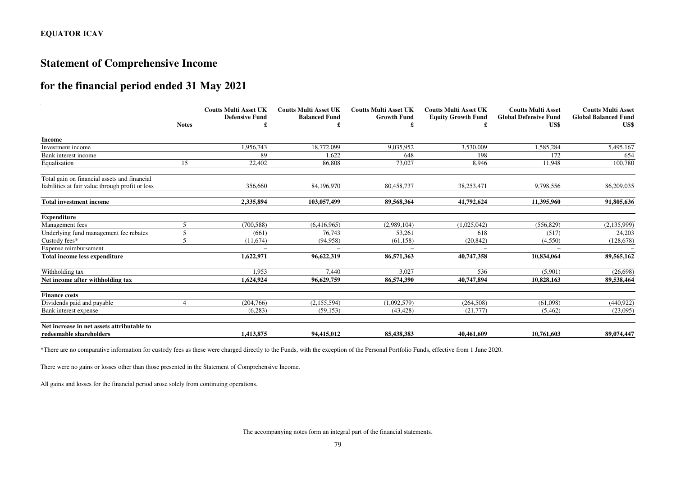# **Statement of Comprehensive Income**

# **for the financial period ended 31 May 2021**

|                                                  | <b>Notes</b> | <b>Coutts Multi Asset UK</b><br><b>Defensive Fund</b> | <b>Coutts Multi Asset UK</b><br><b>Balanced Fund</b> | <b>Coutts Multi Asset UK</b><br><b>Growth Fund</b> | <b>Coutts Multi Asset UK</b><br><b>Equity Growth Fund</b> | <b>Coutts Multi Asset</b><br><b>Global Defensive Fund</b><br>US\$ | <b>Coutts Multi Asset</b><br><b>Global Balanced Fund</b><br>US\$ |
|--------------------------------------------------|--------------|-------------------------------------------------------|------------------------------------------------------|----------------------------------------------------|-----------------------------------------------------------|-------------------------------------------------------------------|------------------------------------------------------------------|
| <b>Income</b>                                    |              |                                                       |                                                      |                                                    |                                                           |                                                                   |                                                                  |
| Investment income                                |              | 1,956,743                                             | 18,772,099                                           | 9,035,952                                          | 3,530,009                                                 | 1,585,284                                                         | 5,495,167                                                        |
| Bank interest income                             |              | 89                                                    | 1.622                                                | 648                                                | 198                                                       | 172                                                               | 654                                                              |
| Equalisation                                     | 15           | 22,402                                                | 86,808                                               | 73,027                                             | 8.946                                                     | 11,948                                                            | 100,780                                                          |
| Total gain on financial assets and financial     |              |                                                       |                                                      |                                                    |                                                           |                                                                   |                                                                  |
| liabilities at fair value through profit or loss |              | 356,660                                               | 84,196,970                                           | 80,458,737                                         | 38,253,471                                                | 9,798,556                                                         | 86,209,035                                                       |
| <b>Total investment income</b>                   |              | 2,335,894                                             | 103,057,499                                          | 89,568,364                                         | 41,792,624                                                | 11,395,960                                                        | 91,805,636                                                       |
| <b>Expenditure</b>                               |              |                                                       |                                                      |                                                    |                                                           |                                                                   |                                                                  |
| Management fees                                  | 5            | (700, 588)                                            | (6.416.965)                                          | (2,989,104)                                        | (1,025,042)                                               | (556, 829)                                                        | (2, 135, 999)                                                    |
| Underlying fund management fee rebates           | 5            | (661)                                                 | 76.743                                               | 53,261                                             | 618                                                       | (517)                                                             | 24,203                                                           |
| Custody fees*                                    |              | (11,674)                                              | (94, 958)                                            | (61, 158)                                          | (20, 842)                                                 | (4,550)                                                           | (128, 678)                                                       |
| Expense reimbursement                            |              | $\equiv$                                              | $\overline{\phantom{a}}$                             |                                                    |                                                           |                                                                   |                                                                  |
| <b>Total income less expenditure</b>             |              | 1.622.971                                             | 96,622,319                                           | 86,571,363                                         | 40,747,358                                                | 10.834.064                                                        | 89,565,162                                                       |
| Withholding tax                                  |              | 1,953                                                 | 7.440                                                | 3.027                                              | 536                                                       | (5,901)                                                           | (26, 698)                                                        |
| Net income after withholding tax                 |              | 1,624,924                                             | 96,629,759                                           | 86,574,390                                         | 40,747,894                                                | 10,828,163                                                        | 89,538,464                                                       |
| <b>Finance costs</b>                             |              |                                                       |                                                      |                                                    |                                                           |                                                                   |                                                                  |
| Dividends paid and payable                       |              | (204, 766)                                            | (2, 155, 594)                                        | (1.092.579)                                        | (264, 508)                                                | (61.098)                                                          | (440.922)                                                        |
| Bank interest expense                            |              | (6,283)                                               | (59, 153)                                            | (43, 428)                                          | (21,777)                                                  | (5,462)                                                           | (23,095)                                                         |
| Net increase in net assets attributable to       |              |                                                       |                                                      |                                                    |                                                           |                                                                   |                                                                  |
| redeemable shareholders                          |              | 1.413.875                                             | 94.415.012                                           | 85.438.383                                         | 40.461.609                                                | 10.761.603                                                        | 89,074,447                                                       |

\*There are no comparative information for custody fees as these were charged directly to the Funds, with the exception of the Personal Portfolio Funds, effective from 1 June 2020.

There were no gains or losses other than those presented in the Statement of Comprehensive Income.

All gains and losses for the financial period arose solely from continuing operations.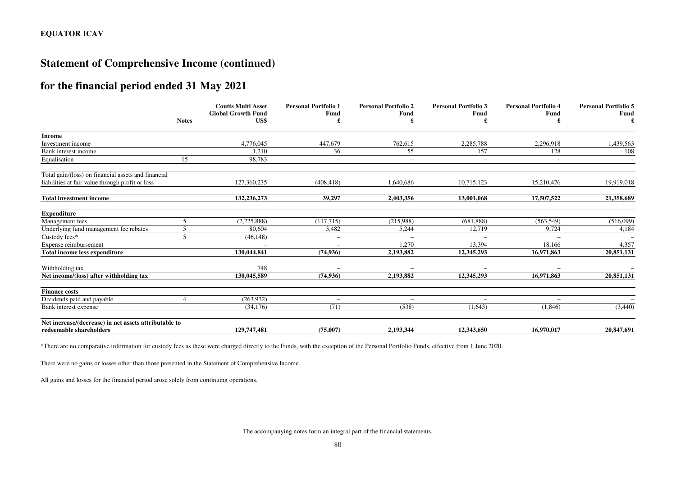## **Statement of Comprehensive Income (continued)**

# **for the financial period ended 31 May 2021**

|                                                       | <b>Notes</b>             | <b>Coutts Multi Asset</b><br><b>Global Growth Fund</b><br>US\$ | <b>Personal Portfolio 1</b><br>Fund<br>£ | <b>Personal Portfolio 2</b><br>Fund | <b>Personal Portfolio 3</b><br>Fund | <b>Personal Portfolio 4</b><br>Fund | <b>Personal Portfolio 5</b><br>Fund |
|-------------------------------------------------------|--------------------------|----------------------------------------------------------------|------------------------------------------|-------------------------------------|-------------------------------------|-------------------------------------|-------------------------------------|
| <b>Income</b>                                         |                          |                                                                |                                          |                                     |                                     |                                     |                                     |
| Investment income                                     |                          | 4,776,045                                                      | 447,679                                  | 762,615                             | 2,285,788                           | 2,296,918                           | 1,439,563                           |
| Bank interest income                                  |                          | 1,210                                                          | 36                                       | 55                                  | 157                                 | 128                                 | 108                                 |
| Equalisation                                          | 15                       | 98,783                                                         | $\overline{\phantom{a}}$                 | $\overline{\phantom{a}}$            | $\overline{\phantom{m}}$            | $\overline{\phantom{a}}$            |                                     |
| Total gain/(loss) on financial assets and financial   |                          |                                                                |                                          |                                     |                                     |                                     |                                     |
| liabilities at fair value through profit or loss      |                          | 127,360,235                                                    | (408, 418)                               | 1,640,686                           | 10,715,123                          | 15,210,476                          | 19,919,018                          |
| <b>Total investment income</b>                        |                          | 132,236,273                                                    | 39,297                                   | 2,403,356                           | 13,001,068                          | 17,507,522                          | 21,358,689                          |
| <b>Expenditure</b>                                    |                          |                                                                |                                          |                                     |                                     |                                     |                                     |
| Management fees                                       | $\overline{\phantom{1}}$ | (2,225,888)                                                    | (117,715)                                | (215,988)                           | (681, 888)                          | (563, 549)                          | (516,099)                           |
| Underlying fund management fee rebates                | 5                        | 80,604                                                         | 3,482                                    | 5,244                               | 12,719                              | 9,724                               | 4,184                               |
| Custody fees*                                         | 5                        | (46, 148)                                                      | $\overline{\phantom{0}}$                 |                                     |                                     |                                     |                                     |
| Expense reimbursement                                 |                          | $\equiv$                                                       |                                          | 1,270                               | 13,394                              | 18,166                              | 4,357                               |
| <b>Total income less expenditure</b>                  |                          | 130,044,841                                                    | (74, 936)                                | 2,193,882                           | 12,345,293                          | 16,971,863                          | 20,851,131                          |
| Withholding tax                                       |                          | 748                                                            | $\equiv$                                 | $\overline{\phantom{a}}$            |                                     | $\overline{\phantom{0}}$            |                                     |
| Net income/(loss) after withholding tax               |                          | 130,045,589                                                    | (74, 936)                                | 2,193,882                           | 12,345,293                          | 16.971.863                          | 20,851,131                          |
| <b>Finance costs</b>                                  |                          |                                                                |                                          |                                     |                                     |                                     |                                     |
| Dividends paid and payable                            |                          | (263,932)                                                      | $\overline{\phantom{0}}$                 | $\overline{\phantom{a}}$            |                                     |                                     |                                     |
| Bank interest expense                                 |                          | (34,176)                                                       | (71)                                     | (538)                               | (1.643)                             | (1,846)                             | (3,440)                             |
| Net increase/(decrease) in net assets attributable to |                          |                                                                |                                          |                                     |                                     |                                     |                                     |
| redeemable shareholders                               |                          | 129,747,481                                                    | (75,007)                                 | 2,193,344                           | 12,343,650                          | 16.970.017                          | 20,847,691                          |

\*There are no comparative information for custody fees as these were charged directly to the Funds, with the exception of the Personal Portfolio Funds, effective from 1 June 2020.

There were no gains or losses other than those presented in the Statement of Comprehensive Income.

All gains and losses for the financial period arose solely from continuing operations.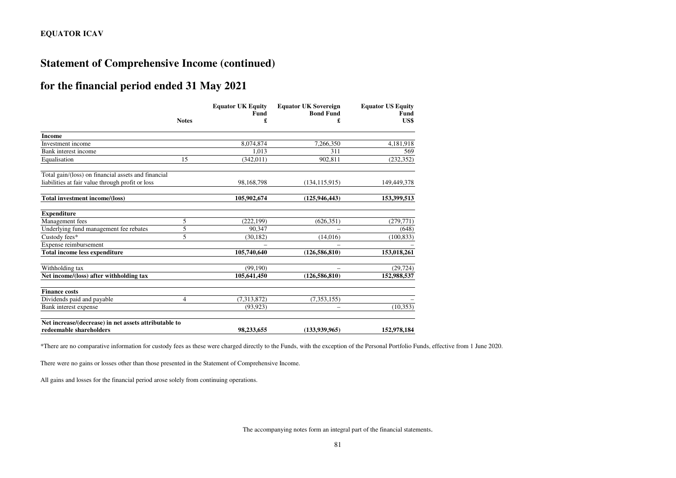## **Statement of Comprehensive Income (continued)**

## **for the financial period ended 31 May 2021**

|                                                       |              | <b>Equator UK Equity</b><br>Fund | <b>Equator UK Sovereign</b><br><b>Bond Fund</b> | <b>Equator US Equity</b><br>Fund |
|-------------------------------------------------------|--------------|----------------------------------|-------------------------------------------------|----------------------------------|
|                                                       | <b>Notes</b> | £                                | £                                               | US\$                             |
| <b>Income</b>                                         |              |                                  |                                                 |                                  |
| Investment income                                     |              | 8,074,874                        | 7,266,350                                       | 4,181,918                        |
| Bank interest income                                  |              | 1.013                            | 311                                             | 569                              |
| Equalisation                                          | 15           | (342, 011)                       | 902,811                                         | (232, 352)                       |
| Total gain/(loss) on financial assets and financial   |              |                                  |                                                 |                                  |
| liabilities at fair value through profit or loss      |              | 98,168,798                       | (134, 115, 915)                                 | 149,449,378                      |
| Total investment income/(loss)                        |              | 105,902,674                      | (125, 946, 443)                                 | 153,399,513                      |
| <b>Expenditure</b>                                    |              |                                  |                                                 |                                  |
| Management fees                                       | 5            | (222, 199)                       | (626, 351)                                      | (279, 771)                       |
| Underlying fund management fee rebates                | 5            | 90.347                           |                                                 | (648)                            |
| Custody fees*                                         | 5            | (30, 182)                        | (14,016)                                        | (100, 833)                       |
| Expense reimbursement                                 |              |                                  |                                                 |                                  |
| Total income less expenditure                         |              | 105,740,640                      | (126, 586, 810)                                 | 153,018,261                      |
| Withholding tax                                       |              | (99, 190)                        |                                                 | (29, 724)                        |
| Net income/(loss) after withholding tax               |              | 105,641,450                      | (126, 586, 810)                                 | 152,988,537                      |
| <b>Finance costs</b>                                  |              |                                  |                                                 |                                  |
| Dividends paid and payable                            | 4            | (7,313,872)                      | (7, 353, 155)                                   |                                  |
| Bank interest expense                                 |              | (93, 923)                        | $\equiv$                                        | (10, 353)                        |
| Net increase/(decrease) in net assets attributable to |              |                                  |                                                 |                                  |
| redeemable shareholders                               |              | 98.233.655                       | (133.939.965)                                   | 152,978,184                      |

\*There are no comparative information for custody fees as these were charged directly to the Funds, with the exception of the Personal Portfolio Funds, effective from 1 June 2020.

There were no gains or losses other than those presented in the Statement of Comprehensive Income.

All gains and losses for the financial period arose solely from continuing operations.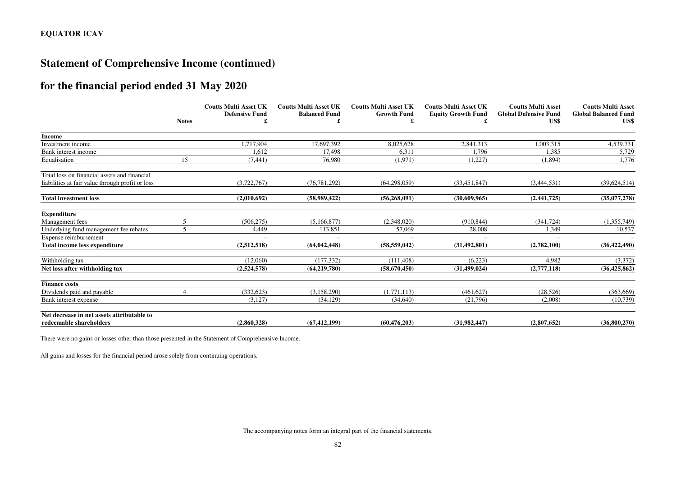# **Statement of Comprehensive Income (continued)**

# **for the financial period ended 31 May 2020**

|                                                  | <b>Notes</b> | <b>Coutts Multi Asset UK</b><br><b>Defensive Fund</b> | <b>Coutts Multi Asset UK</b><br><b>Balanced Fund</b> | <b>Coutts Multi Asset UK</b><br><b>Growth Fund</b> | <b>Coutts Multi Asset UK</b> | <b>Coutts Multi Asset</b><br><b>Global Defensive Fund</b> | <b>Coutts Multi Asset</b><br><b>Global Balanced Fund</b> |
|--------------------------------------------------|--------------|-------------------------------------------------------|------------------------------------------------------|----------------------------------------------------|------------------------------|-----------------------------------------------------------|----------------------------------------------------------|
|                                                  |              |                                                       |                                                      |                                                    | <b>Equity Growth Fund</b>    | US\$                                                      | US\$                                                     |
| <b>Income</b>                                    |              |                                                       |                                                      |                                                    |                              |                                                           |                                                          |
| Investment income                                |              | 1,717,904                                             | 17,697,392                                           | 8,025,628                                          | 2,841,313                    | 1,003,315                                                 | 4,539,731                                                |
| Bank interest income                             |              | 1,612                                                 | 17.498                                               | 6,311                                              | 1.796                        | 1.385                                                     | 5,729                                                    |
| Equalisation                                     | 15           | (7, 441)                                              | 76.980                                               | (1,971)                                            | (1,227)                      | (1, 894)                                                  | 1,776                                                    |
| Total loss on financial assets and financial     |              |                                                       |                                                      |                                                    |                              |                                                           |                                                          |
| liabilities at fair value through profit or loss |              | (3,722,767)                                           | (76, 781, 292)                                       | (64, 298, 059)                                     | (33, 451, 847)               | (3,444,531)                                               | (39, 624, 514)                                           |
| <b>Total investment loss</b>                     |              | (2,010,692)                                           | (58,989,422)                                         | (56, 268, 091)                                     | (30,609,965)                 | (2,441,725)                                               | (35,077,278)                                             |
| <b>Expenditure</b>                               |              |                                                       |                                                      |                                                    |                              |                                                           |                                                          |
| Management fees                                  |              | (506, 275)                                            | (5.166.877)                                          | (2,348,020)                                        | (910, 844)                   | (341, 724)                                                | (1,355,749)                                              |
| Underlying fund management fee rebates           |              | 4,449                                                 | 113,851                                              | 57,069                                             | 28,008                       | 1,349                                                     | 10,537                                                   |
| Expense reimbursement                            |              |                                                       |                                                      |                                                    |                              |                                                           |                                                          |
| <b>Total income less expenditure</b>             |              | (2,512,518)                                           | (64, 042, 448)                                       | (58, 559, 042)                                     | (31, 492, 801)               | (2,782,100)                                               | (36, 422, 490)                                           |
| Withholding tax                                  |              | (12,060)                                              | (177.332)                                            | (111.408)                                          | (6.223)                      | 4.982                                                     | (3,372)                                                  |
| Net loss after withholding tax                   |              | (2,524,578)                                           | (64, 219, 780)                                       | (58,670,450)                                       | (31, 499, 024)               | (2,777,118)                                               | (36, 425, 862)                                           |
| <b>Finance costs</b>                             |              |                                                       |                                                      |                                                    |                              |                                                           |                                                          |
| Dividends paid and payable                       |              | (332, 623)                                            | (3, 158, 290)                                        | (1,771,113)                                        | (461, 627)                   | (28, 526)                                                 | (363, 669)                                               |
| Bank interest expense                            |              | (3,127)                                               | (34, 129)                                            | (34,640)                                           | (21,796)                     | (2,008)                                                   | (10, 739)                                                |
| Net decrease in net assets attributable to       |              |                                                       |                                                      |                                                    |                              |                                                           |                                                          |
| redeemable shareholders                          |              | (2,860,328)                                           | (67, 412, 199)                                       | (60, 476, 203)                                     | (31,982,447)                 | (2,807,652)                                               | (36,800,270)                                             |

There were no gains or losses other than those presented in the Statement of Comprehensive Income.

All gains and losses for the financial period arose solely from continuing operations.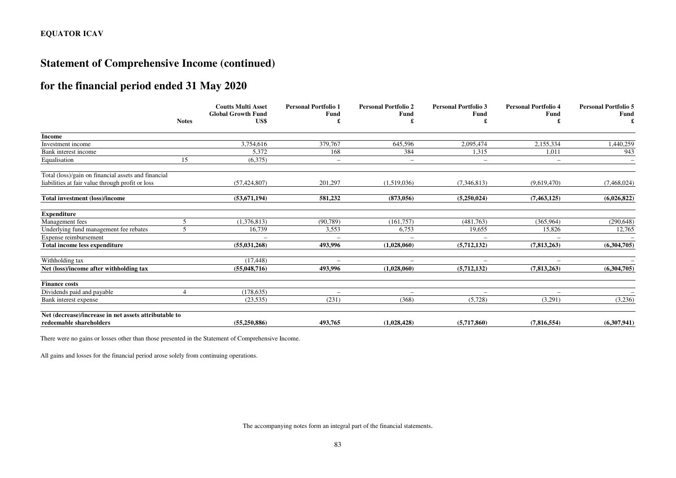# **Statement of Comprehensive Income (continued)**

# **for the financial period ended 31 May 2020**

|                                                       |              | <b>Coutts Multi Asset</b><br><b>Global Growth Fund</b> | <b>Personal Portfolio 1</b><br>Fund | <b>Personal Portfolio 2</b><br><b>Fund</b> | <b>Personal Portfolio 3</b><br>Fund | <b>Personal Portfolio 4</b><br>Fund | <b>Personal Portfolio 5</b><br>Fund |
|-------------------------------------------------------|--------------|--------------------------------------------------------|-------------------------------------|--------------------------------------------|-------------------------------------|-------------------------------------|-------------------------------------|
|                                                       | <b>Notes</b> | US\$                                                   |                                     |                                            |                                     |                                     |                                     |
| Income                                                |              |                                                        |                                     |                                            |                                     |                                     |                                     |
| Investment income                                     |              | 3,754,616                                              | 379,767                             | 645,596                                    | 2,095,474                           | 2,155,334                           | 1,440,259                           |
| Bank interest income                                  |              | 5,372                                                  | 168                                 | 384                                        | 1,315                               | 1,011                               | 943                                 |
| Equalisation                                          | 15           | (6,375)                                                | $\overline{\phantom{0}}$            | $\overline{\phantom{m}}$                   | $\overline{\phantom{0}}$            | $\qquad \qquad -$                   |                                     |
| Total (loss)/gain on financial assets and financial   |              |                                                        |                                     |                                            |                                     |                                     |                                     |
| liabilities at fair value through profit or loss      |              | (57, 424, 807)                                         | 201,297                             | (1,519,036)                                | (7,346,813)                         | (9,619,470)                         | (7,468,024)                         |
| Total investment (loss)/income                        |              | (53, 671, 194)                                         | 581,232                             | (873, 056)                                 | (5,250,024)                         | (7, 463, 125)                       | (6,026,822)                         |
| <b>Expenditure</b>                                    |              |                                                        |                                     |                                            |                                     |                                     |                                     |
| Management fees                                       |              | (1,376,813)                                            | (90, 789)                           | (161, 757)                                 | (481,763)                           | (365,964)                           | (290, 648)                          |
| Underlying fund management fee rebates                |              | 16,739                                                 | 3,553                               | 6,753                                      | 19,655                              | 15,826                              | 12,765                              |
| Expense reimbursement                                 |              |                                                        |                                     |                                            |                                     |                                     |                                     |
| Total income less expenditure                         |              | (55,031,268)                                           | 493,996                             | (1,028,060)                                | (5,712,132)                         | (7,813,263)                         | (6,304,705)                         |
| Withholding tax                                       |              | (17, 448)                                              |                                     |                                            |                                     |                                     |                                     |
| Net (loss)/income after withholding tax               |              | (55,048,716)                                           | 493.996                             | (1,028,060)                                | (5,712,132)                         | (7,813,263)                         | (6,304,705)                         |
| <b>Finance costs</b>                                  |              |                                                        |                                     |                                            |                                     |                                     |                                     |
| Dividends paid and payable                            |              | (178, 635)                                             | $\overline{\phantom{0}}$            |                                            |                                     |                                     |                                     |
| Bank interest expense                                 |              | (23, 535)                                              | (231)                               | (368)                                      | (5,728)                             | (3,291)                             | (3,236)                             |
| Net (decrease)/increase in net assets attributable to |              |                                                        |                                     |                                            |                                     |                                     |                                     |
| redeemable shareholders                               |              | (55, 250, 886)                                         | 493,765                             | (1,028,428)                                | (5,717,860)                         | (7,816,554)                         | (6,307,941)                         |

There were no gains or losses other than those presented in the Statement of Comprehensive Income.

All gains and losses for the financial period arose solely from continuing operations.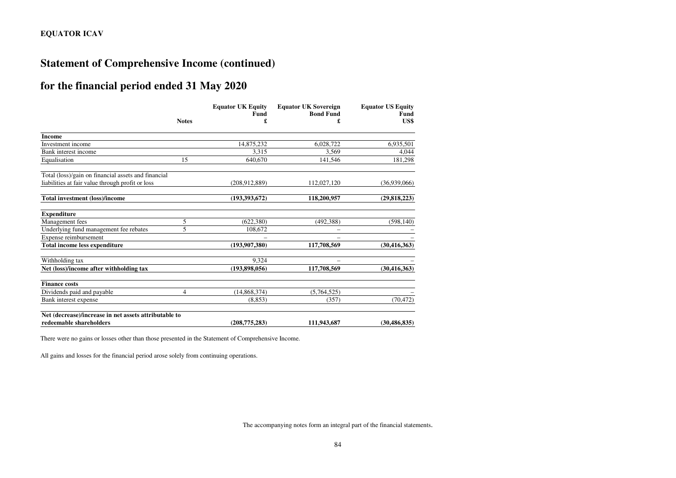# **Statement of Comprehensive Income (continued)**

# **for the financial period ended 31 May 2020**

|                                                       |                | <b>Equator UK Equity</b><br>Fund | <b>Equator UK Sovereign</b><br><b>Bond Fund</b> | <b>Equator US Equity</b><br><b>Fund</b> |
|-------------------------------------------------------|----------------|----------------------------------|-------------------------------------------------|-----------------------------------------|
|                                                       | <b>Notes</b>   |                                  | £                                               | US\$                                    |
| <b>Income</b>                                         |                |                                  |                                                 |                                         |
| Investment income                                     |                | 14,875,232                       | 6,028,722                                       | 6,935,501                               |
| Bank interest income                                  |                | 3.315                            | 3.569                                           | 4,044                                   |
| Equalisation                                          | 15             | 640,670                          | 141,546                                         | 181,298                                 |
| Total (loss)/gain on financial assets and financial   |                |                                  |                                                 |                                         |
| liabilities at fair value through profit or loss      |                | (208, 912, 889)                  | 112,027,120                                     | (36.939.066)                            |
| Total investment (loss)/income                        |                | (193,393,672)                    | 118,200,957                                     | (29, 818, 223)                          |
| <b>Expenditure</b>                                    |                |                                  |                                                 |                                         |
| Management fees                                       | 5              | (622, 380)                       | (492, 388)                                      | (598, 140)                              |
| Underlying fund management fee rebates                | 5              | 108,672                          |                                                 |                                         |
| Expense reimbursement                                 |                |                                  |                                                 |                                         |
| <b>Total income less expenditure</b>                  |                | (193, 907, 380)                  | 117,708,569                                     | (30, 416, 363)                          |
| Withholding tax                                       |                | 9.324                            |                                                 |                                         |
| Net (loss)/income after withholding tax               |                | (193,898,056)                    | 117,708,569                                     | (30, 416, 363)                          |
| <b>Finance costs</b>                                  |                |                                  |                                                 |                                         |
| Dividends paid and payable                            | $\overline{4}$ | (14, 868, 374)                   | (5,764,525)                                     |                                         |
| Bank interest expense                                 |                | (8.853)                          | (357)                                           | (70, 472)                               |
| Net (decrease)/increase in net assets attributable to |                |                                  |                                                 |                                         |
| redeemable shareholders                               |                | (208, 775, 283)                  | 111,943,687                                     | (30, 486, 835)                          |

There were no gains or losses other than those presented in the Statement of Comprehensive Income.

All gains and losses for the financial period arose solely from continuing operations.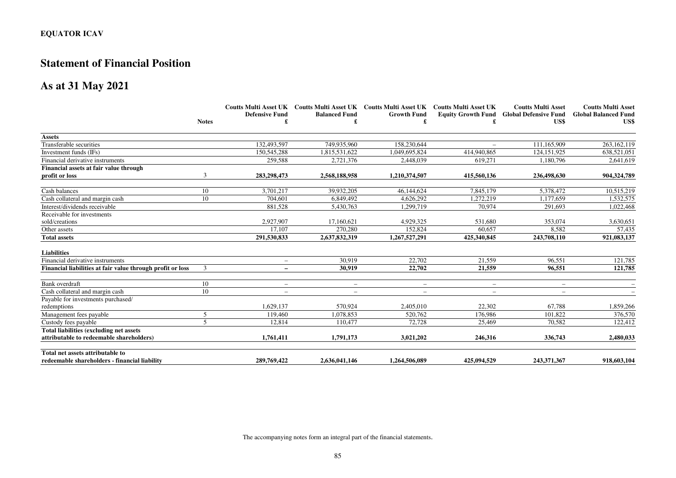## **Statement of Financial Position**

## **As at 31 May 2021**

|                                                            |                          |                          | Coutts Multi Asset UK Coutts Multi Asset UK Coutts Multi Asset UK Coutts Multi Asset UK |                    |                          | <b>Coutts Multi Asset</b>                       | <b>Coutts Multi Asset</b>   |
|------------------------------------------------------------|--------------------------|--------------------------|-----------------------------------------------------------------------------------------|--------------------|--------------------------|-------------------------------------------------|-----------------------------|
|                                                            |                          | <b>Defensive Fund</b>    | <b>Balanced Fund</b>                                                                    | <b>Growth Fund</b> |                          | <b>Equity Growth Fund Global Defensive Fund</b> | <b>Global Balanced Fund</b> |
|                                                            | <b>Notes</b>             |                          |                                                                                         | £                  |                          | US\$                                            | US\$                        |
| <b>Assets</b>                                              |                          |                          |                                                                                         |                    |                          |                                                 |                             |
| Transferable securities                                    |                          | 132,493,597              | 749,935,960                                                                             | 158,230,644        |                          | 111,165,909                                     | 263,162,119                 |
| Investment funds (IFs)                                     |                          | 150,545,288              | 1,815,531,622                                                                           | 1,049,695,824      | 414,940,865              | 124,151,925                                     | 638,521,051                 |
| Financial derivative instruments                           |                          | 259,588                  | 2,721,376                                                                               | 2,448,039          | 619,271                  | 1,180,796                                       | 2,641,619                   |
| Financial assets at fair value through                     |                          |                          |                                                                                         |                    |                          |                                                 |                             |
| profit or loss                                             | 3                        | 283, 298, 473            | 2,568,188,958                                                                           | 1,210,374,507      | 415,560,136              | 236,498,630                                     | 904,324,789                 |
| Cash balances                                              | 10                       | 3.701.217                | 39,932,205                                                                              | 46,144,624         | 7,845,179                | 5,378,472                                       | 10,515,219                  |
| Cash collateral and margin cash                            | 10                       | 704,601                  | 6,849,492                                                                               | 4,626,292          | 1,272,219                | 1,177,659                                       | 1,532,575                   |
| Interest/dividends receivable                              |                          | 881,528                  | 5,430,763                                                                               | 1,299,719          | 70,974                   | 291,693                                         | 1,022,468                   |
| Receivable for investments                                 |                          |                          |                                                                                         |                    |                          |                                                 |                             |
| sold/creations                                             |                          | 2,927,907                | 17,160,621                                                                              | 4,929,325          | 531,680                  | 353,074                                         | 3,630,651                   |
| Other assets                                               |                          | 17.107                   | 270,280                                                                                 | 152,824            | 60.657                   | 8.582                                           | 57,435                      |
| <b>Total assets</b>                                        |                          | 291,530,833              | 2,637,832,319                                                                           | 1,267,527,291      | 425,340,845              | 243,708,110                                     | 921,083,137                 |
| <b>Liabilities</b>                                         |                          |                          |                                                                                         |                    |                          |                                                 |                             |
| Financial derivative instruments                           |                          | $\overline{\phantom{a}}$ | 30.919                                                                                  | 22,702             | 21.559                   | 96,551                                          | 121,785                     |
| Financial liabilities at fair value through profit or loss | 3                        |                          | 30.919                                                                                  | 22,702             | 21.559                   | 96.551                                          | 121,785                     |
| Bank overdraft                                             | 10                       | $\overline{\phantom{m}}$ | $\overline{\phantom{m}}$                                                                | $-$                | $\overline{\phantom{0}}$ | $\qquad \qquad -$                               |                             |
| Cash collateral and margin cash                            | 10                       | $\overline{\phantom{a}}$ | $\overline{\phantom{m}}$                                                                | $\qquad \qquad -$  | $\overline{\phantom{m}}$ | $\qquad \qquad -$                               |                             |
| Payable for investments purchased/                         |                          |                          |                                                                                         |                    |                          |                                                 |                             |
| redemptions                                                |                          | 1,629,137                | 570.924                                                                                 | 2,405,010          | 22,302                   | 67,788                                          | 1,859,266                   |
| Management fees payable                                    | 5                        | 119.460                  | 1.078.853                                                                               | 520,762            | 176.986                  | 101.822                                         | 376,570                     |
| Custody fees payable                                       | $\overline{\phantom{0}}$ | 12.814                   | 110,477                                                                                 | 72,728             | 25,469                   | 70,582                                          | 122,412                     |
| <b>Total liabilities (excluding net assets)</b>            |                          |                          |                                                                                         |                    |                          |                                                 |                             |
| attributable to redeemable shareholders)                   |                          | 1,761,411                | 1,791,173                                                                               | 3,021,202          | 246,316                  | 336,743                                         | 2,480,033                   |
| Total net assets attributable to                           |                          |                          |                                                                                         |                    |                          |                                                 |                             |
| redeemable shareholders - financial liability              |                          | 289,769,422              | 2,636,041,146                                                                           | 1,264,506,089      | 425,094,529              | 243,371,367                                     | 918,603,104                 |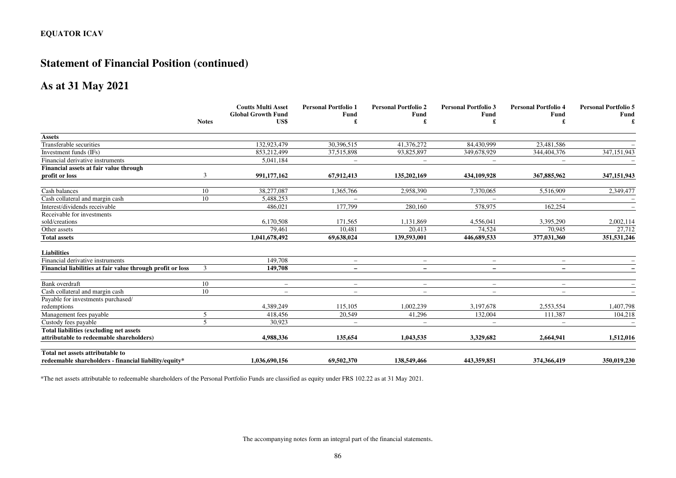# **Statement of Financial Position (continued)**

## **As at 31 May 2021**

|                                                            |                | <b>Coutts Multi Asset</b>         | <b>Personal Portfolio 1</b> | <b>Personal Portfolio 2</b> | <b>Personal Portfolio 3</b> | <b>Personal Portfolio 4</b> | <b>Personal Portfolio 5</b> |
|------------------------------------------------------------|----------------|-----------------------------------|-----------------------------|-----------------------------|-----------------------------|-----------------------------|-----------------------------|
|                                                            | <b>Notes</b>   | <b>Global Growth Fund</b><br>US\$ | Fund                        | <b>Fund</b>                 | <b>Fund</b>                 | Fund                        | <b>Fund</b><br>£            |
|                                                            |                |                                   |                             |                             |                             |                             |                             |
| <b>Assets</b>                                              |                |                                   |                             |                             |                             |                             |                             |
| Transferable securities                                    |                | 132,923,479                       | 30,396,515                  | 41,376,272                  | 84,430,999                  | 23,481,586                  |                             |
| Investment funds (IFs)                                     |                | 853,212,499                       | 37,515,898                  | 93,825,897                  | 349,678,929                 | 344,404,376                 | 347,151,943                 |
| Financial derivative instruments                           |                | 5.041.184                         | $\overline{\phantom{0}}$    | $\overline{\phantom{m}}$    | $\overline{\phantom{m}}$    | $\overline{\phantom{0}}$    |                             |
| Financial assets at fair value through                     |                |                                   |                             |                             |                             |                             |                             |
| profit or loss                                             | 3              | 991,177,162                       | 67,912,413                  | 135,202,169                 | 434,109,928                 | 367,885,962                 | 347,151,943                 |
| Cash balances                                              | 10             | 38,277,087                        | 1,365,766                   | 2,958,390                   | 7,370,065                   | 5,516,909                   | 2,349,477                   |
| Cash collateral and margin cash                            | 10             | 5.488.253                         |                             |                             |                             |                             |                             |
| Interest/dividends receivable                              |                | 486.021                           | 177,799                     | 280,160                     | 578,975                     | 162,254                     |                             |
| Receivable for investments                                 |                |                                   |                             |                             |                             |                             |                             |
| sold/creations                                             |                | 6,170,508                         | 171,565                     | 1,131,869                   | 4,556,041                   | 3,395,290                   | 2,002,114                   |
| Other assets                                               |                | 79,461                            | 10,481                      | 20,413                      | 74,524                      | 70.945                      | 27,712                      |
| <b>Total assets</b>                                        |                | 1,041,678,492                     | 69,638,024                  | 139,593,001                 | 446,689,533                 | 377,031,360                 | 351,531,246                 |
| <b>Liabilities</b>                                         |                |                                   |                             |                             |                             |                             |                             |
| Financial derivative instruments                           |                | 149,708                           | $\overline{\phantom{m}}$    | $\overline{\phantom{m}}$    | $\overline{\phantom{0}}$    | $\qquad \qquad -$           |                             |
| Financial liabilities at fair value through profit or loss | 3              | 149,708                           | $\qquad \qquad -$           | $\overline{\phantom{a}}$    |                             | $\overline{\phantom{0}}$    |                             |
| Bank overdraft                                             | 10             | $-$                               | $\overline{\phantom{0}}$    | $-$                         | $\overline{\phantom{0}}$    | $\qquad \qquad -$           |                             |
| Cash collateral and margin cash                            | 10             | $-$                               | $\overline{\phantom{m}}$    | $-$                         | $\overline{\phantom{0}}$    | $\overline{\phantom{0}}$    |                             |
| Payable for investments purchased/                         |                |                                   |                             |                             |                             |                             |                             |
| redemptions                                                |                | 4,389,249                         | 115,105                     | 1,002,239                   | 3,197,678                   | 2,553,554                   | 1,407,798                   |
| Management fees payable                                    | 5              | 418,456                           | 20,549                      | 41,296                      | 132,004                     | 111,387                     | 104,218                     |
| Custody fees payable                                       | $\overline{5}$ | 30,923                            | $\overline{\phantom{m}}$    | $\qquad \qquad -$           | $\overline{\phantom{m}}$    | $\qquad \qquad -$           |                             |
| <b>Total liabilities (excluding net assets)</b>            |                |                                   |                             |                             |                             |                             |                             |
| attributable to redeemable shareholders)                   |                | 4,988,336                         | 135,654                     | 1.043.535                   | 3.329,682                   | 2,664,941                   | 1,512,016                   |
| Total net assets attributable to                           |                |                                   |                             |                             |                             |                             |                             |
| redeemable shareholders - financial liability/equity*      |                | 1,036,690,156                     | 69,502,370                  | 138,549,466                 | 443,359,851                 | 374,366,419                 | 350,019,230                 |

\*The net assets attributable to redeemable shareholders of the Personal Portfolio Funds are classified as equity under FRS 102.22 as at 31 May 2021.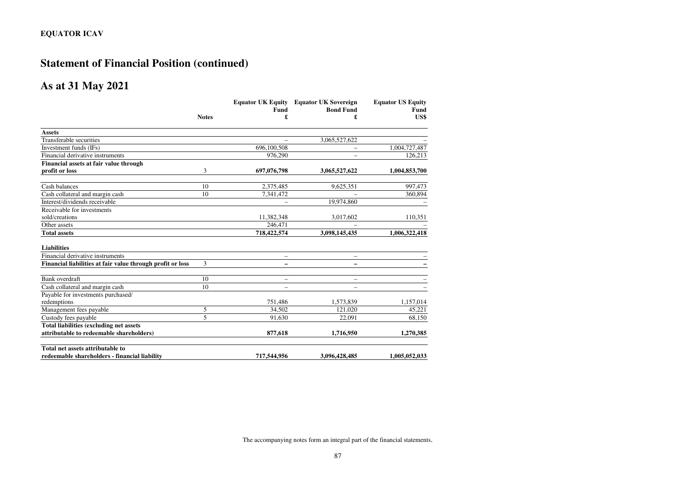# **Statement of Financial Position (continued)**

## **As at 31 May 2021**

|                                                            |              |                          | <b>Equator UK Equity Equator UK Sovereign</b> | <b>Equator US Equity</b><br><b>Fund</b> |  |
|------------------------------------------------------------|--------------|--------------------------|-----------------------------------------------|-----------------------------------------|--|
|                                                            |              | Fund                     | <b>Bond Fund</b>                              |                                         |  |
|                                                            | <b>Notes</b> | £                        | £                                             | US\$                                    |  |
| <b>Assets</b>                                              |              |                          |                                               |                                         |  |
| Transferable securities                                    |              |                          | 3,065,527,622                                 |                                         |  |
| Investment funds (IFs)                                     |              | 696,100,508              | $\qquad \qquad -$                             | 1,004,727,487                           |  |
| Financial derivative instruments                           |              | 976,290                  | $\overline{\phantom{0}}$                      | 126,213                                 |  |
| Financial assets at fair value through                     |              |                          |                                               |                                         |  |
| profit or loss                                             | 3            | 697,076,798              | 3,065,527,622                                 | 1,004,853,700                           |  |
| Cash balances                                              | 10           | 2,375,485                | 9,625,351                                     | 997,473                                 |  |
| Cash collateral and margin cash                            | 10           | 7,341,472                |                                               | 360,894                                 |  |
| Interest/dividends receivable                              |              |                          | 19,974,860                                    |                                         |  |
| Receivable for investments                                 |              |                          |                                               |                                         |  |
| sold/creations                                             |              | 11.382.348               | 3,017,602                                     | 110,351                                 |  |
| Other assets                                               |              | 246,471                  |                                               |                                         |  |
| <b>Total assets</b>                                        |              | 718,422,574              | 3,098,145,435                                 | 1,006,322,418                           |  |
| <b>Liabilities</b>                                         |              |                          |                                               |                                         |  |
| Financial derivative instruments                           |              | $\overline{\phantom{0}}$ | $\overline{\phantom{0}}$                      |                                         |  |
| Financial liabilities at fair value through profit or loss | 3            |                          |                                               |                                         |  |
| Bank overdraft                                             | 10           |                          | $\overline{a}$                                |                                         |  |
| Cash collateral and margin cash                            | 10           |                          |                                               |                                         |  |
| Payable for investments purchased/                         |              |                          |                                               |                                         |  |
| redemptions                                                |              | 751,486                  | 1,573,839                                     | 1,157,014                               |  |
| Management fees payable                                    | 5            | 34,502                   | 121,020                                       | 45,221                                  |  |
| Custody fees payable                                       | 5            | 91.630                   | 22.091                                        | 68.150                                  |  |
| <b>Total liabilities (excluding net assets)</b>            |              |                          |                                               |                                         |  |
| attributable to redeemable shareholders)                   |              | 877,618                  | 1,716,950                                     | 1,270,385                               |  |
| Total net assets attributable to                           |              |                          |                                               |                                         |  |
| redeemable shareholders - financial liability              |              | 717,544,956              | 3,096,428,485                                 | 1,005,052,033                           |  |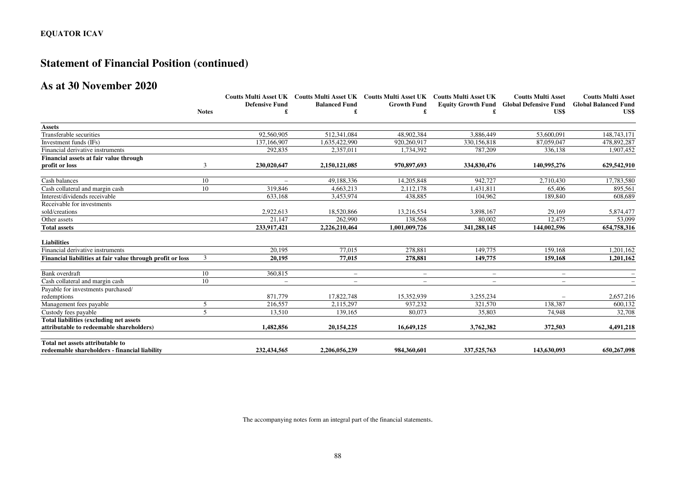# **Statement of Financial Position (continued)**

# **As at 30 November 2020**

|                                                            |               |                          |                          | Coutts Multi Asset UK Coutts Multi Asset UK Coutts Multi Asset UK Coutts Multi Asset UK |                          | <b>Coutts Multi Asset</b>                       | <b>Coutts Multi Asset</b>   |
|------------------------------------------------------------|---------------|--------------------------|--------------------------|-----------------------------------------------------------------------------------------|--------------------------|-------------------------------------------------|-----------------------------|
|                                                            |               | <b>Defensive Fund</b>    | <b>Balanced Fund</b>     | <b>Growth Fund</b>                                                                      |                          | <b>Equity Growth Fund Global Defensive Fund</b> | <b>Global Balanced Fund</b> |
|                                                            | <b>Notes</b>  |                          |                          |                                                                                         |                          | US\$                                            | US\$                        |
| <b>Assets</b>                                              |               |                          |                          |                                                                                         |                          |                                                 |                             |
| Transferable securities                                    |               | 92,560,905               | 512,341,084              | 48,902,384                                                                              | 3,886,449                | 53,600,091                                      | 148,743,171                 |
| Investment funds (IFs)                                     |               | 137,166,907              | 1,635,422,990            | 920,260,917                                                                             | 330,156,818              | 87,059,047                                      | 478,892,287                 |
| Financial derivative instruments                           |               | 292,835                  | 2,357,011                | 1,734,392                                                                               | 787,209                  | 336,138                                         | 1,907,452                   |
| Financial assets at fair value through                     |               |                          |                          |                                                                                         |                          |                                                 |                             |
| profit or loss                                             | 3             | 230,020,647              | 2,150,121,085            | 970,897,693                                                                             | 334,830,476              | 140,995,276                                     | 629,542,910                 |
| Cash balances                                              | 10            |                          | 49.188.336               | 14,205,848                                                                              | 942,727                  | 2,710,430                                       | 17,783,580                  |
| Cash collateral and margin cash                            | 10            | 319,846                  | 4,663,213                | 2,112,178                                                                               | 1,431,811                | 65,406                                          | 895,561                     |
| Interest/dividends receivable                              |               | 633,168                  | 3,453,974                | 438,885                                                                                 | 104,962                  | 189,840                                         | 608,689                     |
| Receivable for investments                                 |               |                          |                          |                                                                                         |                          |                                                 |                             |
| sold/creations                                             |               | 2,922,613                | 18,520,866               | 13,216,554                                                                              | 3,898,167                | 29.169                                          | 5,874,477                   |
| Other assets                                               |               | 21,147                   | 262,990                  | 138,568                                                                                 | 80,002                   | 12,475                                          | 53,099                      |
| <b>Total assets</b>                                        |               | 233,917,421              | 2,226,210,464            | 1,001,009,726                                                                           | 341,288,145              | 144,002,596                                     | 654,758,316                 |
| <b>Liabilities</b>                                         |               |                          |                          |                                                                                         |                          |                                                 |                             |
| Financial derivative instruments                           |               | 20.195                   | 77.015                   | 278.881                                                                                 | 149,775                  | 159,168                                         | 1,201,162                   |
| Financial liabilities at fair value through profit or loss | $\mathcal{F}$ | 20.195                   | 77,015                   | 278,881                                                                                 | 149,775                  | 159,168                                         | 1,201,162                   |
| Bank overdraft                                             | 10            | 360,815                  | $\overline{\phantom{0}}$ | $\overline{\phantom{m}}$                                                                | $\overline{\phantom{a}}$ | $\overline{\phantom{0}}$                        |                             |
| Cash collateral and margin cash                            | 10            | $\overline{\phantom{0}}$ | $\overline{\phantom{0}}$ | $\overline{\phantom{m}}$                                                                |                          | $\overline{\phantom{0}}$                        |                             |
| Payable for investments purchased/                         |               |                          |                          |                                                                                         |                          |                                                 |                             |
| redemptions                                                |               | 871,779                  | 17,822,748               | 15,352,939                                                                              | 3,255,234                |                                                 | 2,657,216                   |
| Management fees payable                                    | 5             | 216,557                  | 2,115,297                | 937,232                                                                                 | 321.570                  | 138,387                                         | 600,132                     |
| Custody fees payable                                       | 5             | 13,510                   | 139,165                  | 80,073                                                                                  | 35,803                   | 74,948                                          | 32,708                      |
| Total liabilities (excluding net assets                    |               |                          |                          |                                                                                         |                          |                                                 |                             |
| attributable to redeemable shareholders)                   |               | 1.482.856                | 20, 154, 225             | 16,649,125                                                                              | 3,762,382                | 372,503                                         | 4,491,218                   |
| Total net assets attributable to                           |               |                          |                          |                                                                                         |                          |                                                 |                             |
| redeemable shareholders - financial liability              |               | 232,434,565              | 2,206,056,239            | 984,360,601                                                                             | 337,525,763              | 143,630,093                                     | 650,267,098                 |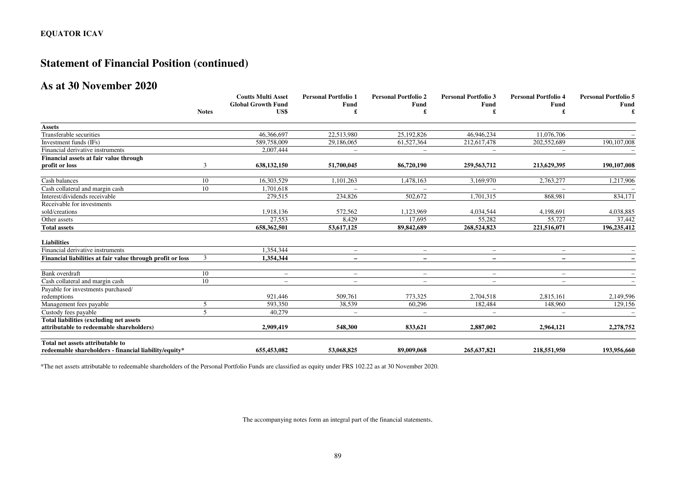# **Statement of Financial Position (continued)**

## **As at 30 November 2020**

|                                                            |                | <b>Coutts Multi Asset</b> | <b>Personal Portfolio 1</b> | <b>Personal Portfolio 2</b> | <b>Personal Portfolio 3</b> | <b>Personal Portfolio 4</b> | <b>Personal Portfolio 5</b> |
|------------------------------------------------------------|----------------|---------------------------|-----------------------------|-----------------------------|-----------------------------|-----------------------------|-----------------------------|
|                                                            |                | <b>Global Growth Fund</b> | Fund                        | Fund                        | Fund                        | Fund                        | <b>Fund</b>                 |
|                                                            | <b>Notes</b>   | US\$                      |                             |                             |                             |                             |                             |
| <b>Assets</b>                                              |                |                           |                             |                             |                             |                             |                             |
| Transferable securities                                    |                | 46,366,697                | 22,513,980                  | 25,192,826                  | 46,946,234                  | 11,076,706                  |                             |
| Investment funds (IFs)                                     |                | 589,758,009               | 29,186,065                  | 61,527,364                  | 212,617,478                 | 202,552,689                 | 190,107,008                 |
| Financial derivative instruments                           |                | 2,007,444                 | $\overline{\phantom{0}}$    | $\qquad \qquad -$           |                             | $\qquad \qquad -$           |                             |
| Financial assets at fair value through                     |                |                           |                             |                             |                             |                             |                             |
| profit or loss                                             | 3              | 638,132,150               | 51,700,045                  | 86,720,190                  | 259,563,712                 | 213,629,395                 | 190,107,008                 |
| Cash balances                                              | 10             | 16,303,529                | 1,101,263                   | 1,478,163                   | 3,169,970                   | 2,763,277                   | 1,217,906                   |
| Cash collateral and margin cash                            | 10             | 1,701,618                 |                             |                             |                             |                             |                             |
| Interest/dividends receivable                              |                | 279,515                   | 234,826                     | 502,672                     | 1,701,315                   | 868,981                     | 834,171                     |
| Receivable for investments                                 |                |                           |                             |                             |                             |                             |                             |
| sold/creations                                             |                | 1,918,136                 | 572,562                     | 1,123,969                   | 4,034,544                   | 4,198,691                   | 4,038,885                   |
| Other assets                                               |                | 27,553                    | 8,429                       | 17,695                      | 55,282                      | 55,727                      | 37,442                      |
| <b>Total assets</b>                                        |                | 658,362,501               | 53,617,125                  | 89,842,689                  | 268,524,823                 | 221,516,071                 | 196,235,412                 |
| <b>Liabilities</b>                                         |                |                           |                             |                             |                             |                             |                             |
| Financial derivative instruments                           |                | 1.354.344                 | $\overline{\phantom{m}}$    | $\overline{\phantom{m}}$    | $\overline{\phantom{0}}$    | $\qquad \qquad -$           |                             |
| Financial liabilities at fair value through profit or loss | 3              | 1,354,344                 |                             |                             |                             | $\overline{\phantom{0}}$    |                             |
| Bank overdraft                                             | 10             | $\qquad \qquad -$         | $\overline{\phantom{0}}$    | $\overline{\phantom{m}}$    | $\overline{\phantom{m}}$    | $\qquad \qquad -$           |                             |
| Cash collateral and margin cash                            | 10             | $\overline{\phantom{0}}$  | $\overline{\phantom{0}}$    | $\overline{\phantom{m}}$    |                             | $\overline{\phantom{0}}$    |                             |
| Payable for investments purchased/                         |                |                           |                             |                             |                             |                             |                             |
| redemptions                                                |                | 921,446                   | 509,761                     | 773,325                     | 2,704,518                   | 2,815,161                   | 2,149,596                   |
| Management fees payable                                    | 5              | 593,350                   | 38,539                      | 60,296                      | 182,484                     | 148,960                     | 129,156                     |
| Custody fees payable                                       | $\overline{5}$ | 40,279                    | $\overline{\phantom{0}}$    | $\overline{\phantom{a}}$    |                             |                             |                             |
| Total liabilities (excluding net assets                    |                |                           |                             |                             |                             |                             |                             |
| attributable to redeemable shareholders)                   |                | 2.909.419                 | 548,300                     | 833,621                     | 2,887,002                   | 2,964,121                   | 2,278,752                   |
| Total net assets attributable to                           |                |                           |                             |                             |                             |                             |                             |
| redeemable shareholders - financial liability/equity*      |                | 655,453,082               | 53,068,825                  | 89,009,068                  | 265, 637, 821               | 218,551,950                 | 193,956,660                 |

\*The net assets attributable to redeemable shareholders of the Personal Portfolio Funds are classified as equity under FRS 102.22 as at 30 November 2020.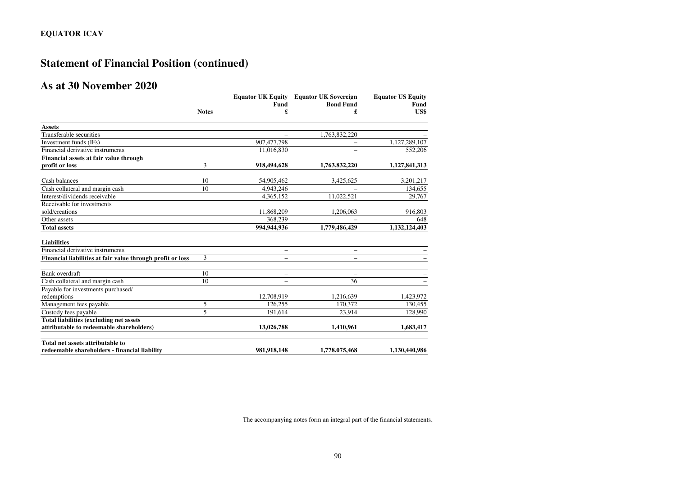# **Statement of Financial Position (continued)**

# **As at 30 November 2020**

|                                                            |              | <b>Equator UK Equity</b> | <b>Equator UK Sovereign</b> | <b>Equator US Equity</b><br>Fund |  |
|------------------------------------------------------------|--------------|--------------------------|-----------------------------|----------------------------------|--|
|                                                            |              | Fund                     | <b>Bond Fund</b>            |                                  |  |
|                                                            | <b>Notes</b> | £                        | £                           | US\$                             |  |
| <b>Assets</b>                                              |              |                          |                             |                                  |  |
| Transferable securities                                    |              |                          | 1,763,832,220               |                                  |  |
| Investment funds (IFs)                                     |              | 907,477,798              |                             | 1,127,289,107                    |  |
| Financial derivative instruments                           |              | 11,016,830               |                             | 552,206                          |  |
| Financial assets at fair value through                     |              |                          |                             |                                  |  |
| profit or loss                                             | 3            | 918,494,628              | 1,763,832,220               | 1,127,841,313                    |  |
| Cash balances                                              | 10           | 54,905,462               | 3,425,625                   | 3,201,217                        |  |
| Cash collateral and margin cash                            | 10           | 4.943.246                |                             | 134,655                          |  |
| Interest/dividends receivable                              |              | 4,365,152                | 11,022,521                  | 29,767                           |  |
| Receivable for investments                                 |              |                          |                             |                                  |  |
| sold/creations                                             |              | 11,868,209               | 1,206,063                   | 916,803                          |  |
| Other assets                                               |              | 368,239                  |                             | 648                              |  |
| <b>Total assets</b>                                        |              | 994,944,936              | 1,779,486,429               | 1,132,124,403                    |  |
| <b>Liabilities</b>                                         |              |                          |                             |                                  |  |
| Financial derivative instruments                           |              | -                        | $\qquad \qquad -$           |                                  |  |
| Financial liabilities at fair value through profit or loss | 3            |                          |                             |                                  |  |
| Bank overdraft                                             | 10           | -                        |                             |                                  |  |
| Cash collateral and margin cash                            | 10           | $\overline{\phantom{0}}$ | 36                          |                                  |  |
| Payable for investments purchased/                         |              |                          |                             |                                  |  |
| redemptions                                                |              | 12,708,919               | 1,216,639                   | 1,423,972                        |  |
| Management fees payable                                    | 5            | 126,255                  | 170.372                     | 130,455                          |  |
| Custody fees payable                                       | 5            | 191,614                  | 23,914                      | 128,990                          |  |
| <b>Total liabilities (excluding net assets)</b>            |              |                          |                             |                                  |  |
| attributable to redeemable shareholders)                   |              | 13,026,788               | 1,410,961                   | 1,683,417                        |  |
| Total net assets attributable to                           |              |                          |                             |                                  |  |
| redeemable shareholders - financial liability              |              | 981,918,148              | 1,778,075,468               | 1,130,440,986                    |  |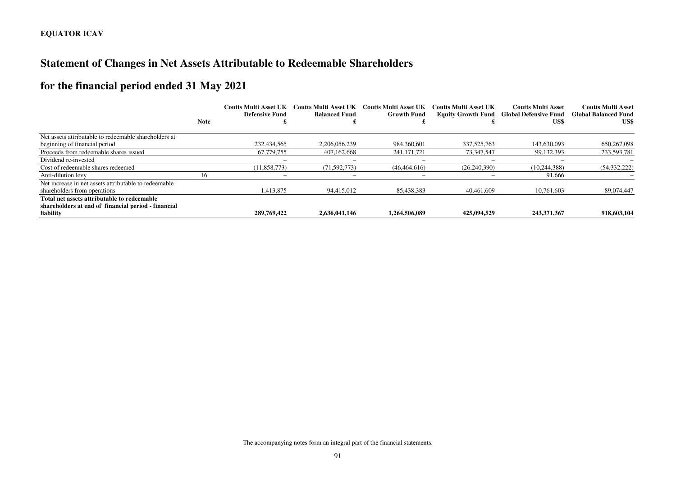# **Statement of Changes in Net Assets Attributable to Redeemable Shareholders**

# **for the financial period ended 31 May 2021**

|                                                       |             | <b>Coutts Multi Asset UK</b><br>Defensive Fund | <b>Coutts Multi Asset UK</b><br><b>Balanced Fund</b> | Coutts Multi Asset UK<br><b>Growth Fund</b> | Coutts Multi Asset UK | <b>Coutts Multi Asset</b><br><b>Equity Growth Fund Global Defensive Fund</b> | <b>Coutts Multi Asset</b><br><b>Global Balanced Fund</b> |
|-------------------------------------------------------|-------------|------------------------------------------------|------------------------------------------------------|---------------------------------------------|-----------------------|------------------------------------------------------------------------------|----------------------------------------------------------|
|                                                       | <b>Note</b> |                                                |                                                      |                                             |                       | US\$                                                                         | US\$                                                     |
| Net assets attributable to redeemable shareholders at |             |                                                |                                                      |                                             |                       |                                                                              |                                                          |
| beginning of financial period                         |             | 232,434,565                                    | 2,206,056,239                                        | 984, 360, 601                               | 337, 525, 763         | 143,630,093                                                                  | 650,267,098                                              |
| Proceeds from redeemable shares issued                |             | 67,779,755                                     | 407.162.668                                          | 241, 171, 721                               | 73,347,547            | 99, 132, 393                                                                 | 233,593,781                                              |
| Dividend re-invested                                  |             |                                                |                                                      |                                             |                       |                                                                              |                                                          |
| Cost of redeemable shares redeemed                    |             | (11,858,773)                                   | (71, 592, 773)                                       | (46, 464, 616)                              | (26, 240, 390)        | (10, 244, 388)                                                               | (54, 332, 222)                                           |
| Anti-dilution levy                                    | 16          |                                                |                                                      |                                             |                       | 91,666                                                                       |                                                          |
| Net increase in net assets attributable to redeemable |             |                                                |                                                      |                                             |                       |                                                                              |                                                          |
| shareholders from operations                          |             | 1.413.875                                      | 94.415.012                                           | 85.438.383                                  | 40.461.609            | 10.761.603                                                                   | 89,074,447                                               |
| Total net assets attributable to redeemable           |             |                                                |                                                      |                                             |                       |                                                                              |                                                          |
| shareholders at end of financial period - financial   |             |                                                |                                                      |                                             |                       |                                                                              |                                                          |
| liability                                             |             | 289,769,422                                    | 2,636,041,146                                        | 1,264,506,089                               | 425,094,529           | 243,371,367                                                                  | 918,603,104                                              |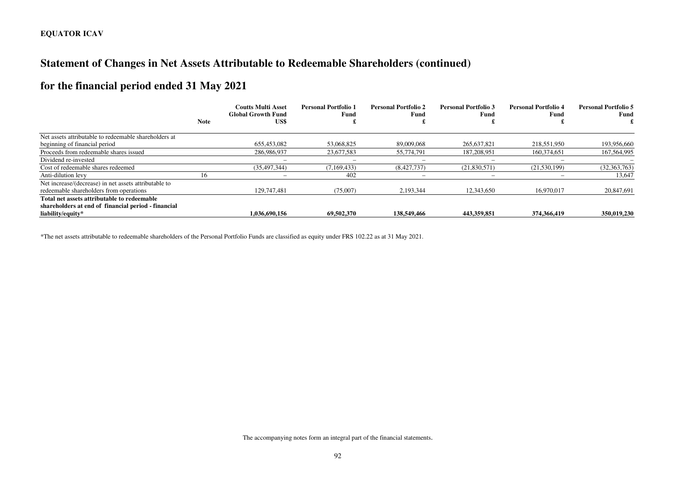# **Statement of Changes in Net Assets Attributable to Redeemable Shareholders (continued)**

# **for the financial period ended 31 May 2021**

|                                                       | <b>Note</b> | <b>Coutts Multi Asset</b><br><b>Global Growth Fund</b> | <b>Personal Portfolio 1</b><br>Fund | <b>Personal Portfolio 2</b><br>Fund | <b>Personal Portfolio 3</b><br>Fund | <b>Personal Portfolio 4</b><br>Fund | <b>Personal Portfolio 5</b><br>Fund |
|-------------------------------------------------------|-------------|--------------------------------------------------------|-------------------------------------|-------------------------------------|-------------------------------------|-------------------------------------|-------------------------------------|
|                                                       |             | US\$                                                   |                                     |                                     |                                     |                                     |                                     |
| Net assets attributable to redeemable shareholders at |             |                                                        |                                     |                                     |                                     |                                     |                                     |
| beginning of financial period                         |             | 655,453,082                                            | 53,068,825                          | 89,009,068                          | 265.637.821                         | 218,551,950                         | 193,956,660                         |
| Proceeds from redeemable shares issued                |             | 286,986,937                                            | 23.677.583                          | 55,774,791                          | 187.208.951                         | 160,374,651                         | 167,564,995                         |
| Dividend re-invested                                  |             | $\overline{\phantom{a}}$                               | -                                   |                                     |                                     | -                                   |                                     |
| Cost of redeemable shares redeemed                    |             | (35, 497, 344)                                         | (7,169,433)                         | (8,427,737)                         | (21,830,571)                        | (21,530,199)                        | (32, 363, 763)                      |
| Anti-dilution levy                                    | 16          |                                                        | 402                                 |                                     |                                     |                                     | 13,647                              |
| Net increase/(decrease) in net assets attributable to |             |                                                        |                                     |                                     |                                     |                                     |                                     |
| redeemable shareholders from operations               |             | 129,747,481                                            | (75,007)                            | 2,193,344                           | 12,343,650                          | 16.970.017                          | 20,847,691                          |
| Total net assets attributable to redeemable           |             |                                                        |                                     |                                     |                                     |                                     |                                     |
| shareholders at end of financial period - financial   |             |                                                        |                                     |                                     |                                     |                                     |                                     |
| liability/equity*                                     |             | 1.036.690.156                                          | 69,502,370                          | 138,549,466                         | 443.359.851                         | 374,366,419                         | 350,019,230                         |

\*The net assets attributable to redeemable shareholders of the Personal Portfolio Funds are classified as equity under FRS 102.22 as at 31 May 2021.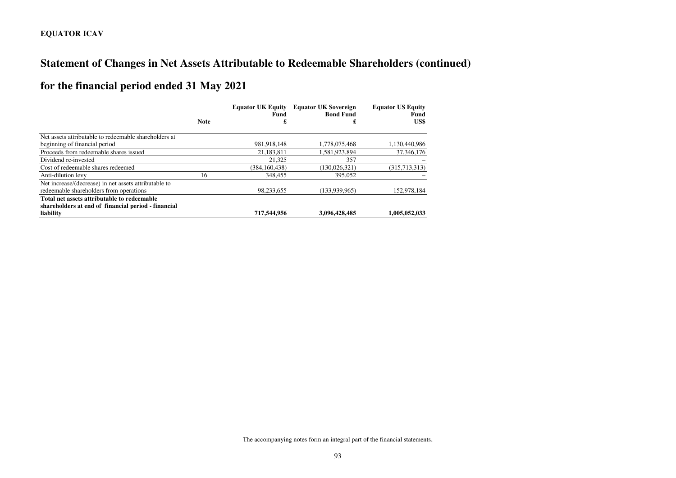# **Statement of Changes in Net Assets Attributable to Redeemable Shareholders (continued)**

# **for the financial period ended 31 May 2021**

|                                                       |             | <b>Equator UK Equity</b><br>Fund | <b>Equator UK Sovereign</b><br><b>Bond Fund</b> | <b>Equator US Equity</b><br>Fund |  |
|-------------------------------------------------------|-------------|----------------------------------|-------------------------------------------------|----------------------------------|--|
|                                                       | <b>Note</b> | £                                | £                                               | US\$                             |  |
| Net assets attributable to redeemable shareholders at |             |                                  |                                                 |                                  |  |
| beginning of financial period                         |             | 981,918,148                      | 1,778,075,468                                   | 1,130,440,986                    |  |
| Proceeds from redeemable shares issued                |             | 21,183,811                       | 1,581,923,894                                   | 37, 346, 176                     |  |
| Dividend re-invested                                  |             | 21.325                           | 357                                             |                                  |  |
| Cost of redeemable shares redeemed                    |             | (384.160.438)                    | (130.026.321)                                   | (315,713,313)                    |  |
| Anti-dilution levy                                    | 16          | 348,455                          | 395,052                                         |                                  |  |
| Net increase/(decrease) in net assets attributable to |             |                                  |                                                 |                                  |  |
| redeemable shareholders from operations               |             | 98,233,655                       | (133.939.965)                                   | 152,978,184                      |  |
| Total net assets attributable to redeemable           |             |                                  |                                                 |                                  |  |
| shareholders at end of financial period - financial   |             |                                  |                                                 |                                  |  |
| liability                                             |             | 717,544,956                      | 3,096,428,485                                   | 1,005,052,033                    |  |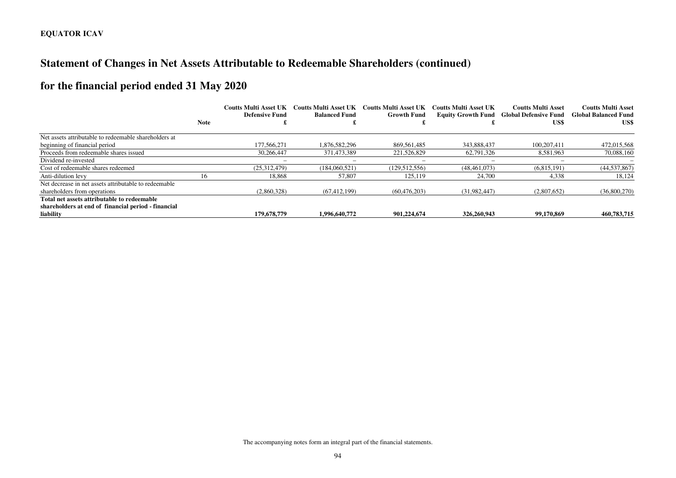# **Statement of Changes in Net Assets Attributable to Redeemable Shareholders (continued)**

# **for the financial period ended 31 May 2020**

|                                                                                       |             | <b>Coutts Multi Asset UK</b><br><b>Defensive Fund</b> | Coutts Multi Asset UK<br><b>Balanced Fund</b> | Coutts Multi Asset UK<br><b>Growth Fund</b> | Coutts Multi Asset UK<br><b>Equity Growth Fund</b> | <b>Coutts Multi Asset</b><br><b>Global Defensive Fund</b> | <b>Coutts Multi Asset</b><br><b>Global Balanced Fund</b> |
|---------------------------------------------------------------------------------------|-------------|-------------------------------------------------------|-----------------------------------------------|---------------------------------------------|----------------------------------------------------|-----------------------------------------------------------|----------------------------------------------------------|
|                                                                                       | <b>Note</b> |                                                       |                                               |                                             |                                                    | US\$                                                      | US\$                                                     |
| Net assets attributable to redeemable shareholders at                                 |             |                                                       |                                               |                                             |                                                    |                                                           |                                                          |
| beginning of financial period                                                         |             | 177.566.271                                           | 1.876.582.296                                 | 869.561.485                                 | 343,888,437                                        | 100.207.411                                               | 472,015,568                                              |
| Proceeds from redeemable shares issued                                                |             | 30.266.447                                            | 371,473,389                                   | 221,526,829                                 | 62.791.326                                         | 8.581.963                                                 | 70,088,160                                               |
| Dividend re-invested                                                                  |             |                                                       |                                               |                                             |                                                    |                                                           |                                                          |
| Cost of redeemable shares redeemed                                                    |             | (25.312.479)                                          | (184.060.521)                                 | (129, 512, 556)                             | (48.461.073)                                       | (6.815.191)                                               | (44, 537, 867)                                           |
| Anti-dilution levy                                                                    | 16          | 18,868                                                | 57,807                                        | 125,119                                     | 24,700                                             | 4,338                                                     | 18,124                                                   |
| Net decrease in net assets attributable to redeemable<br>shareholders from operations |             | (2,860,328)                                           | (67, 412, 199)                                | (60, 476, 203)                              | (31.982.447)                                       | (2,807,652)                                               | (36,800,270)                                             |
| Total net assets attributable to redeemable                                           |             |                                                       |                                               |                                             |                                                    |                                                           |                                                          |
| shareholders at end of financial period - financial<br>liability                      |             | 179,678,779                                           | 1,996,640,772                                 | 901.224.674                                 | 326,260,943                                        | 99,170,869                                                | 460,783,715                                              |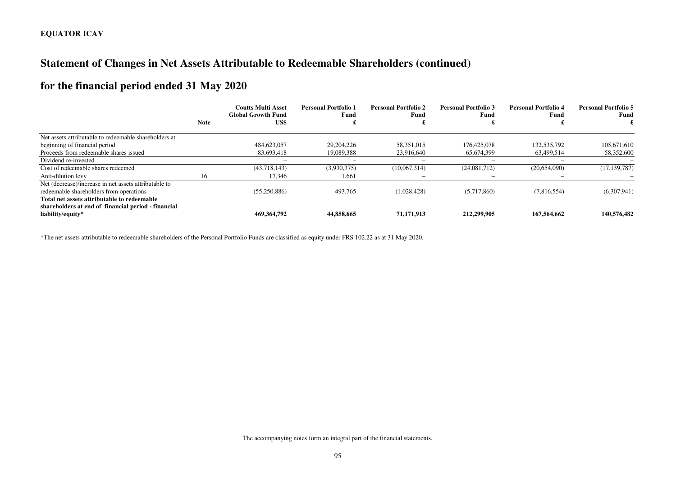# **Statement of Changes in Net Assets Attributable to Redeemable Shareholders (continued)**

# **for the financial period ended 31 May 2020**

|                                                                                                    |             | <b>Coutts Multi Asset</b><br><b>Global Growth Fund</b> | <b>Personal Portfolio 1</b><br>Fund | <b>Personal Portfolio 2</b><br>Fund | <b>Personal Portfolio 3</b><br>Fund | <b>Personal Portfolio 4</b><br>Fund | <b>Personal Portfolio 5</b><br>Fund |
|----------------------------------------------------------------------------------------------------|-------------|--------------------------------------------------------|-------------------------------------|-------------------------------------|-------------------------------------|-------------------------------------|-------------------------------------|
|                                                                                                    | <b>Note</b> | US\$                                                   |                                     |                                     |                                     |                                     |                                     |
| Net assets attributable to redeemable shareholders at                                              |             |                                                        |                                     |                                     |                                     |                                     |                                     |
| beginning of financial period                                                                      |             | 484,623,057                                            | 29, 204, 226                        | 58.351.015                          | 176,425,078                         | 132,535,792                         | 105,671,610                         |
| Proceeds from redeemable shares issued                                                             |             | 83,693,418                                             | 19,089,388                          | 23,916,640                          | 65,674,399                          | 63,499,514                          | 58,352,600                          |
| Dividend re-invested                                                                               |             |                                                        | $\overline{\phantom{a}}$            |                                     |                                     |                                     |                                     |
| Cost of redeemable shares redeemed                                                                 |             | (43,718,143)                                           | (3,930,375)                         | (10,067,314)                        | (24,081,712)                        | (20,654,090)                        | (17, 139, 787)                      |
| Anti-dilution levy                                                                                 | 16          | 17,346                                                 | 1,661                               |                                     |                                     |                                     |                                     |
| Net (decrease)/increase in net assets attributable to<br>redeemable shareholders from operations   |             | (55,250,886)                                           | 493,765                             | (1,028,428)                         | (5,717,860)                         | (7,816,554)                         | (6,307,941)                         |
| Total net assets attributable to redeemable<br>shareholders at end of financial period - financial |             |                                                        |                                     |                                     |                                     |                                     |                                     |
| liability/equity*                                                                                  |             | 469,364,792                                            | 44,858,665                          | 71,171,913                          | 212,299,905                         | 167,564,662                         | 140,576,482                         |

\*The net assets attributable to redeemable shareholders of the Personal Portfolio Funds are classified as equity under FRS 102.22 as at 31 May 2020.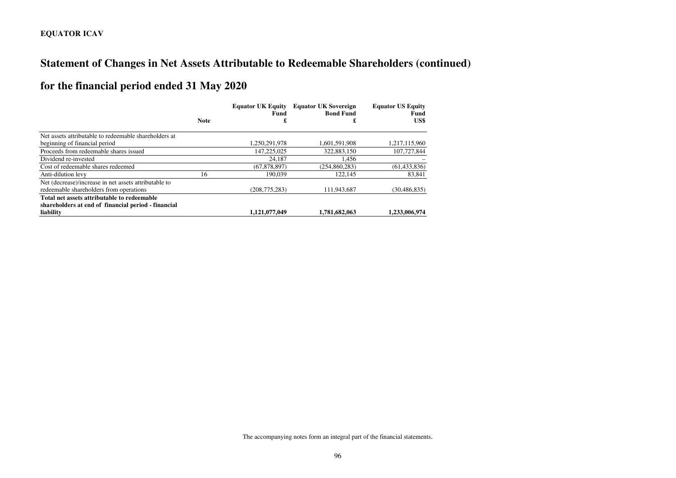# **Statement of Changes in Net Assets Attributable to Redeemable Shareholders (continued)**

# **for the financial period ended 31 May 2020**

|                                                       |             | <b>Equator UK Equity</b><br>Fund | <b>Equator UK Sovereign</b><br><b>Bond Fund</b> | <b>Equator US Equity</b><br>Fund |
|-------------------------------------------------------|-------------|----------------------------------|-------------------------------------------------|----------------------------------|
|                                                       | <b>Note</b> | £                                | £                                               | US\$                             |
| Net assets attributable to redeemable shareholders at |             |                                  |                                                 |                                  |
| beginning of financial period                         |             | 1.250.291.978                    | 1.601.591.908                                   | 1,217,115,960                    |
| Proceeds from redeemable shares issued                |             | 147,225,025                      | 322,883,150                                     | 107,727,844                      |
| Dividend re-invested                                  |             | 24.187                           | 1.456                                           |                                  |
| Cost of redeemable shares redeemed                    |             | (67, 878, 897)                   | (254,860,283)                                   | (61, 433, 836)                   |
| Anti-dilution levy                                    | 16          | 190.039                          | 122,145                                         | 83,841                           |
| Net (decrease)/increase in net assets attributable to |             |                                  |                                                 |                                  |
| redeemable shareholders from operations               |             | (208, 775, 283)                  | 111,943,687                                     | (30, 486, 835)                   |
| Total net assets attributable to redeemable           |             |                                  |                                                 |                                  |
| shareholders at end of financial period - financial   |             |                                  |                                                 |                                  |
| liability                                             |             | 1,121,077,049                    | 1,781,682,063                                   | 1,233,006,974                    |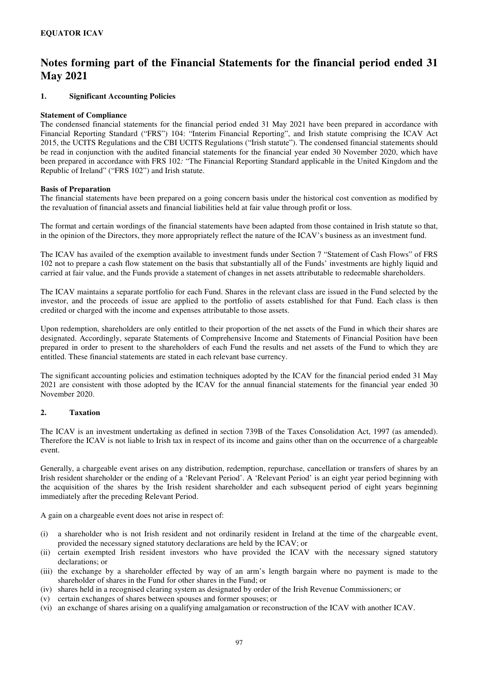#### **1. Significant Accounting Policies**

#### **Statement of Compliance**

The condensed financial statements for the financial period ended 31 May 2021 have been prepared in accordance with Financial Reporting Standard ("FRS") 104: "Interim Financial Reporting", and Irish statute comprising the ICAV Act 2015, the UCITS Regulations and the CBI UCITS Regulations ("Irish statute"). The condensed financial statements should be read in conjunction with the audited financial statements for the financial year ended 30 November 2020, which have been prepared in accordance with FRS 102*:* "The Financial Reporting Standard applicable in the United Kingdom and the Republic of Ireland" ("FRS 102") and Irish statute.

#### **Basis of Preparation**

The financial statements have been prepared on a going concern basis under the historical cost convention as modified by the revaluation of financial assets and financial liabilities held at fair value through profit or loss.

The format and certain wordings of the financial statements have been adapted from those contained in Irish statute so that, in the opinion of the Directors, they more appropriately reflect the nature of the ICAV's business as an investment fund.

The ICAV has availed of the exemption available to investment funds under Section 7 "Statement of Cash Flows" of FRS 102 not to prepare a cash flow statement on the basis that substantially all of the Funds' investments are highly liquid and carried at fair value, and the Funds provide a statement of changes in net assets attributable to redeemable shareholders.

The ICAV maintains a separate portfolio for each Fund. Shares in the relevant class are issued in the Fund selected by the investor, and the proceeds of issue are applied to the portfolio of assets established for that Fund. Each class is then credited or charged with the income and expenses attributable to those assets.

Upon redemption, shareholders are only entitled to their proportion of the net assets of the Fund in which their shares are designated. Accordingly, separate Statements of Comprehensive Income and Statements of Financial Position have been prepared in order to present to the shareholders of each Fund the results and net assets of the Fund to which they are entitled. These financial statements are stated in each relevant base currency.

The significant accounting policies and estimation techniques adopted by the ICAV for the financial period ended 31 May 2021 are consistent with those adopted by the ICAV for the annual financial statements for the financial year ended 30 November 2020.

#### **2. Taxation**

The ICAV is an investment undertaking as defined in section 739B of the Taxes Consolidation Act, 1997 (as amended). Therefore the ICAV is not liable to Irish tax in respect of its income and gains other than on the occurrence of a chargeable event.

Generally, a chargeable event arises on any distribution, redemption, repurchase, cancellation or transfers of shares by an Irish resident shareholder or the ending of a 'Relevant Period'. A 'Relevant Period' is an eight year period beginning with the acquisition of the shares by the Irish resident shareholder and each subsequent period of eight years beginning immediately after the preceding Relevant Period.

A gain on a chargeable event does not arise in respect of:

- (i) a shareholder who is not Irish resident and not ordinarily resident in Ireland at the time of the chargeable event, provided the necessary signed statutory declarations are held by the ICAV; or
- (ii) certain exempted Irish resident investors who have provided the ICAV with the necessary signed statutory declarations; or
- (iii) the exchange by a shareholder effected by way of an arm's length bargain where no payment is made to the shareholder of shares in the Fund for other shares in the Fund; or
- (iv) shares held in a recognised clearing system as designated by order of the Irish Revenue Commissioners; or
- (v) certain exchanges of shares between spouses and former spouses; or
- (vi) an exchange of shares arising on a qualifying amalgamation or reconstruction of the ICAV with another ICAV.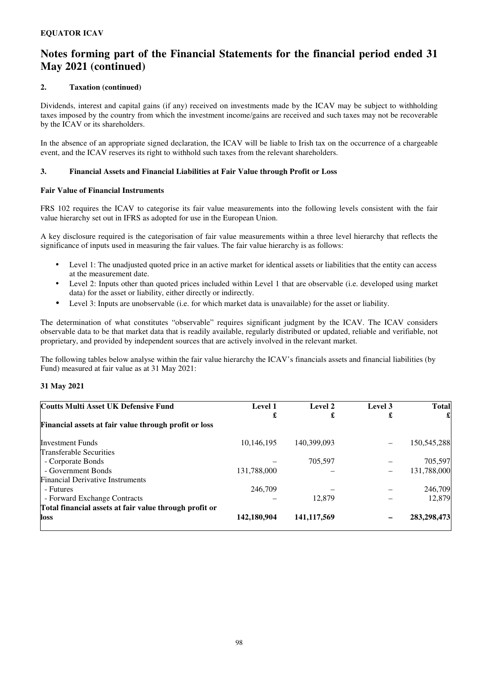### **2. Taxation (continued)**

Dividends, interest and capital gains (if any) received on investments made by the ICAV may be subject to withholding taxes imposed by the country from which the investment income/gains are received and such taxes may not be recoverable by the ICAV or its shareholders.

In the absence of an appropriate signed declaration, the ICAV will be liable to Irish tax on the occurrence of a chargeable event, and the ICAV reserves its right to withhold such taxes from the relevant shareholders.

#### **3. Financial Assets and Financial Liabilities at Fair Value through Profit or Loss**

#### **Fair Value of Financial Instruments**

FRS 102 requires the ICAV to categorise its fair value measurements into the following levels consistent with the fair value hierarchy set out in IFRS as adopted for use in the European Union.

A key disclosure required is the categorisation of fair value measurements within a three level hierarchy that reflects the significance of inputs used in measuring the fair values. The fair value hierarchy is as follows:

- Level 1: The unadjusted quoted price in an active market for identical assets or liabilities that the entity can access at the measurement date.
- Level 2: Inputs other than quoted prices included within Level 1 that are observable (i.e. developed using market data) for the asset or liability, either directly or indirectly.
- Level 3: Inputs are unobservable (i.e. for which market data is unavailable) for the asset or liability.

The determination of what constitutes "observable" requires significant judgment by the ICAV. The ICAV considers observable data to be that market data that is readily available, regularly distributed or updated, reliable and verifiable, not proprietary, and provided by independent sources that are actively involved in the relevant market.

The following tables below analyse within the fair value hierarchy the ICAV's financials assets and financial liabilities (by Fund) measured at fair value as at 31 May 2021:

### **31 May 2021**

| <b>Coutts Multi Asset UK Defensive Fund</b>            | <b>Level 1</b> | Level 2       | Level 3 | <b>Total</b> |
|--------------------------------------------------------|----------------|---------------|---------|--------------|
|                                                        | £              | £             | £       | £            |
| Financial assets at fair value through profit or loss  |                |               |         |              |
| <b>Investment Funds</b>                                | 10,146,195     | 140,399,093   |         | 150,545,288  |
| <b>Transferable Securities</b>                         |                |               |         |              |
| - Corporate Bonds                                      |                | 705,597       |         | 705,597      |
| - Government Bonds                                     | 131,788,000    |               |         | 131,788,000  |
| <b>Financial Derivative Instruments</b>                |                |               |         |              |
| - Futures                                              | 246,709        |               |         | 246,709      |
| - Forward Exchange Contracts                           |                | 12.879        |         | 12,879       |
| Total financial assets at fair value through profit or |                |               |         |              |
| loss                                                   | 142,180,904    | 141, 117, 569 |         | 283,298,473  |
|                                                        |                |               |         |              |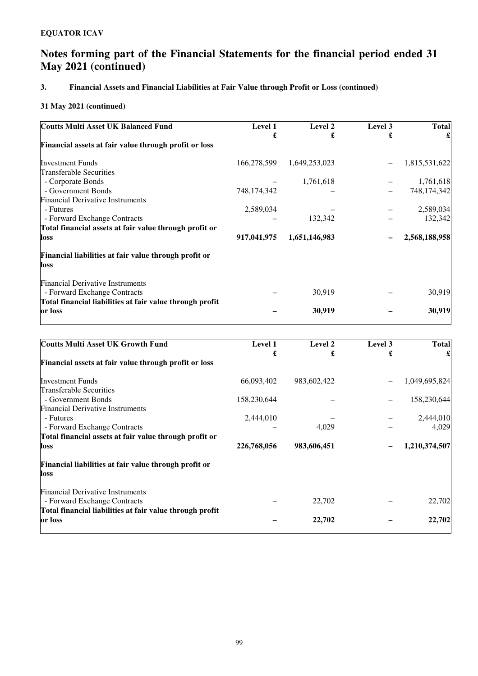## **3. Financial Assets and Financial Liabilities at Fair Value through Profit or Loss (continued)**

| <b>Coutts Multi Asset UK Balanced Fund</b>               | <b>Level 1</b> | Level 2       | Level 3 | <b>Total</b>  |
|----------------------------------------------------------|----------------|---------------|---------|---------------|
|                                                          | £              | £             | £       |               |
| Financial assets at fair value through profit or loss    |                |               |         |               |
| <b>Investment Funds</b>                                  | 166,278,599    | 1,649,253,023 |         | 1,815,531,622 |
| Transferable Securities                                  |                |               |         |               |
| - Corporate Bonds                                        |                | 1,761,618     |         | 1,761,618     |
| - Government Bonds                                       | 748,174,342    |               |         | 748,174,342   |
| <b>Financial Derivative Instruments</b>                  |                |               |         |               |
| - Futures                                                | 2,589,034      |               |         | 2,589,034     |
| - Forward Exchange Contracts                             |                | 132,342       |         | 132,342       |
| Total financial assets at fair value through profit or   |                |               |         |               |
| loss                                                     | 917,041,975    | 1,651,146,983 |         | 2,568,188,958 |
| Financial liabilities at fair value through profit or    |                |               |         |               |
| loss                                                     |                |               |         |               |
| <b>Financial Derivative Instruments</b>                  |                |               |         |               |
| - Forward Exchange Contracts                             |                | 30,919        |         | 30,919        |
| Total financial liabilities at fair value through profit |                |               |         |               |
| or loss                                                  |                | 30,919        |         | 30,919        |
|                                                          |                |               |         |               |

| <b>Coutts Multi Asset UK Growth Fund</b>                 | Level 1     | Level 2     | Level 3 | <b>Total</b>  |
|----------------------------------------------------------|-------------|-------------|---------|---------------|
|                                                          | £           | £           | £       |               |
| Financial assets at fair value through profit or loss    |             |             |         |               |
| <b>Investment Funds</b>                                  | 66,093,402  | 983,602,422 |         | 1,049,695,824 |
| Transferable Securities                                  |             |             |         |               |
| - Government Bonds                                       | 158,230,644 |             |         | 158,230,644   |
| <b>Financial Derivative Instruments</b>                  |             |             |         |               |
| - Futures                                                | 2,444,010   |             |         | 2,444,010     |
| - Forward Exchange Contracts                             |             | 4,029       |         | 4,029         |
| Total financial assets at fair value through profit or   |             |             |         |               |
| <b>loss</b>                                              | 226,768,056 | 983,606,451 |         | 1,210,374,507 |
| Financial liabilities at fair value through profit or    |             |             |         |               |
| <b>loss</b>                                              |             |             |         |               |
| <b>Financial Derivative Instruments</b>                  |             |             |         |               |
| - Forward Exchange Contracts                             |             | 22,702      |         | 22,702        |
| Total financial liabilities at fair value through profit |             |             |         |               |
| or loss                                                  |             | 22,702      |         | 22,702        |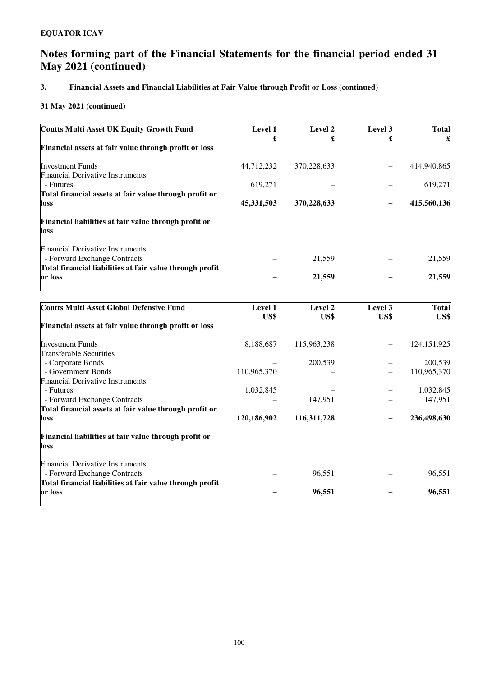## **3. Financial Assets and Financial Liabilities at Fair Value through Profit or Loss (continued)**

| <b>Coutts Multi Asset UK Equity Growth Fund</b>               | Level 1     | Level 2     | Level 3                  | <b>Total</b> |
|---------------------------------------------------------------|-------------|-------------|--------------------------|--------------|
|                                                               | £           | £           |                          |              |
| Financial assets at fair value through profit or loss         |             |             |                          |              |
| <b>Investment Funds</b>                                       | 44,712,232  | 370,228,633 |                          | 414,940,865  |
| <b>Financial Derivative Instruments</b>                       |             |             |                          |              |
| - Futures                                                     | 619,271     |             |                          | 619,271      |
| Total financial assets at fair value through profit or        |             |             |                          |              |
| loss                                                          | 45,331,503  | 370,228,633 |                          | 415,560,136  |
| Financial liabilities at fair value through profit or<br>loss |             |             |                          |              |
| <b>Financial Derivative Instruments</b>                       |             |             |                          |              |
| - Forward Exchange Contracts                                  |             | 21,559      |                          | 21,559       |
| Total financial liabilities at fair value through profit      |             |             |                          |              |
| or loss                                                       |             | 21,559      |                          | 21,559       |
|                                                               |             |             |                          |              |
| <b>Coutts Multi Asset Global Defensive Fund</b>               | Level 1     | Level 2     | Level 3                  | <b>Total</b> |
|                                                               | US\$        | US\$        | US\$                     | US\$         |
| Financial assets at fair value through profit or loss         |             |             |                          |              |
| <b>Investment Funds</b>                                       | 8,188,687   | 115,963,238 | $\overline{\phantom{0}}$ | 124,151,925  |
| Transferable Securities                                       |             |             |                          |              |
| - Corporate Bonds                                             |             | 200,539     |                          | 200,539      |
| - Government Bonds                                            | 110,965,370 |             |                          | 110,965,370  |
| <b>Financial Derivative Instruments</b>                       |             |             |                          |              |
| - Futures                                                     | 1,032,845   |             |                          | 1,032,845    |
| - Forward Exchange Contracts                                  |             | 147,951     |                          | 147,951      |
| Total financial assets at fair value through profit or        |             |             |                          |              |
| loss                                                          | 120,186,902 | 116,311,728 |                          | 236,498,630  |
| Financial liabilities at fair value through profit or<br>loss |             |             |                          |              |
| <b>Financial Derivative Instruments</b>                       |             |             |                          |              |
| - Forward Exchange Contracts                                  |             | 96,551      |                          | 96,551       |
| Total financial liabilities at fair value through profit      |             |             |                          |              |
| or loss                                                       |             | 96,551      |                          | 96,551       |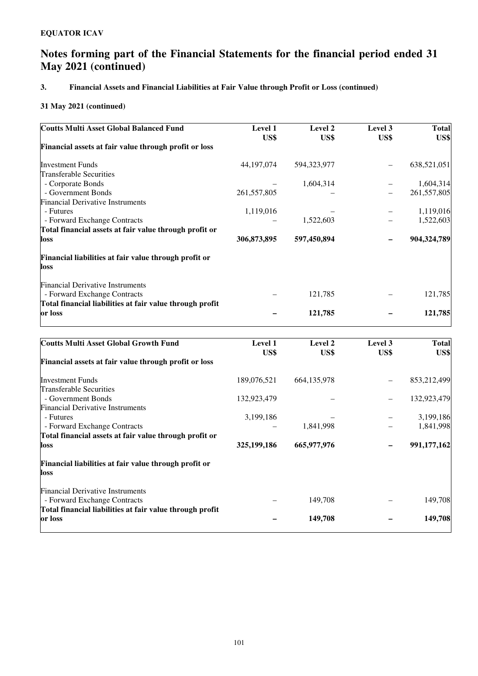## **3. Financial Assets and Financial Liabilities at Fair Value through Profit or Loss (continued)**

| <b>Level 1</b> | Level 2     | Level 3                  | <b>Total</b> |
|----------------|-------------|--------------------------|--------------|
|                |             |                          | US\$         |
|                |             |                          |              |
| 44, 197, 074   | 594,323,977 |                          | 638,521,051  |
|                |             |                          |              |
|                | 1,604,314   |                          | 1,604,314    |
| 261, 557, 805  |             | $\overline{\phantom{0}}$ | 261,557,805  |
|                |             |                          |              |
| 1,119,016      |             |                          | 1,119,016    |
|                | 1,522,603   |                          | 1,522,603    |
|                |             |                          |              |
| 306,873,895    | 597,450,894 |                          | 904,324,789  |
|                |             |                          |              |
|                |             |                          |              |
|                |             |                          |              |
|                |             |                          | 121,785      |
|                |             |                          |              |
|                | 121,785     |                          | 121,785      |
|                | US\$        | US\$<br>121,785          | US\$         |

| <b>Coutts Multi Asset Global Growth Fund</b>             | <b>Level 1</b> | Level 2       | Level 3 | <b>Total</b> |
|----------------------------------------------------------|----------------|---------------|---------|--------------|
|                                                          | US\$           | US\$          | US\$    | US\$         |
| Financial assets at fair value through profit or loss    |                |               |         |              |
| <b>Investment Funds</b>                                  | 189,076,521    | 664, 135, 978 |         | 853,212,499  |
| Transferable Securities                                  |                |               |         |              |
| - Government Bonds                                       | 132,923,479    |               |         | 132,923,479  |
| <b>Financial Derivative Instruments</b>                  |                |               |         |              |
| - Futures                                                | 3,199,186      |               |         | 3,199,186    |
| - Forward Exchange Contracts                             |                | 1,841,998     |         | 1,841,998    |
| Total financial assets at fair value through profit or   |                |               |         |              |
| loss                                                     | 325, 199, 186  | 665,977,976   |         | 991,177,162  |
| Financial liabilities at fair value through profit or    |                |               |         |              |
| loss                                                     |                |               |         |              |
| <b>Financial Derivative Instruments</b>                  |                |               |         |              |
| - Forward Exchange Contracts                             |                | 149,708       |         | 149,708      |
| Total financial liabilities at fair value through profit |                |               |         |              |
| or loss                                                  |                | 149,708       |         | 149,708      |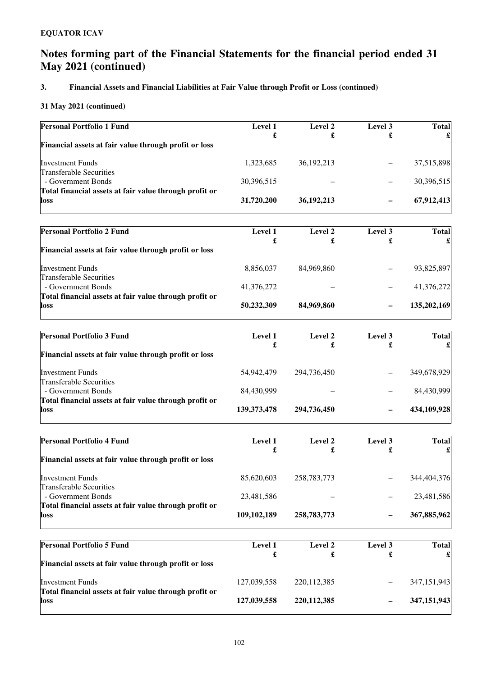## **3. Financial Assets and Financial Liabilities at Fair Value through Profit or Loss (continued)**

| <b>Personal Portfolio 1 Fund</b>                               | Level 1       | Level 2       | Level 3      | <b>Total</b> |
|----------------------------------------------------------------|---------------|---------------|--------------|--------------|
| Financial assets at fair value through profit or loss          | £             | £             | £            |              |
|                                                                |               |               |              |              |
| <b>Investment Funds</b><br><b>Transferable Securities</b>      | 1,323,685     | 36, 192, 213  |              | 37,515,898   |
| - Government Bonds                                             | 30,396,515    |               |              | 30,396,515   |
| Total financial assets at fair value through profit or         |               |               |              |              |
| loss                                                           | 31,720,200    | 36,192,213    |              | 67,912,413   |
|                                                                |               |               |              |              |
| <b>Personal Portfolio 2 Fund</b>                               | Level 1<br>£  | Level 2<br>£  | Level 3<br>£ | <b>Total</b> |
| Financial assets at fair value through profit or loss          |               |               |              |              |
| <b>Investment Funds</b>                                        | 8,856,037     | 84,969,860    |              | 93,825,897   |
| <b>Transferable Securities</b><br>- Government Bonds           | 41,376,272    |               |              | 41,376,272   |
| Total financial assets at fair value through profit or         |               |               |              |              |
| loss                                                           | 50,232,309    | 84,969,860    |              | 135,202,169  |
|                                                                |               |               |              |              |
| <b>Personal Portfolio 3 Fund</b>                               | Level 1<br>£  | Level 2<br>£  | Level 3<br>£ | <b>Total</b> |
| Financial assets at fair value through profit or loss          |               |               |              |              |
| <b>Investment Funds</b>                                        | 54,942,479    | 294,736,450   |              | 349,678,929  |
| <b>Transferable Securities</b><br>- Government Bonds           | 84,430,999    |               |              | 84,430,999   |
| Total financial assets at fair value through profit or         |               |               |              |              |
| loss                                                           | 139, 373, 478 | 294,736,450   |              | 434,109,928  |
|                                                                |               |               |              |              |
| <b>Personal Portfolio 4 Fund</b>                               | Level 1<br>£  | Level 2<br>£  | Level 3<br>£ | <b>Total</b> |
| Financial assets at fair value through profit or loss          |               |               |              |              |
| <b>Investment Funds</b>                                        | 85,620,603    | 258,783,773   |              | 344,404,376  |
| <b>Transferable Securities</b><br>- Government Bonds           | 23,481,586    |               |              | 23,481,586   |
| Total financial assets at fair value through profit or         |               |               |              |              |
| loss                                                           | 109, 102, 189 | 258,783,773   |              | 367,885,962  |
| <b>Personal Portfolio 5 Fund</b>                               |               |               |              |              |
|                                                                | Level 1<br>£  | Level 2<br>£  | Level 3<br>£ | <b>Total</b> |
| Financial assets at fair value through profit or loss          |               |               |              |              |
| <b>Investment Funds</b>                                        | 127,039,558   | 220, 112, 385 |              | 347,151,943  |
| Total financial assets at fair value through profit or<br>loss | 127,039,558   | 220, 112, 385 |              | 347,151,943  |
|                                                                |               |               |              |              |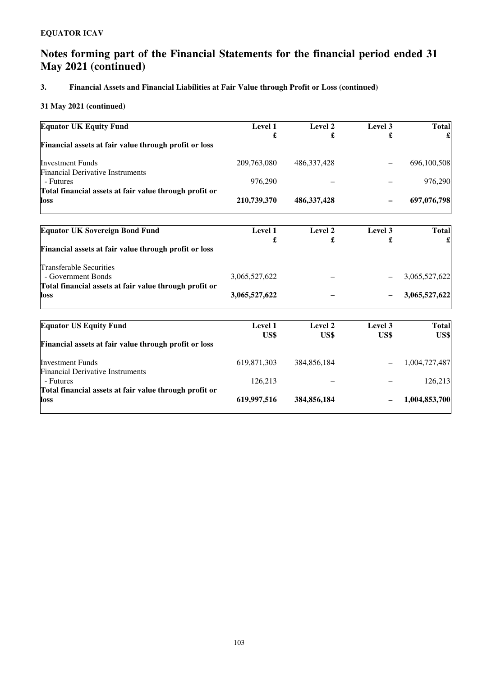## **3. Financial Assets and Financial Liabilities at Fair Value through Profit or Loss (continued)**

| <b>Equator UK Equity Fund</b>                                      | Level 1         | Level 2         | Level 3         | <b>Total</b>         |
|--------------------------------------------------------------------|-----------------|-----------------|-----------------|----------------------|
| Financial assets at fair value through profit or loss              | £               |                 | £               |                      |
| <b>Investment Funds</b>                                            | 209,763,080     | 486, 337, 428   |                 | 696,100,508          |
| <b>Financial Derivative Instruments</b>                            |                 |                 |                 |                      |
| - Futures                                                          | 976,290         |                 |                 | 976,290              |
| Total financial assets at fair value through profit or<br>loss     | 210,739,370     | 486, 337, 428   |                 | 697,076,798          |
|                                                                    |                 |                 |                 |                      |
| <b>Equator UK Sovereign Bond Fund</b>                              | Level 1<br>£    | Level 2         | Level 3         | <b>Total</b>         |
| Financial assets at fair value through profit or loss              |                 |                 | £               |                      |
| <b>Transferable Securities</b>                                     |                 |                 |                 |                      |
| - Government Bonds                                                 | 3,065,527,622   |                 |                 | 3,065,527,622        |
| Total financial assets at fair value through profit or             |                 |                 |                 |                      |
| loss                                                               | 3,065,527,622   |                 |                 | 3,065,527,622        |
| <b>Equator US Equity Fund</b>                                      | Level 1<br>US\$ | Level 2<br>US\$ | Level 3<br>US\$ | <b>Total</b><br>US\$ |
| Financial assets at fair value through profit or loss              |                 |                 |                 |                      |
| <b>Investment Funds</b><br><b>Financial Derivative Instruments</b> | 619,871,303     | 384,856,184     |                 | 1,004,727,487        |
| - Futures                                                          | 126,213         |                 |                 | 126,213              |
| Total financial assets at fair value through profit or<br>loss     | 619,997,516     | 384,856,184     |                 | 1,004,853,700        |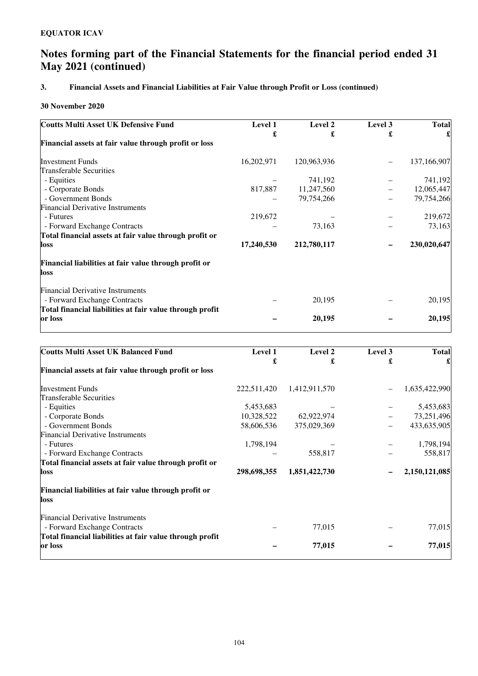## **3. Financial Assets and Financial Liabilities at Fair Value through Profit or Loss (continued)**

### **30 November 2020**

| <b>Coutts Multi Asset UK Defensive Fund</b>                             | Level 1    | Level 2     | Level 3 | <b>Total</b> |
|-------------------------------------------------------------------------|------------|-------------|---------|--------------|
|                                                                         | £          | £           | £       |              |
| Financial assets at fair value through profit or loss                   |            |             |         |              |
| <b>Investment Funds</b>                                                 | 16,202,971 | 120,963,936 |         | 137,166,907  |
| <b>Transferable Securities</b>                                          |            |             |         |              |
| - Equities                                                              |            | 741,192     |         | 741,192      |
| - Corporate Bonds                                                       | 817,887    | 11,247,560  |         | 12,065,447   |
| - Government Bonds                                                      |            | 79,754,266  |         | 79,754,266   |
| <b>Financial Derivative Instruments</b>                                 |            |             |         |              |
| - Futures                                                               | 219,672    |             |         | 219,672      |
| - Forward Exchange Contracts                                            |            | 73,163      |         | 73,163       |
| Total financial assets at fair value through profit or                  |            |             |         |              |
| loss                                                                    | 17,240,530 | 212,780,117 |         | 230,020,647  |
| Financial liabilities at fair value through profit or<br>loss           |            |             |         |              |
| <b>Financial Derivative Instruments</b><br>- Forward Exchange Contracts |            | 20,195      |         | 20,195       |
| Total financial liabilities at fair value through profit<br>or loss     |            | 20,195      |         | 20,195       |

| <b>Coutts Multi Asset UK Balanced Fund</b>                              | Level 1     | Level 2       | Level 3 | <b>Total</b>  |
|-------------------------------------------------------------------------|-------------|---------------|---------|---------------|
|                                                                         | £           | £             | £       |               |
| Financial assets at fair value through profit or loss                   |             |               |         |               |
| <b>Investment Funds</b>                                                 | 222,511,420 | 1,412,911,570 |         | 1,635,422,990 |
| Transferable Securities                                                 |             |               |         |               |
| - Equities                                                              | 5,453,683   |               |         | 5,453,683     |
| - Corporate Bonds                                                       | 10,328,522  | 62,922,974    |         | 73,251,496    |
| - Government Bonds                                                      | 58,606,536  | 375,029,369   |         | 433,635,905   |
| <b>Financial Derivative Instruments</b>                                 |             |               |         |               |
| - Futures                                                               | 1,798,194   |               |         | 1,798,194     |
| - Forward Exchange Contracts                                            |             | 558,817       |         | 558,817       |
| Total financial assets at fair value through profit or                  |             |               |         |               |
| loss                                                                    | 298,698,355 | 1,851,422,730 |         | 2,150,121,085 |
| Financial liabilities at fair value through profit or<br>loss           |             |               |         |               |
| <b>Financial Derivative Instruments</b><br>- Forward Exchange Contracts |             | 77,015        |         | 77,015        |
| Total financial liabilities at fair value through profit<br>or loss     |             | 77,015        |         | 77,015        |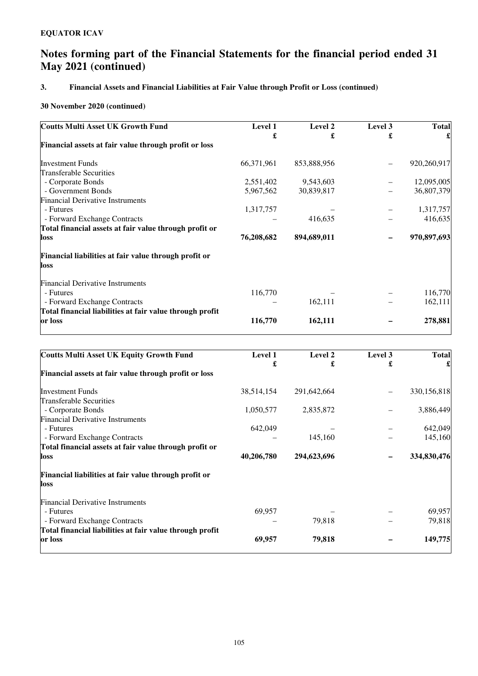## **3. Financial Assets and Financial Liabilities at Fair Value through Profit or Loss (continued)**

### **30 November 2020 (continued)**

| <b>Coutts Multi Asset UK Growth Fund</b>                 | Level 1    | Level 2     | Level 3 | <b>Total</b> |
|----------------------------------------------------------|------------|-------------|---------|--------------|
|                                                          | £          | £           | £       |              |
| Financial assets at fair value through profit or loss    |            |             |         |              |
| <b>Investment Funds</b>                                  | 66,371,961 | 853,888,956 |         | 920,260,917  |
| <b>Transferable Securities</b>                           |            |             |         |              |
| - Corporate Bonds                                        | 2,551,402  | 9,543,603   |         | 12,095,005   |
| - Government Bonds                                       | 5,967,562  | 30,839,817  |         | 36,807,379   |
| <b>Financial Derivative Instruments</b>                  |            |             |         |              |
| - Futures                                                | 1,317,757  |             |         | 1,317,757    |
| - Forward Exchange Contracts                             |            | 416,635     |         | 416,635      |
| Total financial assets at fair value through profit or   |            |             |         |              |
| loss                                                     | 76,208,682 | 894,689,011 |         | 970,897,693  |
| Financial liabilities at fair value through profit or    |            |             |         |              |
| loss                                                     |            |             |         |              |
| <b>Financial Derivative Instruments</b>                  |            |             |         |              |
| - Futures                                                | 116,770    |             |         | 116,770      |
| - Forward Exchange Contracts                             |            | 162,111     |         | 162,111      |
| Total financial liabilities at fair value through profit |            |             |         |              |
| or loss                                                  | 116,770    | 162,111     |         | 278,881      |

| <b>Coutts Multi Asset UK Equity Growth Fund</b>          | Level 1    | Level 2     | Level 3 | <b>Total</b> |
|----------------------------------------------------------|------------|-------------|---------|--------------|
|                                                          | £          | £           | £       |              |
| Financial assets at fair value through profit or loss    |            |             |         |              |
| <b>Investment Funds</b>                                  | 38,514,154 | 291,642,664 |         | 330,156,818  |
| Transferable Securities                                  |            |             |         |              |
| - Corporate Bonds                                        | 1,050,577  | 2,835,872   |         | 3,886,449    |
| <b>Financial Derivative Instruments</b>                  |            |             |         |              |
| - Futures                                                | 642,049    |             |         | 642,049      |
| - Forward Exchange Contracts                             |            | 145,160     |         | 145,160      |
| Total financial assets at fair value through profit or   |            |             |         |              |
| loss                                                     | 40,206,780 | 294,623,696 |         | 334,830,476  |
| Financial liabilities at fair value through profit or    |            |             |         |              |
| loss                                                     |            |             |         |              |
| <b>Financial Derivative Instruments</b>                  |            |             |         |              |
| - Futures                                                | 69,957     |             |         | 69,957       |
| - Forward Exchange Contracts                             |            | 79,818      |         | 79,818       |
| Total financial liabilities at fair value through profit |            |             |         |              |
| or loss                                                  | 69,957     | 79,818      |         | 149,775      |
|                                                          |            |             |         |              |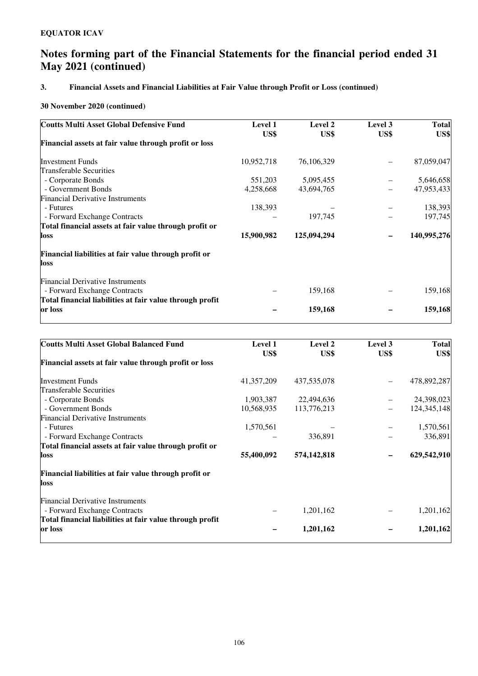## **3. Financial Assets and Financial Liabilities at Fair Value through Profit or Loss (continued)**

### **30 November 2020 (continued)**

| <b>Coutts Multi Asset Global Defensive Fund</b>          | <b>Level 1</b> | Level 2     | Level 3 | <b>Total</b> |
|----------------------------------------------------------|----------------|-------------|---------|--------------|
|                                                          | US\$           | US\$        | US\$    | US\$         |
| Financial assets at fair value through profit or loss    |                |             |         |              |
| <b>Investment Funds</b>                                  | 10,952,718     | 76,106,329  |         | 87,059,047   |
| Transferable Securities                                  |                |             |         |              |
| - Corporate Bonds                                        | 551,203        | 5,095,455   |         | 5,646,658    |
| - Government Bonds                                       | 4,258,668      | 43,694,765  |         | 47,953,433   |
| <b>Financial Derivative Instruments</b>                  |                |             |         |              |
| - Futures                                                | 138,393        |             |         | 138,393      |
| - Forward Exchange Contracts                             |                | 197,745     |         | 197,745      |
| Total financial assets at fair value through profit or   |                |             |         |              |
| loss                                                     | 15,900,982     | 125,094,294 |         | 140,995,276  |
| Financial liabilities at fair value through profit or    |                |             |         |              |
| loss                                                     |                |             |         |              |
| <b>Financial Derivative Instruments</b>                  |                |             |         |              |
| - Forward Exchange Contracts                             |                | 159,168     |         | 159,168      |
| Total financial liabilities at fair value through profit |                |             |         |              |
| or loss                                                  |                | 159,168     |         | 159,168      |

| <b>Level 1</b> | Level 2           | Level 3 | <b>Total</b> |
|----------------|-------------------|---------|--------------|
|                |                   |         | US\$         |
|                |                   |         |              |
| 41, 357, 209   | 437,535,078       |         | 478,892,287  |
|                |                   |         |              |
| 1,903,387      | 22,494,636        |         | 24,398,023   |
| 10,568,935     | 113,776,213       |         | 124,345,148  |
|                |                   |         |              |
|                |                   |         | 1,570,561    |
|                | 336,891           |         | 336,891      |
|                |                   |         |              |
| 55,400,092     | 574,142,818       |         | 629,542,910  |
|                |                   |         |              |
|                |                   |         |              |
|                |                   |         |              |
|                | 1,201,162         |         | 1,201,162    |
|                |                   |         |              |
|                | 1,201,162         |         | 1,201,162    |
|                | US\$<br>1,570,561 | US\$    | US\$         |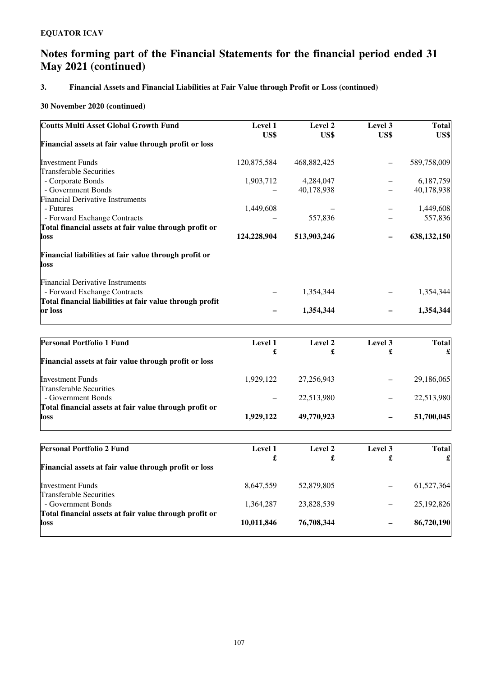## **3. Financial Assets and Financial Liabilities at Fair Value through Profit or Loss (continued)**

### **30 November 2020 (continued)**

| <b>Coutts Multi Asset Global Growth Fund</b>             | Level 1     | Level 2     | Level 3 | <b>Total</b> |
|----------------------------------------------------------|-------------|-------------|---------|--------------|
|                                                          | US\$        | US\$        | US\$    | US\$         |
| Financial assets at fair value through profit or loss    |             |             |         |              |
| <b>Investment Funds</b>                                  | 120,875,584 | 468,882,425 |         | 589,758,009  |
| Transferable Securities                                  |             |             |         |              |
| - Corporate Bonds                                        | 1,903,712   | 4,284,047   |         | 6,187,759    |
| - Government Bonds                                       |             | 40,178,938  |         | 40,178,938   |
| <b>Financial Derivative Instruments</b>                  |             |             |         |              |
| - Futures                                                | 1,449,608   |             |         | 1,449,608    |
| - Forward Exchange Contracts                             |             | 557,836     |         | 557,836      |
| Total financial assets at fair value through profit or   |             |             |         |              |
| loss                                                     | 124,228,904 | 513,903,246 |         | 638,132,150  |
| Financial liabilities at fair value through profit or    |             |             |         |              |
| loss                                                     |             |             |         |              |
| <b>Financial Derivative Instruments</b>                  |             |             |         |              |
| - Forward Exchange Contracts                             |             | 1,354,344   |         | 1,354,344    |
| Total financial liabilities at fair value through profit |             |             |         |              |
| or loss                                                  |             | 1,354,344   |         | 1,354,344    |

| <b>Personal Portfolio 1 Fund</b>                       | Level 1   | Level 2    | Level 3 | <b>Total</b> |
|--------------------------------------------------------|-----------|------------|---------|--------------|
|                                                        | £         |            | £       |              |
| Financial assets at fair value through profit or loss  |           |            |         |              |
| <b>Investment Funds</b>                                | 1.929.122 | 27,256,943 |         | 29,186,065   |
| <b>Transferable Securities</b>                         |           |            |         |              |
| - Government Bonds                                     |           | 22.513.980 | -       | 22,513,980   |
| Total financial assets at fair value through profit or |           |            |         |              |
| loss                                                   | 1,929,122 | 49,770,923 | -       | 51,700,045   |
|                                                        |           |            |         |              |

| £<br>£                   | £ |            |
|--------------------------|---|------------|
|                          |   |            |
|                          |   |            |
| 52,879,805<br>8,647,559  |   | 61,527,364 |
|                          |   |            |
| 23,828,539<br>1.364.287  |   | 25,192,826 |
|                          |   |            |
| 76,708,344<br>10,011,846 | - | 86,720,190 |
|                          |   |            |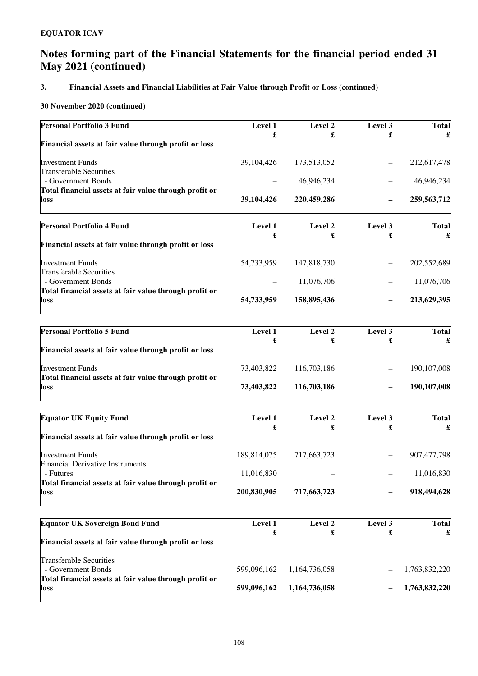### **3. Financial Assets and Financial Liabilities at Fair Value through Profit or Loss (continued)**

### **30 November 2020 (continued)**

| Level 1     | Level 2       | Level 3                   | <b>Total</b>  |
|-------------|---------------|---------------------------|---------------|
|             |               |                           |               |
| 39,104,426  | 173,513,052   |                           | 212,617,478   |
|             |               |                           | 46,946,234    |
|             |               |                           |               |
| 39,104,426  | 220,459,286   |                           | 259,563,712   |
| Level 1     | Level 2       | Level 3                   | <b>Total</b>  |
|             |               |                           |               |
| 54,733,959  | 147,818,730   |                           | 202,552,689   |
|             | 11,076,706    |                           | 11,076,706    |
| 54,733,959  | 158,895,436   |                           | 213,629,395   |
| Level 1     | Level 2       | Level 3                   | <b>Total</b>  |
| £           | £             | £                         | £             |
| 73,403,822  | 116,703,186   |                           | 190,107,008   |
| 73,403,822  | 116,703,186   |                           | 190,107,008   |
| Level 1     | Level 2       | Level 3                   | <b>Total</b>  |
|             |               |                           | £             |
| 189,814,075 | 717,663,723   |                           | 907,477,798   |
| 11,016,830  |               |                           | 11,016,830    |
| 200,830,905 | 717,663,723   |                           | 918,494,628   |
| Level 1     | Level 2       | Level 3                   | <b>Total</b>  |
| £           | £             | £                         |               |
|             |               |                           |               |
| 599,096,162 | 1,164,736,058 |                           | 1,763,832,220 |
| 599,096,162 | 1,164,736,058 |                           | 1,763,832,220 |
|             | £<br>£<br>£   | £<br>46,946,234<br>£<br>£ | £<br>£        |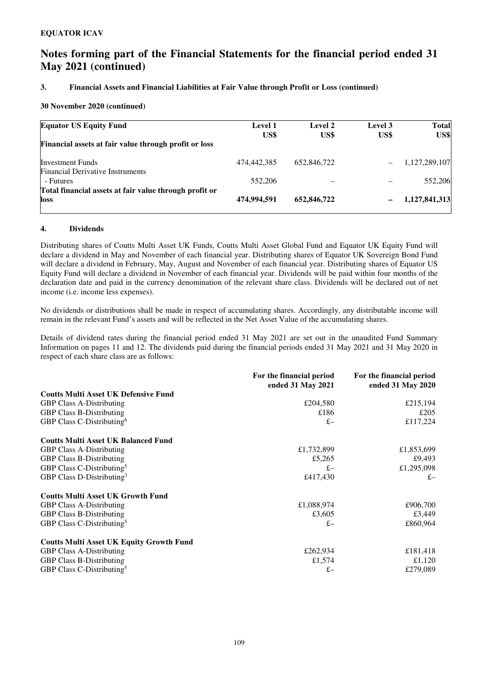### **3. Financial Assets and Financial Liabilities at Fair Value through Profit or Loss (continued)**

### **30 November 2020 (continued)**

| <b>Equator US Equity Fund</b>                                  | <b>Level 1</b><br>US\$ | <b>Level 2</b><br>US\$ | Level 3<br>US\$ | <b>Total</b><br>US\$ |
|----------------------------------------------------------------|------------------------|------------------------|-----------------|----------------------|
| Financial assets at fair value through profit or loss          |                        |                        |                 |                      |
| <b>Investment Funds</b>                                        | 474,442,385            | 652,846,722            |                 | 1,127,289,107        |
| <b>Financial Derivative Instruments</b><br>- Futures           | 552,206                |                        |                 | 552,206              |
| Total financial assets at fair value through profit or<br>loss | 474,994.591            | 652,846,722            |                 | 1,127,841,313        |

### **4. Dividends**

Distributing shares of Coutts Multi Asset UK Funds, Coutts Multi Asset Global Fund and Equator UK Equity Fund will declare a dividend in May and November of each financial year. Distributing shares of Equator UK Sovereign Bond Fund will declare a dividend in February, May, August and November of each financial year. Distributing shares of Equator US Equity Fund will declare a dividend in November of each financial year. Dividends will be paid within four months of the declaration date and paid in the currency denomination of the relevant share class. Dividends will be declared out of net income (i.e. income less expenses).

No dividends or distributions shall be made in respect of accumulating shares. Accordingly, any distributable income will remain in the relevant Fund's assets and will be reflected in the Net Asset Value of the accumulating shares.

Details of dividend rates during the financial period ended 31 May 2021 are set out in the unaudited Fund Summary Information on pages 11 and 12. The dividends paid during the financial periods ended 31 May 2021 and 31 May 2020 in respect of each share class are as follows:

|                                                 | For the financial period<br>ended 31 May 2021 | For the financial period<br>ended 31 May 2020 |
|-------------------------------------------------|-----------------------------------------------|-----------------------------------------------|
| <b>Coutts Multi Asset UK Defensive Fund</b>     |                                               |                                               |
| <b>GBP Class A-Distributing</b>                 | £204,580                                      | £215,194                                      |
| <b>GBP Class B-Distributing</b>                 | £186                                          | £205                                          |
| GBP Class C-Distributing <sup>6</sup>           | $f -$                                         | £117,224                                      |
| <b>Coutts Multi Asset UK Balanced Fund</b>      |                                               |                                               |
| <b>GBP Class A-Distributing</b>                 | £1,732,899                                    | £1,853,699                                    |
| <b>GBP Class B-Distributing</b>                 | £5,265                                        | £9,493                                        |
| GBP Class C-Distributing <sup>5</sup>           | $f -$                                         | £1,295,098                                    |
| GBP Class D-Distributing <sup>3</sup>           | £417,430                                      | $f -$                                         |
| <b>Coutts Multi Asset UK Growth Fund</b>        |                                               |                                               |
| <b>GBP Class A-Distributing</b>                 | £1,088,974                                    | £906,700                                      |
| <b>GBP Class B-Distributing</b>                 | £3,605                                        | £3,449                                        |
| GBP Class C-Distributing <sup>5</sup>           | $f -$                                         | £860,964                                      |
| <b>Coutts Multi Asset UK Equity Growth Fund</b> |                                               |                                               |
| <b>GBP Class A-Distributing</b>                 | £262,934                                      | £181,418                                      |
| <b>GBP Class B-Distributing</b>                 | £1,574                                        | £1,120                                        |
| GBP Class C-Distributing <sup>5</sup>           | $f -$                                         | £279,089                                      |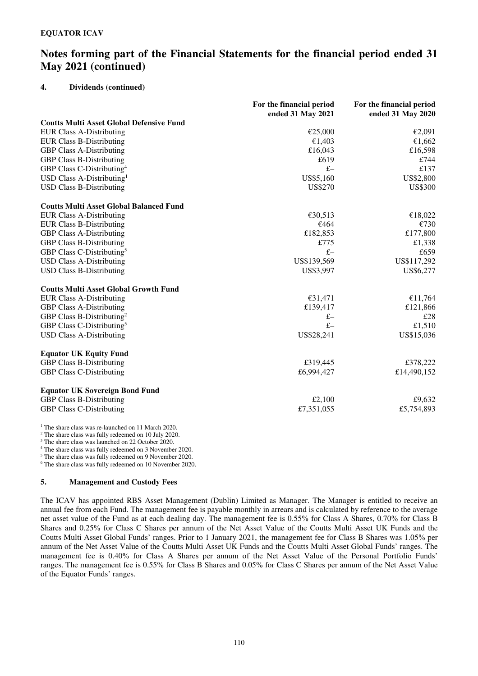### **4. Dividends (continued)**

|                                                 | For the financial period<br>ended 31 May 2021 | For the financial period<br>ended 31 May 2020 |
|-------------------------------------------------|-----------------------------------------------|-----------------------------------------------|
| <b>Coutts Multi Asset Global Defensive Fund</b> |                                               |                                               |
| <b>EUR Class A-Distributing</b>                 | €25,000                                       | €2,091                                        |
| <b>EUR Class B-Distributing</b>                 | €1,403                                        | €1,662                                        |
| <b>GBP Class A-Distributing</b>                 | £16,043                                       | £16,598                                       |
| <b>GBP Class B-Distributing</b>                 | £619                                          | £744                                          |
| GBP Class C-Distributing <sup>4</sup>           | $f -$                                         | £137                                          |
| USD Class A-Distributing <sup>1</sup>           | US\$5,160                                     | US\$2,800                                     |
| <b>USD Class B-Distributing</b>                 | US\$270                                       | <b>US\$300</b>                                |
| <b>Coutts Multi Asset Global Balanced Fund</b>  |                                               |                                               |
| <b>EUR Class A-Distributing</b>                 | €30,513                                       | €18,022                                       |
| <b>EUR Class B-Distributing</b>                 | €464                                          | €730                                          |
| <b>GBP Class A-Distributing</b>                 | £182,853                                      | £177,800                                      |
| <b>GBP Class B-Distributing</b>                 | £775                                          | £1,338                                        |
| GBP Class C-Distributing <sup>5</sup>           | $f -$                                         | £659                                          |
| <b>USD Class A-Distributing</b>                 | US\$139,569                                   | US\$117,292                                   |
| <b>USD Class B-Distributing</b>                 | US\$3,997                                     | US\$6,277                                     |
| <b>Coutts Multi Asset Global Growth Fund</b>    |                                               |                                               |
| <b>EUR Class A-Distributing</b>                 | €31,471                                       | €11,764                                       |
| <b>GBP Class A-Distributing</b>                 | £139,417                                      | £121,866                                      |
| GBP Class B-Distributing <sup>2</sup>           | $f -$                                         | £28                                           |
| GBP Class C-Distributing <sup>5</sup>           | $f -$                                         | £1,510                                        |
| <b>USD Class A-Distributing</b>                 | US\$28,241                                    | US\$15,036                                    |
| <b>Equator UK Equity Fund</b>                   |                                               |                                               |
| <b>GBP Class B-Distributing</b>                 | £319,445                                      | £378,222                                      |
| <b>GBP Class C-Distributing</b>                 | £6,994,427                                    | £14,490,152                                   |
| <b>Equator UK Sovereign Bond Fund</b>           |                                               |                                               |
| <b>GBP Class B-Distributing</b>                 | £2,100                                        | £9,632                                        |
| <b>GBP Class C-Distributing</b>                 | £7,351,055                                    | £5,754,893                                    |

<sup>1</sup> The share class was re-launched on 11 March 2020.

2 The share class was fully redeemed on 10 July 2020.

3 The share class was launched on 22 October 2020.

4 The share class was fully redeemed on 3 November 2020.

5 The share class was fully redeemed on 9 November 2020.

6 The share class was fully redeemed on 10 November 2020.

### **5. Management and Custody Fees**

The ICAV has appointed RBS Asset Management (Dublin) Limited as Manager. The Manager is entitled to receive an annual fee from each Fund. The management fee is payable monthly in arrears and is calculated by reference to the average net asset value of the Fund as at each dealing day. The management fee is 0.55% for Class A Shares, 0.70% for Class B Shares and 0.25% for Class C Shares per annum of the Net Asset Value of the Coutts Multi Asset UK Funds and the Coutts Multi Asset Global Funds' ranges. Prior to 1 January 2021, the management fee for Class B Shares was 1.05% per annum of the Net Asset Value of the Coutts Multi Asset UK Funds and the Coutts Multi Asset Global Funds' ranges. The management fee is 0.40% for Class A Shares per annum of the Net Asset Value of the Personal Portfolio Funds' ranges. The management fee is 0.55% for Class B Shares and 0.05% for Class C Shares per annum of the Net Asset Value of the Equator Funds' ranges.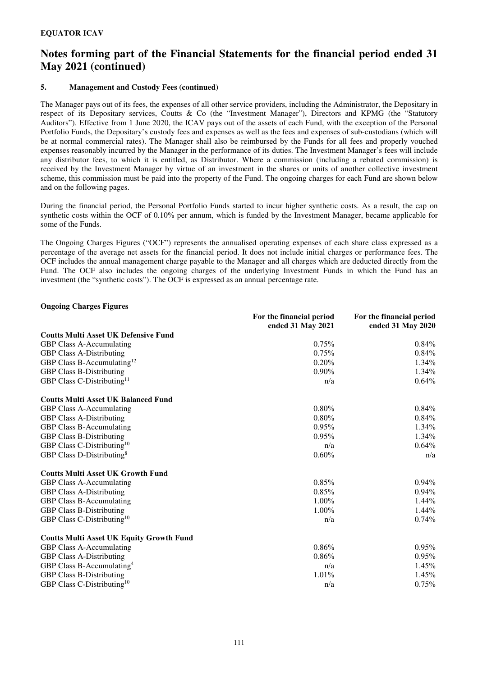### **5. Management and Custody Fees (continued)**

The Manager pays out of its fees, the expenses of all other service providers, including the Administrator, the Depositary in respect of its Depositary services, Coutts & Co (the "Investment Manager"), Directors and KPMG (the "Statutory Auditors"). Effective from 1 June 2020, the ICAV pays out of the assets of each Fund, with the exception of the Personal Portfolio Funds, the Depositary's custody fees and expenses as well as the fees and expenses of sub-custodians (which will be at normal commercial rates). The Manager shall also be reimbursed by the Funds for all fees and properly vouched expenses reasonably incurred by the Manager in the performance of its duties. The Investment Manager's fees will include any distributor fees, to which it is entitled, as Distributor. Where a commission (including a rebated commission) is received by the Investment Manager by virtue of an investment in the shares or units of another collective investment scheme, this commission must be paid into the property of the Fund. The ongoing charges for each Fund are shown below and on the following pages.

During the financial period, the Personal Portfolio Funds started to incur higher synthetic costs. As a result, the cap on synthetic costs within the OCF of 0.10% per annum, which is funded by the Investment Manager, became applicable for some of the Funds.

The Ongoing Charges Figures ("OCF") represents the annualised operating expenses of each share class expressed as a percentage of the average net assets for the financial period. It does not include initial charges or performance fees. The OCF includes the annual management charge payable to the Manager and all charges which are deducted directly from the Fund. The OCF also includes the ongoing charges of the underlying Investment Funds in which the Fund has an investment (the "synthetic costs"). The OCF is expressed as an annual percentage rate.

### **Ongoing Charges Figures For the financial period ended 31 May 2021 For the financial period ended 31 May 2020 Coutts Multi Asset UK Defensive Fund**  GBP Class A-Accumulating 0.75% 0.84% GBP Class A-Distributing 0.75% 0.84% GBP Class B-Accumulating<sup>12</sup> 0.20% 1.34% GBP Class B-Distributing  $0.90\%$  1.34% GBP Class C-Distributing<sup>11</sup> 0.64% **Coutts Multi Asset UK Balanced Fund**  GBP Class A-Accumulating 0.80% 0.84% 0.84% GBP Class A-Distributing 0.80% 0.84% 0.84% GBP Class B-Accumulating 0.95% 1.34% GBP Class B-Distributing 2.000 0.95% 1.34% GBP Class C-Distributing<sup>10</sup>  $n/a$  0.64% GBP Class D-Distributing<sup>8</sup> n/a **Coutts Multi Asset UK Growth Fund**  GBP Class A-Accumulating 0.85% 0.94% 0.94% GBP Class A-Distributing 0.85% 0.94% 0.94% GBP Class B-Accumulating 1.00% 1.44% GBP Class B-Distributing 1.00% 1.44% GBP Class C-Distributing<sup>10</sup>  $n/a$  0.74% **Coutts Multi Asset UK Equity Growth Fund**  GBP Class A-Accumulating 0.86% 0.95% 0.95% GBP Class A-Distributing 0.86% 0.95% 0.95% GBP Class B-Accumulating<sup>4</sup> n/a  $1.45\%$ <br>GBP Class B-Distributing  $1.01\%$  1.45% GBP Class B-Distributing 1.01% 1.45% 1.69% GBP Class C-Distributing<sup>10</sup>  $n/a$  0.75%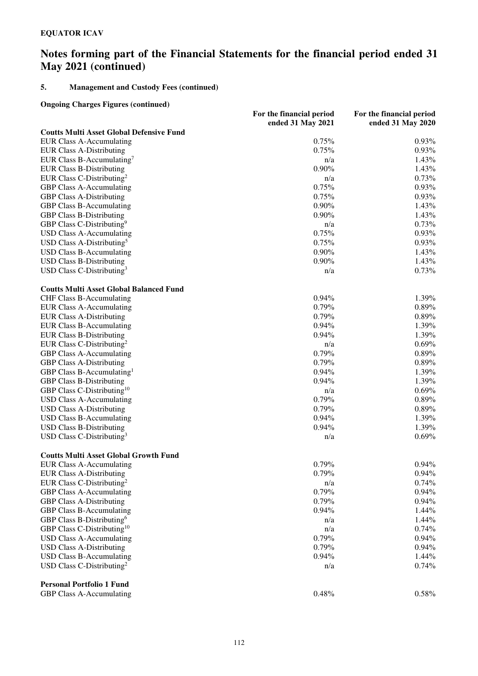### **5. Management and Custody Fees (continued)**

**Ongoing Charges Figures (continued)**

|                                                 | For the financial period | For the financial period |
|-------------------------------------------------|--------------------------|--------------------------|
|                                                 | ended 31 May 2021        | ended 31 May 2020        |
| <b>Coutts Multi Asset Global Defensive Fund</b> |                          |                          |
| <b>EUR Class A-Accumulating</b>                 | 0.75%                    | 0.93%                    |
| <b>EUR Class A-Distributing</b>                 | 0.75%                    | $0.93\%$                 |
| EUR Class B-Accumulating <sup>7</sup>           | n/a                      | 1.43%                    |
| <b>EUR Class B-Distributing</b>                 | 0.90%                    | 1.43%                    |
| EUR Class C-Distributing <sup>2</sup>           | n/a                      | 0.73%                    |
| GBP Class A-Accumulating                        | 0.75%                    | 0.93%                    |
| <b>GBP Class A-Distributing</b>                 | 0.75%                    | 0.93%                    |
| <b>GBP Class B-Accumulating</b>                 | $0.90\%$                 | 1.43%                    |
| <b>GBP Class B-Distributing</b>                 | $0.90\%$                 | 1.43%                    |
| GBP Class C-Distributing <sup>9</sup>           | n/a                      | 0.73%                    |
|                                                 | 0.75%                    | 0.93%                    |
| <b>USD Class A-Accumulating</b>                 |                          |                          |
| USD Class A-Distributing <sup>5</sup>           | 0.75%                    | 0.93%                    |
| <b>USD Class B-Accumulating</b>                 | $0.90\%$                 | 1.43%                    |
| <b>USD Class B-Distributing</b>                 | $0.90\%$                 | 1.43%                    |
| USD Class C-Distributing <sup>3</sup>           | n/a                      | 0.73%                    |
| <b>Coutts Multi Asset Global Balanced Fund</b>  |                          |                          |
| <b>CHF Class B-Accumulating</b>                 | 0.94%                    | 1.39%                    |
| <b>EUR Class A-Accumulating</b>                 | 0.79%                    | 0.89%                    |
| <b>EUR Class A-Distributing</b>                 | 0.79%                    | 0.89%                    |
| <b>EUR Class B-Accumulating</b>                 | 0.94%                    | 1.39%                    |
| <b>EUR Class B-Distributing</b>                 | 0.94%                    | 1.39%                    |
| EUR Class C-Distributing <sup>2</sup>           | n/a                      | 0.69%                    |
| <b>GBP Class A-Accumulating</b>                 | 0.79%                    | 0.89%                    |
| <b>GBP Class A-Distributing</b>                 | 0.79%                    | 0.89%                    |
| GBP Class B-Accumulating <sup>1</sup>           | 0.94%                    | 1.39%                    |
| <b>GBP Class B-Distributing</b>                 | 0.94%                    | 1.39%                    |
| GBP Class C-Distributing <sup>10</sup>          | n/a                      | 0.69%                    |
| <b>USD Class A-Accumulating</b>                 | 0.79%                    | 0.89%                    |
| <b>USD Class A-Distributing</b>                 | 0.79%                    | 0.89%                    |
| <b>USD Class B-Accumulating</b>                 | 0.94%                    | 1.39%                    |
|                                                 | 0.94%                    | 1.39%                    |
| <b>USD Class B-Distributing</b>                 |                          |                          |
| USD Class C-Distributing <sup>3</sup>           | n/a                      | 0.69%                    |
| <b>Coutts Multi Asset Global Growth Fund</b>    |                          |                          |
| <b>EUR Class A-Accumulating</b>                 | 0.79%                    | $0.94\%$                 |
| <b>EUR Class A-Distributing</b>                 | 0.79%                    | $0.94\%$                 |
| EUR Class C-Distributing <sup>2</sup>           | n/a                      | 0.74%                    |
| <b>GBP Class A-Accumulating</b>                 | 0.79%                    | 0.94%                    |
| <b>GBP Class A-Distributing</b>                 | 0.79%                    | 0.94%                    |
| <b>GBP Class B-Accumulating</b>                 | 0.94%                    | 1.44%                    |
| GBP Class B-Distributing <sup>6</sup>           | n/a                      | 1.44%                    |
| GBP Class C-Distributing <sup>10</sup>          | n/a                      | 0.74%                    |
| <b>USD Class A-Accumulating</b>                 | 0.79%                    | 0.94%                    |
| <b>USD Class A-Distributing</b>                 | 0.79%                    | 0.94%                    |
| <b>USD Class B-Accumulating</b>                 | 0.94%                    | 1.44%                    |
| USD Class C-Distributing <sup>2</sup>           | n/a                      | 0.74%                    |
| <b>Personal Portfolio 1 Fund</b>                |                          |                          |
| <b>GBP Class A-Accumulating</b>                 | 0.48%                    | 0.58%                    |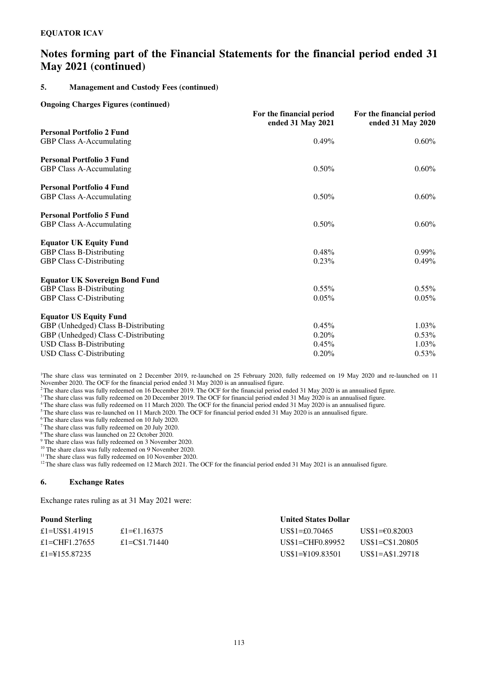### **5. Management and Custody Fees (continued)**

#### **Ongoing Charges Figures (continued)**

|                                                                                                                                                                                   | For the financial period<br>ended 31 May 2021 | For the financial period<br>ended 31 May 2020 |
|-----------------------------------------------------------------------------------------------------------------------------------------------------------------------------------|-----------------------------------------------|-----------------------------------------------|
| <b>Personal Portfolio 2 Fund</b><br>GBP Class A-Accumulating                                                                                                                      | 0.49%                                         | $0.60\%$                                      |
| <b>Personal Portfolio 3 Fund</b><br>GBP Class A-Accumulating                                                                                                                      | 0.50%                                         | $0.60\%$                                      |
| <b>Personal Portfolio 4 Fund</b><br>GBP Class A-Accumulating                                                                                                                      | $0.50\%$                                      | $0.60\%$                                      |
| <b>Personal Portfolio 5 Fund</b><br>GBP Class A-Accumulating                                                                                                                      | 0.50%                                         | $0.60\%$                                      |
| <b>Equator UK Equity Fund</b><br><b>GBP Class B-Distributing</b><br><b>GBP Class C-Distributing</b>                                                                               | 0.48%<br>0.23%                                | $0.99\%$<br>$0.49\%$                          |
| <b>Equator UK Sovereign Bond Fund</b><br><b>GBP Class B-Distributing</b><br><b>GBP Class C-Distributing</b>                                                                       | $0.55\%$<br>0.05%                             | $0.55\%$<br>0.05%                             |
| <b>Equator US Equity Fund</b><br>GBP (Unhedged) Class B-Distributing<br>GBP (Unhedged) Class C-Distributing<br><b>USD Class B-Distributing</b><br><b>USD Class C-Distributing</b> | 0.45%<br>0.20%<br>0.45%<br>0.20%              | 1.03%<br>$0.53\%$<br>1.03%<br>0.53%           |

<sup>1</sup>The share class was terminated on 2 December 2019, re-launched on 25 February 2020, fully redeemed on 19 May 2020 and re-launched on 11 November 2020. The OCF for the financial period ended 31 May 2020 is an annualised figure.

<sup>2</sup>The share class was fully redeemed on 16 December 2019. The OCF for the financial period ended 31 May 2020 is an annualised figure.

<sup>3</sup> The share class was fully redeemed on 20 December 2019. The OCF for financial period ended 31 May 2020 is an annualised figure.

<sup>4</sup> The share class was fully redeemed on 11 March 2020. The OCF for the financial period ended 31 May 2020 is an annualised figure.

<sup>5</sup>The share class was re-launched on 11 March 2020. The OCF for financial period ended 31 May 2020 is an annualised figure.

<sup>6</sup>The share class was fully redeemed on 10 July 2020.

<sup>7</sup>The share class was fully redeemed on 20 July 2020.

<sup>8</sup>The share class was launched on 22 October 2020.

9 The share class was fully redeemed on 3 November 2020.

<sup>10</sup> The share class was fully redeemed on 9 November 2020.

<sup>11</sup> The share class was fully redeemed on 10 November 2020.

 $12$ The share class was fully redeemed on 12 March 2021. The OCF for the financial period ended 31 May 2021 is an annualised figure.

### **6. Exchange Rates**

Exchange rates ruling as at 31 May 2021 were:

### **Pound Sterling Community Community Community Community Community Community Community Community Community Community Community Community Community Community Community Community Community Community Community Community Commun**

| --------------  |                |                    |                           |
|-----------------|----------------|--------------------|---------------------------|
| £1=US\$1.41915  | £1= $€1.16375$ | $US$1=£0.70465$    | US\$1= $\epsilon$ 0.82003 |
| £1=CHF1.27655   | £1=C\$1.71440  | US\$1=CHF0.89952   | US\$1=C\$1.20805          |
| £1=\\$155.87235 |                | US\$1=\\$109.83501 | US\$1=A\$1.29718          |
|                 |                |                    |                           |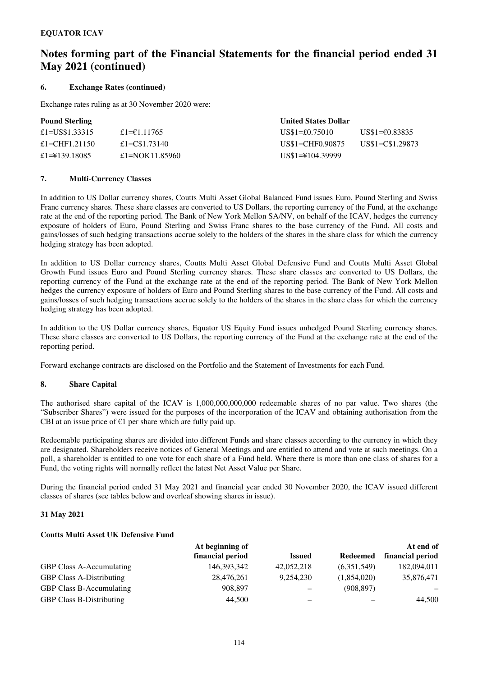### **6. Exchange Rates (continued)**

Exchange rates ruling as at 30 November 2020 were:

### **Pound Sterling Community Community Community Community Community Community Community Community Community Community Community Community Community Community Community Community Community Community Community Community Commun**

| £1= $€1.11765$ |                    | US\$1=€0.83835   |
|----------------|--------------------|------------------|
| £1=C\$1.73140  | US\$1=CHF0.90875   | US\$1=C\$1.29873 |
| £1=NOK11.85960 | US\$1=\\$104.39999 |                  |
|                |                    | $US\$ 1=£0.75010 |

### **7. Multi**-**Currency Classes**

In addition to US Dollar currency shares, Coutts Multi Asset Global Balanced Fund issues Euro, Pound Sterling and Swiss Franc currency shares. These share classes are converted to US Dollars, the reporting currency of the Fund, at the exchange rate at the end of the reporting period. The Bank of New York Mellon SA/NV, on behalf of the ICAV, hedges the currency exposure of holders of Euro, Pound Sterling and Swiss Franc shares to the base currency of the Fund. All costs and gains/losses of such hedging transactions accrue solely to the holders of the shares in the share class for which the currency hedging strategy has been adopted.

In addition to US Dollar currency shares, Coutts Multi Asset Global Defensive Fund and Coutts Multi Asset Global Growth Fund issues Euro and Pound Sterling currency shares. These share classes are converted to US Dollars, the reporting currency of the Fund at the exchange rate at the end of the reporting period. The Bank of New York Mellon hedges the currency exposure of holders of Euro and Pound Sterling shares to the base currency of the Fund. All costs and gains/losses of such hedging transactions accrue solely to the holders of the shares in the share class for which the currency hedging strategy has been adopted.

In addition to the US Dollar currency shares, Equator US Equity Fund issues unhedged Pound Sterling currency shares. These share classes are converted to US Dollars, the reporting currency of the Fund at the exchange rate at the end of the reporting period.

Forward exchange contracts are disclosed on the Portfolio and the Statement of Investments for each Fund.

### **8. Share Capital**

The authorised share capital of the ICAV is 1,000,000,000,000 redeemable shares of no par value. Two shares (the "Subscriber Shares") were issued for the purposes of the incorporation of the ICAV and obtaining authorisation from the CBI at an issue price of  $E1$  per share which are fully paid up.

Redeemable participating shares are divided into different Funds and share classes according to the currency in which they are designated. Shareholders receive notices of General Meetings and are entitled to attend and vote at such meetings. On a poll, a shareholder is entitled to one vote for each share of a Fund held. Where there is more than one class of shares for a Fund, the voting rights will normally reflect the latest Net Asset Value per Share.

During the financial period ended 31 May 2021 and financial year ended 30 November 2020, the ICAV issued different classes of shares (see tables below and overleaf showing shares in issue).

### **31 May 2021**

### **Coutts Multi Asset UK Defensive Fund**

|                                 | At beginning of  |               |             | At end of        |
|---------------------------------|------------------|---------------|-------------|------------------|
|                                 | financial period | <b>Issued</b> | Redeemed    | financial period |
| <b>GBP Class A-Accumulating</b> | 146,393,342      | 42,052,218    | (6,351,549) | 182,094,011      |
| <b>GBP Class A-Distributing</b> | 28,476,261       | 9.254.230     | (1,854,020) | 35,876,471       |
| <b>GBP Class B-Accumulating</b> | 908,897          | -             | (908, 897)  |                  |
| <b>GBP Class B-Distributing</b> | 44,500           | -             |             | 44,500           |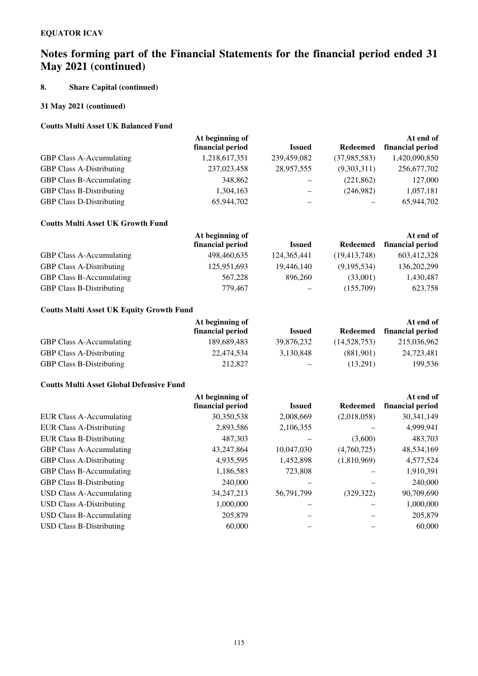### **8. Share Capital (continued)**

### **31 May 2021 (continued)**

### **Coutts Multi Asset UK Balanced Fund**

|                                 | At beginning of  |                   |              | At end of        |
|---------------------------------|------------------|-------------------|--------------|------------------|
|                                 | financial period | <b>Issued</b>     | Redeemed     | financial period |
| <b>GBP Class A-Accumulating</b> | 1,218,617,351    | 239,459,082       | (37,985,583) | 1,420,090,850    |
| <b>GBP Class A-Distributing</b> | 237,023,458      | 28,957,555        | (9,303,311)  | 256,677,702      |
| <b>GBP Class B-Accumulating</b> | 348,862          | -                 | (221, 862)   | 127,000          |
| <b>GBP Class B-Distributing</b> | 1,304,163        | $\qquad \qquad -$ | (246,982)    | 1,057,181        |
| <b>GBP Class D-Distributing</b> | 65,944,702       |                   |              | 65,944,702       |

### **Coutts Multi Asset UK Growth Fund**

|                                 | At beginning of  |                   |                | At end of        |  |
|---------------------------------|------------------|-------------------|----------------|------------------|--|
|                                 | financial period | <b>Issued</b>     | Redeemed       | financial period |  |
| <b>GBP Class A-Accumulating</b> | 498,460,635      | 124, 365, 441     | (19, 413, 748) | 603,412,328      |  |
| <b>GBP Class A-Distributing</b> | 125,951,693      | 19,446,140        | (9,195,534)    | 136, 202, 299    |  |
| <b>GBP Class B-Accumulating</b> | 567,228          | 896.260           | (33,001)       | 1,430,487        |  |
| <b>GBP Class B-Distributing</b> | 779,467          | $\qquad \qquad -$ | (155,709)      | 623,758          |  |

### **Coutts Multi Asset UK Equity Growth Fund**

|                                 | At beginning of  |                   |              | At end of        |
|---------------------------------|------------------|-------------------|--------------|------------------|
|                                 | financial period | <b>Issued</b>     | Redeemed     | financial period |
| <b>GBP Class A-Accumulating</b> | 189,689,483      | 39,876,232        | (14,528,753) | 215,036,962      |
| <b>GBP Class A-Distributing</b> | 22,474,534       | 3,130,848         | (881.901)    | 24,723,481       |
| <b>GBP Class B-Distributing</b> | 212,827          | $\qquad \qquad -$ | (13,291)     | 199,536          |

### **Coutts Multi Asset Global Defensive Fund**

|                                 | At beginning of  |               |                 | At end of        |  |
|---------------------------------|------------------|---------------|-----------------|------------------|--|
|                                 | financial period | <b>Issued</b> | <b>Redeemed</b> | financial period |  |
| <b>EUR Class A-Accumulating</b> | 30,350,538       | 2,008,669     | (2,018,058)     | 30,341,149       |  |
| <b>EUR Class A-Distributing</b> | 2,893,586        | 2,106,355     |                 | 4,999,941        |  |
| <b>EUR Class B-Distributing</b> | 487,303          |               | (3,600)         | 483,703          |  |
| <b>GBP Class A-Accumulating</b> | 43,247,864       | 10,047,030    | (4,760,725)     | 48,534,169       |  |
| <b>GBP Class A-Distributing</b> | 4,935,595        | 1,452,898     | (1,810,969)     | 4,577,524        |  |
| GBP Class B-Accumulating        | 1,186,583        | 723,808       |                 | 1,910,391        |  |
| <b>GBP Class B-Distributing</b> | 240,000          |               |                 | 240,000          |  |
| USD Class A-Accumulating        | 34, 247, 213     | 56,791,799    | (329, 322)      | 90,709,690       |  |
| <b>USD Class A-Distributing</b> | 1,000,000        |               |                 | 1,000,000        |  |
| <b>USD Class B-Accumulating</b> | 205,879          |               |                 | 205,879          |  |
| <b>USD Class B-Distributing</b> | 60,000           |               |                 | 60,000           |  |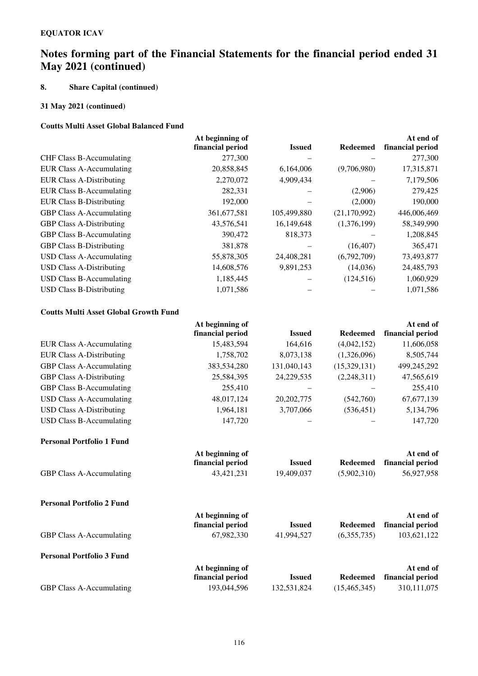### **8. Share Capital (continued)**

### **31 May 2021 (continued)**

### **Coutts Multi Asset Global Balanced Fund**

|                                 | At beginning of  |               |                 | At end of        |
|---------------------------------|------------------|---------------|-----------------|------------------|
|                                 | financial period | <b>Issued</b> | <b>Redeemed</b> | financial period |
| CHF Class B-Accumulating        | 277,300          |               |                 | 277,300          |
| <b>EUR Class A-Accumulating</b> | 20,858,845       | 6,164,006     | (9,706,980)     | 17,315,871       |
| <b>EUR Class A-Distributing</b> | 2,270,072        | 4,909,434     |                 | 7,179,506        |
| <b>EUR Class B-Accumulating</b> | 282,331          |               | (2,906)         | 279,425          |
| <b>EUR Class B-Distributing</b> | 192,000          |               | (2,000)         | 190,000          |
| <b>GBP Class A-Accumulating</b> | 361, 677, 581    | 105,499,880   | (21, 170, 992)  | 446,006,469      |
| <b>GBP Class A-Distributing</b> | 43,576,541       | 16,149,648    | (1,376,199)     | 58,349,990       |
| <b>GBP Class B-Accumulating</b> | 390,472          | 818,373       |                 | 1,208,845        |
| <b>GBP Class B-Distributing</b> | 381,878          |               | (16, 407)       | 365,471          |
| USD Class A-Accumulating        | 55,878,305       | 24,408,281    | (6,792,709)     | 73,493,877       |
| <b>USD Class A-Distributing</b> | 14,608,576       | 9,891,253     | (14,036)        | 24,485,793       |
| <b>USD Class B-Accumulating</b> | 1,185,445        |               | (124, 516)      | 1,060,929        |
| <b>USD Class B-Distributing</b> | 1,071,586        |               |                 | 1,071,586        |
|                                 |                  |               |                 |                  |

### **Coutts Multi Asset Global Growth Fund**

|                                 | At beginning of  |               |                 | At end of        |  |
|---------------------------------|------------------|---------------|-----------------|------------------|--|
|                                 | financial period | <b>Issued</b> | <b>Redeemed</b> | financial period |  |
| <b>EUR Class A-Accumulating</b> | 15,483,594       | 164,616       | (4,042,152)     | 11,606,058       |  |
| <b>EUR Class A-Distributing</b> | 1,758,702        | 8,073,138     | (1,326,096)     | 8,505,744        |  |
| <b>GBP Class A-Accumulating</b> | 383,534,280      | 131,040,143   | (15,329,131)    | 499,245,292      |  |
| <b>GBP Class A-Distributing</b> | 25,584,395       | 24, 229, 535  | (2,248,311)     | 47,565,619       |  |
| <b>GBP Class B-Accumulating</b> | 255,410          |               |                 | 255,410          |  |
| USD Class A-Accumulating        | 48,017,124       | 20, 202, 775  | (542,760)       | 67, 677, 139     |  |
| <b>USD Class A-Distributing</b> | 1,964,181        | 3,707,066     | (536, 451)      | 5,134,796        |  |
| USD Class B-Accumulating        | 147,720          |               |                 | 147,720          |  |

#### **Personal Portfolio 1 Fund**

|                                 | At beginning of  |               |             | At end of                 |
|---------------------------------|------------------|---------------|-------------|---------------------------|
|                                 | financial period | <b>Issued</b> |             | Redeemed financial period |
| <b>GBP Class A-Accumulating</b> | 43.421.231       | 19.409.037    | (5.902.310) | 56,927,958                |

| <b>Personal Portfolio 2 Fund</b> |                                     |               |                |                               |
|----------------------------------|-------------------------------------|---------------|----------------|-------------------------------|
|                                  | At beginning of<br>financial period | <b>Issued</b> | Redeemed       | At end of<br>financial period |
| <b>GBP Class A-Accumulating</b>  | 67,982,330                          | 41,994,527    | (6,355,735)    | 103,621,122                   |
| <b>Personal Portfolio 3 Fund</b> |                                     |               |                |                               |
|                                  | At beginning of                     |               |                | At end of                     |
|                                  | financial period                    | <b>Issued</b> | Redeemed       | financial period              |
| <b>GBP Class A-Accumulating</b>  | 193,044,596                         | 132,531,824   | (15, 465, 345) | 310, 111, 075                 |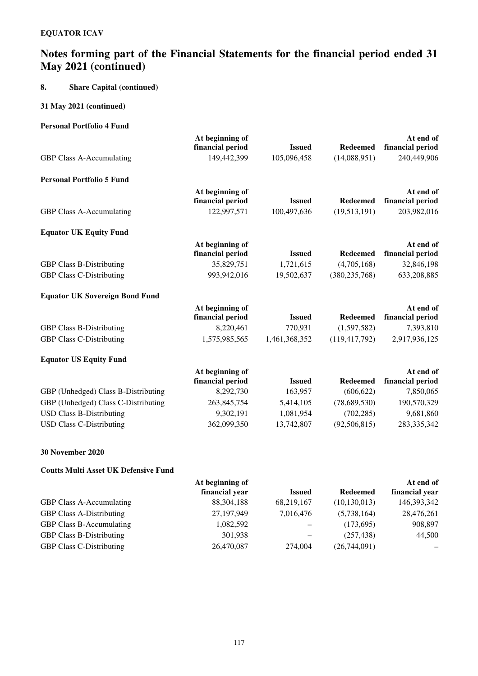### **8. Share Capital (continued)**

### **31 May 2021 (continued)**

### **Personal Portfolio 4 Fund**

|                                       | At beginning of  |               |                 | At end of        |
|---------------------------------------|------------------|---------------|-----------------|------------------|
|                                       | financial period | <b>Issued</b> | <b>Redeemed</b> | financial period |
| GBP Class A-Accumulating              | 149,442,399      | 105,096,458   | (14,088,951)    | 240,449,906      |
| <b>Personal Portfolio 5 Fund</b>      |                  |               |                 |                  |
|                                       | At beginning of  |               |                 | At end of        |
|                                       | financial period | <b>Issued</b> | <b>Redeemed</b> | financial period |
| GBP Class A-Accumulating              | 122,997,571      | 100,497,636   | (19,513,191)    | 203,982,016      |
| <b>Equator UK Equity Fund</b>         |                  |               |                 |                  |
|                                       | At beginning of  |               |                 | At end of        |
|                                       | financial period | <b>Issued</b> | <b>Redeemed</b> | financial period |
| <b>GBP Class B-Distributing</b>       | 35,829,751       | 1,721,615     | (4,705,168)     | 32,846,198       |
| <b>GBP Class C-Distributing</b>       | 993,942,016      | 19,502,637    | (380, 235, 768) | 633,208,885      |
| <b>Equator UK Sovereign Bond Fund</b> |                  |               |                 |                  |
|                                       | At beginning of  |               |                 | At end of        |
|                                       | financial period | <b>Issued</b> | <b>Redeemed</b> | financial period |
| <b>GBP Class B-Distributing</b>       | 8,220,461        | 770,931       | (1,597,582)     | 7,393,810        |
| <b>GBP Class C-Distributing</b>       | 1,575,985,565    | 1,461,368,352 | (119, 417, 792) | 2,917,936,125    |
| <b>Equator US Equity Fund</b>         |                  |               |                 |                  |
|                                       | At beginning of  |               |                 | At end of        |
|                                       | financial period | <b>Issued</b> | <b>Redeemed</b> | financial period |
| GBP (Unhedged) Class B-Distributing   | 8,292,730        | 163,957       | (606, 622)      | 7,850,065        |
| GBP (Unhedged) Class C-Distributing   | 263,845,754      | 5,414,105     | (78,689,530)    | 190,570,329      |
| <b>USD Class B-Distributing</b>       | 9,302,191        | 1,081,954     | (702, 285)      | 9,681,860        |
| <b>USD Class C-Distributing</b>       | 362,099,350      | 13,742,807    | (92, 506, 815)  | 283, 335, 342    |
|                                       |                  |               |                 |                  |

### **30 November 2020**

### **Coutts Multi Asset UK Defensive Fund**

|                |                 |                 | At end of      |
|----------------|-----------------|-----------------|----------------|
| financial year | <b>Issued</b>   | <b>Redeemed</b> | financial year |
| 88, 304, 188   | 68,219,167      | (10, 130, 013)  | 146,393,342    |
| 27,197,949     | 7,016,476       | (5,738,164)     | 28,476,261     |
| 1,082,592      | -               | (173,695)       | 908,897        |
| 301,938        | -               | (257, 438)      | 44,500         |
| 26,470,087     | 274,004         | (26,744,091)    |                |
|                | At beginning of |                 |                |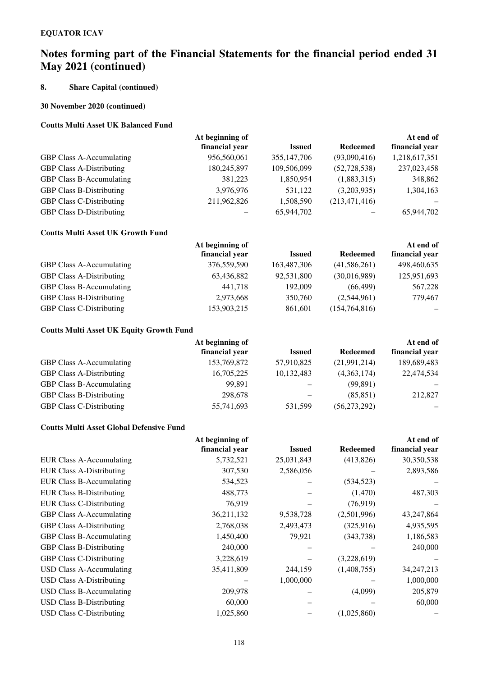### **8. Share Capital (continued)**

### **30 November 2020 (continued)**

### **Coutts Multi Asset UK Balanced Fund**

| At beginning of |               |                 | At end of      |
|-----------------|---------------|-----------------|----------------|
| financial year  | <b>Issued</b> | <b>Redeemed</b> | financial year |
| 956,560,061     | 355, 147, 706 | (93,090,416)    | 1,218,617,351  |
| 180,245,897     | 109,506,099   | (52, 728, 538)  | 237,023,458    |
| 381,223         | 1,850,954     | (1,883,315)     | 348,862        |
| 3,976,976       | 531,122       | (3,203,935)     | 1,304,163      |
| 211,962,826     | 1,508,590     | (213, 471, 416) |                |
|                 | 65,944,702    |                 | 65,944,702     |
|                 |               |                 |                |

### **Coutts Multi Asset UK Growth Fund**

|                                 | At beginning of |               |                 | At end of      |
|---------------------------------|-----------------|---------------|-----------------|----------------|
|                                 | financial vear  | <b>Issued</b> | <b>Redeemed</b> | financial year |
| <b>GBP Class A-Accumulating</b> | 376,559,590     | 163,487,306   | (41, 586, 261)  | 498,460,635    |
| <b>GBP Class A-Distributing</b> | 63,436,882      | 92,531,800    | (30,016,989)    | 125,951,693    |
| <b>GBP Class B-Accumulating</b> | 441,718         | 192,009       | (66, 499)       | 567,228        |
| <b>GBP Class B-Distributing</b> | 2,973,668       | 350,760       | (2,544,961)     | 779,467        |
| <b>GBP Class C-Distributing</b> | 153,903,215     | 861,601       | (154, 764, 816) |                |

### **Coutts Multi Asset UK Equity Growth Fund**

|                                 | At beginning of |               |                 | At end of      |
|---------------------------------|-----------------|---------------|-----------------|----------------|
|                                 | financial year  | <b>Issued</b> | <b>Redeemed</b> | financial year |
| <b>GBP Class A-Accumulating</b> | 153,769,872     | 57,910,825    | (21,991,214)    | 189,689,483    |
| <b>GBP Class A-Distributing</b> | 16,705,225      | 10,132,483    | (4,363,174)     | 22,474,534     |
| <b>GBP Class B-Accumulating</b> | 99.891          |               | (99, 891)       |                |
| <b>GBP Class B-Distributing</b> | 298,678         | -             | (85, 851)       | 212,827        |
| <b>GBP Class C-Distributing</b> | 55,741,693      | 531,599       | (56, 273, 292)  |                |

### **Coutts Multi Asset Global Defensive Fund**

|                                 | At beginning of |               |                 | At end of      |
|---------------------------------|-----------------|---------------|-----------------|----------------|
|                                 | financial year  | <b>Issued</b> | <b>Redeemed</b> | financial year |
| EUR Class A-Accumulating        | 5,732,521       | 25,031,843    | (413,826)       | 30,350,538     |
| <b>EUR Class A-Distributing</b> | 307,530         | 2,586,056     |                 | 2,893,586      |
| <b>EUR Class B-Accumulating</b> | 534,523         |               | (534, 523)      |                |
| <b>EUR Class B-Distributing</b> | 488,773         |               | (1,470)         | 487,303        |
| <b>EUR Class C-Distributing</b> | 76,919          |               | (76, 919)       |                |
| <b>GBP Class A-Accumulating</b> | 36,211,132      | 9,538,728     | (2,501,996)     | 43,247,864     |
| <b>GBP Class A-Distributing</b> | 2,768,038       | 2,493,473     | (325, 916)      | 4,935,595      |
| GBP Class B-Accumulating        | 1,450,400       | 79,921        | (343, 738)      | 1,186,583      |
| <b>GBP Class B-Distributing</b> | 240,000         |               |                 | 240,000        |
| <b>GBP Class C-Distributing</b> | 3,228,619       |               | (3,228,619)     |                |
| USD Class A-Accumulating        | 35,411,809      | 244,159       | (1,408,755)     | 34, 247, 213   |
| <b>USD Class A-Distributing</b> |                 | 1,000,000     |                 | 1,000,000      |
| <b>USD Class B-Accumulating</b> | 209,978         |               | (4,099)         | 205,879        |
| <b>USD Class B-Distributing</b> | 60,000          |               |                 | 60,000         |
| <b>USD Class C-Distributing</b> | 1,025,860       |               | (1,025,860)     |                |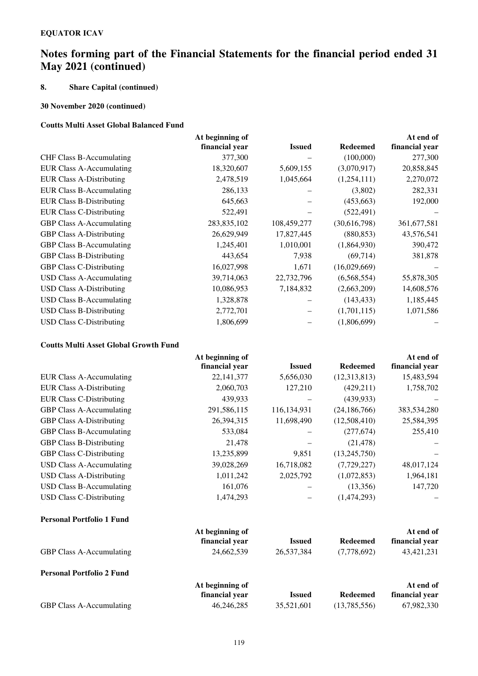### **8. Share Capital (continued)**

### **30 November 2020 (continued)**

### **Coutts Multi Asset Global Balanced Fund**

|                                 | At beginning of |               |                 | At end of      |
|---------------------------------|-----------------|---------------|-----------------|----------------|
|                                 | financial year  | <b>Issued</b> | <b>Redeemed</b> | financial year |
| CHF Class B-Accumulating        | 377,300         |               | (100,000)       | 277,300        |
| EUR Class A-Accumulating        | 18,320,607      | 5,609,155     | (3,070,917)     | 20,858,845     |
| <b>EUR Class A-Distributing</b> | 2,478,519       | 1,045,664     | (1,254,111)     | 2,270,072      |
| <b>EUR Class B-Accumulating</b> | 286,133         |               | (3,802)         | 282,331        |
| <b>EUR Class B-Distributing</b> | 645,663         |               | (453, 663)      | 192,000        |
| <b>EUR Class C-Distributing</b> | 522,491         |               | (522, 491)      |                |
| <b>GBP Class A-Accumulating</b> | 283,835,102     | 108,459,277   | (30,616,798)    | 361, 677, 581  |
| <b>GBP Class A-Distributing</b> | 26,629,949      | 17,827,445    | (880, 853)      | 43,576,541     |
| <b>GBP Class B-Accumulating</b> | 1,245,401       | 1,010,001     | (1,864,930)     | 390,472        |
| <b>GBP Class B-Distributing</b> | 443,654         | 7,938         | (69, 714)       | 381,878        |
| <b>GBP Class C-Distributing</b> | 16,027,998      | 1,671         | (16,029,669)    |                |
| <b>USD Class A-Accumulating</b> | 39,714,063      | 22,732,796    | (6,568,554)     | 55,878,305     |
| <b>USD Class A-Distributing</b> | 10,086,953      | 7,184,832     | (2,663,209)     | 14,608,576     |
| <b>USD Class B-Accumulating</b> | 1,328,878       |               | (143, 433)      | 1,185,445      |
| <b>USD Class B-Distributing</b> | 2,772,701       |               | (1,701,115)     | 1,071,586      |
| <b>USD Class C-Distributing</b> | 1,806,699       |               | (1,806,699)     |                |

### **Coutts Multi Asset Global Growth Fund**

|                                  | At beginning of |               |                 | At end of      |
|----------------------------------|-----------------|---------------|-----------------|----------------|
|                                  | financial year  | <b>Issued</b> | <b>Redeemed</b> | financial year |
| <b>EUR Class A-Accumulating</b>  | 22, 141, 377    | 5,656,030     | (12,313,813)    | 15,483,594     |
| <b>EUR Class A-Distributing</b>  | 2,060,703       | 127,210       | (429, 211)      | 1,758,702      |
| <b>EUR Class C-Distributing</b>  | 439,933         |               | (439, 933)      |                |
| <b>GBP Class A-Accumulating</b>  | 291,586,115     | 116,134,931   | (24, 186, 766)  | 383,534,280    |
| <b>GBP Class A-Distributing</b>  | 26,394,315      | 11,698,490    | (12,508,410)    | 25,584,395     |
| <b>GBP Class B-Accumulating</b>  | 533,084         |               | (277, 674)      | 255,410        |
| <b>GBP Class B-Distributing</b>  | 21,478          |               | (21, 478)       |                |
| <b>GBP Class C-Distributing</b>  | 13,235,899      | 9,851         | (13,245,750)    |                |
| <b>USD Class A-Accumulating</b>  | 39,028,269      | 16,718,082    | (7, 729, 227)   | 48,017,124     |
| <b>USD Class A-Distributing</b>  | 1,011,242       | 2,025,792     | (1,072,853)     | 1,964,181      |
| <b>USD Class B-Accumulating</b>  | 161,076         |               | (13,356)        | 147,720        |
| <b>USD Class C-Distributing</b>  | 1,474,293       |               | (1,474,293)     |                |
| <b>Personal Portfolio 1 Fund</b> |                 |               |                 |                |
|                                  | At beginning of |               |                 | At end of      |
|                                  | financial year  | <b>Issued</b> | <b>Redeemed</b> | financial year |
| GBP Class A-Accumulating         | 24,662,539      | 26,537,384    | (7,778,692)     | 43, 421, 231   |
| <b>Personal Portfolio 2 Fund</b> |                 |               |                 |                |

|                                 | At beginning of |               |              | At end of      |
|---------------------------------|-----------------|---------------|--------------|----------------|
|                                 | financial year  | <b>Issued</b> | Redeemed     | financial vear |
| <b>GBP Class A-Accumulating</b> | 46.246.285      | 35.521.601    | (13.785.556) | 67.982.330     |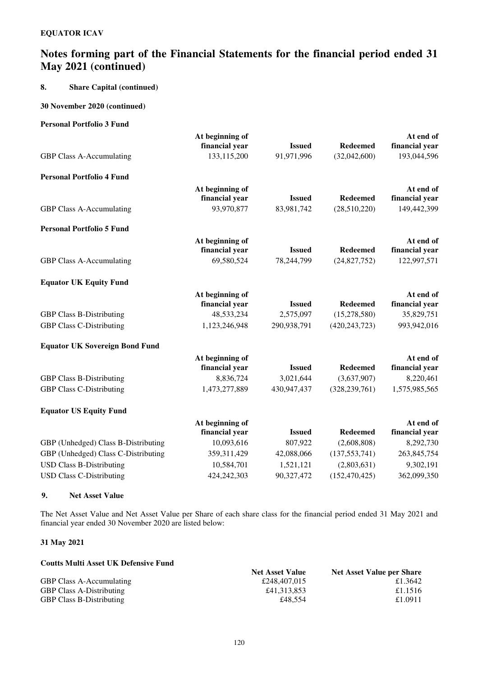### **8. Share Capital (continued)**

### **30 November 2020 (continued)**

### **Personal Portfolio 3 Fund**

### **9. Net Asset Value**

The Net Asset Value and Net Asset Value per Share of each share class for the financial period ended 31 May 2021 and financial year ended 30 November 2020 are listed below:

### **31 May 2021**

| <b>Coutts Multi Asset UK Defensive Fund</b> |                        |                                  |
|---------------------------------------------|------------------------|----------------------------------|
|                                             | <b>Net Asset Value</b> | <b>Net Asset Value per Share</b> |
| <b>GBP Class A-Accumulating</b>             | £248,407,015           | £1.3642                          |
| <b>GBP Class A-Distributing</b>             | £41.313.853            | £1.1516                          |
| <b>GBP Class B-Distributing</b>             | £48.554                | £1.0911                          |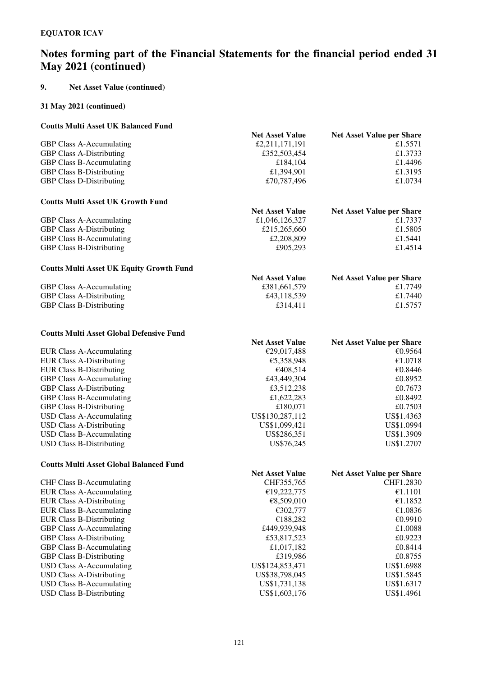### **9. Net Asset Value (continued)**

#### **31 May 2021 (continued)**

#### **Coutts Multi Asset UK Balanced Fund**

|                                 | <b>Net Asset Value</b> | <b>Net Asset Value per Share</b> |
|---------------------------------|------------------------|----------------------------------|
| GBP Class A-Accumulating        | £2,211,171,191         | £1.5571                          |
| <b>GBP Class A-Distributing</b> | £352,503,454           | £1.3733                          |
| <b>GBP Class B-Accumulating</b> | £184,104               | £1.4496                          |
| <b>GBP Class B-Distributing</b> | £1,394,901             | £1.3195                          |
| <b>GBP Class D-Distributing</b> | £70,787,496            | £1.0734                          |
|                                 |                        |                                  |

### **Coutts Multi Asset UK Growth Fund**

| <b>Net Asset Value</b> | <b>Net Asset Value per Share</b> |
|------------------------|----------------------------------|
| £1,046,126,327         | £1.7337                          |
| £215,265,660           | £1.5805                          |
| £2,208,809             | £1.5441                          |
| £905,293               | £1.4514                          |
|                        |                                  |

### **Coutts Multi Asset UK Equity Growth Fund**

| <b>Net Asset Value</b> | <b>Net Asset Value per Share</b> |
|------------------------|----------------------------------|
| £381,661,579           | £1.7749                          |
| £43,118,539            | £1.7440                          |
| £314,411               | £1.5757                          |
|                        |                                  |

### **Coutts Multi Asset Global Defensive Fund**

| Couns munt Asset Ghobal Denemsive Fully |                        |                                  |
|-----------------------------------------|------------------------|----------------------------------|
|                                         | <b>Net Asset Value</b> | <b>Net Asset Value per Share</b> |
| <b>EUR Class A-Accumulating</b>         | €29,017,488            | €0.9564                          |
| EUR Class A-Distributing                | €5,358,948             | €1.0718                          |
| <b>EUR Class B-Distributing</b>         | €408.514               | €0.8446                          |
| <b>GBP Class A-Accumulating</b>         | £43,449,304            | £0.8952                          |
| <b>GBP Class A-Distributing</b>         | £3,512,238             | £0.7673                          |
| <b>GBP Class B-Accumulating</b>         | £1,622,283             | £0.8492                          |
| <b>GBP Class B-Distributing</b>         | £180,071               | £0.7503                          |
| USD Class A-Accumulating                | US\$130,287,112        | US\$1.4363                       |
| USD Class A-Distributing                | US\$1,099,421          | US\$1.0994                       |
| USD Class B-Accumulating                | US\$286,351            | US\$1.3909                       |
| USD Class B-Distributing                | US\$76,245             | US\$1.2707                       |
|                                         |                        |                                  |

#### **Coutts Multi Asset Global Balanced Fund**

|                                 | <b>Net Asset Value</b> | <b>Net Asset Value per Share</b> |
|---------------------------------|------------------------|----------------------------------|
| <b>CHF Class B-Accumulating</b> | CHF355,765             | CHF1.2830                        |
| <b>EUR Class A-Accumulating</b> | €19,222,775            | €1.1101                          |
| <b>EUR Class A-Distributing</b> | €8.509.010             | €1.1852                          |
| EUR Class B-Accumulating        | €302,777               | €1.0836                          |
| <b>EUR Class B-Distributing</b> | €188.282               | €0.9910                          |
| <b>GBP Class A-Accumulating</b> | £449,939,948           | £1.0088                          |
| <b>GBP Class A-Distributing</b> | £53,817,523            | £0.9223                          |
| <b>GBP Class B-Accumulating</b> | £1,017,182             | £0.8414                          |
| <b>GBP Class B-Distributing</b> | £319,986               | £0.8755                          |
| USD Class A-Accumulating        | US\$124,853,471        | US\$1.6988                       |
| USD Class A-Distributing        | US\$38,798,045         | US\$1.5845                       |
| USD Class B-Accumulating        | US\$1,731,138          | US\$1.6317                       |
| USD Class B-Distributing        | US\$1,603,176          | US\$1.4961                       |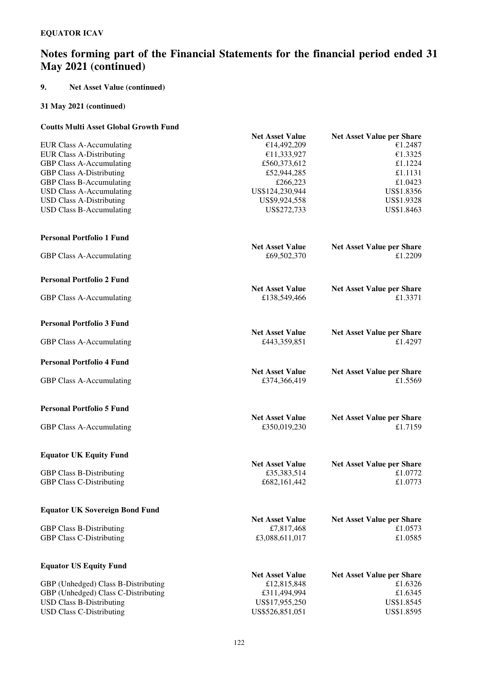### **9. Net Asset Value (continued)**

### **31 May 2021 (continued)**

### **Coutts Multi Asset Global Growth Fund**

|                                       | <b>Net Asset Value</b> | <b>Net Asset Value per Share</b>            |
|---------------------------------------|------------------------|---------------------------------------------|
| <b>EUR Class A-Accumulating</b>       | €14,492,209            | €1.2487                                     |
| <b>EUR Class A-Distributing</b>       | €11,333,927            | €1.3325                                     |
| <b>GBP Class A-Accumulating</b>       | £560,373,612           | £1.1224                                     |
| <b>GBP Class A-Distributing</b>       | £52,944,285            | £1.1131                                     |
| <b>GBP Class B-Accumulating</b>       | £266,223               | £1.0423                                     |
| <b>USD Class A-Accumulating</b>       | US\$124,230,944        | US\$1.8356                                  |
| <b>USD Class A-Distributing</b>       | US\$9,924,558          | US\$1.9328                                  |
| <b>USD Class B-Accumulating</b>       | US\$272,733            | US\$1.8463                                  |
|                                       |                        |                                             |
| <b>Personal Portfolio 1 Fund</b>      |                        |                                             |
|                                       | <b>Net Asset Value</b> | <b>Net Asset Value per Share</b>            |
| GBP Class A-Accumulating              | £69,502,370            | £1.2209                                     |
| <b>Personal Portfolio 2 Fund</b>      |                        |                                             |
|                                       | <b>Net Asset Value</b> | <b>Net Asset Value per Share</b>            |
| GBP Class A-Accumulating              | £138,549,466           | £1.3371                                     |
| <b>Personal Portfolio 3 Fund</b>      |                        |                                             |
|                                       | <b>Net Asset Value</b> | <b>Net Asset Value per Share</b>            |
| GBP Class A-Accumulating              | £443,359,851           | £1.4297                                     |
| <b>Personal Portfolio 4 Fund</b>      |                        |                                             |
|                                       | <b>Net Asset Value</b> | <b>Net Asset Value per Share</b>            |
| GBP Class A-Accumulating              | £374,366,419           | £1.5569                                     |
| <b>Personal Portfolio 5 Fund</b>      |                        |                                             |
|                                       | <b>Net Asset Value</b> |                                             |
| GBP Class A-Accumulating              | £350,019,230           | <b>Net Asset Value per Share</b><br>£1.7159 |
|                                       |                        |                                             |
| <b>Equator UK Equity Fund</b>         | <b>Net Asset Value</b> |                                             |
| <b>GBP Class B-Distributing</b>       | £35,383,514            | <b>Net Asset Value per Share</b><br>£1.0772 |
| <b>GBP Class C-Distributing</b>       | £682,161,442           | £1.0773                                     |
|                                       |                        |                                             |
| <b>Equator UK Sovereign Bond Fund</b> |                        |                                             |
|                                       | <b>Net Asset Value</b> | <b>Net Asset Value per Share</b>            |
| <b>GBP Class B-Distributing</b>       | £7,817,468             | £1.0573                                     |
| <b>GBP Class C-Distributing</b>       | £3,088,611,017         | £1.0585                                     |
|                                       |                        |                                             |
| <b>Equator US Equity Fund</b>         |                        |                                             |
|                                       | <b>Net Asset Value</b> | <b>Net Asset Value per Share</b>            |
| GBP (Unhedged) Class B-Distributing   | £12,815,848            | £1.6326                                     |
| GBP (Unhedged) Class C-Distributing   | £311,494,994           | £1.6345                                     |
| <b>USD Class B-Distributing</b>       | US\$17,955,250         | US\$1.8545                                  |
| <b>USD Class C-Distributing</b>       | US\$526,851,051        | US\$1.8595                                  |
|                                       |                        |                                             |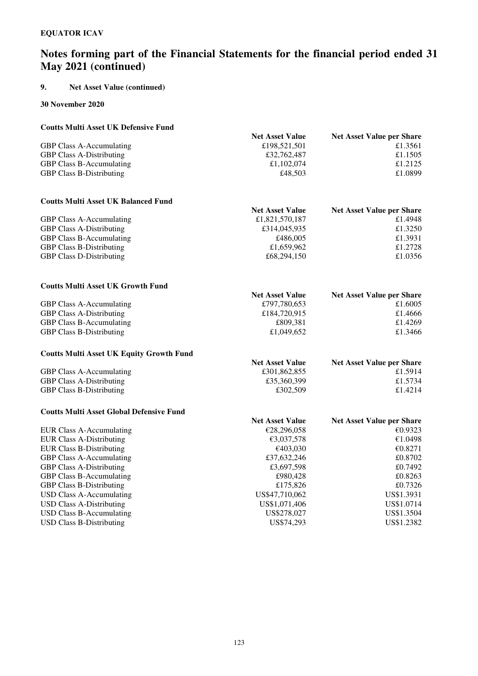### **9. Net Asset Value (continued)**

**30 November 2020** 

### **Coutts Multi Asset UK Defensive Fund Net Asset Value Net Asset Value per Share**<br>£1.3561<br>£1.3561 GBP Class A-Accumulating  $\begin{array}{ccc}\n\text{GBP Class A-Accumulating} & \text{£}198,521,501 & \text{£}1.3561 \\
\text{GBP Class A-Distributing} & \text{£}32,762,487 & \text{£}1.1505\n\end{array}$ GBP Class A-Distributing  $£32,762,487$ GBP Class B-Accumulating  $\text{f1,102,074}$   $\text{f2125}$ GBP Class B-Distributing  $\text{f48,503}$   $\text{f1.0899}$

### **Coutts Multi Asset UK Balanced Fund**

| <b>Net Asset Value per Share</b> |
|----------------------------------|
| £1.4948                          |
| £1.3250                          |
| £1.3931                          |
| £1.2728                          |
| £1.0356                          |
|                                  |

| <b>Coutts Multi Asset UK Growth Fund</b> |                        |                                  |
|------------------------------------------|------------------------|----------------------------------|
|                                          | <b>Net Asset Value</b> | <b>Net Asset Value per Share</b> |
| <b>GBP Class A-Accumulating</b>          | £797,780,653           | £1.6005                          |
| <b>GBP Class A-Distributing</b>          | £184,720,915           | £1.4666                          |
| <b>GBP Class B-Accumulating</b>          | £809.381               | £1.4269                          |
| <b>GBP Class B-Distributing</b>          | £1,049,652             | £1.3466                          |

#### **Coutts Multi Asset UK Equity Growth Fund**

| <b>Net Asset Value</b> | <b>Net Asset Value per Share</b> |
|------------------------|----------------------------------|
| £301,862,855           | £1.5914                          |
| £35,360,399            | £1.5734                          |
| £302.509               | £1.4214                          |
|                        |                                  |

### **Coutts Multi Asset Global Defensive Fund**

|                                 | <b>Net Asset Value</b> | <b>Net Asset Value per Share</b> |
|---------------------------------|------------------------|----------------------------------|
| EUR Class A-Accumulating        | €28,296,058            | €0.9323                          |
| <b>EUR Class A-Distributing</b> | €3,037,578             | €1.0498                          |
| EUR Class B-Distributing        | €403,030               | €0.8271                          |
| <b>GBP Class A-Accumulating</b> | £37,632,246            | £0.8702                          |
| <b>GBP Class A-Distributing</b> | £3,697,598             | £0.7492                          |
| <b>GBP Class B-Accumulating</b> | £980,428               | £0.8263                          |
| <b>GBP Class B-Distributing</b> | £175,826               | £0.7326                          |
| USD Class A-Accumulating        | US\$47,710,062         | US\$1.3931                       |
| USD Class A-Distributing        | US\$1,071,406          | US\$1.0714                       |
| USD Class B-Accumulating        | US\$278,027            | US\$1.3504                       |
| USD Class B-Distributing        | US\$74.293             | US\$1.2382                       |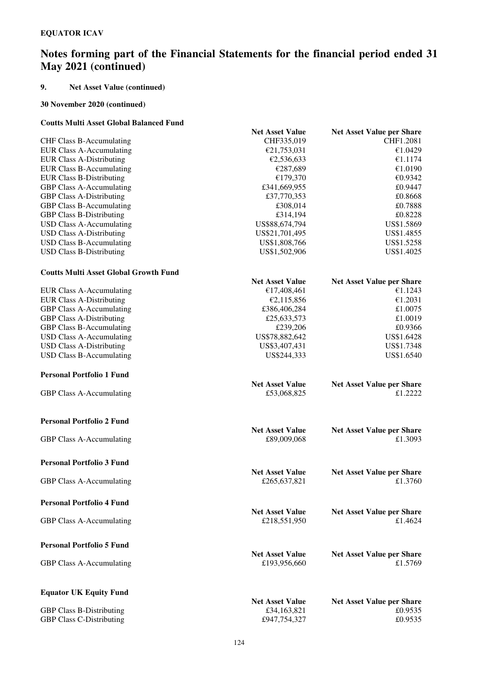### **9. Net Asset Value (continued)**

### **30 November 2020 (continued)**

### **Coutts Multi Asset Global Balanced Fund**

|                                              | <b>Net Asset Value</b>                | <b>Net Asset Value per Share</b> |
|----------------------------------------------|---------------------------------------|----------------------------------|
| <b>CHF Class B-Accumulating</b>              | CHF335,019                            | CHF1.2081                        |
| <b>EUR Class A-Accumulating</b>              | €21,753,031                           | €1.0429                          |
| <b>EUR Class A-Distributing</b>              | €2,536,633                            | €1.1174                          |
| <b>EUR Class B-Accumulating</b>              | €287,689                              | €1.0190                          |
| <b>EUR Class B-Distributing</b>              | €179,370                              | €0.9342                          |
| GBP Class A-Accumulating                     | £341,669,955                          | £0.9447                          |
| <b>GBP Class A-Distributing</b>              | £37,770,353                           | £0.8668                          |
| <b>GBP Class B-Accumulating</b>              | £308,014                              | £0.7888                          |
| <b>GBP Class B-Distributing</b>              | £314,194                              | £0.8228                          |
| <b>USD Class A-Accumulating</b>              | US\$88,674,794                        | US\$1.5869                       |
| <b>USD Class A-Distributing</b>              | US\$21,701,495                        | US\$1.4855                       |
| <b>USD Class B-Accumulating</b>              | US\$1,808,766                         | US\$1.5258                       |
| <b>USD Class B-Distributing</b>              | US\$1,502,906                         | US\$1.4025                       |
|                                              |                                       |                                  |
| <b>Coutts Multi Asset Global Growth Fund</b> |                                       |                                  |
|                                              | <b>Net Asset Value</b>                | <b>Net Asset Value per Share</b> |
| <b>EUR Class A-Accumulating</b>              | €17,408,461                           | €1.1243                          |
| <b>EUR Class A-Distributing</b>              | €2,115,856                            | €1.2031                          |
| <b>GBP Class A-Accumulating</b>              | £386,406,284                          | £1.0075                          |
| <b>GBP Class A-Distributing</b>              | £25,633,573                           | £1.0019                          |
| GBP Class B-Accumulating                     | £239,206                              | £0.9366                          |
| <b>USD Class A-Accumulating</b>              | US\$78,882,642                        | US\$1.6428                       |
| <b>USD Class A-Distributing</b>              | US\$3,407,431                         | US\$1.7348                       |
| <b>USD Class B-Accumulating</b>              | US\$244,333                           | US\$1.6540                       |
|                                              |                                       |                                  |
| <b>Personal Portfolio 1 Fund</b>             |                                       |                                  |
|                                              | <b>Net Asset Value</b>                | <b>Net Asset Value per Share</b> |
| GBP Class A-Accumulating                     | £53,068,825                           | £1.2222                          |
| <b>Personal Portfolio 2 Fund</b>             |                                       |                                  |
|                                              |                                       | <b>Net Asset Value per Share</b> |
| GBP Class A-Accumulating                     | <b>Net Asset Value</b><br>£89,009,068 | £1.3093                          |
|                                              |                                       |                                  |
| <b>Personal Portfolio 3 Fund</b>             |                                       |                                  |
|                                              | <b>Net Asset Value</b>                | <b>Net Asset Value per Share</b> |
| GBP Class A-Accumulating                     | £265,637,821                          | £1.3760                          |
| <b>Personal Portfolio 4 Fund</b>             |                                       |                                  |
|                                              | <b>Net Asset Value</b>                | <b>Net Asset Value per Share</b> |
| <b>GBP Class A-Accumulating</b>              | £218,551,950                          | £1.4624                          |
|                                              |                                       |                                  |
| <b>Personal Portfolio 5 Fund</b>             |                                       |                                  |
|                                              | <b>Net Asset Value</b>                | <b>Net Asset Value per Share</b> |
| <b>GBP Class A-Accumulating</b>              | £193,956,660                          | £1.5769                          |
| <b>Equator UK Equity Fund</b>                |                                       |                                  |
|                                              | <b>Net Asset Value</b>                | <b>Net Asset Value per Share</b> |
| <b>GBP Class B-Distributing</b>              | £34,163,821                           | £0.9535                          |
| <b>GBP Class C-Distributing</b>              | £947,754,327                          | £0.9535                          |
|                                              |                                       |                                  |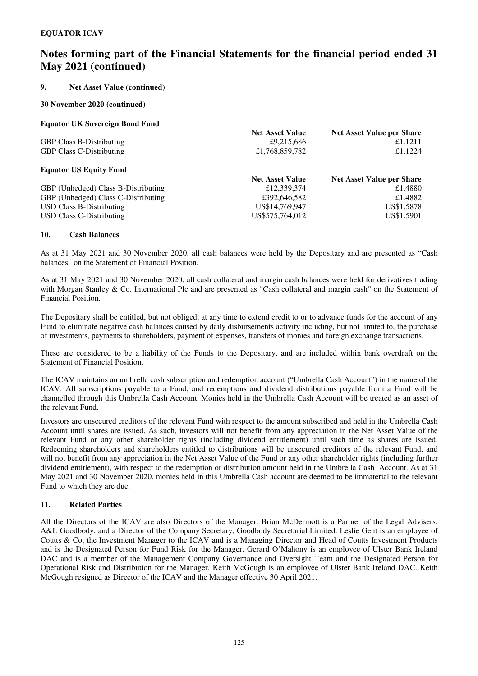### **9. Net Asset Value (continued)**

### **30 November 2020 (continued)**

### **Equator UK Sovereign Bond Fund**

|                                     | <b>Net Asset Value</b> | <b>Net Asset Value per Share</b> |
|-------------------------------------|------------------------|----------------------------------|
| <b>GBP Class B-Distributing</b>     | £9,215,686             | £1.1211                          |
| <b>GBP Class C-Distributing</b>     | £1,768,859,782         | £1.1224                          |
| <b>Equator US Equity Fund</b>       |                        |                                  |
|                                     | <b>Net Asset Value</b> | <b>Net Asset Value per Share</b> |
| GBP (Unhedged) Class B-Distributing | £12,339,374            | £1.4880                          |
| GBP (Unhedged) Class C-Distributing | £392,646,582           | £1.4882                          |
| <b>USD Class B-Distributing</b>     | US\$14,769,947         | US\$1.5878                       |
| USD Class C-Distributing            | US\$575,764,012        | US\$1.5901                       |

### **10. Cash Balances**

As at 31 May 2021 and 30 November 2020, all cash balances were held by the Depositary and are presented as "Cash balances" on the Statement of Financial Position.

As at 31 May 2021 and 30 November 2020, all cash collateral and margin cash balances were held for derivatives trading with Morgan Stanley & Co. International Plc and are presented as "Cash collateral and margin cash" on the Statement of Financial Position.

The Depositary shall be entitled, but not obliged, at any time to extend credit to or to advance funds for the account of any Fund to eliminate negative cash balances caused by daily disbursements activity including, but not limited to, the purchase of investments, payments to shareholders, payment of expenses, transfers of monies and foreign exchange transactions.

These are considered to be a liability of the Funds to the Depositary, and are included within bank overdraft on the Statement of Financial Position.

The ICAV maintains an umbrella cash subscription and redemption account ("Umbrella Cash Account") in the name of the ICAV. All subscriptions payable to a Fund, and redemptions and dividend distributions payable from a Fund will be channelled through this Umbrella Cash Account. Monies held in the Umbrella Cash Account will be treated as an asset of the relevant Fund.

Investors are unsecured creditors of the relevant Fund with respect to the amount subscribed and held in the Umbrella Cash Account until shares are issued. As such, investors will not benefit from any appreciation in the Net Asset Value of the relevant Fund or any other shareholder rights (including dividend entitlement) until such time as shares are issued. Redeeming shareholders and shareholders entitled to distributions will be unsecured creditors of the relevant Fund, and will not benefit from any appreciation in the Net Asset Value of the Fund or any other shareholder rights (including further dividend entitlement), with respect to the redemption or distribution amount held in the Umbrella Cash Account. As at 31 May 2021 and 30 November 2020, monies held in this Umbrella Cash account are deemed to be immaterial to the relevant Fund to which they are due.

### **11. Related Parties**

All the Directors of the ICAV are also Directors of the Manager. Brian McDermott is a Partner of the Legal Advisers, A&L Goodbody, and a Director of the Company Secretary, Goodbody Secretarial Limited. Leslie Gent is an employee of Coutts & Co, the Investment Manager to the ICAV and is a Managing Director and Head of Coutts Investment Products and is the Designated Person for Fund Risk for the Manager. Gerard O'Mahony is an employee of Ulster Bank Ireland DAC and is a member of the Management Company Governance and Oversight Team and the Designated Person for Operational Risk and Distribution for the Manager. Keith McGough is an employee of Ulster Bank Ireland DAC. Keith McGough resigned as Director of the ICAV and the Manager effective 30 April 2021.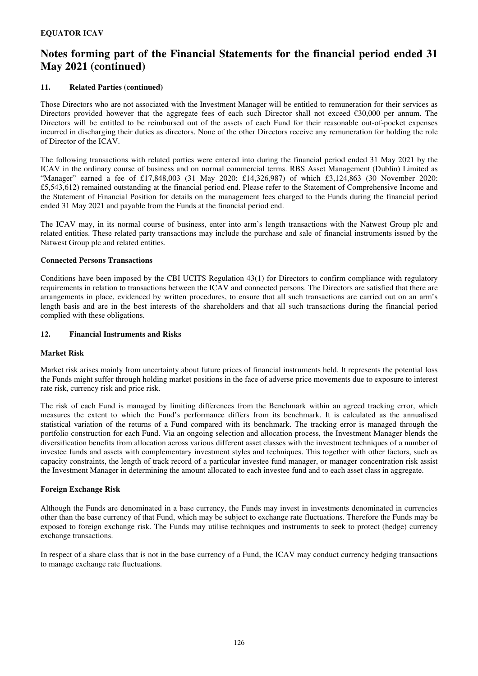### **11. Related Parties (continued)**

Those Directors who are not associated with the Investment Manager will be entitled to remuneration for their services as Directors provided however that the aggregate fees of each such Director shall not exceed €30,000 per annum. The Directors will be entitled to be reimbursed out of the assets of each Fund for their reasonable out-of-pocket expenses incurred in discharging their duties as directors. None of the other Directors receive any remuneration for holding the role of Director of the ICAV.

The following transactions with related parties were entered into during the financial period ended 31 May 2021 by the ICAV in the ordinary course of business and on normal commercial terms. RBS Asset Management (Dublin) Limited as "Manager" earned a fee of £17,848,003 (31 May 2020: £14,326,987) of which £3,124,863 (30 November 2020: £5,543,612) remained outstanding at the financial period end. Please refer to the Statement of Comprehensive Income and the Statement of Financial Position for details on the management fees charged to the Funds during the financial period ended 31 May 2021 and payable from the Funds at the financial period end.

The ICAV may, in its normal course of business, enter into arm's length transactions with the Natwest Group plc and related entities. These related party transactions may include the purchase and sale of financial instruments issued by the Natwest Group plc and related entities.

### **Connected Persons Transactions**

Conditions have been imposed by the CBI UCITS Regulation 43(1) for Directors to confirm compliance with regulatory requirements in relation to transactions between the ICAV and connected persons. The Directors are satisfied that there are arrangements in place, evidenced by written procedures, to ensure that all such transactions are carried out on an arm's length basis and are in the best interests of the shareholders and that all such transactions during the financial period complied with these obligations.

### **12. Financial Instruments and Risks**

### **Market Risk**

Market risk arises mainly from uncertainty about future prices of financial instruments held. It represents the potential loss the Funds might suffer through holding market positions in the face of adverse price movements due to exposure to interest rate risk, currency risk and price risk.

The risk of each Fund is managed by limiting differences from the Benchmark within an agreed tracking error, which measures the extent to which the Fund's performance differs from its benchmark. It is calculated as the annualised statistical variation of the returns of a Fund compared with its benchmark. The tracking error is managed through the portfolio construction for each Fund. Via an ongoing selection and allocation process, the Investment Manager blends the diversification benefits from allocation across various different asset classes with the investment techniques of a number of investee funds and assets with complementary investment styles and techniques. This together with other factors, such as capacity constraints, the length of track record of a particular investee fund manager, or manager concentration risk assist the Investment Manager in determining the amount allocated to each investee fund and to each asset class in aggregate.

### **Foreign Exchange Risk**

Although the Funds are denominated in a base currency, the Funds may invest in investments denominated in currencies other than the base currency of that Fund, which may be subject to exchange rate fluctuations. Therefore the Funds may be exposed to foreign exchange risk. The Funds may utilise techniques and instruments to seek to protect (hedge) currency exchange transactions.

In respect of a share class that is not in the base currency of a Fund, the ICAV may conduct currency hedging transactions to manage exchange rate fluctuations.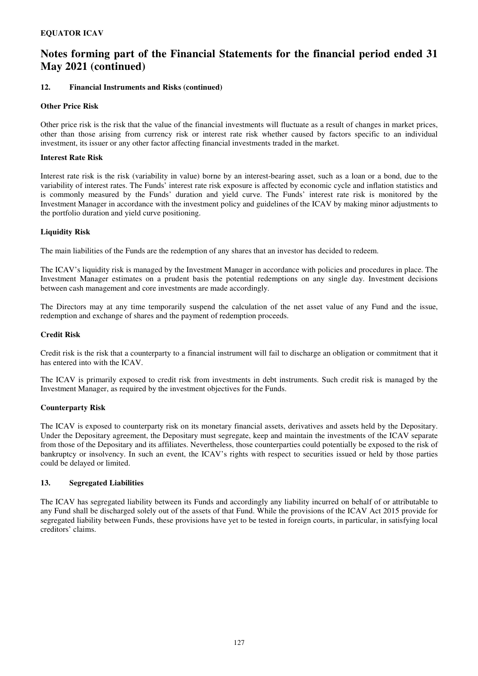### **12. Financial Instruments and Risks (continued)**

### **Other Price Risk**

Other price risk is the risk that the value of the financial investments will fluctuate as a result of changes in market prices, other than those arising from currency risk or interest rate risk whether caused by factors specific to an individual investment, its issuer or any other factor affecting financial investments traded in the market.

### **Interest Rate Risk**

Interest rate risk is the risk (variability in value) borne by an interest-bearing asset, such as a loan or a bond, due to the variability of interest rates. The Funds' interest rate risk exposure is affected by economic cycle and inflation statistics and is commonly measured by the Funds' duration and yield curve. The Funds' interest rate risk is monitored by the Investment Manager in accordance with the investment policy and guidelines of the ICAV by making minor adjustments to the portfolio duration and yield curve positioning.

### **Liquidity Risk**

The main liabilities of the Funds are the redemption of any shares that an investor has decided to redeem.

The ICAV's liquidity risk is managed by the Investment Manager in accordance with policies and procedures in place. The Investment Manager estimates on a prudent basis the potential redemptions on any single day. Investment decisions between cash management and core investments are made accordingly.

The Directors may at any time temporarily suspend the calculation of the net asset value of any Fund and the issue, redemption and exchange of shares and the payment of redemption proceeds.

#### **Credit Risk**

Credit risk is the risk that a counterparty to a financial instrument will fail to discharge an obligation or commitment that it has entered into with the ICAV.

The ICAV is primarily exposed to credit risk from investments in debt instruments. Such credit risk is managed by the Investment Manager, as required by the investment objectives for the Funds.

### **Counterparty Risk**

The ICAV is exposed to counterparty risk on its monetary financial assets, derivatives and assets held by the Depositary. Under the Depositary agreement, the Depositary must segregate, keep and maintain the investments of the ICAV separate from those of the Depositary and its affiliates. Nevertheless, those counterparties could potentially be exposed to the risk of bankruptcy or insolvency. In such an event, the ICAV's rights with respect to securities issued or held by those parties could be delayed or limited.

### **13. Segregated Liabilities**

The ICAV has segregated liability between its Funds and accordingly any liability incurred on behalf of or attributable to any Fund shall be discharged solely out of the assets of that Fund. While the provisions of the ICAV Act 2015 provide for segregated liability between Funds, these provisions have yet to be tested in foreign courts, in particular, in satisfying local creditors' claims.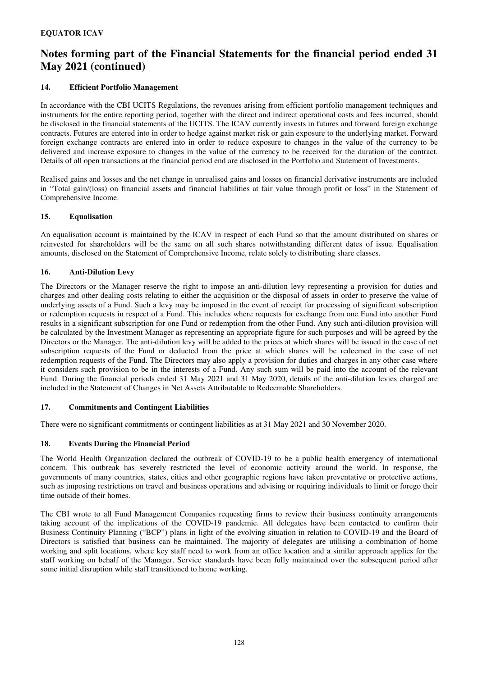### **14. Efficient Portfolio Management**

In accordance with the CBI UCITS Regulations, the revenues arising from efficient portfolio management techniques and instruments for the entire reporting period, together with the direct and indirect operational costs and fees incurred, should be disclosed in the financial statements of the UCITS. The ICAV currently invests in futures and forward foreign exchange contracts. Futures are entered into in order to hedge against market risk or gain exposure to the underlying market. Forward foreign exchange contracts are entered into in order to reduce exposure to changes in the value of the currency to be delivered and increase exposure to changes in the value of the currency to be received for the duration of the contract. Details of all open transactions at the financial period end are disclosed in the Portfolio and Statement of Investments.

Realised gains and losses and the net change in unrealised gains and losses on financial derivative instruments are included in "Total gain/(loss) on financial assets and financial liabilities at fair value through profit or loss" in the Statement of Comprehensive Income.

### **15. Equalisation**

An equalisation account is maintained by the ICAV in respect of each Fund so that the amount distributed on shares or reinvested for shareholders will be the same on all such shares notwithstanding different dates of issue. Equalisation amounts, disclosed on the Statement of Comprehensive Income, relate solely to distributing share classes.

### **16. Anti-Dilution Levy**

The Directors or the Manager reserve the right to impose an anti-dilution levy representing a provision for duties and charges and other dealing costs relating to either the acquisition or the disposal of assets in order to preserve the value of underlying assets of a Fund. Such a levy may be imposed in the event of receipt for processing of significant subscription or redemption requests in respect of a Fund. This includes where requests for exchange from one Fund into another Fund results in a significant subscription for one Fund or redemption from the other Fund. Any such anti-dilution provision will be calculated by the Investment Manager as representing an appropriate figure for such purposes and will be agreed by the Directors or the Manager. The anti-dilution levy will be added to the prices at which shares will be issued in the case of net subscription requests of the Fund or deducted from the price at which shares will be redeemed in the case of net redemption requests of the Fund. The Directors may also apply a provision for duties and charges in any other case where it considers such provision to be in the interests of a Fund. Any such sum will be paid into the account of the relevant Fund. During the financial periods ended 31 May 2021 and 31 May 2020, details of the anti-dilution levies charged are included in the Statement of Changes in Net Assets Attributable to Redeemable Shareholders.

### **17. Commitments and Contingent Liabilities**

There were no significant commitments or contingent liabilities as at 31 May 2021 and 30 November 2020.

### **18. Events During the Financial Period**

The World Health Organization declared the outbreak of COVID-19 to be a public health emergency of international concern. This outbreak has severely restricted the level of economic activity around the world. In response, the governments of many countries, states, cities and other geographic regions have taken preventative or protective actions, such as imposing restrictions on travel and business operations and advising or requiring individuals to limit or forego their time outside of their homes.

The CBI wrote to all Fund Management Companies requesting firms to review their business continuity arrangements taking account of the implications of the COVID-19 pandemic. All delegates have been contacted to confirm their Business Continuity Planning ("BCP") plans in light of the evolving situation in relation to COVID-19 and the Board of Directors is satisfied that business can be maintained. The majority of delegates are utilising a combination of home working and split locations, where key staff need to work from an office location and a similar approach applies for the staff working on behalf of the Manager. Service standards have been fully maintained over the subsequent period after some initial disruption while staff transitioned to home working.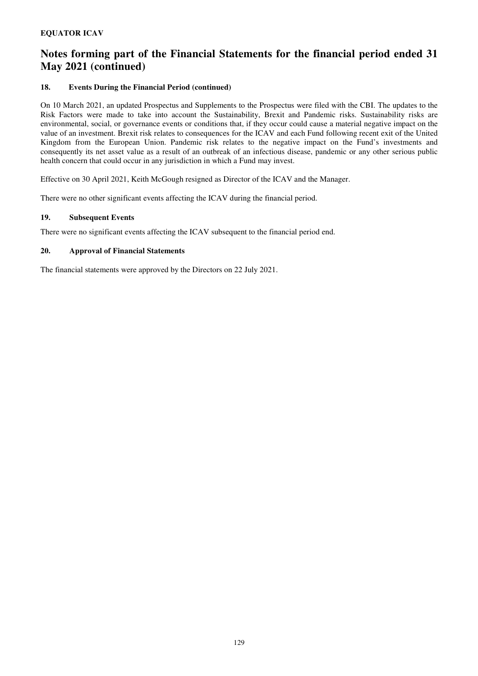### **18. Events During the Financial Period (continued)**

On 10 March 2021, an updated Prospectus and Supplements to the Prospectus were filed with the CBI. The updates to the Risk Factors were made to take into account the Sustainability, Brexit and Pandemic risks. Sustainability risks are environmental, social, or governance events or conditions that, if they occur could cause a material negative impact on the value of an investment. Brexit risk relates to consequences for the ICAV and each Fund following recent exit of the United Kingdom from the European Union. Pandemic risk relates to the negative impact on the Fund's investments and consequently its net asset value as a result of an outbreak of an infectious disease, pandemic or any other serious public health concern that could occur in any jurisdiction in which a Fund may invest.

Effective on 30 April 2021, Keith McGough resigned as Director of the ICAV and the Manager.

There were no other significant events affecting the ICAV during the financial period.

### **19. Subsequent Events**

There were no significant events affecting the ICAV subsequent to the financial period end.

### **20. Approval of Financial Statements**

The financial statements were approved by the Directors on 22 July 2021.